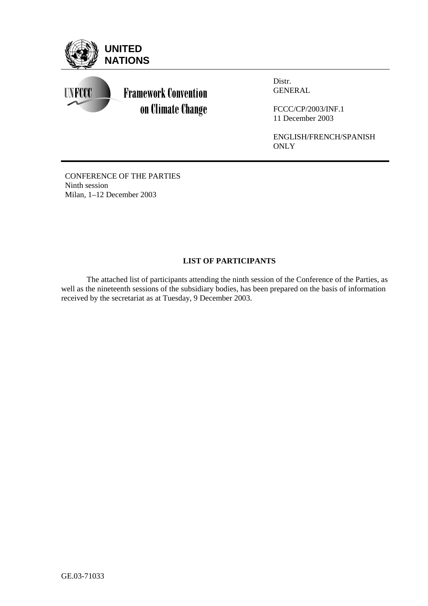

Distr. GENERAL

FCCC/CP/2003/INF.1 11 December 2003

ENGLISH/FRENCH/SPANISH **ONLY** 

CONFERENCE OF THE PARTIES Ninth session Milan, 1–12 December 2003

# **LIST OF PARTICIPANTS**

 The attached list of participants attending the ninth session of the Conference of the Parties, as well as the nineteenth sessions of the subsidiary bodies, has been prepared on the basis of information received by the secretariat as at Tuesday, 9 December 2003.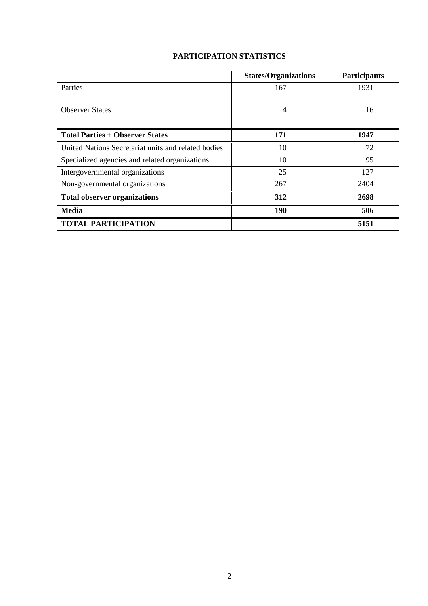# **PARTICIPATION STATISTICS**

|                                                     | <b>States/Organizations</b> | <b>Participants</b> |
|-----------------------------------------------------|-----------------------------|---------------------|
| Parties                                             | 167                         | 1931                |
|                                                     |                             |                     |
| <b>Observer States</b>                              | 4                           | 16                  |
|                                                     |                             |                     |
| <b>Total Parties + Observer States</b>              | 171                         | 1947                |
| United Nations Secretariat units and related bodies | 10                          | 72                  |
| Specialized agencies and related organizations      | 10                          | 95                  |
| Intergovernmental organizations                     | 25                          | 127                 |
| Non-governmental organizations                      | 267                         | 2404                |
| <b>Total observer organizations</b>                 | 312                         | 2698                |
| <b>Media</b>                                        | 190                         | 506                 |
| <b>TOTAL PARTICIPATION</b>                          |                             | 5151                |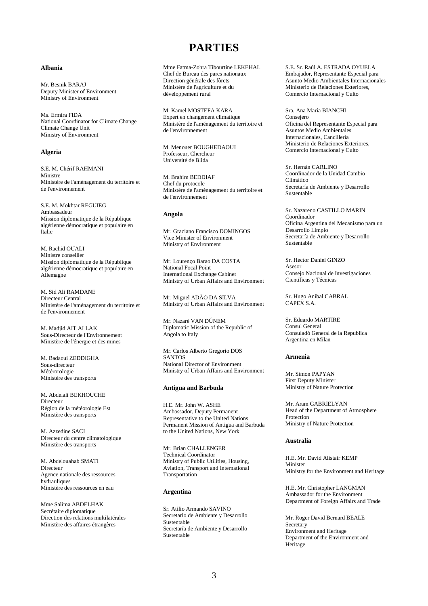# **PARTIES**

# **Albania**

Mr. Besnik BARAJ Deputy Minister of Environment Ministry of Environment

Ms. Ermira FIDA National Coordinator for Climate Change Climate Change Unit Ministry of Environment

# **Algeria**

S.E. M. Chérif RAHMANI Ministre Ministère de l'aménagement du territoire et de l'environnement

S.E. M. Mokhtar REGUIEG Ambassadeur Mission diplomatique de la République algérienne démocratique et populaire en Italie

M. Rachid OUALI Ministre conseiller Mission diplomatique de la République algérienne démocratique et populaire en Allemagne

M. Sid Ali RAMDANE Directeur Central Ministère de l'aménagement du territoire et de l'environnement

M. Madjid AIT ALLAK Sous-Directeur de l'Environnement Ministère de l'énergie et des mines

M. Badaoui ZEDDIGHA Sous-directeur Métérorologie Ministère des transports

M. Abdelali BEKHOUCHE Directeur Région de la météorologie Est Ministère des transports

M. Azzedine SACI Directeur du centre climatologique Ministère des transports

M. Abdelouahab SMATI Directeur Agence nationale des ressources hydrauliques Ministère des ressources en eau

Mme Salima ABDELHAK Secrétaire diplomatique Direction des relations multilatérales Ministère des affaires étrangères

Mme Fatma-Zohra Tibourtine LEKEHAL Chef de Bureau des parcs nationaux Direction générale des fôrets Ministère de l'agriculture et du développement rural

M. Kamel MOSTEFA KARA Expert en changement climatique Ministère de l'aménagement du territoire et de l'environnement

M. Menouer BOUGHEDAOUI Professeur, Chercheur Université de Blida

M. Brahim BEDDIAF Chef du protocole Ministère de l'aménagement du territoire et de l'environnement

# **Angola**

Mr. Graciano Francisco DOMINGOS Vice Minister of Environment Ministry of Environment

Mr. Lourenço Barao DA COSTA National Focal Point International Exchange Cabinet Ministry of Urban Affairs and Environment

Mr. Miguel ADÃO DA SILVA Ministry of Urban Affairs and Environment

Mr. Nazaré VAN DÚNEM Diplomatic Mission of the Republic of Angola to Italy

Mr. Carlos Alberto Gregorio DOS SANTOS National Director of Environment Ministry of Urban Affairs and Environment

#### **Antigua and Barbuda**

H.E. Mr. John W. ASHE Ambassador, Deputy Permanent Representative to the United Nations Permanent Mission of Antigua and Barbuda to the United Nations, New York

Mr. Brian CHALLENGER Technical Coordinator Ministry of Public Utilities, Housing, Aviation, Transport and International Transportation

#### **Argentina**

Sr. Atilio Armando SAVINO Secretario de Ambiente y Desarrollo Sustentable Secretaría de Ambiente y Desarrollo Sustentable

S.E. Sr. Raúl A. ESTRADA OYUELA Embajador, Representante Especial para Asunto Medio Ambientales Internacionales Ministerio de Relaciones Exteriores, Comercio Internacional y Culto

Sra. Ana María BIANCHI Consejero Oficina del Representante Especial para Asuntos Medio Ambientales Internacionales, Cancillería Ministerio de Relaciones Exteriores, Comercio Internacional y Culto

Sr. Hernán CARLINO Coordinador de la Unidad Cambio Climático Secretaría de Ambiente y Desarrollo Sustentable

Sr. Nazareno CASTILLO MARIN Coordinador Oficina Argentina del Mecanismo para un Desarrollo Limpio Secretaría de Ambiente y Desarrollo Sustentable

Sr. Héctor Daniel GINZO Asesor Consejo Nacional de Investigaciones Científicas y Técnicas

Sr. Hugo Anibal CABRAL CAPEX S.A.

Sr. Eduardo MARTIRE Consul General Consuladó General de la Republica Argentina en Milan

# **Armenia**

Mr. Simon PAPYAN First Deputy Minister Ministry of Nature Protection

Mr. Aram GABRIELYAN Head of the Department of Atmosphere Protection Ministry of Nature Protection

### **Australia**

H.E. Mr. David Alistair KEMP Minister Ministry for the Environment and Heritage

H.E. Mr. Christopher LANGMAN Ambassador for the Environment Department of Foreign Affairs and Trade

Mr. Roger David Bernard BEALE **Secretary** Environment and Heritage Department of the Environment and Heritage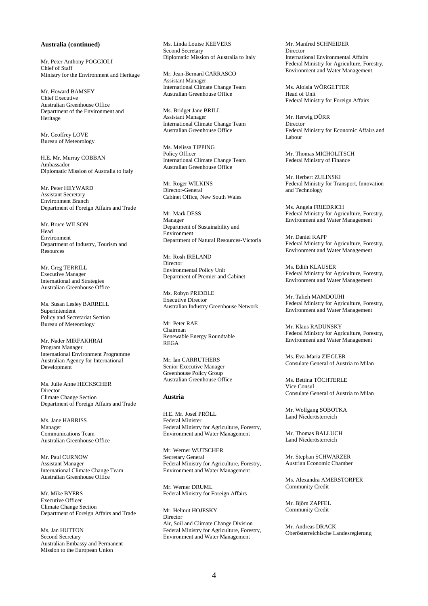### **Australia (continued)**

Mr. Peter Anthony POGGIOLI Chief of Staff Ministry for the Environment and Heritage

Mr. Howard BAMSEY Chief Executive Australian Greenhouse Office Department of the Environment and Heritage

Mr. Geoffrey LOVE Bureau of Meteorology

H.E. Mr. Murray COBBAN Ambassador Diplomatic Mission of Australia to Italy

Mr. Peter HEYWARD Assistant Secretary Environment Branch Department of Foreign Affairs and Trade

Mr. Bruce WILSON Head Environment Department of Industry, Tourism and Resources

Mr. Greg TERRILL Executive Manager International and Strategies Australian Greenhouse Office

Ms. Susan Lesley BARRELL Superintendent Policy and Secretariat Section Bureau of Meteorology

Mr. Nader MIRFAKHRAI Program Manager International Environment Programme Australian Agency for International Development

Ms. Julie Anne HECKSCHER Director Climate Change Section Department of Foreign Affairs and Trade

Ms. Jane HARRISS Manager Communications Team Australian Greenhouse Office

Mr. Paul CURNOW Assistant Manager International Climate Change Team Australian Greenhouse Office

Mr. Mike BYERS Executive Officer Climate Change Section Department of Foreign Affairs and Trade

Ms. Ian HUTTON Second Secretary Australian Embassy and Permanent Mission to the European Union

Ms. Linda Louise KEEVERS Second Secretary Diplomatic Mission of Australia to Italy

Mr. Jean-Bernard CARRASCO Assistant Manager International Climate Change Team Australian Greenhouse Office

Ms. Bridget Jane BRILL Assistant Manager International Climate Change Team Australian Greenhouse Office

Ms. Melissa TIPPING Policy Officer International Climate Change Team Australian Greenhouse Office

Mr. Roger WILKINS Director-General Cabinet Office, New South Wales

Mr. Mark DESS Manager Department of Sustainability and Environment Department of Natural Resources-Victoria

Mr. Rosh IRELAND **Director** Environmental Policy Unit Department of Premier and Cabinet

Ms. Robyn PRIDDLE Executive Director Australian Industry Greenhouse Network

Mr. Peter RAE Chairman Renewable Energy Roundtable REGA

Mr. Ian CARRUTHERS Senior Executive Manager Greenhouse Policy Group Australian Greenhouse Office

# **Austria**

H.E. Mr. Josef PRÖLL Federal Minister Federal Ministry for Agriculture, Forestry, Environment and Water Management

Mr. Werner WUTSCHER Secretary General Federal Ministry for Agriculture, Forestry, Environment and Water Management

Mr. Werner DRUML Federal Ministry for Foreign Affairs

Mr. Helmut HOJESKY Director Air, Soil and Climate Change Division Federal Ministry for Agriculture, Forestry, Environment and Water Management

Mr. Manfred SCHNEIDER Director International Environmental Affairs Federal Ministry for Agriculture, Forestry, Environment and Water Management

Ms. Aloisia WÖRGETTER Head of Unit Federal Ministry for Foreign Affairs

Mr. Herwig DÜRR Director Federal Ministry for Economic Affairs and Labour

Mr. Thomas MICHOLITSCH Federal Ministry of Finance

Mr. Herbert ZULINSKI Federal Ministry for Transport, Innovation and Technology

Ms. Angela FRIEDRICH Federal Ministry for Agriculture, Forestry, Environment and Water Management

Mr. Daniel KAPP Federal Ministry for Agriculture, Forestry, Environment and Water Management

Ms. Edith KLAUSER Federal Ministry for Agriculture, Forestry, Environment and Water Management

Mr. Talieh MAMDOUHI Federal Ministry for Agriculture, Forestry, Environment and Water Management

Mr. Klaus RADUNSKY Federal Ministry for Agriculture, Forestry, Environment and Water Management

Ms. Eva-Maria ZIEGLER Consulate General of Austria to Milan

Ms. Bettina TÖCHTERLE Vice Consul Consulate General of Austria to Milan

Mr. Wolfgang SOBOTKA Land Niederösterreich

Mr. Thomas BALLUCH Land Niederösterreich

Mr. Stephan SCHWARZER Austrian Economic Chamber

Ms. Alexandra AMERSTORFER Community Credit

Mr. Björn ZAPFEL Community Credit

Mr. Andreas DRACK Oberösterreichische Landesregierung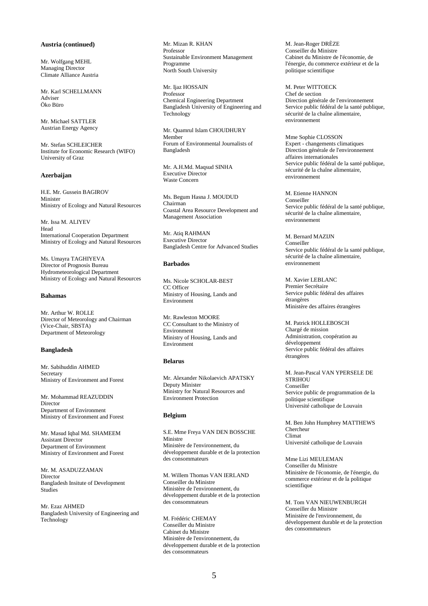# **Austria (continued)**

Mr. Wolfgang MEHL Managing Director Climate Alliance Austria

Mr. Karl SCHELLMANN Adviser Öko Büro

Mr. Michael SATTLER Austrian Energy Agency

Mr. Stefan SCHLEICHER Institute for Economic Research (WIFO) University of Graz

#### **Azerbaijan**

H.E. Mr. Gussein BAGIROV Minister Ministry of Ecology and Natural Resources

Mr. Issa M. ALIYEV Head International Cooperation Department Ministry of Ecology and Natural Resources

Ms. Umayra TAGHIYEVA Director of Prognosis Bureau Hydrometeorological Department Ministry of Ecology and Natural Resources

# **Bahamas**

Mr. Arthur W. ROLLE Director of Meteorology and Chairman (Vice-Chair, SBSTA) Department of Meteorology

# **Bangladesh**

Mr. Sabihuddin AHMED Secretary Ministry of Environment and Forest

Mr. Mohammad REAZUDDIN Director Department of Environment Ministry of Environment and Forest

Mr. Masud Iqbal Md. SHAMEEM Assistant Director Department of Environment Ministry of Environment and Forest

Mr. M. ASADUZZAMAN Director Bangladesh Insitute of Development Studies

Mr. Ezaz AHMED Bangladesh University of Engineering and Technology

Mr. Mizan R. KHAN Professor Sustainable Environment Management Programme North South University

Mr. Ijaz HOSSAIN Professor Chemical Engineering Department Bangladesh University of Engineering and Technology

Mr. Quamrul Islam CHOUDHURY Member Forum of Environmental Journalists of Bangladesh

Mr. A.H.Md. Maqsud SINHA Executive Director Waste Concern

Ms. Begum Hasna J. MOUDUD Chairman Coastal Area Resource Development and Management Association

Mr. Atiq RAHMAN Executive Director Bangladesh Centre for Advanced Studies

# **Barbados**

Ms. Nicole SCHOLAR-BEST CC Officer Ministry of Housing, Lands and Environment

Mr. Rawleston MOORE CC Consultant to the Ministry of Environment Ministry of Housing, Lands and Environment

# **Belarus**

Mr. Alexander Nikolaevich APATSKY Deputy Minister Ministry for Natural Resources and Environment Protection

### **Belgium**

S.E. Mme Freya VAN DEN BOSSCHE Ministre Ministère de l'environnement, du développement durable et de la protection des consommateurs

M. Willem Thomas VAN IERLAND Conseiller du Ministre Ministère de l'environnement, du développement durable et de la protection des consommateurs

M. Frédéric CHEMAY Conseiller du Ministre Cabinet du Ministre Ministère de l'environnement, du développement durable et de la protection des consommateurs

M. Jean-Roger DRÈZE Conseiller du Ministre Cabinet du Ministre de l'économie, de l'énergie, du commerce extérieur et de la politique scientifique

M. Peter WITTOECK Chef de section Direction générale de l'environnement Service public fédéral de la santé publique, sécurité de la chaîne alimentaire, environnement

Mme Sophie CLOSSON Expert - changements climatiques Direction générale de l'environnement affaires internationales Service public fédéral de la santé publique, sécurité de la chaîne alimentaire, environnement

M. Etienne HANNON Conseiller Service public fédéral de la santé publique, sécurité de la chaîne alimentaire, environnement

M. Bernard MAZIJN Conseiller Service public fédéral de la santé publique, sécurité de la chaîne alimentaire, environnement

M. Xavier LEBLANC Premier Secrétaire Service public fédéral des affaires étrangères Ministère des affaires étrangères

M. Patrick HOLLEBOSCH Chargé de mission Administration, coopération au développement Service public fédéral des affaires étrangères

M. Jean-Pascal VAN YPERSELE DE **STRIHOU** Conseiller Service public de programmation de la politique scientifique Université catholique de Louvain

M. Ben John Humphrey MATTHEWS Chercheur Climat Université catholique de Louvain

Mme Lizi MEULEMAN Conseiller du Ministre Ministère de l'économie, de l'énergie, du commerce extérieur et de la politique scientifique

M. Tom VAN NIEUWENBURGH Conseiller du Ministre Ministère de l'environnement, du développement durable et de la protection des consommateurs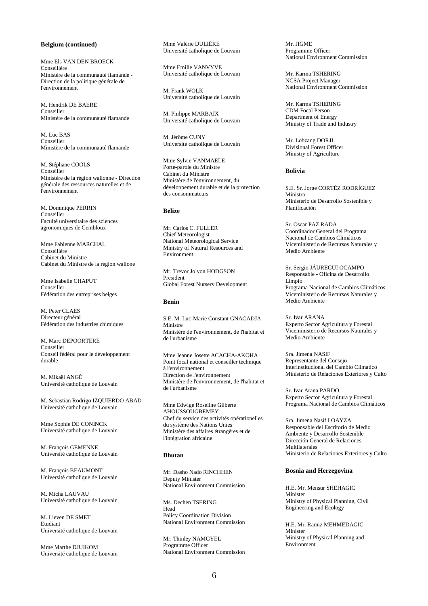# **Belgium (continued)**

Mme Els VAN DEN BROECK Conseillère Ministère de la communauté flamande - Direction de la politique générale de l'environnement

M. Hendrik DE BAERE Conseiller Ministère de la communauté flamande

M. Luc BAS Conseiller Ministère de la communauté flamande

M. Stéphane COOLS Conseiller Ministère de la région wallonne - Direction générale des ressources naturelles et de l'environnement

M. Dominique PERRIN Conseiller Faculté universitaire des sciences agronomiques de Gembloux

Mme Fabienne MARCHAL Conseillère Cabinet du Ministre Cabinet du Ministre de la région wallone

Mme Isabelle CHAPUT Conseiller Fédération des entreprises belges

M. Peter CLAES Directeur général Fédération des industries chimiques

M. Marc DEPOORTERE Conseiller Conseil fédéral pour le développement durable

M. Mikaël ANGÉ Université catholique de Louvain

M. Sebastian Rodrigo IZQUIERDO ABAD Université catholique de Louvain

Mme Sophie DE CONINCK Université catholique de Louvain

M. François GEMENNE Université catholique de Louvain

M. François BEAUMONT Université catholique de Louvain

M. Micha LAUVAU Université catholique de Louvain

M. Lieven DE SMET Etudiant Université catholique de Louvain

Mme Marthe DJUIKOM Université catholique de Louvain Mme Valérie DULIÈRE Université catholique de Louvain

Mme Emilie VANVYVE Université catholique de Louvain

M. Frank WOLK Université catholique de Louvain

M. Philippe MARBAIX Université catholique de Louvain

M. Jérôme CUNY Université catholique de Louvain

Mme Sylvie VANMAELE Porte-parole du Ministre Cabinet du Ministre Ministère de l'environnement, du développement durable et de la protection des consommateurs

# **Belize**

Mr. Carlos C. FULLER Chief Meteorologist National Meteorological Service Ministry of Natural Resources and Environment

Mr. Trevor Jolyon HODGSON President Global Forest Nursery Development

# **Benin**

S.E. M. Luc-Marie Constant GNACADJA Ministre Ministère de l'environnement, de l'habitat et de l'urbanisme

Mme Jeanne Josette ACACHA-AKOHA Point focal national et conseiller technique à l'environnement Direction de l'environnement Ministère de l'environnement, de l'habitat et de l'urbanisme

Mme Edwige Roseline Gilberte **AHOUSSOUGBEMEY** Chef du service des activités opérationelles du système des Nations Unies Ministère des affaires étrangères et de l'intégration africaine

# **Bhutan**

Mr. Dasho Nado RINCHHEN Deputy Minister National Environment Commission

Ms. Dechen TSERING Head Policy Coordination Division National Environment Commission

Mr. Thinley NAMGYEL Programme Officer National Environment Commission Mr. JIGME Programme Officer National Environment Commission

Mr. Karma TSHERING NCSA Project Manager National Environment Commission

Mr. Karma TSHERING CDM Focal Person Department of Energy Ministry of Trade and Industry

Mr. Lobzang DORJI Divisional Forest Officer Ministry of Agriculture

# **Bolivia**

S.E. Sr. Jorge CORTÉZ RODRÍGUEZ Ministro Ministerio de Desarrollo Sostenible y Planificación

Sr. Oscar PAZ RADA Coordinador General del Programa Nacional de Cambios Climáticos Viceministerio de Recursos Naturales y Medio Ambiente

Sr. Sergio JÁUREGUI OCAMPO Responsable - Oficina de Desarrollo Limpio Programa Nacional de Cambios Climáticos Viceministerio de Recursos Naturales y Medio Ambiente

Sr. Ivar ARANA Experto Sector Agricultura y Forestal Viceministerio de Recursos Naturales y Medio Ambiente

Sra. Jimena NASIF Representante del Consejo Interinstitucional del Cambio Climatico Ministerio de Relaciones Exteriores y Culto

Sr. Ivar Arana PARDO Experto Sector Agricultura y Forestal Programa Nacional de Cambios Climáticos

Sra. Jimena Nasif LOAYZA Responsable del Escritorio de Medio Ambiente y Desarrollo Sostenible Dirección General de Relaciones Multilaterales Ministerio de Relaciones Exteriores y Culto

# **Bosnia and Herzegovina**

H.E. Mr. Mensur SHEHAGIC Minister Ministry of Physical Planning, Civil Engineering and Ecology

H.E. Mr. Ramiz MEHMEDAGIC Minister Ministry of Physical Planning and Environment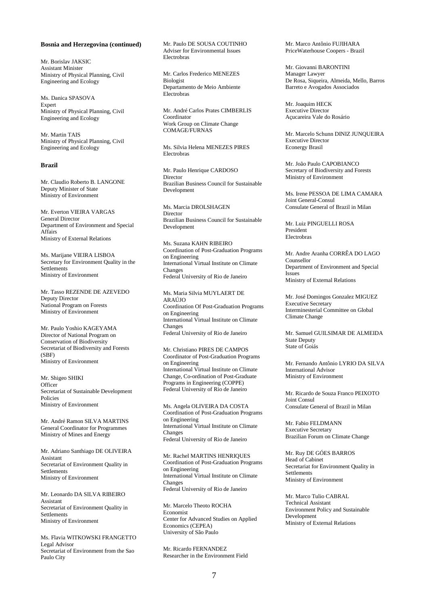#### **Bosnia and Herzegovina (continued)**

Mr. Borislav JAKSIC Assistant Minister Ministry of Physical Planning, Civil Engineering and Ecology

Ms. Danica SPASOVA Expert Ministry of Physical Planning, Civil Engineering and Ecology

Mr. Martin TAIS Ministry of Physical Planning, Civil Engineering and Ecology

#### **Brazil**

Mr. Claudio Roberto B. LANGONE Deputy Minister of State Ministry of Environment

Mr. Everton VIEIRA VARGAS General Director Department of Environment and Special Affairs Ministry of External Relations

Ms. Marijane VIEIRA LISBOA Secretary for Environment Quality in the **Settlements** Ministry of Environment

Mr. Tasso REZENDE DE AZEVEDO Deputy Director National Program on Forests Ministry of Environment

Mr. Paulo Yoshio KAGEYAMA Director of National Program on Conservation of Biodiversity Secretariat of Biodiversity and Forests (SBF) Ministry of Environment

Mr. Shigeo SHIKI **Officer** Secretariat of Sustainable Development Policies Ministry of Environment

Mr. André Ramon SILVA MARTINS General Coordinator for Programmes Ministry of Mines and Energy

Mr. Adriano Santhiago DE OLIVEIRA Assistant Secretariat of Environment Quality in **Settlements** Ministry of Environment

Mr. Leonardo DA SILVA RIBEIRO Assistant Secretariat of Environment Quality in **Settlements** Ministry of Environment

Ms. Flavia WITKOWSKI FRANGETTO Legal Advisor Secretariat of Environment from the Sao Paulo City

Mr. Paulo DE SOUSA COUTINHO Adviser for Environmental Issues Electrobras

Mr. Carlos Frederico MENEZES Biologist Departamento de Meio Ambiente Electrobras

Mr. André Carlos Prates CIMBERLIS Coordinator Work Group on Climate Change COMAGE/FURNAS

Ms. Silvia Helena MENEZES PIRES Electrobras

Mr. Paulo Henrique CARDOSO Director Brazilian Business Council for Sustainable Development

Ms. Marcia DROLSHAGEN Director Brazilian Business Council for Sustainable Development

Ms. Suzana KAHN RIBEIRO Coordination of Post-Graduation Programs on Engineering International Virtual Institute on Climate Changes Federal University of Rio de Janeiro

Ms. Maria Silvia MUYLAERT DE ARAÚJO Coordination Of Post-Graduation Programs on Engineering International Virtual Institute on Climate Changes Federal University of Rio de Janeiro

Mr. Christiano PIRES DE CAMPOS Coordinator of Post-Graduation Programs on Engineering International Virtual Institute on Climate Change, Co-ordination of Post-Graduate Programs in Engineering (COPPE) Federal University of Rio de Janeiro

Ms. Angela OLIVEIRA DA COSTA Coordination of Post-Graduation Programs on Engineering International Virtual Institute on Climate Changes Federal University of Rio de Janeiro

Mr. Rachel MARTINS HENRIQUES Coordination of Post-Graduation Programs on Engineering International Virtual Institute on Climate Changes Federal University of Rio de Janeiro

Mr. Marcelo Theoto ROCHA Economist Center for Advanced Studies on Applied Economics (CEPEA) University of São Paulo

Mr. Ricardo FERNANDEZ Researcher in the Environment Field Mr. Marco Antônio FUJIHARA PriceWaterhouse Coopers - Brazil

Mr. Giovanni BARONTINI Manager Lawyer De Rosa, Siqueira, Almeida, Mello, Barros Barreto e Avogados Associados

Mr. Joaquim HECK Executive Director Açucareira Vale do Rosário

Mr. Marcelo Schunn DINIZ JUNQUEIRA Executive Director Econergy Brasil

Mr. João Paulo CAPOBIANCO Secretary of Biodiversity and Forests Ministry of Environment

Ms. Irene PESSOA DE LIMA CAMARA Joint General-Consul Consulate General of Brazil in Milan

Mr. Luiz PINGUELLI ROSA President Electrobras

Mr. Andre Aranha CORRÊA DO LAGO Counsellor Department of Environment and Special Issues Ministry of External Relations

Mr. José Domingos Gonzalez MIGUEZ Executive Secretary Interminesterial Committee on Global Climate Change

Mr. Samuel GUILSIMAR DE ALMEIDA State Deputy State of Goiás

Mr. Fernando Antônio LYRIO DA SILVA International Advisor Ministry of Environment

Mr. Ricardo de Souza Franco PEIXOTO Joint Consul Consulate General of Brazil in Milan

Mr. Fabio FELDMANN Executive Secretary Brazilian Forum on Climate Change

Mr. Ruy DE GÓES BARROS Head of Cabinet Secretariat for Environment Quality in Settlements Ministry of Environment

Mr. Marco Tulio CABRAL Technical Assistant Environment Policy and Sustainable Development Ministry of External Relations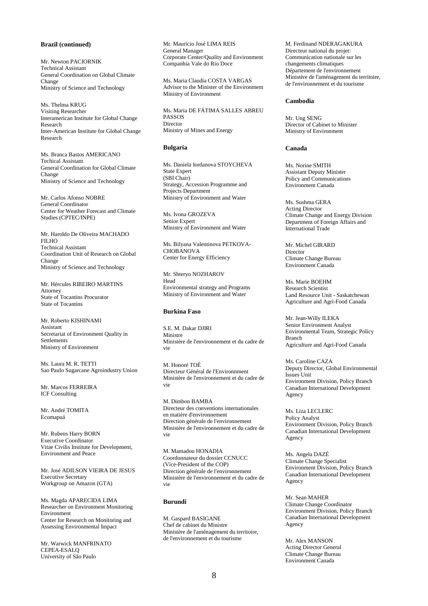# **Brazil (continued)**

Mr. Newton PACIORNIK Technical Assistant General Coordination on Global Climate Change Ministry of Science and Technology

Ms. Thelma KRUG Visiting Researcher Interamerican Institute for Global Change Research Inter-American Institute for Global Change Research

Ms. Branca Bastos AMERICANO Techical Assistant General Coordination for Global Climate Change Ministry of Science and Technology

Mr. Carlos Afonso NOBRE General Coordinator Center for Weather Forecast and Climate Studies (CPTEC/INPE)

Mr. Haroldo De Oliveira MACHADO FILHO Technical Assistant Coordination Unit of Research on Global Change Ministry of Science and Technology

Mr. Hércules RIBEIRO MARTINS Attorney State of Tocantins Procurator State of Tocantins

Mr. Roberto KISHINAMI Assistant Secretariat of Environment Quality in Settlements Ministry of Environment

Ms. Laura M. R. TETTI Sao Paulo Sugarcane Agroindustry Union

Mr. Marcos FERREIRA ICF Consulting

Mr. André TOMITA Ecomapuá

Mr. Rubens Harry BORN Executive Coordinator Vitae Civilis Institute for Development, Environment and Peace

Mr. José ADILSON VIEIRA DE JESUS Executive Secretary Workgroup on Amazon (GTA)

Ms. Magda APARECIDA LIMA Researcher on Environment Monitoring Environment Center for Research on Monitoring and Assessing Environmental Impact

Mr. Warwick MANFRINATO CEPEA-ESALQ University of São Paulo

Mr. Maurício José LIMA REIS General Manager Corporate Center/Quality and Environment Companhia Vale do Rio Doce

Ms. Maria Claudia COSTA VARGAS Advisor to the Minister of the Environment Ministry of Environment

Ms. Maria DE FÁTIMA SALLES ABREU PASSOS Director Ministry of Mines and Energy

# **Bulgaria**

Ms. Daniela Iordanova STOYCHEVA State Expert (SBI Chair) Strategy, Accession Programme and Projects Department Ministry of Environment and Water

Ms. Ivona GROZEVA Senior Expert Ministry of Environment and Water

Ms. Bilyana Valentinova PETKOVA-CHOBANOVA Center for Energy Efficiency

Mr. Shteryo NOZHAROV Head Environmental strategy and Programs Ministry of Environment and Water

# **Burkina Faso**

S.E. M. Dakar DJIRI Ministre Ministère de l'environnement et du cadre de vie

M. Honoré TOÉ Directeur Général de l'Environnment Ministère de l'environnement et du cadre de vie

M. Dimbon BAMBA Directeur des conventions internationales en matière d'environnement Direction générale de l'environnement Ministère de l'environnement et du cadre de vie

M. Mamadou HONADIA Coordonnateur du dossier CCNUCC (Vice-President of the COP) Direction générale de l'environnement Ministère de l'environnement et du cadre de vie

# **Burundi**

M. Gaspard BASIGANE Chef de cabinet du Ministre Ministère de l'aménagement du territoire, de l'environnement et du tourisme

M. Ferdinand NDERAGAKURA Directeur national du projet: Communication nationale sur les changements climatiques Département de l'environnement Ministère de l'aménagement du territoire, de l'environnement et du tourisme

# **Cambodia**

Mr. Ung SENG Director of Cabinet to Minister Ministry of Environment

# **Canada**

Ms. Norine SMITH Assistant Deputy Minister Policy and Communications Environment Canada

Ms. Sushma GERA Acting Director Climate Change and Energy Division Department of Foreign Affairs and International Trade

Mr. Michel GIRARD Director Climate Change Bureau Environment Canada

Ms. Marie BOEHM Research Scientist Land Resource Unit - Saskatchewan Agriculture and Agri-Food Canada

Mr. Jean-Willy ILEKA Senior Environment Analyst Environmental Team, Strategic Policy Branch Agriculture and Agri-Food Canada

Ms. Caroline CAZA Deputy Director, Global Environmental Issues Unit Environment Division, Policy Branch Canadian International Development Agency

Ms. Liza LECLERC Policy Analyst Environment Division, Policy Branch Canadian International Development Agency

Ms. Angela DAZÉ Climate Change Specialist Environment Division, Policy Branch Canadian International Development Agency

Mr. Sean MAHER Climate Change Coordinator Environment Division, Policy Branch Canadian International Development Agency

Mr. Alex MANSON Acting Director General Climate Change Bureau Environment Canada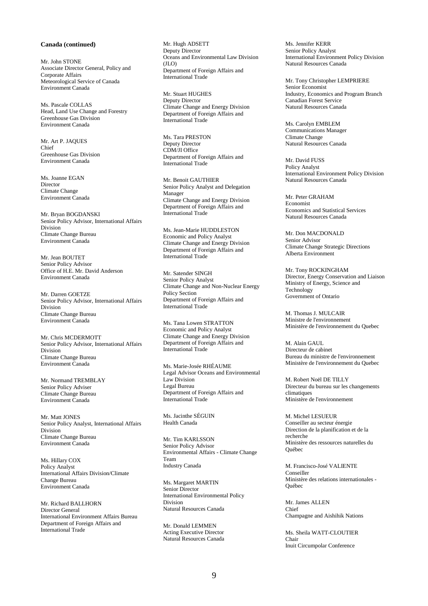# **Canada (continued)**

Mr. John STONE Associate Director General, Policy and Corporate Affairs Meteorological Service of Canada Environment Canada

Ms. Pascale COLLAS Head, Land Use Change and Forestry Greenhouse Gas Division Environment Canada

Mr. Art P. JAQUES Chief Greenhouse Gas Division Environment Canada

Ms. Joanne EGAN Director Climate Change Environment Canada

Mr. Bryan BOGDANSKI Senior Policy Advisor, International Affairs Division Climate Change Bureau Environment Canada

Mr. Jean BOUTET Senior Policy Advisor Office of H.E. Mr. David Anderson Environment Canada

Mr. Darren GOETZE Senior Policy Advisor, International Affairs Division Climate Change Bureau Environment Canada

Mr. Chris MCDERMOTT Senior Policy Advisor, International Affairs Division Climate Change Bureau Environment Canada

Mr. Normand TREMBLAY Senior Policy Adviser Climate Change Bureau Environment Canada

Mr. Matt JONES Senior Policy Analyst, International Affairs Division Climate Change Bureau Environment Canada

Ms. Hillary COX Policy Analyst International Affairs Division/Climate Change Bureau Environment Canada

Mr. Richard BALLHORN Director General International Environment Affairs Bureau Department of Foreign Affairs and International Trade

Mr. Hugh ADSETT Deputy Director Oceans and Environmental Law Division  $(II \Omega)$ Department of Foreign Affairs and International Trade

Mr. Stuart HUGHES Deputy Director Climate Change and Energy Division Department of Foreign Affairs and International Trade

Ms. Tara PRESTON Deputy Director CDM/JI Office Department of Foreign Affairs and International Trade

Mr. Benoit GAUTHIER Senior Policy Analyst and Delegation Manager Climate Change and Energy Division Department of Foreign Affairs and International Trade

Ms. Jean-Marie HUDDLESTON Economic and Policy Analyst Climate Change and Energy Division Department of Foreign Affairs and International Trade

Mr. Satender SINGH Senior Policy Analyst Climate Change and Non-Nuclear Energy Policy Section Department of Foreign Affairs and International Trade

Ms. Tana Lowen STRATTON Economic and Policy Analyst Climate Change and Energy Division Department of Foreign Affairs and International Trade

Ms. Marie-Josée RHÉAUME Legal Advisor Oceans and Environmental Law Division Legal Bureau Department of Foreign Affairs and International Trade

Ms. Jacinthe SÉGUIN Health Canada

Mr. Tim KARLSSON Senior Policy Advisor Environmental Affairs - Climate Change Team Industry Canada

Ms. Margaret MARTIN Senior Director International Environmental Policy Division Natural Resources Canada

Mr. Donald LEMMEN Acting Executive Director Natural Resources Canada Ms. Jennifer KERR Senior Policy Analyst International Environment Policy Division Natural Resources Canada

Mr. Tony Christopher LEMPRIERE Senior Economist Industry, Economics and Program Branch Canadian Forest Service Natural Resources Canada

Ms. Carolyn EMBLEM Communications Manager Climate Change Natural Resources Canada

Mr. David FUSS Policy Analyst International Environment Policy Division Natural Resources Canada

Mr. Peter GRAHAM Economist Economics and Statistical Services Natural Resources Canada

Mr. Don MACDONALD Senior Advisor Climate Change Strategic Directions Alberta Environment

Mr. Tony ROCKINGHAM Director, Energy Conservation and Liaison Ministry of Energy, Science and Technology Government of Ontario

M. Thomas J. MULCAIR Ministre de l'environnement Ministère de l'environnement du Quebec

M. Alain GAUL Directeur de cabinet Bureau du ministre de l'environnement Ministère de l'environnement du Quebec

M. Robert Noël DE TILLY Directeur du bureau sur les changements climatiques Ministère de l'environnement

M. Michel LESUEUR Conseiller au secteur énergie Direction de la planification et de la recherche Ministère des ressources naturelles du Québec

M. Francisco-José VALIENTE Conseiller Ministère des relations internationales - Québec

Mr. James ALLEN Chief Champagne and Aishihik Nations

Ms. Sheila WATT-CLOUTIER Chair Inuit Circumpolar Conference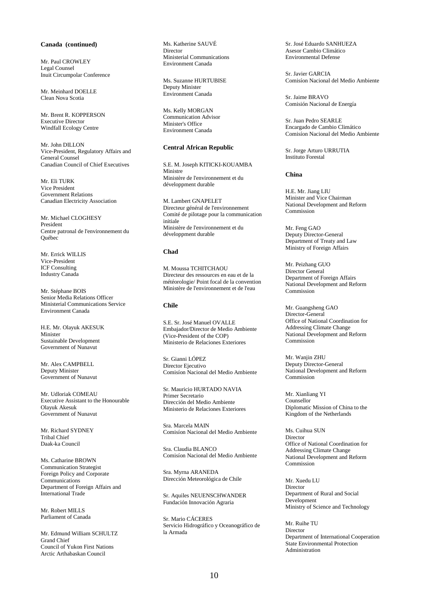# **Canada (continued)**

Mr. Paul CROWLEY Legal Counsel Inuit Circumpolar Conference

Mr. Meinhard DOELLE Clean Nova Scotia

Mr. Brent R. KOPPERSON Executive Director Windfall Ecology Centre

Mr. John DILLON Vice-President, Regulatory Affairs and General Counsel Canadian Council of Chief Executives

Mr. Eli TURK Vice President Government Relations Canadian Electricity Association

Mr. Michael CLOGHESY President Centre patronal de l'environnement du Québec

Mr. Errick WILLIS Vice-President ICF Consulting Industry Canada

Mr. Stéphane BOIS Senior Media Relations Officer Ministerial Communications Service Environment Canada

H.E. Mr. Olayuk AKESUK Minister Sustainable Development Government of Nunavut

Mr. Alex CAMPBELL Deputy Minister Government of Nunavut

Mr. Udloriak COMEAU Executive Assistant to the Honourable Olayuk Akesuk Government of Nunavut

Mr. Richard SYDNEY Tribal Chief Daak-ka Council

Ms. Catharine BROWN Communication Strategist Foreign Policy and Corporate Communications Department of Foreign Affairs and International Trade

Mr. Robert MILLS Parliament of Canada

Mr. Edmund William SCHULTZ Grand Chief Council of Yukon First Nations Arctic Arthabaskan Council

Ms. Katherine SAUVÉ Director Ministerial Communications Environment Canada

Ms. Suzanne HURTUBISE Deputy Minister Environment Canada

Ms. Kelly MORGAN Communication Advisor Minister's Office Environment Canada

# **Central African Republic**

S.E. M. Joseph KITICKI-KOUAMBA Ministre Ministère de l'environnement et du développment durable

M. Lambert GNAPELET Directeur général de l'environnement Comité de pilotage pour la communication initiale Ministère de l'environnement et du développment durable

# **Chad**

M. Moussa TCHITCHAOU Directeur des ressources en eau et de la météorologie/ Point focal de la convention Ministère de l'environnement et de l'eau

# **Chile**

S.E. Sr. José Manuel OVALLE Embajador/Director de Medio Ambiente (Vice-President of the COP) Ministerio de Relaciones Exteriores

Sr. Gianni LÓPEZ Director Ejecutivo Comisíon Nacional del Medio Ambiente

Sr. Mauricio HURTADO NAVIA Primer Secretario Dirección del Medio Ambiente Ministerio de Relaciones Exteriores

Sra. Marcela MAIN Comisíon Nacional del Medio Ambiente

Sra. Claudia BLANCO Comisíon Nacional del Medio Ambiente

Sra. Myrna ARANEDA Dirección Meteorológica de Chile

Sr. Aquiles NEUENSCHWANDER Fundación Innovación Agraria

Sr. Mario CÁCERES Servicio Hidrográfico y Oceanográfico de la Armada

Sr. José Eduardo SANHUEZA Asesor Cambio Climático Environmental Defense

Sr. Javier GARCIA Comisíon Nacional del Medio Ambiente

Sr. Jaime BRAVO Comisión Nacional de Energía

Sr. Juan Pedro SEARLE Encargado de Cambio Climático Comisíon Nacional del Medio Ambiente

Sr. Jorge Arturo URRUTIA Instituto Forestal

# **China**

H.E. Mr. Jiang LIU Minister and Vice Chairman National Development and Reform Commission

Mr. Feng GAO Deputy Director-General Department of Treaty and Law Ministry of Foreign Affairs

Mr. Peizhang GUO Director General Department of Foreign Affairs National Development and Reform Commission

Mr. Guangsheng GAO Director-General Office of National Coordination for Addressing Climate Change National Development and Reform Commission

Mr. Wanjin ZHU Deputy Director-General National Development and Reform Commission

Mr. Xianliang YI Counsellor Diplomatic Mission of China to the Kingdom of the Netherlands

Ms. Cuihua SUN Director Office of National Coordination for Addressing Climate Change National Development and Reform Commission

Mr. Xuedu LU Director Department of Rural and Social Development Ministry of Science and Technology

Mr. Ruihe TU **Director** Department of International Cooperation State Environmental Protection Administration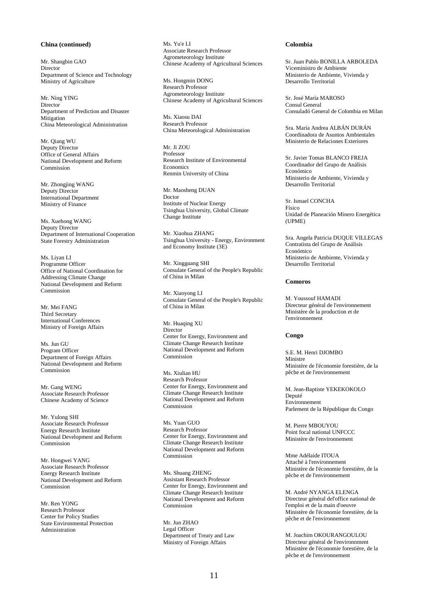# **China (continued)**

Mr. Shangbin GAO Director Department of Science and Technology Ministry of Agriculture

Mr. Ning YING **Director** Department of Prediction and Disaster **Mitigation** China Meteorological Administration

Mr. Qiang WU Deputy Director Office of General Affairs National Development and Reform Commission

Mr. Zhongjing WANG Deputy Director International Department Ministry of Finance

Ms. Xuehong WANG Deputy Director Department of International Cooperation State Forestry Administration

Ms. Liyan LI Programme Officer Office of National Coordination for Addressing Climate Change National Development and Reform Commission

Mr. Mei FANG Third Secretary International Conferences Ministry of Foreign Affairs

Ms. Jun GU Program Officer Department of Foreign Affairs National Development and Reform Commission

Mr. Gang WENG Associate Research Professor Chinese Academy of Science

Mr. Yulong SHI Associate Research Professor Energy Research Institute National Development and Reform Commission

Mr. Hongwei YANG Associate Research Professor Energy Research Institute National Development and Reform Commission

Mr. Ren YONG Research Professor Center for Policy Studies State Environmental Protection Administration

Ms. Yu'e LI Associate Research Professor Agrometeorology Institute Chinese Academy of Agricultural Sciences

Ms. Hongmin DONG Research Professor Agrometeorology Institute Chinese Academy of Agricultural Sciences

Ms. Xiaosu DAI Research Professor China Meteorological Administration

Mr. Ji ZOU Professor Research Institute of Environmental Economics Renmin University of China

Mr. Maosheng DUAN Doctor Institute of Nuclear Energy Tsinghua University, Global Climate Change Institute

Mr. Xiaohua ZHANG Tsinghua University - Energy, Environment and Economy Institute (3E)

Mr. Xingguang SHI Consulate General of the People's Republic of China in Milan

Mr. Xiaoyong LI Consulate General of the People's Republic of China in Milan

Mr. Huaqing XU Director Center for Energy, Environment and Climate Change Research Institute National Development and Reform Commission

Ms. Xiulian HU Research Professor Center for Energy, Environment and Climate Change Research Institute National Development and Reform Commission

Ms. Yuan GUO Research Professor Center for Energy, Environment and Climate Change Research Institute National Development and Reform Commission

Ms. Shuang ZHENG Assistant Research Professor Center for Energy, Environment and Climate Change Research Institute National Development and Reform Commission

Mr. Jun ZHAO Legal Officer Department of Treaty and Law Ministry of Foreign Affairs

### **Colombia**

Sr. Juan Pablo BONILLA ARBOLEDA Viceministro de Ambiente Ministerio de Ambiente, Vivienda y Desarrollo Territorial

Sr. José María MAROSO Consul General Consuladó General de Colombia en Milan

Sra. María Andrea ALBÁN DURÁN Coordinadora de Asuntos Ambientales Ministerio de Relaciones Exteriores

Sr. Javier Tomas BLANCO FREJA Coordinador del Grupo de Análisis Económico Ministerio de Ambiente, Vivienda y Desarrollo Territorial

Sr. Ismael CONCHA Físico Unidad de Planeación Minero Energética (UPME)

Sra. Angela Patricia DUQUE VILLEGAS Contratista del Grupo de Análisis Económico Ministerio de Ambiente, Vivienda y Desarrollo Territorial

# **Comoros**

M. Youssouf HAMADI Directeur général de l'environnement Ministère de la production et de l'environnement

# **Congo**

S.E. M. Henri DJOMBO Ministre Ministère de l'économie forestière, de la pêche et de l'environnement

M. Jean-Baptiste YEKEKOKOLO Deputé Environnement Parlement de la République du Congo

M. Pierre MBOUYOU Point focal national UNFCCC Ministère de l'environnement

Mme Adélaide ITOUA Attaché à l'environnement Ministère de l'économie forestière, de la pêche et de l'environnement

M. André NYANGA ELENGA Directeur général del'office national de l'emploi et de la main d'oeuvre Ministère de l'économie forestière, de la pêche et de l'environnement

M. Joachim OKOURANGOULOU Directeur général de l'environnment Ministère de l'économie forestière, de la pêche et de l'environnement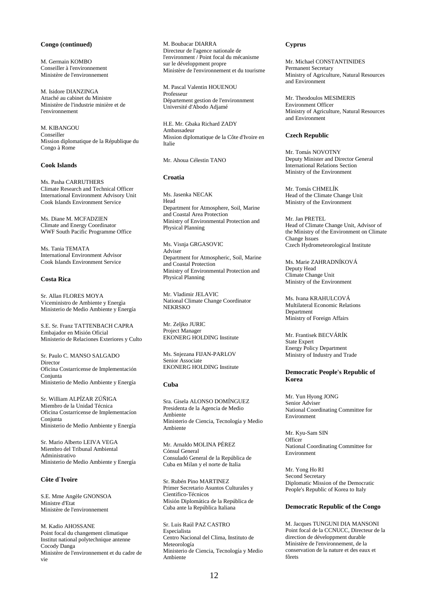### **Congo (continued)**

M. Germain KOMBO Conseiller à l'environnement Ministère de l'environnement

M. Isidore DIANZINGA Attaché au cabinet du Ministre Ministère de l'industrie minière et de l'environnement

M. KIBANGOU Conseiller Mission diplomatique de la République du Congo à Rome

# **Cook Islands**

Ms. Pasha CARRUTHERS Climate Research and Technical Officer International Environment Advisory Unit Cook Islands Environment Service

Ms. Diane M. MCFADZIEN Climate and Energy Coordinator WWF South Pacific Programme Office

Ms. Tania TEMATA International Environment Advisor Cook Islands Environment Service

# **Costa Rica**

Sr. Allan FLORES MOYA Viceministro de Ambiente y Energìa Ministerio de Medio Ambiente y Energía

S.E. Sr. Franz TATTENBACH CAPRA Embajador en Misión Oficial Ministerio de Relaciones Exteriores y Culto

Sr. Paulo C. MANSO SALGADO Director Oficina Costarricense de Implementación Conjunta Ministerio de Medio Ambiente y Energía

Sr. William ALPÍZAR ZÚÑIGA Miembro de la Unidad Técnica Oficina Costarricense de Implementacíon Conjunta Ministerio de Medio Ambiente y Energía

Sr. Mario Alberto LEIVA VEGA Miembro del Tribunal Ambiental Administrativo Ministerio de Medio Ambiente y Energía

### **Côte d`Ivoire**

S.E. Mme Angèle GNONSOA Ministre d'Etat Ministère de l'environnement

M. Kadio AHOSSANE Point focal du changement climatique Institut national polytechnique antenne Cocody Danga Ministère de l'environnement et du cadre de vie

M. Boubacar DIARRA Directeur de l'agence nationale de l'environment / Point focal du mécanisme sur le développment propre Ministère de l'environnement et du tourisme

M. Pascal Valentin HOUENOU Professeur Département gestion de l'environnment Université d'Abodo Adjamé

H.E. Mr. Gbaka Richard ZADY Ambassadeur Mission diplomatique de la Côte d'Ivoire en Italie

Mr. Ahoua Célestin TANO

# **Croatia**

Ms. Jasenka NECAK Head Department for Atmosphere, Soil, Marine and Coastal Area Protection Ministry of Environmental Protection and Physical Planning

Ms. Visnja GRGASOVIC Adviser Department for Atmospheric, Soil, Marine and Coastal Protection Ministry of Environmental Protection and Physical Planning

Mr. Vladimir JELAVIC National Climate Change Coordinator NEKRSKO

Mr. Zeljko JURIC Project Manager EKONERG HOLDING Institute

Ms. Snjezana FIJAN-PARLOV Senior Associate EKONERG HOLDING Institute

### **Cuba**

Sra. Gisela ALONSO DOMÍNGUEZ Presidenta de la Agencia de Medio Ambiente Ministerio de Ciencia, Tecnología y Medio Ambiente

Mr. Arnaldo MOLINA PÉREZ Cónsul General Consuladó General de la República de Cuba en Milan y el norte de Italia

Sr. Rubén Pino MARTINEZ Primer Secretario Asuntos Culturales y Cientifico-Técnicos Misión Diplomática de la República de Cuba ante la República Italiana

Sr. Luis Raúl PAZ CASTRO Especialista Centro Nacional del Clima, Instituto de Meteorología Ministerio de Ciencia, Tecnología y Medio Ambiente

# **Cyprus**

Mr. Michael CONSTANTINIDES Permanent Secretary Ministry of Agriculture, Natural Resources and Environment

Mr. Theodoulos MESIMERIS Environment Officer Ministry of Agriculture, Natural Resources and Environment

#### **Czech Republic**

Mr. Tomás NOVOTNY Deputy Minister and Director General International Relations Section Ministry of the Environment

Mr. Tomás CHMELÍK Head of the Climate Change Unit Ministry of the Environment

Mr. Jan PRETEL Head of Climate Change Unit, Advisor of the Ministry of the Environment on Climate Change Issues Czech Hydrometeorological Institute

Ms. Marie ZAHRADNÍKOVÁ Deputy Head Climate Change Unit Ministry of the Environment

Ms. Ivana KRAHULCOVÁ Multilateral Economic Relations Department Ministry of Foreign Affairs

Mr. Frantisek BECVÁRÍK State Expert Energy Policy Department Ministry of Industry and Trade

# **Democratic People's Republic of Korea**

Mr. Yun Hyong JONG Senior Adviser National Coordinating Committee for Environment

Mr. Kyu-Sam SIN **Officer** National Coordinating Committee for Environment

Mr. Yong Ho RI Second Secretary Diplomatic Mission of the Democratic People's Republic of Korea to Italy

# **Democratic Republic of the Congo**

M. Jacques TUNGUNI DIA MANSONI Point focal de la CCNUCC, Directeur de la direction de développment durable Ministère de l'environnement, de la conservation de la nature et des eaux et fôrets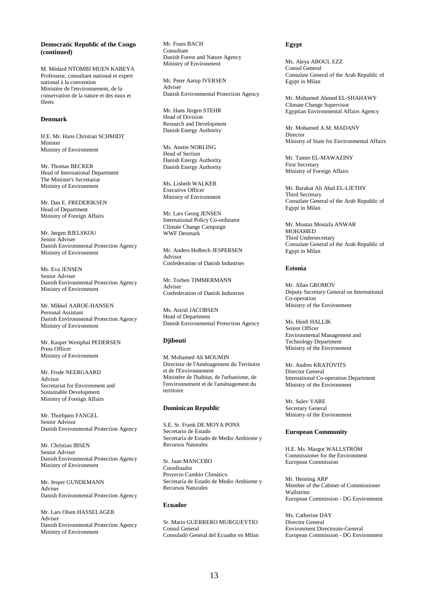# **Democratic Republic of the Congo (continued)**

M. Médard NTOMBI MUEN KABEYA Professeur, consultant national et expert national à la convention Ministère de l'environnement, de la conservation de la nature et des eaux et fôrets

# **Denmark**

H.E. Mr. Hans Christian SCHMIDT Minister Ministry of Environment

Mr. Thomas BECKER Head of International Department The Minister's Secretariat Ministry of Environment

Mr. Dan E. FREDERIKSEN Head of Department Ministry of Foreign Affairs

Mr. Jørgen BJELSKOU Senior Adviser Danish Environmental Protection Agency Ministry of Environment

Ms. Eva JENSEN Senior Adviser Danish Environmental Protection Agency Ministry of Environment

Mr. Mikkel AAROE-HANSEN Personal Assistant Danish Environmental Protection Agency Ministry of Environment

Mr. Kasper Westphal PEDERSEN Press Officer Ministry of Environment

Mr. Frode NEERGAARD Advisor Secretariat for Environment and Sustainable Development Ministry of Foreign Affairs

Mr. Thorbjørn FANGEL Senior Advisor Danish Environmental Protection Agency

Mr. Christian IBSEN Senior Adviser Danish Environmental Protection Agency Ministry of Environment

Mr. Jesper GUNDEMANN Adviser Danish Environmental Protection Agency

Mr. Lars Olsen HASSELAGER Adviser Danish Environmental Protection Agency Ministry of Environment

Mr. Frans BACH Consultant Danish Forest and Nature Agency Ministry of Environment

Mr. Peter Aarup IVERSEN Adviser Danish Environmental Protection Agency

Mr. Hans Jürgen STEHR Head of Division Research and Development Danish Energy Authority

Ms. Anette NORLING Head of Section Danish Energy Authority Danish Energy Authority

Ms. Lisbeth WALKER Executive Officer Ministry of Environment

Mr. Lars Georg JENSEN International Policy Co-ordinator Climate Change Campaign WWF Denmark

Mr. Anders Holbech JESPERSEN Advisor Confederation of Danish Industries

Mr. Torben TIMMERMANN Adviser Confederation of Danish Industries

Ms. Astrid JACOBSEN Head of Department Danish Environmental Protection Agency

### **Djibouti**

M. Mohamed Ali MOUMIN Directeur de l'Aménagement du Territoire et de l'Environnement Ministère de l'habitat, de l'urbanisme, de l'environnement et de l'aménagement du territoire

### **Dominican Republic**

S.E. Sr. Frank DE MOYA PONS Secretario de Estado Secretaría de Estado de Medio Ambiente y Recursos Naturales

Sr. Juan MANCEBO Coordinador Proyecto Cambio Climático Secretaría de Estado de Medio Ambiente y Recursos Naturales

#### **Ecuador**

Sr. Mario GUERRERO MURGUEYTIO Consul General Consuladó General del Ecuador en Milan

# **Egypt**

Ms. Aleya ABOUL EZZ Consul General Consulate General of the Arab Republic of Egypt in Milan

Mr. Mohamed Ahmed EL-SHAHAWY Climate Change Supervisor Egyptian Environmental Affairs Agency

Mr. Mohamed A.M. MADANY Director Ministry of State for Environmental Affairs

Mr. Tamer EL-MAWAZINY First Secretary Ministry of Foreign Affairs

Mr. Barakat Ali Abul EL-LIETHY Third Secretary Consulate General of the Arab Republic of Egypt in Milan

Mr. Moataz Mostafa ANWAR MOHAMED Third Undersecretary Consulate General of the Arab Republic of Egypt in Milan

#### **Estonia**

Mr. Allan GROMOV Deputy Secretary General on International Co-operation Ministry of the Environment

Ms. Heidi HALLIK Senior Officer Environmental Management and Technology Department Ministry of the Environment

Mr. Andres KRATOVITS Director General International Co-operation Department Ministry of the Environment

Mr. Sulev VARE Secretary General Ministry of the Environment

### **European Community**

H.E. Ms. Margot WALLSTRÖM Commissioner for the Environment European Commission

Mr. Henning ARP Member of the Cabinet of Commissioner Wallström European Commission - DG Environment

Ms. Catherine DAY Director General Environment Directorate-General European Commission - DG Environment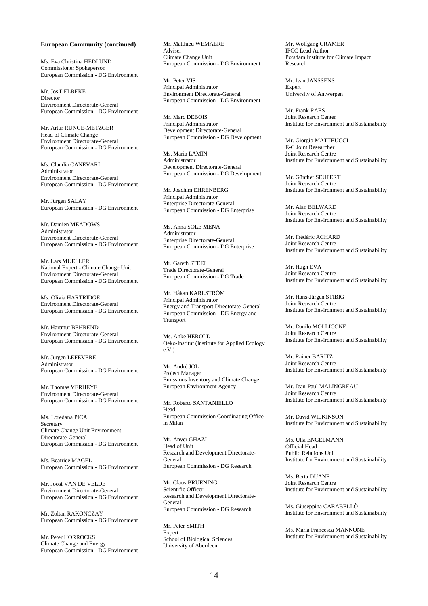#### **European Community (continued)**

Ms. Eva Christina HEDLUND Commissioner Spokeperson European Commission - DG Environment

Mr. Jos DELBEKE Director Environment Directorate-General European Commission - DG Environment

Mr. Artur RUNGE-METZGER Head of Climate Change Environment Directorate-General European Commission - DG Environment

Ms. Claudia CANEVARI Administrator Environment Directorate-General European Commission - DG Environment

Mr. Jürgen SALAY European Commission - DG Environment

Mr. Damien MEADOWS Administrator Environment Directorate-General European Commission - DG Environment

Mr. Lars MUELLER National Expert - Climate Change Unit Environment Directorate-General European Commission - DG Environment

Ms. Olivia HARTRIDGE Environment Directorate-General European Commission - DG Environment

Mr. Hartmut BEHREND Environment Directorate-General European Commission - DG Environment

Mr. Jürgen LEFEVERE Administrator European Commission - DG Environment

Mr. Thomas VERHEYE Environment Directorate-General European Commission - DG Environment

Ms. Loredana PICA Secretary Climate Change Unit Environment Directorate-General European Commission - DG Environment

Ms. Beatrice MAGEL European Commission - DG Environment

Mr. Joost VAN DE VELDE Environment Directorate-General European Commission - DG Environment

Mr. Zoltan RAKONCZAY European Commission - DG Environment

Mr. Peter HORROCKS Climate Change and Energy European Commission - DG Environment Mr. Matthieu WEMAERE Adviser Climate Change Unit European Commission - DG Environment

Mr. Peter VIS Principal Administrator Environment Directorate-General European Commission - DG Environment

Mr. Marc DEBOIS Principal Administrator Development Directorate-General European Commission - DG Development

Ms. Maria LAMIN Administrator Development Directorate-General European Commission - DG Development

Mr. Joachim EHRENBERG Principal Administrator Enterprise Directorate-General European Commission - DG Enterprise

Ms. Anna SOLE MENA Administrator Enterprise Directorate-General European Commission - DG Enterprise

Mr. Gareth STEEL Trade Directorate-General European Commission - DG Trade

Mr. Håkan KARLSTRÖM Principal Administrator Energy and Transport Directorate-General European Commission - DG Energy and Transport

Ms. Anke HEROLD Oeko-Institut (Institute for Applied Ecology e.V.)

Mr. André JOL Project Manager Emissions Inventory and Climate Change European Environment Agency

Mr. Roberto SANTANIELLO Head European Commission Coordinating Office in Milan

Mr. Anver GHAZI Head of Unit Research and Development Directorate-General European Commission - DG Research

Mr. Claus BRUENING Scientific Officer Research and Development Directorate-General European Commission - DG Research

Mr. Peter SMITH Expert School of Biological Sciences University of Aberdeen

Mr. Wolfgang CRAMER IPCC Lead Author Potsdam Institute for Climate Impact Research

Mr. Ivan JANSSENS Expert University of Antwerpen

Mr. Frank RAES Joint Research Center Institute for Environment and Sustainability

Mr. Giorgio MATTEUCCI E-C Joint Researcher Joint Research Centre Institute for Environment and Sustainability

Mr. Günther SEUFERT Joint Research Centre Institute for Environment and Sustainability

Mr. Alan BELWARD Joint Research Centre Institute for Environment and Sustainability

Mr. Frédéric ACHARD Joint Research Centre Institute for Environment and Sustainability

Mr. Hugh EVA Joint Research Centre Institute for Environment and Sustainability

Mr. Hans-Jürgen STIBIG Joint Research Centre Institute for Environment and Sustainability

Mr. Danilo MOLLICONE Joint Research Centre Institute for Environment and Sustainability

Mr. Rainer BARITZ Joint Research Centre Institute for Environment and Sustainability

Mr. Jean-Paul MALINGREAU Joint Research Centre Institute for Environment and Sustainability

Mr. David WILKINSON Institute for Environment and Sustainability

Ms. Ulla ENGELMANN Official Head Public Relations Unit Institute for Environment and Sustainability

Ms. Berta DUANE Joint Research Centre Institute for Environment and Sustainability

Ms. Giuseppina CARABELLÒ Institute for Environment and Sustainability

Ms. Maria Francesca MANNONE Institute for Environment and Sustainability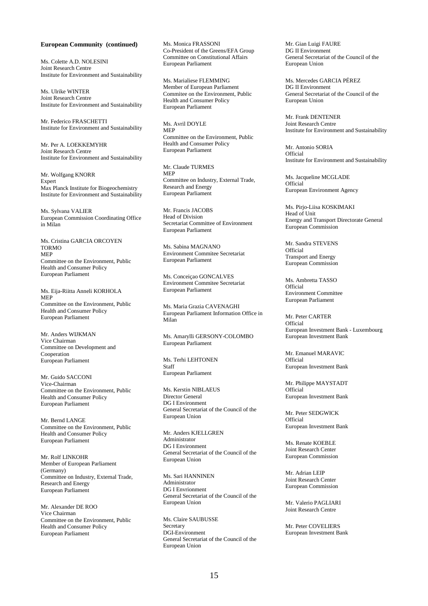#### **European Community (continued)**

Ms. Colette A.D. NOLESINI Joint Research Centre Institute for Environment and Sustainability

Ms. Ulrike WINTER Joint Research Centre Institute for Environment and Sustainability

Mr. Federico FRASCHETTI Institute for Environment and Sustainability

Mr. Per A. LOEKKEMYHR Joint Research Centre Institute for Environment and Sustainability

Mr. Wolfgang KNORR Expert Max Planck Institute for Biogeochemistry Institute for Environment and Sustainability

Ms. Sylvana VALIER European Commission Coordinating Office in Milan

Ms. Cristina GARCIA ORCOYEN TORMO MEP Committee on the Environment, Public Health and Consumer Policy European Parliament

Ms. Eija-Riitta Anneli KORHOLA MEP Committee on the Environment, Public Health and Consumer Policy European Parliament

Mr. Anders WIJKMAN Vice Chairman Committee on Development and Cooperation European Parliament

Mr. Guido SACCONI Vice-Chairman Committee on the Environment, Public Health and Consumer Policy European Parliament

Mr. Bernd LANGE Committee on the Environment, Public Health and Consumer Policy European Parliament

Mr. Rolf LINKOHR Member of European Parliament (Germany) Committee on Industry, External Trade, Research and Energy European Parliament

Mr. Alexander DE ROO Vice Chairman Committee on the Environment, Public Health and Consumer Policy European Parliament

Ms. Monica FRASSONI Co-President of the Greens/EFA Group Committee on Constitutional Affairs European Parliament

Ms. Marialiese FLEMMING Member of European Parliament Commitee on the Environment, Public Health and Consumer Policy European Parliament

Ms. Avril DOYLE MEP Committee on the Environment, Public Health and Consumer Policy European Parliament

Mr. Claude TURMES MEP Committee on Industry, External Trade, Research and Energy European Parliament

Mr. Francis JACOBS Head of Division Secretariat Committee of Environment European Parliament

Ms. Sabina MAGNANO Environment Commitee Secretariat European Parliament

Ms. Conceiçao GONCALVES Environment Commitee Secretariat European Parliament

Ms. Maria Grazia CAVENAGHI European Parliament Information Office in Milan

Ms. Amarylli GERSONY-COLOMBO European Parliament

Ms. Terhi LEHTONEN Staff European Parliament

Ms. Kerstin NIBLAEUS Director General DG I Environment General Secretariat of the Council of the European Union

Mr. Anders KJELLGREN Administrator DG I Environment General Secretariat of the Council of the European Union

Ms. Sari HANNINEN Administrator DG I Envrionment General Secretariat of the Council of the European Union

Ms. Claire SAUBUSSE Secretary DGI-Environment General Secretariat of the Council of the European Union

Mr. Gian Luigi FAURE DG II Environment General Secretariat of the Council of the European Union

Ms. Mercedes GARCIA PÉREZ DG II Environment General Secretariat of the Council of the European Union

Mr. Frank DENTENER Joint Research Centre Institute for Environment and Sustainability

Mr. Antonio SORIA **Official** Institute for Environment and Sustainability

Ms. Jacqueline MCGLADE **Official** European Environment Agency

Ms. Pirjo-Liisa KOSKIMAKI Head of Unit Energy and Transport Directorate General European Commission

Mr. Sandra STEVENS Official Transport and Energy European Commission

Ms. Ambretta TASSO Official Environment Committee European Parliament

Mr. Peter CARTER Official European Investment Bank - Luxembourg European Investment Bank

Mr. Emanuel MARAVIC **Official** European Investment Bank

Mr. Philippe MAYSTADT Official European Investment Bank

Mr. Peter SEDGWICK Official European Investment Bank

Ms. Renate KOEBLE Joint Research Center European Commission

Mr. Adrian LEIP Joint Research Center European Commission

Mr. Valerio PAGLIARI Joint Research Centre

Mr. Peter COVELIERS European Investment Bank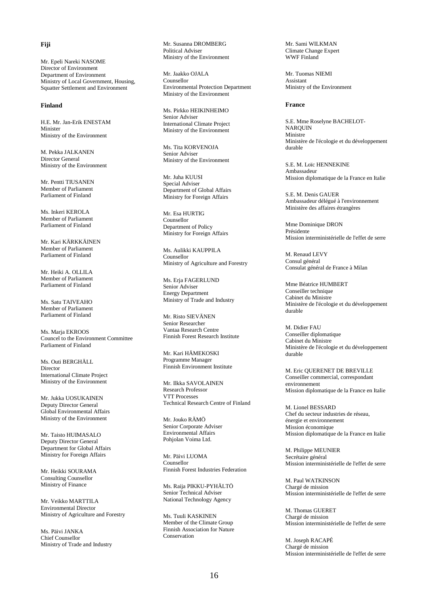# **Fiji**

Mr. Epeli Nareki NASOME Director of Environment Department of Environment Ministry of Local Government, Housing, Squatter Settlement and Environment

# **Finland**

H.E. Mr. Jan-Erik ENESTAM Minister Ministry of the Environment

M. Pekka JALKANEN Director General Ministry of the Environment

Mr. Pentti TIUSANEN Member of Parliament Parliament of Finland

Ms. Inkeri KEROLA Member of Parliament Parliament of Finland

Mr. Kari KÄRKKÄINEN Member of Parliament Parliament of Finland

Mr. Heiki A. OLLILA Member of Parliament Parliament of Finland

Ms. Satu TAIVEAHO Member of Parliament Parliament of Finland

Ms. Marja EKROOS Councel to the Environment Committee Parliament of Finland

Ms. Outi BERGHÄLL Director International Climate Project Ministry of the Environment

Mr. Jukka UOSUKAINEN Deputy Director General Global Environmental Affairs Ministry of the Environment

Mr. Taisto HUIMASALO Deputy Director General Department for Global Affairs Ministry for Foreign Affairs

Mr. Heikki SOURAMA Consulting Counsellor Ministry of Finance

Mr. Veikko MARTTILA Environmental Director Ministry of Agriculture and Forestry

Ms. Päivi JANKA Chief Counsellor Ministry of Trade and Industry Mr. Susanna DROMBERG Political Adviser Ministry of the Environment

Mr. Jaakko OJALA Counsellor Environmental Protection Department Ministry of the Environment

Ms. Pirkko HEIKINHEIMO Senior Adviser International Climate Project Ministry of the Environment

Ms. Tita KORVENOJA Senior Adviser Ministry of the Environment

Mr. Juha KUUSI Special Adviser Department of Global Affairs Ministry for Foreign Affairs

Mr. Esa HURTIG Counsellor Department of Policy Ministry for Foreign Affairs

Ms. Aulikki KAUPPILA Counsellor Ministry of Agriculture and Forestry

Ms. Erja FAGERLUND Senior Adviser Energy Department Ministry of Trade and Industry

Mr. Risto SIEVÄNEN Senior Researcher Vantaa Research Centre Finnish Forest Research Institute

Mr. Kari HÄMEKOSKI Programme Manager Finnish Environment Institute

Mr. Ilkka SAVOLAINEN Research Professor VTT Processes Technical Research Centre of Finland

Mr. Jouko RÄMÖ Senior Corporate Adviser Environmental Affairs Pohjolan Voima Ltd.

Mr. Päivi LUOMA Counsellor Finnish Forest Industries Federation

Ms. Raija PIKKU-PYHÄLTÖ Senior Technical Adviser National Technology Agency

Ms. Tuuli KASKINEN Member of the Climate Group Finnish Association for Nature Conservation

Mr. Sami WILKMAN Climate Change Expert WWF Finland

Mr. Tuomas NIEMI Assistant Ministry of the Environment

#### **France**

S.E. Mme Roselyne BACHELOT-NARQUIN Ministre Ministère de l'écologie et du développement durable

S.E. M. Loïc HENNEKINE Ambassadeur Mission diplomatique de la France en Italie

S.E. M. Denis GAUER Ambassadeur délégué à l'environnement Ministère des affaires étrangères

Mme Dominique DRON Présidente Mission interministérielle de l'effet de serre

M. Renaud LEVY Consul général Consulat général de France à Milan

Mme Béatrice HUMBERT Conseiller technique Cabinet du Ministre Ministère de l'écologie et du développement durable

M. Didier FAU Conseiller diplomatique Cabinet du Ministre Ministère de l'écologie et du développement durable

M. Eric QUERENET DE BREVILLE Conseiller commercial, correspondant environnement Mission diplomatique de la France en Italie

M. Lionel BESSARD Chef du secteur industries de réseau, énergie et environnement Mission économique Mission diplomatique de la France en Italie

M. Philippe MEUNIER Secrétaire général Mission interministérielle de l'effet de serre

M. Paul WATKINSON Chargé de mission Mission interministérielle de l'effet de serre

M. Thomas GUERET Chargé de mission Mission interministérielle de l'effet de serre

M. Joseph RACAPÉ Chargé de mission Mission interministérielle de l'effet de serre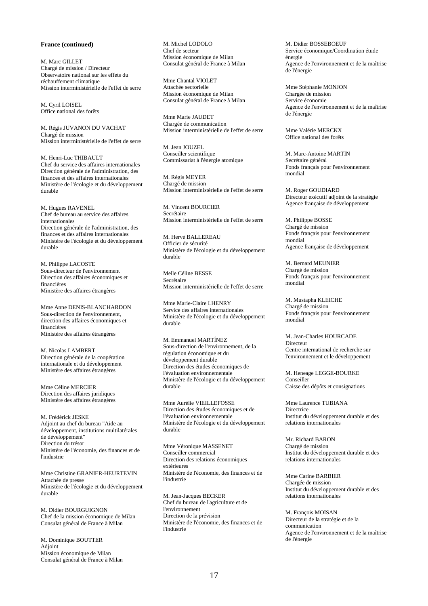# **France (continued)**

M. Marc GILLET Chargé de mission / Directeur Observatoire national sur les effets du réchauffement climatique Mission interministérielle de l'effet de serre

M. Cyril LOISEL Office national des forêts

M. Régis JUVANON DU VACHAT Chargé de mission Mission interministérielle de l'effet de serre

M. Henri-Luc THIBAULT Chef du service des affaires internationales Direction générale de l'administration, des finances et des affaires internationales Ministère de l'écologie et du développement durable

M. Hugues RAVENEL Chef de bureau au service des affaires internationales Direction générale de l'administration, des finances et des affaires internationales Ministère de l'écologie et du développement durable

M. Philippe LACOSTE Sous-directeur de l'environnement Direction des affaires économiques et financières Ministère des affaires étrangères

Mme Anne DENIS-BLANCHARDON Sous-direction de l'environnement, direction des affaires économiques et financières Ministère des affaires étrangères

M. Nicolas LAMBERT Direction générale de la coopération internationale et du développement Ministère des affaires étrangères

Mme Céline MERCIER Direction des affaires juridiques Ministère des affaires étrangères

M. Frédérick JESKE Adjoint au chef du bureau "Aide au développement, institutions multilatérales de développement" Direction du trésor Ministère de l'économie, des finances et de l'industrie

Mme Christine GRANIER-HEURTEVIN Attachée de presse Ministère de l'écologie et du développement durable

M. Didier BOURGUIGNON Chef de la mission économique de Milan Consulat général de France à Milan

M. Dominique BOUTTER Adjoint Mission économique de Milan Consulat général de France à Milan M. Michel LODOLO Chef de secteur Mission économique de Milan Consulat général de France à Milan

Mme Chantal VIOLET Attachée sectorielle Mission économique de Milan Consulat général de France à Milan

Mme Marie JAUDET Chargée de communication Mission interministérielle de l'effet de serre

M. Jean JOUZEL Conseiller scientifique Commissariat à l'énergie atomique

M. Régis MEYER Chargé de mission Mission interministérielle de l'effet de serre

M. Vincent BOURCIER Secrétaire Mission interministérielle de l'effet de serre

M. Hervé BALLEREAU Officier de sécurité Ministère de l'écologie et du développement durable

Melle Céline BESSE Secrétaire Mission interministérielle de l'effet de serre

Mme Marie-Claire LHENRY Service des affaires internationales Ministère de l'écologie et du développement durable

M. Emmanuel MARTÍNEZ Sous-direction de l'environnement, de la régulation économique et du développement durable Direction des études économiques de l'évaluation environnementale Ministère de l'écologie et du développement durable

Mme Aurélie VIEILLEFOSSE Direction des études économiques et de l'évaluation environnementale Ministère de l'écologie et du développement durable

Mme Véronique MASSENET Conseiller commercial Direction des relations économiques extèrieures Ministère de l'économie, des finances et de l'industrie

M. Jean-Jacques BECKER Chef du bureau de l'agriculture et de l'environnement Direction de la prévision Ministère de l'économie, des finances et de l'industrie

M. Didier BOSSEBOEUF Service économique/Coordination étude énergie Agence de l'environnement et de la maîtrise de l'énergie

Mme Stéphanie MONJON Chargée de mission Service économie Agence de l'environnement et de la maîtrise de l'énergie

Mme Valérie MERCKX Office national des forêts

M. Marc-Antoine MARTIN Secrétaire général Fonds français pour l'environnement mondial

M. Roger GOUDIARD Directeur exécutif adjoint de la stratégie Agence française de développement

M. Philippe BOSSE Chargé de mission Fonds français pour l'environnement mondial Agence française de développement

M. Bernard MEUNIER Chargé de mission Fonds français pour l'environnement mondial

M. Mustapha KLEICHE Chargé de mission Fonds français pour l'environnement mondial

M. Jean-Charles HOURCADE Directeur Centre international de recherche sur l'environnement et le développement

M. Heneage LEGGE-BOURKE Conseiller Caisse des dépôts et consignations

Mme Laurence TUBIANA **Directrice** Institut du développement durable et des relations internationales

Mr. Richard BARON Chargé de mission Institut du développement durable et des relations internationales

Mme Carine BARBIER Chargée de mission Institut du développement durable et des relations internationales

M. François MOISAN Directeur de la stratégie et de la communication Agence de l'environnement et de la maîtrise de l'énergie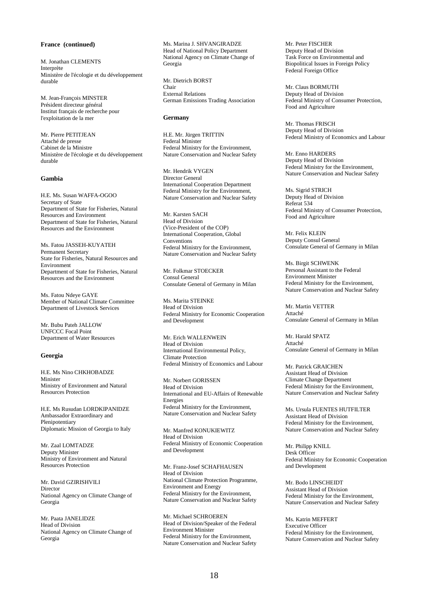# **France (continued)**

M. Jonathan CLEMENTS Interprète Ministère de l'écologie et du développement durable

M. Jean-François MINSTER Président directeur général Institut français de recherche pour l'exploitation de la mer

Mr. Pierre PETITJEAN Attaché de presse Cabinet de la Ministre Ministère de l'écologie et du développement durable

#### **Gambia**

H.E. Ms. Susan WAFFA-OGOO Secretary of State Department of State for Fisheries, Natural Resources and Environment Department of State for Fisheries, Natural Resources and the Environment

Ms. Fatou JASSEH-KUYATEH Permanent Secretary State for Fisheries, Natural Resources and Environment Department of State for Fisheries, Natural Resources and the Environment

Ms. Fatou Ndeye GAYE Member of National Climate Committee Department of Livestock Services

Mr. Bubu Pateh JALLOW UNFCCC Focal Point Department of Water Resources

#### **Georgia**

H.E. Ms Nino CHKHOBADZE Minister Ministry of Environment and Natural Resources Protection

H.E. Ms Rusudan LORDKIPANIDZE Ambassador Extraordinary and Plenipotentiary Diplomatic Mission of Georgia to Italy

Mr. Zaal LOMTADZE Deputy Minister Ministry of Environment and Natural Resources Protection

Mr. David GZIRISHVILI Director National Agency on Climate Change of Georgia

Mr. Paata JANELIDZE Head of Division National Agency on Climate Change of Georgia

Ms. Marina J. SHVANGIRADZE Head of National Policy Department National Agency on Climate Change of Georgia

Mr. Dietrich BORST Chair External Relations German Emissions Trading Association

#### **Germany**

H.E. Mr. Jürgen TRITTIN Federal Minister Federal Ministry for the Environment, Nature Conservation and Nuclear Safety

Mr. Hendrik VYGEN Director General International Cooperation Department Federal Ministry for the Environment, Nature Conservation and Nuclear Safety

Mr. Karsten SACH Head of Division (Vice-President of the COP) International Cooperation, Global Conventions Federal Ministry for the Environment, Nature Conservation and Nuclear Safety

Mr. Folkmar STOECKER Consul General Consulate General of Germany in Milan

Ms. Marita STEINKE Head of Division Federal Ministry for Economic Cooperation and Development

Mr. Erich WALLENWEIN Head of Division International Environmental Policy, Climate Protection Federal Ministry of Economics and Labour

Mr. Norbert GORISSEN Head of Division International and EU-Affairs of Renewable Energies Federal Ministry for the Environment, Nature Conservation and Nuclear Safety

Mr. Manfred KONUKIEWITZ Head of Division Federal Ministry of Economic Cooperation and Development

Mr. Franz-Josef SCHAFHAUSEN Head of Division National Climate Protection Programme, Environment and Energy Federal Ministry for the Environment, Nature Conservation and Nuclear Safety

Mr. Michael SCHROEREN Head of Division/Speaker of the Federal Environment Minister Federal Ministry for the Environment, Nature Conservation and Nuclear Safety Mr. Peter FISCHER Deputy Head of Division Task Force on Environmental and Biopolitical Issues in Foreign Policy Federal Foreign Office

Mr. Claus BORMUTH Deputy Head of Division Federal Ministry of Consumer Protection, Food and Agriculture

Mr. Thomas FRISCH Deputy Head of Division Federal Ministry of Economics and Labour

Mr. Enno HARDERS Deputy Head of Division Federal Ministry for the Environment, Nature Conservation and Nuclear Safety

Ms. Sigrid STRICH Deputy Head of Division Referat 534 Federal Ministry of Consumer Protection, Food and Agriculture

Mr. Felix KLEIN Deputy Consul General Consulate General of Germany in Milan

Ms. Birgit SCHWENK Personal Assistant to the Federal Environment Minister Federal Ministry for the Environment, Nature Conservation and Nuclear Safety

Mr. Martin VETTER Attaché Consulate General of Germany in Milan

Mr. Harald SPATZ Attaché Consulate General of Germany in Milan

Mr. Patrick GRAICHEN Assistant Head of Division Climate Change Department Federal Ministry for the Environment, Nature Conservation and Nuclear Safety

Ms. Ursula FUENTES HUTFILTER Assistant Head of Division Federal Ministry for the Environment, Nature Conservation and Nuclear Safety

Mr. Philipp KNILL Desk Officer Federal Ministry for Economic Cooperation and Development

Mr. Bodo LINSCHEIDT Assistant Head of Division Federal Ministry for the Environment, Nature Conservation and Nuclear Safety

Ms. Katrin MEFFERT Executive Officer Federal Ministry for the Environment, Nature Conservation and Nuclear Safety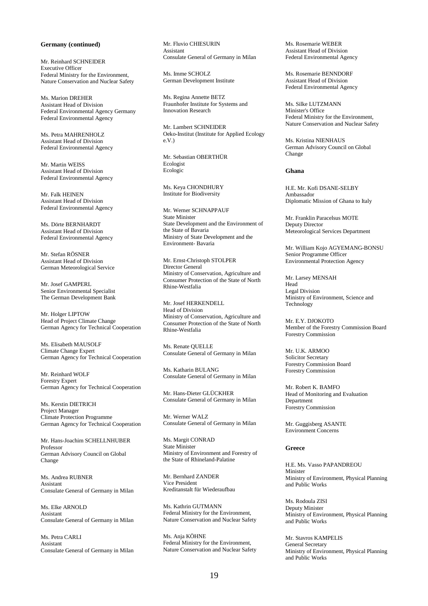# **Germany (continued)**

Mr. Reinhard SCHNEIDER Executive Officer Federal Ministry for the Environment, Nature Conservation and Nuclear Safety

Ms. Marion DREHER Assistant Head of Division Federal Environmental Agency Germany Federal Environmental Agency

Ms. Petra MAHRENHOLZ Assistant Head of Division Federal Environmental Agency

Mr. Martin WEISS Assistant Head of Division Federal Environmental Agency

Mr. Falk HEINEN Assistant Head of Division Federal Environmental Agency

Ms. Dörte BERNHARDT Assistant Head of Division Federal Environmental Agency

Mr. Stefan RÖSNER Assistant Head of Division German Meteorological Service

Mr. Josef GAMPERL Senior Environmental Specialist The German Development Bank

Mr. Holger LIPTOW Head of Project Climate Change German Agency for Technical Cooperation

Ms. Elisabeth MAUSOLF Climate Change Expert German Agency for Technical Cooperation

Mr. Reinhard WOLF Forestry Expert German Agency for Technical Cooperation

Ms. Kerstin DIETRICH Project Manager Climate Protection Programme German Agency for Technical Cooperation

Mr. Hans-Joachim SCHELLNHUBER Professor German Advisory Council on Global Change

Ms. Andrea RUBNER Assistant Consulate General of Germany in Milan

Ms. Elke ARNOLD Assistant Consulate General of Germany in Milan

Ms. Petra CARLI Assistant Consulate General of Germany in Milan Mr. Fluvio CHIESURIN Assistant Consulate General of Germany in Milan

Ms. Imme SCHOLZ German Development Institute

Ms. Regina Annette BETZ Fraunhofer Institute for Systems and Innovation Research

Mr. Lambert SCHNEIDER Oeko-Institut (Institute for Applied Ecology e.V.)

Mr. Sebastian OBERTHÜR Ecologist Ecologic

Ms. Keya CHONDHURY Institute for Biodiversity

Mr. Werner SCHNAPPAUF State Minister State Development and the Environment of the State of Bavaria Ministry of State Development and the Environment- Bavaria

Mr. Ernst-Christoph STOLPER Director General Ministry of Conservation, Agriculture and Consumer Protection of the State of North Rhine-Westfalia

Mr. Josef HERKENDELL Head of Division Ministry of Conservation, Agriculture and Consumer Protection of the State of North Rhine-Westfalia

Ms. Renate QUELLE Consulate General of Germany in Milan

Ms. Katharin BULANG Consulate General of Germany in Milan

Mr. Hans-Dieter GLÜCKHER Consulate General of Germany in Milan

Mr. Werner WALZ Consulate General of Germany in Milan

Ms. Margit CONRAD State Minister Ministry of Environment and Forestry of the State of Rhineland-Palatine

Mr. Bernhard ZANDER Vice President Kreditanstalt für Wiederaufbau

Ms. Kathrin GUTMANN Federal Ministry for the Environment, Nature Conservation and Nuclear Safety

Ms. Anja KÖHNE Federal Ministry for the Environment, Nature Conservation and Nuclear Safety Ms. Rosemarie WEBER Assistant Head of Division Federal Environmental Agency

Ms. Rosemarie BENNDORF Assistant Head of Division Federal Environmental Agency

Ms. Silke LUTZMANN Minister's Office Federal Ministry for the Environment, Nature Conservation and Nuclear Safety

Ms. Kristina NIENHAUS German Advisory Council on Global Change

# **Ghana**

H.E. Mr. Kofi DSANE-SELBY Ambassador Diplomatic Mission of Ghana to Italy

Mr. Franklin Paracelsus MOTE Deputy Director Meteorological Services Department

Mr. William Kojo AGYEMANG-BONSU Senior Programme Officer Environmental Protection Agency

Mr. Larsey MENSAH Head Legal Division Ministry of Environment, Science and Technology

Mr. E.Y. DJOKOTO Member of the Forestry Commission Board Forestry Commission

Mr. U.K. ARMOO Solicitor Secretary Forestry Commission Board Forestry Commission

Mr. Robert K. BAMFO Head of Monitoring and Evaluation Department Forestry Commission

Mr. Guggisberg ASANTE Environment Concerns

#### **Greece**

H.E. Ms. Vasso PAPANDREOU Minister Ministry of Environment, Physical Planning and Public Works

Ms. Rodoula ZISI Deputy Minister Ministry of Environment, Physical Planning and Public Works

Mr. Stavros KAMPELIS General Secretary Ministry of Environment, Physical Planning and Public Works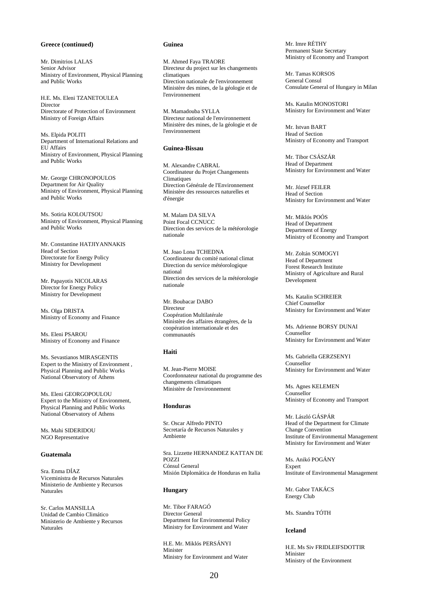# **Greece (continued)**

Mr. Dimitrios LALAS Senior Advisor Ministry of Environment, Physical Planning and Public Works

H.E. Ms. Eleni TZANETOULEA Director Directorate of Protection of Environment Ministry of Foreign Affairs

Ms. Elpida POLITI Department of International Relations and EU Affairs Ministry of Environment, Physical Planning and Public Works

Mr. George CHRONOPOULOS Department for Air Quality Ministry of Environment, Physical Planning and Public Works

Ms. Sotiria KOLOUTSOU Ministry of Environment, Physical Planning and Public Works

Mr. Constantine HATJIYANNAKIS Head of Section Directorate for Energy Policy Ministry for Development

Mr. Papayotis NICOLARAS Director for Energy Policy Ministry for Development

Ms. Olga DRISTA Ministry of Economy and Finance

Ms. Eleni PSAROU Ministry of Economy and Finance

Ms. Sevastianos MIRASGENTIS Expert to the Ministry of Environment , Physical Planning and Public Works National Observatory of Athens

Ms. Eleni GEORGOPOULOU Expert to the Ministry of Environment, Physical Planning and Public Works National Observatory of Athens

Ms. Mahi SIDERIDOU NGO Representative

# **Guatemala**

Sra. Enma DÍAZ Viceministra de Recursos Naturales Ministerio de Ambiente y Recursos Naturales

Sr. Carlos MANSILLA Unidad de Cambio Climático Ministerio de Ambiente y Recursos Naturales

### **Guinea**

M. Ahmed Faya TRAORE Directeur du project sur les changements climatiques Direction nationale de l'environnement Ministère des mines, de la géologie et de l'environnement

M. Mamadouba SYLLA Directeur national de l'environnement Ministère des mines, de la géologie et de l'environnement

# **Guinea-Bissau**

M. Alexandre CABRAL Coordinateur du Projet Changements **Climatiques** Direction Générale de l'Environnement Ministère des ressources naturelles et d'énergie

M. Malam DA SILVA Point Focal CCNUCC Direction des services de la météorologie nationale

M. Joan Lona TCHEDNA Coordinateur du comité national climat Direction du service météorologique national Direction des services de la météorologie nationale

Mr. Boubacar DABO Directeur Coopération Multilatérale Ministère des affaires étrangères, de la coopération internationale et des communautés

# **Haiti**

M. Jean-Pierre MOISE Coordonnateur national du programme des changements climatiques Ministère de l'environnement

# **Honduras**

Sr. Oscar Alfredo PINTO Secretaría de Recursos Naturales y Ambiente

Sra. Lizzette HERNANDEZ KATTAN DE POZZI Cónsul General Misión Diplomática de Honduras en Italia

#### **Hungary**

Mr. Tibor FARAGÓ Director General Department for Environmental Policy Ministry for Environment and Water

H.E. Mr. Miklós PERSÁNYI Minister Ministry for Environment and Water Mr. Imre RÉTHY Permanent State Secretary Ministry of Economy and Transport

Mr. Tamas KORSOS General Consul Consulate General of Hungary in Milan

Ms. Katalin MONOSTORI Ministry for Environment and Water

Mr. Istvan BART Head of Section Ministry of Economy and Transport

Mr. Tibor CSÁSZÁR Head of Department Ministry for Environment and Water

Mr. József FEILER Head of Section Ministry for Environment and Water

Mr. Miklós POÓS Head of Department Department of Energy Ministry of Economy and Transport

Mr. Zoltán SOMOGYI Head of Department Forest Research Institute Ministry of Agriculture and Rural Development

Ms. Katalin SCHREIER Chief Counsellor Ministry for Environment and Water

Ms. Adrienne BORSY DUNAI Counsellor Ministry for Environment and Water

Ms. Gabriella GERZSENYI Counsellor Ministry for Environment and Water

Ms. Agnes KELEMEN Counsellor Ministry of Economy and Transport

Mr. László GÁSPÁR Head of the Department for Climate Change Convention Institute of Environmental Management Ministry for Environment and Water

Ms. Anikó POGÁNY **Expert** Institute of Environmental Management

Mr. Gabor TAKÁCS Energy Club

Ms. Szandra TÓTH

### **Iceland**

H.E. Ms Siv FRIDLEIFSDOTTIR Minister Ministry of the Environment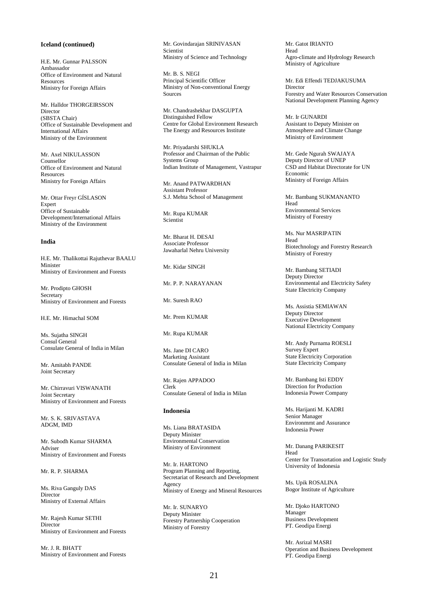### **Iceland (continued)**

H.E. Mr. Gunnar PALSSON Ambassador Office of Environment and Natural Resources Ministry for Foreign Affairs

Mr. Halldor THORGEIRSSON Director (SBSTA Chair) Office of Sustainable Development and International Affairs Ministry of the Environment

Mr. Axel NIKULASSON Counsellor Office of Environment and Natural Resources Ministry for Foreign Affairs

Mr. Ottar Freyr GÍSLASON Expert Office of Sustainable Development/International Affairs Ministry of the Environment

#### **India**

H.E. Mr. Thalikottai Rajuthevar BAALU Minister Ministry of Environment and Forests

Mr. Prodipto GHOSH Secretary Ministry of Environment and Forests

H.E. Mr. Himachal SOM

Ms. Sujatha SINGH Consul General Consulate General of India in Milan

Mr. Amitabh PANDE Joint Secretary

Mr. Chirravuri VISWANATH Joint Secretary Ministry of Environment and Forests

Mr. S. K. SRIVASTAVA ADGM, IMD

Mr. Subodh Kumar SHARMA Adviser Ministry of Environment and Forests

# Mr. R. P. SHARMA

Ms. Riva Ganguly DAS Director Ministry of External Affairs

Mr. Rajesh Kumar SETHI Director Ministry of Environment and Forests

Mr. J. R. BHATT Ministry of Environment and Forests Mr. Govindarajan SRINIVASAN Scientist Ministry of Science and Technology

Mr. B. S. NEGI Principal Scientific Officer Ministry of Non-conventional Energy **Sources** 

Mr. Chandrashekhar DASGUPTA Distinguished Fellow Centre for Global Environment Research The Energy and Resources Institute

Mr. Priyadarshi SHUKLA Professor and Chairman of the Public Systems Group Indian Institute of Management, Vastrapur

Mr. Anand PATWARDHAN Assistant Professor S.J. Mehta School of Management

Mr. Rupa KUMAR Scientist

Mr. Bharat H. DESAI Associate Professor Jawaharlal Nehru University

Mr. Kidar SINGH

Mr. P. P. NARAYANAN

Mr. Suresh RAO

Mr. Prem KUMAR

Mr. Rupa KUMAR

Ms. Jane DI CARO Marketing Assistant Consulate General of India in Milan

Mr. Rajen APPADOO Clerk Consulate General of India in Milan

### **Indonesia**

Ms. Liana BRATASIDA Deputy Minister Environmental Conservation Ministry of Environment

Mr. Ir. HARTONO Program Planning and Reporting, Secretariat of Research and Development Agency Ministry of Energy and Mineral Resources

Mr. Ir. SUNARYO Deputy Minister Forestry Partnership Cooperation Ministry of Forestry

Mr. Gatot IRIANTO Head Agro-climate and Hydrology Research Ministry of Agriculture

Mr. Edi Effendi TEDJAKUSUMA Director Forestry and Water Resources Conservation National Development Planning Agency

Mr. Ir GUNARDI Assistant to Deputy Minister on Atmosphere and Climate Change Ministry of Environment

Mr. Gede Ngurah SWAJAYA Deputy Director of UNEP CSD and Habitat Directorate for UN Economic Ministry of Foreign Affairs

Mr. Bambang SUKMANANTO Head Environmental Services Ministry of Forestry

Ms. Nur MASRIPATIN Head Biotechnology and Forestry Research Ministry of Forestry

Mr. Bambang SETIADI Deputy Director Environmental and Electricity Safety State Electricity Company

Ms. Assistia SEMIAWAN Deputy Director Executive Development National Electricity Company

Mr. Andy Purnama ROESLI Survey Expert State Electricity Corporation State Electricity Company

Mr. Bambang Isti EDDY Direction for Production Indonesia Power Company

Ms. Harijanti M. KADRI Senior Manager Environmrnt and Assurance Indonesia Power

Mr. Danang PARIKESIT Head Center for Transortation and Logistic Study University of Indonesia

Ms. Upik ROSALINA Bogor Institute of Agriculture

Mr. Djoko HARTONO Manager Business Development PT. Geodipa Energi

Mr. Asrizal MASRI Operation and Business Development PT. Geodipa Energi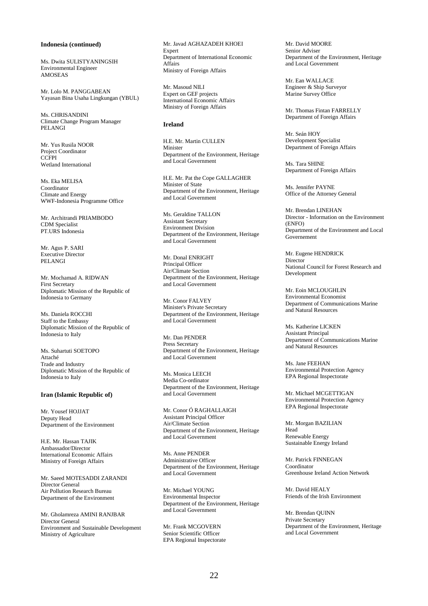# **Indonesia (continued)**

Ms. Dwita SULISTYANINGSIH Environmental Engineer AMOSEAS

Mr. Lolo M. PANGGABEAN Yayasan Bina Usaha Lingkungan (YBUL)

Ms. CHRISANDINI Climate Change Program Manager PELANGI

Mr. Yus Rusila NOOR Project Coordinator **CCFPI** Wetland International

Ms. Eka MELISA Coordinator Climate and Energy WWF-Indonesia Programme Office

Mr. Architrandi PRIAMBODO CDM Specialist PT.URS Indonesia

Mr. Agus P. SARI Executive Director PELANGI

Mr. Mochamad A. RIDWAN First Secretary Diplomatic Mission of the Republic of Indonesia to Germany

Ms. Daniela ROCCHI Staff to the Embassy Diplomatic Mission of the Republic of Indonesia to Italy

Ms. Suhartuti SOETOPO Attaché Trade and Industry Diplomatic Mission of the Republic of Indonesia to Italy

### **Iran (Islamic Republic of)**

Mr. Yousef HOJJAT Deputy Head Department of the Environment

H.E. Mr. Hassan TAJIK Ambassador/Director International Economic Affairs Ministry of Foreign Affairs

Mr. Saeed MOTESADDI ZARANDI Director General Air Pollution Research Bureau Department of the Environment

Mr. Gholamreza AMINI RANJBAR Director General Environment and Sustainable Development Ministry of Agriculture

Mr. Javad AGHAZADEH KHOEI Expert Department of International Economic Affairs Ministry of Foreign Affairs

Mr. Masoud NILI Expert on GEF projects International Economic Affairs Ministry of Foreign Affairs

# **Ireland**

H.E. Mr. Martin CULLEN Minister Department of the Environment, Heritage and Local Government

H.E. Mr. Pat the Cope GALLAGHER Minister of State Department of the Environment, Heritage and Local Government

Ms. Geraldine TALLON Assistant Secretary Environment Division Department of the Environment, Heritage and Local Government

Mr. Donal ENRIGHT Principal Officer Air/Climate Section Department of the Environment, Heritage and Local Government

Mr. Conor FALVEY Minister's Private Secretary Department of the Environment, Heritage and Local Government

Mr. Dan PENDER Press Secretary Department of the Environment, Heritage and Local Government

Ms. Monica LEECH Media Co-ordinator Department of the Environment, Heritage and Local Government

Mr. Conor Ó RAGHALLAIGH Assistant Principal Officer Air/Climate Section Department of the Environment, Heritage and Local Government

Ms. Anne PENDER Administrative Officer Department of the Environment, Heritage and Local Government

Mr. Michael YOUNG Environmental Inspector Department of the Environment, Heritage and Local Government

Mr. Frank MCGOVERN Senior Scientific Officer EPA Regional Inspectorate Mr. David MOORE Senior Adviser Department of the Environment, Heritage and Local Government

Mr. Ean WALLACE Engineer & Ship Surveyor Marine Survey Office

Mr. Thomas Fintan FARRELLY Department of Foreign Affairs

Mr. Seán HOY Development Specialist Department of Foreign Affairs

Ms. Tara SHINE Department of Foreign Affairs

Ms. Jennifer PAYNE Office of the Attorney General

Mr. Brendan LINEHAN Director - Information on the Environment (ENFO) Department of the Environment and Local Governement

Mr. Eugene HENDRICK **Director** National Council for Forest Research and Development

Mr. Eoin MCI OUGHLIN Environmental Economist Department of Communications Marine and Natural Resources

Ms. Katherine LICKEN Assistant Principal Department of Communications Marine and Natural Resources

Ms. Jane FEEHAN Environmental Protection Agency EPA Regional Inspectorate

Mr. Michael MCGETTIGAN Environmental Protection Agency EPA Regional Inspectorate

Mr. Morgan BAZILIAN Head Renewable Energy Sustainable Energy Ireland

Mr. Patrick FINNEGAN Coordinator Greenhouse Ireland Action Network

Mr. David HEALY Friends of the Irish Environment

Mr. Brendan QUINN Private Secretary Department of the Environment, Heritage and Local Government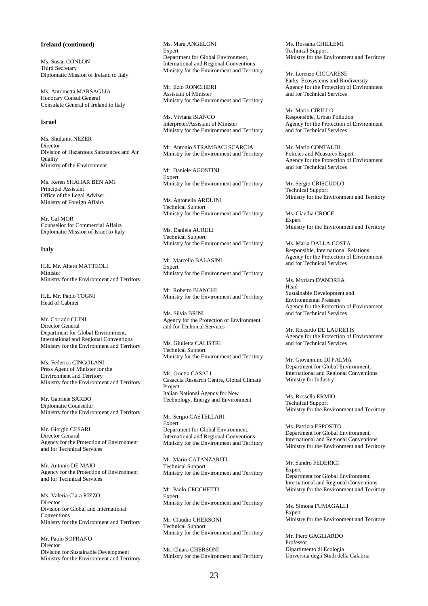# **Ireland (continued)**

Ms. Susan CONLON Third Secretary Diplomatic Mission of Ireland to Italy

Ms. Antoinetta MARSAGLIA Honorary Consul General Consulate General of Ireland to Italy

### **Israel**

Ms. Shulamit NEZER Director Division of Hazardous Substances and Air Quality Ministry of the Environment

Ms. Keren SHAHAR BEN AMI Principal Assistant Office of the Legal Adviser Ministry of Foreign Affairs

Mr. Gal MOR Counsellor for Commercial Affairs Diplomatic Mission of Israel to Italy

# **Italy**

H.E. Mr. Altero MATTEOLI Minister Ministry for the Environment and Territory

H.E. Mr. Paolo TOGNI Head of Cabinet

Mr. Corrado CLINI Director General Department for Global Environment, International and Regional Conventions Ministry for the Environment and Territory

Ms. Federica CINGOLANI Press Agent of Minister for the Environment and Territory Ministry for the Environment and Territory

Mr. Gabriele SARDO Diplomatic Counsellor Ministry for the Environment and Territory

Mr. Giorgio CESARI Director Genaral Agency for the Protection of Environment and for Technical Services

Mr. Antonio DE MAIO Agency for the Protection of Environment and for Technical Services

Ms. Valeria Clara RIZZO Director Division for Global and International Conventions Ministry for the Environment and Territory

Mr. Paolo SOPRANO Director Division for Sustainable Development Ministry for the Environment and Territory Ms. Mara ANGELONI Expert Department for Global Environment, International and Regional Conventions Ministry for the Environment and Territory

Mr. Ezio RONCHIERI Assistant of Minister Ministry for the Environment and Territory

Ms. Viviana BIANCO Interpreter/Assistant of Minister Ministry for the Environment and Territory

Mr. Antonio STRAMBACI SCARCIA Ministry for the Environment and Territory

Mr. Daniele AGOSTINI Expert Ministry for the Environment and Territory

Ms. Antonella ARDUINI Technical Support Ministry for the Environment and Territory

Ms. Daniela AURELI Technical Support Ministry for the Environment and Territory

Mr. Marcello BALASINI **Expert** Ministry for the Environment and Territory

Mr. Roberto BIANCHI Ministry for the Environment and Territory

Ms. Silvia BRINI Agency for the Protection of Environment and for Technical Services

Ms. Giulietta CALISTRI Technical Support Ministry for the Environment and Territory

Ms. Orietta CASALI Casaccia Research Centre, Global Climate Project Italian National Agency for New Technology, Energy and Environment

Mr. Sergio CASTELLARI Expert Department for Global Environment, International and Regional Conventions Ministry for the Environment and Territory

Mr. Mario CATANZARITI Technical Support Ministry for the Environment and Territory

Mr. Paolo CECCHETTI Expert Ministry for the Environment and Territory

Mr. Claudio CHERSONI Technical Support Ministry for the Environment and Territory

Ms. Chiara CHERSONI Ministry for the Environment and Territory Ms. Rossana CHILLEMI Technical Support Ministry for the Environment and Territory

Mr. Lorenzo CICCARESE Parks, Ecosystems and Biodiversity Agency for the Protection of Environment and for Technical Services

Mr. Mario CIRILLO Responsible, Urban Pollution Agency for the Protection of Environment and for Technical Services

Mr. Mario CONTALDI Policies and Measures Expert Agency for the Protection of Environment and for Technical Services

Mr. Sergio CRISCUOLO Technical Support Ministry for the Environment and Territory

Ms. Claudia CROCE Expert Ministry for the Environment and Territory

Ms. Maria DALLA COSTA Responsible, International Relations Agency for the Protection of Environment and for Technical Services

Ms. Myriam D'ANDREA Head Sustainable Development and Environmental Pressure Agency for the Protection of Environment and for Technical Services

Mr. Riccardo DE LAURETIS Agency for the Protection of Environment and for Technical Services

Mr. Giovannino DI PALMA Department for Global Environment, International and Regional Conventions Ministry for Industry

Ms. Rossella ERMIO Technical Support Ministry for the Environment and Territory

Ms. Patrizia ESPOSITO Department for Global Environment, International and Regional Conventions Ministry for the Environment and Territory

Mr. Sandro FEDERICI Expert Department for Global Environment, International and Regional Conventions Ministry for the Environment and Territory

Ms. Simona FUMAGALLI Expert Ministry for the Environment and Territory

Mr. Piero GAGLIARDO Professor Dipartimento di Ecologia Universita degli Studi della Calabria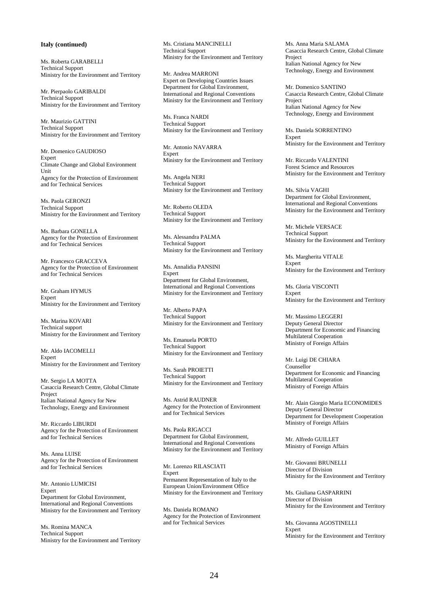# **Italy (continued)**

Ms. Roberta GARABELLI Technical Support Ministry for the Environment and Territory

Mr. Pierpaolo GARIBALDI Technical Support Ministry for the Environment and Territory

Mr. Maurizio GATTINI Technical Support Ministry for the Environment and Territory

Mr. Domenico GAUDIOSO Expert Climate Change and Global Environment **Unit** Agency for the Protection of Environment and for Technical Services

Ms. Paola GERONZI Technical Support Ministry for the Environment and Territory

Ms. Barbara GONELLA Agency for the Protection of Environment and for Technical Services

Mr. Francesco GRACCEVA Agency for the Protection of Environment and for Technical Services

Mr. Graham HYMUS Expert Ministry for the Environment and Territory

Ms. Marina KOVARI Technical support Ministry for the Environment and Territory

Mr. Aldo IACOMELLI Expert Ministry for the Environment and Territory

Mr. Sergio LA MOTTA Casaccia Research Centre, Global Climate Project Italian National Agency for New Technology, Energy and Environment

Mr. Riccardo LIBURDI Agency for the Protection of Environment and for Technical Services

Ms. Anna LUISE Agency for the Protection of Environment and for Technical Services

Mr. Antonio LUMICISI Expert Department for Global Environment, International and Regional Conventions Ministry for the Environment and Territory

Ms. Romina MANCA Technical Support Ministry for the Environment and Territory Ms. Cristiana MANCINELLI Technical Support Ministry for the Environment and Territory

Mr. Andrea MARRONI Expert on Developing Countries Issues Department for Global Environment, International and Regional Conventions Ministry for the Environment and Territory

Ms. Franca NARDI Technical Support Ministry for the Environment and Territory

Mr. Antonio NAVARRA Expert Ministry for the Environment and Territory

Ms. Angela NERI Technical Support Ministry for the Environment and Territory

Mr. Roberto OLEDA Technical Support Ministry for the Environment and Territory

Ms. Alessandra PALMA Technical Support Ministry for the Environment and Territory

Ms. Annalidia PANSINI Expert Department for Global Environment, International and Regional Conventions Ministry for the Environment and Territory

Mr. Alberto PAPA Technical Support Ministry for the Environment and Territory

Ms. Emanuela PORTO Technical Support Ministry for the Environment and Territory

Ms. Sarah PROIETTI Technical Support Ministry for the Environment and Territory

Ms. Astrid RAUDNER Agency for the Protection of Environment and for Technical Services

Ms. Paola RIGACCI Department for Global Environment, International and Regional Conventions Ministry for the Environment and Territory

Mr. Lorenzo RILASCIATI Expert Permanent Representation of Italy to the European Union/Environment Office Ministry for the Environment and Territory

Ms. Daniela ROMANO Agency for the Protection of Environment and for Technical Services

Ms. Anna Maria SALAMA Casaccia Research Centre, Global Climate Project Italian National Agency for New Technology, Energy and Environment

Mr. Domenico SANTINO Casaccia Research Centre, Global Climate Project Italian National Agency for New Technology, Energy and Environment

Ms. Daniela SORRENTINO Expert Ministry for the Environment and Territory

Mr. Riccardo VALENTINI Forest Science and Resources Ministry for the Environment and Territory

Ms. Silvia VAGHI Department for Global Environment, International and Regional Conventions Ministry for the Environment and Territory

Mr. Michele VERSACE Technical Support Ministry for the Environment and Territory

Ms. Margherita VITALE Expert Ministry for the Environment and Territory

Ms. Gloria VISCONTI **Expert** Ministry for the Environment and Territory

Mr. Massimo LEGGERI Deputy General Director Department for Economic and Financing Multilateral Cooperation Ministry of Foreign Affairs

Mr. Luigi DE CHIARA Counsellor Department for Economic and Financing Multilateral Cooperation Ministry of Foreign Affairs

Mr. Alain Giorgio Maria ECONOMIDES Deputy General Director Department for Development Cooperation Ministry of Foreign Affairs

Mr. Alfredo GUILLET Ministry of Foreign Affairs

Mr. Giovanni BRUNELLI Director of Division Ministry for the Environment and Territory

Ms. Giuliana GASPARRINI Director of Division Ministry for the Environment and Territory

Ms. Giovanna AGOSTINELLI Expert Ministry for the Environment and Territory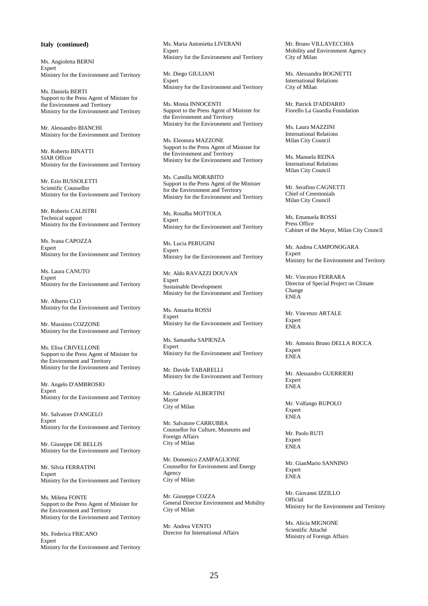### **Italy (continued)**

Ms. Angioletta BERNI Expert Ministry for the Environment and Territory

Ms. Daniela BERTI Support to the Press Agent of Minister for the Environment and Territory Ministry for the Environment and Territory

Mr. Alessandro BIANCHI Ministry for the Environment and Territory

Mr. Roberto BINATTI SIAR Officer Ministry for the Environment and Territory

Mr. Ezio BUSSOLETTI Scientific Counsellor Ministry for the Environment and Territory

Mr. Roberto CALISTRI Technical support Ministry for the Environment and Territory

Ms. Ivana CAPOZZA Expert Ministry for the Environment and Territory

Ms. Laura CANUTO **Expert** Ministry for the Environment and Territory

Mr. Alberto CLO Ministry for the Environment and Territory

Mr. Massimo COZZONE Ministry for the Environment and Territory

Ms. Elisa CRIVELLONE Support to the Press Agent of Minister for the Environment and Territory Ministry for the Environment and Territory

Mr. Angelo D'AMBROSIO Expert Ministry for the Environment and Territory

Mr. Salvatore D'ANGELO Expert Ministry for the Environment and Territory

Mr. Giuseppe DE BELLIS Ministry for the Environment and Territory

Mr. Silvia FERRATINI Expert Ministry for the Environment and Territory

Ms. Milena FONTE Support to the Press Agent of Minister for the Environment and Territory Ministry for the Environment and Territory

Ms. Federica FRICANO Expert Ministry for the Environment and Territory Ms. Maria Antonietta LIVERANI Expert Ministry for the Environment and Territory

Mr. Diego GIULIANI **Expert** Ministry for the Environment and Territory

Ms. Monia INNOCENTI Support to the Press Agent of Minister for the Environment and Territory Ministry for the Environment and Territory

Ms. Eleonora MAZZONE Support to the Press Agent of Minister for the Environment and Territory Ministry for the Environment and Territory

Ms. Camilla MORABITO Support to the Press Agent of the Minister for the Environment and Territory Ministry for the Environment and Territory

Ms. Rosalba MOTTOLA Expert Ministry for the Environment and Territory

Ms. Lucia PERUGINI Expert Ministry for the Environment and Territory

Mr. Aldo RAVAZZI DOUVAN Expert Sustainable Development Ministry for the Environment and Territory

Ms. Annarita ROSSI Expert Ministry for the Environment and Territory

Ms. Samantha SAPIENZA Expert Ministry for the Environment and Territory

Mr. Davide TABARELLI Ministry for the Environment and Territory

Mr. Gabriele ALBERTINI Mayor City of Milan

Mr. Salvatore CARRUBBA Counsellor for Culture, Museums and Foreign Affairs City of Milan

Mr. Domenico ZAMPAGLIONE Counsellor for Environment and Energy Agency City of Milan

Mr. Giuseppe COZZA General Director Environment and Mobility City of Milan

Mr. Andrea VENTO Director for International Affairs Mr. Bruno VILLAVECCHIA Mobility and Environment Agency City of Milan

Ms. Alessandra BOGNETTI International Relations City of Milan

Mr. Patrick D'ADDARIO Fiorello La Guardia Foundation

Ms. Laura MAZZINI International Relations Milan City Council

Ms. Manuela REINA International Relations Milan City Council

Mr. Serafino CAGNETTI Chief of Ceremonials Milan City Council

Ms. Emanuela ROSSI Press Office Cabinet of the Mayor, Milan City Council

Mr. Andrea CAMPONOGARA Expert Ministry for the Environment and Territory

Mr. Vincenzo FERRARA Director of Special Project on Climate Change ENEA

Mr. Vincenzo ARTALE Expert ENEA

Mr. Antonio Bruno DELLA ROCCA Expert ENEA

Mr. Alessandro GUERRIERI Expert ENEA

Mr. Volfango RUPOLO **Expert** ENEA

Mr. Paolo RUTI Expert ENEA

Mr. GianMario SANNINO Expert ENEA

Mr. Giovanni IZZILLO Official Ministry for the Environment and Territory

Ms. Alicia MIGNONE Scientific Attaché Ministry of Foreign Affairs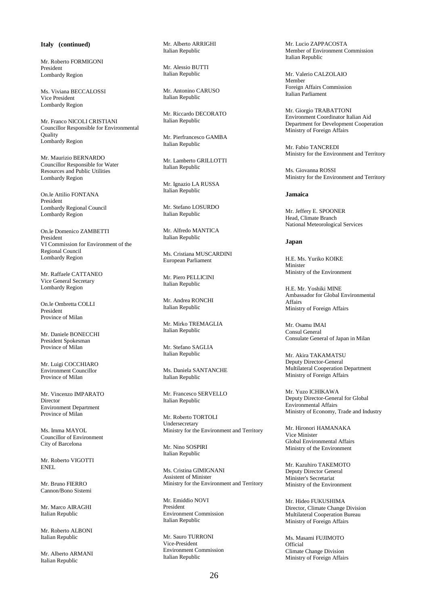**Italy (continued)** 

Mr. Roberto FORMIGONI President Lombardy Region

Ms. Viviana BECCALOSSI Vice President Lombardy Region

Mr. Franco NICOLI CRISTIANI Councillor Responsible for Environmental Quality Lombardy Region

Mr. Maurizio BERNARDO Councillor Responsible for Water Resources and Public Utilities Lombardy Region

On.le Attilio FONTANA President Lombardy Regional Council Lombardy Region

On.le Domenico ZAMBETTI President VI Commission for Environment of the Regional Council Lombardy Region

Mr. Raffaele CATTANEO Vice General Secretary Lombardy Region

On.le Ombretta COLLI President Province of Milan

Mr. Daniele BONECCHI President Spokesman Province of Milan

Mr. Luigi COCCHIARO Environment Councillor Province of Milan

Mr. Vincenzo IMPARATO Director Environment Department Province of Milan

Ms. Imma MAYOL Councillor of Environment City of Barcelona

Mr. Roberto VIGOTTI ENEL

Mr. Bruno FIERRO Cannon/Bono Sistemi

Mr. Marco AIRAGHI Italian Republic

Mr. Roberto ALBONI Italian Republic

Mr. Alberto ARMANI Italian Republic

Mr. Alberto ARRIGHI Italian Republic

Mr. Alessio BUTTI Italian Republic

Mr. Antonino CARUSO Italian Republic

Mr. Riccardo DECORATO Italian Republic

Mr. Pierfrancesco GAMBA Italian Republic

Mr. Lamberto GRILLOTTI Italian Republic

Mr. Ignazio LA RUSSA Italian Republic

Mr. Stefano LOSURDO Italian Republic

Mr. Alfredo MANTICA Italian Republic

Ms. Cristiana MUSCARDINI European Parliament

Mr. Piero PELLICINI Italian Republic

Mr. Andrea RONCHI Italian Republic

Mr. Mirko TREMAGLIA Italian Republic

Mr. Stefano SAGLIA Italian Republic

Ms. Daniela SANTANCHE Italian Republic

Mr. Francesco SERVELLO Italian Republic

Mr. Roberto TORTOLI Undersecretary Ministry for the Environment and Territory

Mr. Nino SOSPIRI Italian Republic

Ms. Cristina GIMIGNANI Assistent of Minister Ministry for the Environment and Territory

Mr. Emiddio NOVI President Environment Commission Italian Republic

Mr. Sauro TURRONI Vice-President Environment Commission Italian Republic

Mr. Lucio ZAPPACOSTA Member of Environment Commission Italian Republic

Mr. Valerio CALZOLAIO Member Foreign Affairs Commission Italian Parliament

Mr. Giorgio TRABATTONI Environment Coordinator Italian Aid Department for Development Cooperation Ministry of Foreign Affairs

Mr. Fabio TANCREDI Ministry for the Environment and Territory

Ms. Giovanna ROSSI Ministry for the Environment and Territory

# **Jamaica**

Mr. Jeffery E. SPOONER Head, Climate Branch National Meteorological Services

# **Japan**

H.E. Ms. Yuriko KOIKE Minister Ministry of the Environment

H.E. Mr. Yoshiki MINE Ambassador for Global Environmental Affairs Ministry of Foreign Affairs

Mr. Osamu IMAI Consul General Consulate General of Japan in Milan

Mr. Akira TAKAMATSU Deputy Director-General Multilateral Cooperation Department Ministry of Foreign Affairs

Mr. Yuzo ICHIKAWA Deputy Director-General for Global Environmental Affairs Ministry of Economy, Trade and Industry

Mr. Hironori HAMANAKA Vice Minister Global Environmental Affairs Ministry of the Environment

Mr. Kazuhiro TAKEMOTO Deputy Director General Minister's Secretariat Ministry of the Environment

Mr. Hideo FUKUSHIMA Director, Climate Change Division Multilateral Cooperation Bureau Ministry of Foreign Affairs

Ms. Masami FUJIMOTO Official Climate Change Division Ministry of Foreign Affairs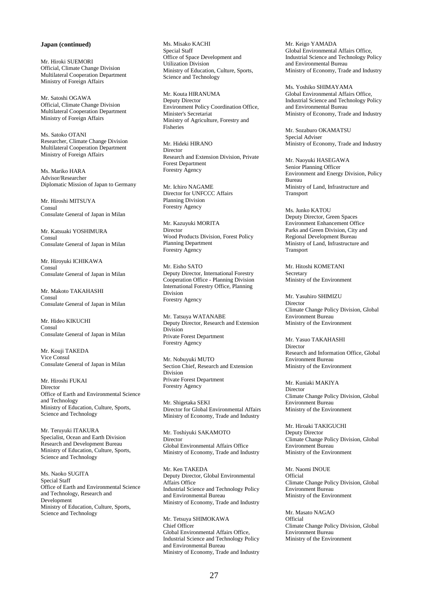# **Japan (continued)**

Mr. Hiroki SUEMORI Official, Climate Change Division Multilateral Cooperation Department Ministry of Foreign Affairs

Mr. Satoshi OGAWA Official, Climate Change Division Multilateral Cooperation Department Ministry of Foreign Affairs

Ms. Satoko OTANI Researcher, Climate Change Division Multilateral Cooperation Department Ministry of Foreign Affairs

Ms. Mariko HARA Advisor/Researcher Diplomatic Mission of Japan to Germany

Mr. Hiroshi MITSUYA Consul Consulate General of Japan in Milan

Mr. Katsuaki YOSHIMURA Consul Consulate General of Japan in Milan

Mr. Hiroyuki ICHIKAWA **Consul** Consulate General of Japan in Milan

Mr. Makoto TAKAHASHI Consul Consulate General of Japan in Milan

Mr. Hideo KIKUCHI Consul Consulate General of Japan in Milan

Mr. Kouji TAKEDA Vice Consul Consulate General of Japan in Milan

Mr. Hiroshi FUKAI Director Office of Earth and Environmental Science and Technology Ministry of Education, Culture, Sports, Science and Technology

Mr. Teruyuki ITAKURA Specialist, Ocean and Earth Division Research and Development Bureau Ministry of Education, Culture, Sports, Science and Technology

Ms. Naoko SUGITA Special Staff Office of Earth and Environmental Science and Technology, Research and Development Ministry of Education, Culture, Sports, Science and Technology

Ms. Misako KACHI Special Staff Office of Space Development and Utilization Division Ministry of Education, Culture, Sports, Science and Technology

Mr. Kouta HIRANUMA Deputy Director Environment Policy Coordination Office, Minister's Secretariat Ministry of Agriculture, Forestry and Fisheries

Mr. Hideki HIRANO Director Research and Extension Division, Private Forest Department Forestry Agency

Mr. Ichiro NAGAME Director for UNFCCC Affairs Planning Division Forestry Agency

Mr. Kazuyuki MORITA Director Wood Products Division, Forest Policy Planning Department Forestry Agency

Mr. Eisho SATO Deputy Director, International Forestry Cooperation Office - Planning Division International Forestry Office, Planning Division Forestry Agency

Mr. Tatsuya WATANABE Deputy Director, Research and Extension Division Private Forest Department Forestry Agency

Mr. Nobuyuki MUTO Section Chief, Research and Extension Division Private Forest Department Forestry Agency

Mr. Shigetaka SEKI Director for Global Environmental Affairs Ministry of Economy, Trade and Industry

Mr. Toshiyuki SAKAMOTO Director Global Environmental Affairs Office Ministry of Economy, Trade and Industry

Mr. Ken TAKEDA Deputy Director, Global Environmental Affairs Office Industrial Science and Technology Policy and Environmental Bureau Ministry of Economy, Trade and Industry

Mr. Tetsuya SHIMOKAWA Chief Officer Global Environmental Affairs Office, Industrial Science and Technology Policy and Environmental Bureau Ministry of Economy, Trade and Industry Mr. Keigo YAMADA Global Environmental Affairs Office, Industrial Science and Technology Policy and Environmental Bureau Ministry of Economy, Trade and Industry

Ms. Yoshiko SHIMAYAMA Global Environmental Affairs Office, Industrial Science and Technology Policy and Environmental Bureau Ministry of Economy, Trade and Industry

Mr. Sozaburo OKAMATSU Special Adviser Ministry of Economy, Trade and Industry

Mr. Naoyuki HASEGAWA Senior Planning Officer Environment and Energy Division, Policy Bureau Ministry of Land, Infrastructure and Transport

Ms. Junko KATOU Deputy Director, Green Spaces Environment Enhancement Office Parks and Green Division, City and Regional Development Bureau Ministry of Land, Infrastructure and Transport

Mr. Hitoshi KOMETANI Secretary Ministry of the Environment

Mr. Yasuhiro SHIMIZU Director Climate Change Policy Division, Global Environment Bureau Ministry of the Environment

Mr. Yasuo TAKAHASHI Director Research and Information Office, Global Environment Bureau Ministry of the Environment

Mr. Kuniaki MAKIYA Director Climate Change Policy Division, Global Environment Bureau Ministry of the Environment

Mr. Hiroaki TAKIGUCHI Deputy Director Climate Change Policy Division, Global Environment Bureau Ministry of the Environment

Mr. Naomi INOUE Official Climate Change Policy Division, Global Environment Bureau Ministry of the Environment

Mr. Masato NAGAO **Official** Climate Change Policy Division, Global Environment Bureau Ministry of the Environment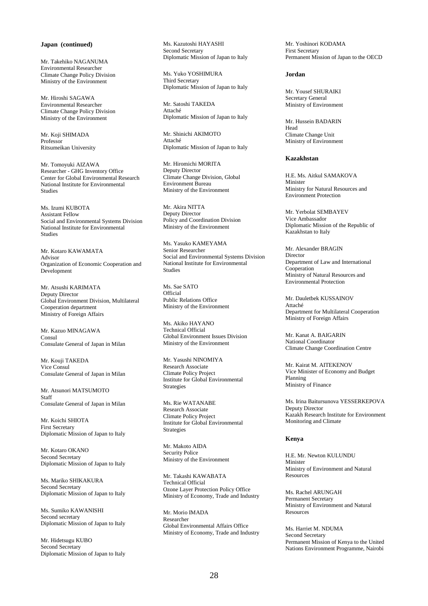# **Japan (continued)**

Mr. Takehiko NAGANUMA Environmental Researcher Climate Change Policy Division Ministry of the Environment

Mr. Hiroshi SAGAWA Environmental Researcher Climate Change Policy Division Ministry of the Environment

Mr. Koji SHIMADA Professor Ritsumeikan University

Mr. Tomoyuki AIZAWA Researcher - GHG Inventory Office Center for Global Environmental Research National Institute for Environmental Studies

Ms. Izumi KUBOTA Assistant Fellow Social and Environmental Systems Division National Institute for Environmental Studies

Mr. Kotaro KAWAMATA Advisor Organization of Economic Cooperation and Development

Mr. Atsushi KARIMATA Deputy Director Global Environment Division, Multilateral Cooperation department Ministry of Foreign Affairs

Mr. Kazuo MINAGAWA Consul Consulate General of Japan in Milan

Mr. Kouji TAKEDA Vice Consul Consulate General of Japan in Milan

Mr. Atsunori MATSUMOTO Staff Consulate General of Japan in Milan

Mr. Koichi SHIOTA First Secretary Diplomatic Mission of Japan to Italy

Mr. Kotaro OKANO Second Secretary Diplomatic Mission of Japan to Italy

Ms. Mariko SHIKAKURA Second Secretary Diplomatic Mission of Japan to Italy

Ms. Sumiko KAWANISHI Second secretary Diplomatic Mission of Japan to Italy

Mr. Hidetsugu KUBO Second Secretary Diplomatic Mission of Japan to Italy Ms. Kazutoshi HAYASHI Second Secretary Diplomatic Mission of Japan to Italy

Ms. Yuko YOSHIMURA Third Secretary Diplomatic Mission of Japan to Italy

Mr. Satoshi TAKEDA Attaché Diplomatic Mission of Japan to Italy

Mr. Shinichi AKIMOTO Attaché Diplomatic Mission of Japan to Italy

Mr. Hiromichi MORITA Deputy Director Climate Change Division, Global Environment Bureau Ministry of the Environment

Mr. Akira NITTA Deputy Director Policy and Coordination Division Ministry of the Environment

Ms. Yasuko KAMEYAMA Senior Researcher Social and Environmental Systems Division National Institute for Environmental Studies

Ms. Sae SATO Official Public Relations Office Ministry of the Environment

Ms. Akiko HAYANO Technical Official Global Environment Issues Division Ministry of the Environment

Mr. Yasushi NINOMIYA Research Associate Climate Policy Project Institute for Global Environmental Strategies

Ms. Rie WATANABE Research Associate Climate Policy Project Institute for Global Environmental Strategies

Mr. Makoto AIDA Security Police Ministry of the Environment

Mr. Takashi KAWABATA Technical Official Ozone Layer Protection Policy Office Ministry of Economy, Trade and Industry

Mr. Morio IMADA Researcher Global Environmental Affairs Office Ministry of Economy, Trade and Industry Mr. Yoshinori KODAMA First Secretary Permanent Mission of Japan to the OECD

# **Jordan**

Mr. Yousef SHURAIKI Secretary General Ministry of Environment

Mr. Hussein BADARIN Head Climate Change Unit Ministry of Environment

#### **Kazakhstan**

H.E. Ms. Aitkul SAMAKOVA Minister Ministry for Natural Resources and Environment Protection

Mr. Yerbolat SEMBAYEV Vice Ambassador Diplomatic Mission of the Republic of Kazakhstan to Italy

Mr. Alexander BRAGIN Director Department of Law and International Cooperation Ministry of Natural Resources and Environmental Protection

Mr. Dauletbek KUSSAINOV Attaché Department for Multilateral Cooperation Ministry of Foreign Affairs

Mr. Kanat A. BAIGARIN National Coordinator Climate Change Coordination Centre

Mr. Kairat M. AITEKENOV Vice Minister of Economy and Budget Planning Ministry of Finance

Ms. Irina Baitursunova YESSERKEPOVA Deputy Director Kazakh Research Institute for Environment Monitoring and Climate

# **Kenya**

H.E. Mr. Newton KULUNDU Minister Ministry of Environment and Natural Resources

Ms. Rachel ARUNGAH Permanent Secretary Ministry of Environment and Natural Resources

Ms. Harriet M. NDUMA Second Secretary Permanent Mission of Kenya to the United Nations Environment Programme, Nairobi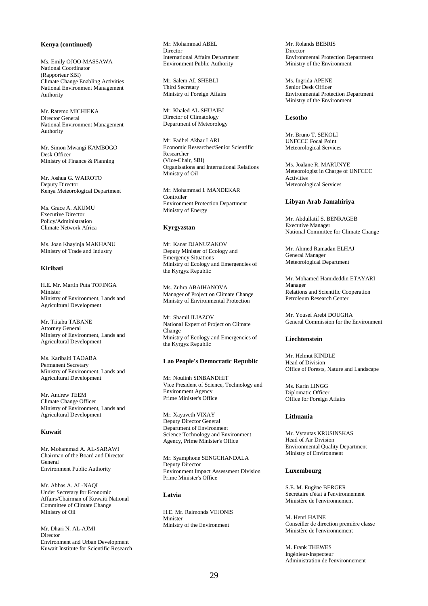# **Kenya (continued)**

Ms. Emily OJOO-MASSAWA National Coordinator (Rapporteur SBI) Climate Change Enabling Activities National Environment Management Authority

Mr. Ratemo MICHIEKA Director General National Environment Management Authority

Mr. Simon Mwangi KAMBOGO Desk Officer Ministry of Finance & Planning

Mr. Joshua G. WAIROTO Deputy Director Kenya Meteorological Department

Ms. Grace A. AKUMU Executive Director Policy/Administration Climate Network Africa

Ms. Joan Khayinja MAKHANU Ministry of Trade and Industry

### **Kiribati**

H.E. Mr. Martin Puta TOFINGA Minister Ministry of Environment, Lands and Agricultural Development

Mr. Tiitabu TABANE Attorney General Ministry of Environment, Lands and Agricultural Development

Ms. Karibaiti TAOABA Permanent Secretary Ministry of Environment, Lands and Agricultural Development

Mr. Andrew TEEM Climate Change Officer Ministry of Environment, Lands and Agricultural Development

# **Kuwait**

Mr. Mohammad A. AL-SARAWI Chairman of the Board and Director General Environment Public Authority

Mr. Abbas A. AL-NAQI Under Secretary for Economic Affairs/Chairman of Kuwaiti National Committee of Climate Change Ministry of Oil

Mr. Dhari N. AL-AJMI **Director** Environment and Urban Development Kuwait Institute for Scientific Research Mr. Mohammad ABEL Director International Affairs Department Environment Public Authority

Mr. Salem AL SHEBLI Third Secretary Ministry of Foreign Affairs

Mr. Khaled AL-SHUAIBI Director of Climatology Department of Meteorology

Mr. Fadhel Akbar LARI Economic Researcher/Senior Scientific Researcher (Vice-Chair, SBI) Organisations and International Relations Ministry of Oil

Mr. Mohammad I. MANDEKAR Controller Environment Protection Department Ministry of Energy

# **Kyrgyzstan**

Mr. Kanat DJANUZAKOV Deputy Minister of Ecology and Emergency Situations Ministry of Ecology and Emergencies of the Kyrgyz Republic

Ms. Zuhra ABAIHANOVA Manager of Project on Climate Change Ministry of Environmental Protection

Mr. Shamil ILIAZOV National Expert of Project on Climate Change Ministry of Ecology and Emergencies of the Kyrgyz Republic

# **Lao People's Democratic Republic**

Mr. Noulinh SINBANDHIT Vice President of Science, Technology and Environment Agency Prime Minister's Office

Mr. Xayaveth VIXAY Deputy Director General Department of Environment Science Technology and Environment Agency, Prime Minister's Office

Mr. Syamphone SENGCHANDALA Deputy Director Environment Impact Assessment Division Prime Minister's Office

# **Latvia**

H.E. Mr. Raimonds VEJONIS Minister Ministry of the Environment

Mr. Rolands BEBRIS Director Environmental Protection Department Ministry of the Environment

Ms. Ingrida APENE Senior Desk Officer Environmental Protection Department Ministry of the Environment

# **Lesotho**

Mr. Bruno T. SEKOLI UNFCCC Focal Point Meteorological Services

Ms. Joalane R. MARUNYE Meteorologist in Charge of UNFCCC Activities Meteorological Services

# **Libyan Arab Jamahiriya**

Mr. Abdullatif S. BENRAGEB Executive Manager National Committee for Climate Change

Mr. Ahmed Ramadan ELHAJ General Manager Meteorological Department

Mr. Mohamed Hamideddin ETAYARI Manager Relations and Scientific Cooperation Petroleum Research Center

Mr. Yousef Arebi DOUGHA General Commission for the Environment

#### **Liechtenstein**

Mr. Helmut KINDLE Head of Division Office of Forests, Nature and Landscape

Ms. Karin LINGG Diplomatic Officer Office for Foreign Affairs

### **Lithuania**

Mr. Vytautas KRUSINSKAS Head of Air Division Environmental Quality Department Ministry of Environment

# **Luxembourg**

S.E. M. Eugène BERGER Secrétaire d'état à l'environnement Ministère de l'environnement

M. Henri HAINE Conseiller de direction première classe Ministère de l'environnement

M. Frank THEWES Ingénieur-Inspecteur Administration de l'environnement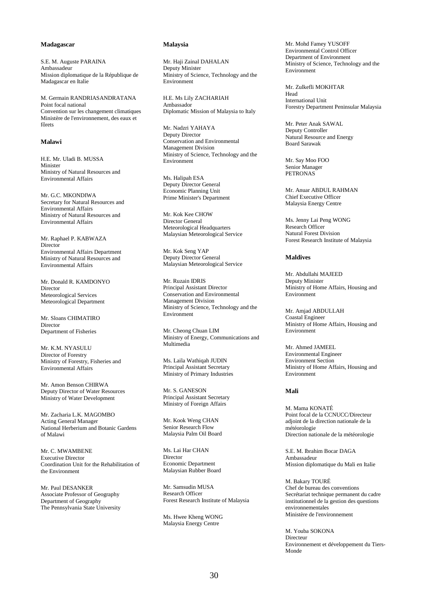# **Madagascar**

S.E. M. Auguste PARAINA Ambassadeur Mission diplomatique de la République de Madagascar en Italie

M. Germain RANDRIASANDRATANA Point focal national Convention sur les changement climatiques Ministère de l'environnement, des eaux et fôrets

# **Malawi**

H.E. Mr. Uladi B. MUSSA Minister Ministry of Natural Resources and Environmental Affairs

Mr. G.C. MKONDIWA Secretary for Natural Resources and Environmental Affairs Ministry of Natural Resources and Environmental Affairs

Mr. Raphael P. KABWAZA Director Environmental Affairs Department Ministry of Natural Resources and Environmental Affairs

Mr. Donald R. KAMDONYO Director Meteorological Services Meteorological Department

Mr. Sloans CHIMATIRO Director Department of Fisheries

Mr. K.M. NYASULU Director of Forestry Ministry of Forestry, Fisheries and Environmental Affairs

Mr. Amon Benson CHIRWA Deputy Director of Water Resources Ministry of Water Development

Mr. Zacharia L.K. MAGOMBO Acting General Manager National Herberium and Botanic Gardens of Malawi

Mr. C. MWAMBENE Executive Director Coordination Unit for the Rehabilitation of the Environment

Mr. Paul DESANKER Associate Professor of Geography Department of Geography The Pennsylvania State University

### **Malaysia**

Mr. Haji Zainal DAHALAN Deputy Minister Ministry of Science, Technology and the Environment

H.E. Ms Lily ZACHARIAH Ambassador Diplomatic Mission of Malaysia to Italy

Mr. Nadzri YAHAYA Deputy Director Conservation and Environmental Management Division Ministry of Science, Technology and the Environment

Ms. Halipah ESA Deputy Director General Economic Planning Unit Prime Minister's Department

Mr. Kok Kee CHOW Director General Meteorological Headquarters Malaysian Meteorological Service

Mr. Kok Seng YAP Deputy Director General Malaysian Meteorological Service

Mr. Ruzain IDRIS Principal Assistant Director Conservation and Environmental Management Division Ministry of Science, Technology and the Environment

Mr. Cheong Chuan LIM Ministry of Energy, Communications and Multimedia

Ms. Laila Wathiqah JUDIN Principal Assistant Secretary Ministry of Primary Industries

Mr. S. GANESON Principal Assistant Secretary Ministry of Foreign Affairs

Mr. Kook Weng CHAN Senior Research Flow Malaysia Palm Oil Board

Ms. Lai Har CHAN Director Economic Department Malaysian Rubber Board

Mr. Samsudin MUSA Research Officer Forest Research Institute of Malaysia

Ms. Hwee Kheng WONG Malaysia Energy Centre

Mr. Mohd Famey YUSOFF Environmental Control Officer Department of Environment Ministry of Science, Technology and the Environment

Mr. Zulkefli MOKHTAR Head International Unit Forestry Department Peninsular Malaysia

Mr. Peter Anak SAWAL Deputy Controller Natural Resource and Energy Board Sarawak

Mr. Say Moo FOO Senior Manager PETRONAS

Mr. Anuar ABDUL RAHMAN Chief Executive Officer Malaysia Energy Centre

Ms. Jenny Lai Peng WONG Research Officer Natural Forest Division Forest Research Institute of Malaysia

# **Maldives**

Mr. Abdullahi MAJEED Deputy Minister Ministry of Home Affairs, Housing and Environment

Mr. Amjad ABDULLAH Coastal Engineer Ministry of Home Affairs, Housing and Environment

Mr. Ahmed JAMEEL Environmental Engineer Environment Section Ministry of Home Affairs, Housing and Environment

# **Mali**

M. Mama KONATÉ Point focal de la CCNUCC/Directeur adjoint de la direction nationale de la météorologie Direction nationale de la météorologie

S.E. M. Ibrahim Bocar DAGA Ambassadeur Mission diplomatique du Mali en Italie

M. Bakary TOURÉ Chef de bureau des conventions Secrétariat technique permanent du cadre institutionnel de la gestion des questions environnementales Ministère de l'environnement

M. Youba SOKONA Directeur Environnement et développement du Tiers-Monde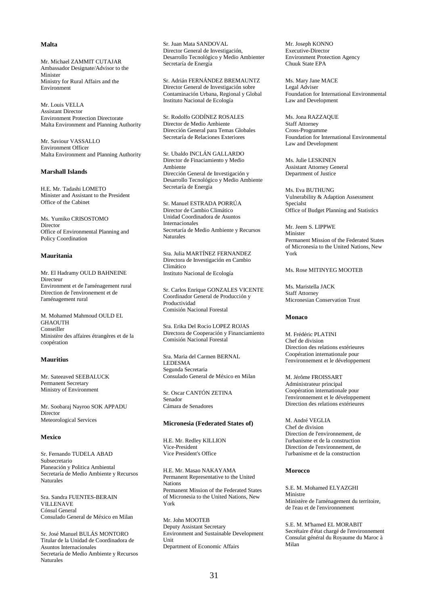### **Malta**

Mr. Michael ZAMMIT CUTAJAR Ambassador Designate/Advisor to the Minister Ministry for Rural Affairs and the Environment

Mr. Louis VELLA Assistant Director Environment Protection Directorate Malta Environment and Planning Authority

Mr. Saviour VASSALLO Environment Officer Malta Environment and Planning Authority

# **Marshall Islands**

H.E. Mr. Tadashi LOMETO Minister and Assistant to the President Office of the Cabinet

Ms. Yumiko CRISOSTOMO Director Office of Environmental Planning and Policy Coordination

# **Mauritania**

Mr. El Hadramy OULD BAHNEINE Directeur Environment et de l'aménagement rural Direction de l'environement et de l'aménagement rural

M. Mohamed Mahmoud OULD EL GHAOUTH Conseiller Ministère des affaires étrangères et de la coopération

# **Mauritius**

Mr. Sateeaved SEEBALUCK Permanent Secretary Ministry of Environment

Mr. Soobaraj Nayroo SOK APPADU Director Meteorological Services

# **Mexico**

Sr. Fernando TUDELA ABAD Subsecretario Planeación y Politica Ambiental Secretaría de Medio Ambiente y Recursos Naturales

Sra. Sandra FUENTES-BERAIN VILLENAVE Cónsul General Consulado General de México en Milan

Sr. José Manuel BULÁS MONTORO Titular de la Unidad de Coordinadora de Asuntos Internacionales Secretaría de Medio Ambiente y Recursos Naturales

Sr. Juan Mata SANDOVAL Director General de Investigación, Desarrollo Tecnológico y Medio Ambienter Secretaría de Energía

Sr. Adrián FERNÁNDEZ BREMAUNTZ Director General de Investigación sobre Contaminación Urbana, Regional y Global Instituto Nacional de Ecología

Sr. Rodolfo GODÍNEZ ROSALES Director de Medio Ambiente Dirección General para Temas Globales Secretaría de Relaciones Exteriores

Sr. Ubaldo INCLÁN GALLARDO Director de Finaciamiento y Medio Ambiente Dirección General de Investigación y Desarrollo Tecnológico y Medio Ambiente Secretaría de Energía

Sr. Manuel ESTRADA PORRÚA Director de Cambio Climático Unidad Coordinadora de Asuntos Internacionales Secretaría de Medio Ambiente y Recursos Naturales

Sra. Julia MARTÍNEZ FERNANDEZ Directora de Investigación en Cambio Climático Instituto Nacional de Ecología

Sr. Carlos Enrique GONZALES VICENTE Coordinador General de Producción y Productividad Comisión Nacional Forestal

Sra. Erika Del Rocio LOPEZ ROJAS Directora de Cooperación y Financiamiento Comisión Nacional Forestal

Sra. Maria del Carmen BERNAL LEDESMA Segunda Secretaria Consulado General de México en Milan

Sr. Oscar CANTÓN ZETINA Senador Cámara de Senadores

#### **Micronesia (Federated States of)**

H.E. Mr. Redley KILLION Vice-President Vice President's Office

H.E. Mr. Masao NAKAYAMA Permanent Representative to the United **Nations** Permanent Mission of the Federated States of Micronesia to the United Nations, New York

Mr. John MOOTEB Deputy Assistant Secretary Environment and Sustainable Development Unit Department of Economic Affairs

Mr. Joseph KONNO Executive-Director Environment Protection Agency Chuuk State EPA

Ms. Mary Jane MACE Legal Adviser Foundation for International Environmental Law and Development

Ms. Jona RAZZAQUE Staff Attorney Cross-Programme Foundation for International Environmental Law and Development

Ms. Julie LESKINEN Assistant Attorney General Department of Justice

Ms. Eva BUTHUNG Vulnerability & Adaption Assessment Specialst Office of Budget Planning and Statistics

Mr. Jeem S. LIPPWE Minister Permanent Mission of the Federated States of Micronesia to the United Nations, New York

# Ms. Rose MITINYEG MOOTEB

Ms. Maristella JACK Staff Attorney Micronesian Conservation Trust

#### **Monaco**

M. Frédéric PLATINI Chef de division Direction des relations extérieures Coopération internationale pour l'environnement et le développement

M. Jérôme FROISSART Administrateur principal Coopération internationale pour l'environnement et le développement Direction des relations extérieures

M. André VEGLIA Chef de division Direction de l'environnement, de l'urbanisme et de la construction Direction de l'environnement, de l'urbanisme et de la construction

# **Morocco**

S.E. M. Mohamed ELYAZGHI Ministre Ministère de l'aménagement du territoire, de l'eau et de l'environnement

S.E. M. M'hamed EL MORABIT Secrétaire d'état chargé de l'environnement Consulat général du Royaume du Maroc à Milan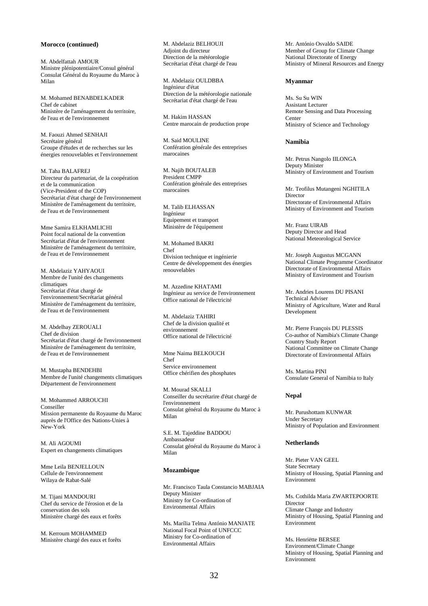# **Morocco (continued)**

M. Abdelfattah AMOUR Ministre plénipotentiaire/Consul général Consulat Général du Royaume du Maroc à Milan

M. Mohamed BENABDELKADER Chef de cabinet Ministère de l'aménagement du territoire, de l'eau et de l'environnement

M. Faouzi Ahmed SENHAJI Secrétaire général Groupe d'études et de recherches sur les énergies renouvelables et l'environnement

M. Taha BALAFREJ Directeur du partenariat, de la coopération et de la communication (Vice-President of the COP) Secrétariat d'état chargé de l'environnement Ministère de l'aménagement du territoire, de l'eau et de l'environnement

Mme Samira ELKHAMLICHI Point focal national de la convention Secrétariat d'état de l'environnement Ministère de l'aménagement du territoire, de l'eau et de l'environnement

M. Abdelaziz YAHYAOUI Membre de l'unité des changements climatiques Secrétariat d'état chargé de l'environnement/Secrétariat général Ministère de l'aménagement du territoire, de l'eau et de l'environnement

M. Abdelhay ZEROUALI Chef de division Secrétariat d'état chargé de l'environnement Ministère de l'aménagement du territoire, de l'eau et de l'environnement

M. Mustapha BENDEHBI Membre de l'unité changements climatiques Département de l'environnement

M. Mohammed ARROUCHI Conseiller Mission permanente du Royaume du Maroc auprès de l'Office des Nations-Unies à New-York

M. Ali AGOUMI Expert en changements climatiques

Mme Leila BENJELLOUN Cellule de l'environnement Wilaya de Rabat-Salé

M. Tijani MANDOURI Chef du service de l'érosion et de la conservation des sols Ministère chargé des eaux et forêts

M. Kerroum MOHAMMED Ministère chargé des eaux et forêts M. Abdelaziz BELHOUJI Adjoint du directeur Direction de la météorologie Secrétariat d'état chargé de l'eau

M. Abdelaziz OULDBBA Ingénieur d'état Direction de la météorologie nationale Secrétariat d'état chargé de l'eau

M. Hakim HASSAN Centre marocain de production prope

M. Said MOULINE Confération générale des entreprises marocaines

M. Najib BOUTALEB President CMPP Confération générale des entreprises marocaines

M. Talib ELHASSAN Ingénieur Equipement et transport Ministère de l'équipement

M. Mohamed BAKRI Chef Division technique et ingénierie Centre de développement des énergies renouvelables

M. Azzedine KHATAMI Ingénieur au service de l'environnement Office national de l'électricité

M. Abdelaziz TAHIRI Chef de la division qualité et environnement Office national de l'électricité

Mme Naima BELKOUCH Chef Service environnement Office chérifien des phosphates

M. Mourad SKALLI Conseiller du secrétarire d'état chargé de l'environnement Consulat général du Royaume du Maroc à Milan

S.E. M. Tajeddine BADDOU Ambassadeur Consulat général du Royaume du Maroc à Milan

### **Mozambique**

Mr. Francisco Taula Constancio MABJAIA Deputy Minister Ministry for Co-ordination of Environmental Affairs

Ms. Marília Telma António MANJATE National Focal Point of UNFCCC Ministry for Co-ordination of Environmental Affairs

Mr. António Osvaldo SAIDE Member of Group for Climate Change National Directorate of Energy Ministry of Mineral Resources and Energy

#### **Myanmar**

Ms. Su Su WIN Assistant Lecturer Remote Sensing and Data Processing Center Ministry of Science and Technology

# **Namibia**

Mr. Petrus Nangolo IILONGA Deputy Minister Ministry of Environment and Tourism

Mr. Teofilus Mutangeni NGHITILA Director Directorate of Environmental Affairs Ministry of Environment and Tourism

Mr. Franz UIRAB Deputy Director and Head National Meteorological Service

Mr. Joseph Augustus MCGANN National Climate Programme Coordinator Directorate of Environmental Affairs Ministry of Environment and Tourism

Mr. Andries Lourens DU PISANI Technical Adviser Ministry of Agriculture, Water and Rural Development

Mr. Pierre François DU PLESSIS Co-author of Namibia's Climate Change Country Study Report National Committee on Climate Change Directorate of Environmental Affairs

Ms. Martina PINI Consulate General of Namibia to Italy

#### **Nepal**

Mr. Purushottam KUNWAR Under Secretary Ministry of Population and Environment

# **Netherlands**

Mr. Pieter VAN GEEL State Secretary Ministry of Housing, Spatial Planning and Environment

Ms. Cothilda Maria ZWARTEPOORTE **Director** Climate Change and Industry Ministry of Housing, Spatial Planning and Environment

Ms. Henriëtte BERSEE Environment/Climate Change Ministry of Housing, Spatial Planning and Environment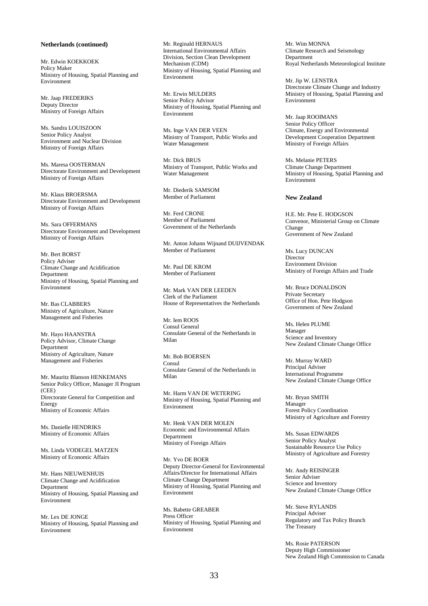### **Netherlands (continued)**

Mr. Edwin KOEKKOEK Policy Maker Ministry of Housing, Spatial Planning and Environment

Mr. Jaap FREDERIKS Deputy Director Ministry of Foreign Affairs

Ms. Sandra LOUISZOON Senior Policy Analyst Environment and Nuclear Division Ministry of Foreign Affairs

Ms. Maresa OOSTERMAN Directorate Environment and Development Ministry of Foreign Affairs

Mr. Klaus BROERSMA Directorate Environment and Development Ministry of Foreign Affairs

Ms. Sara OFFERMANS Directorate Environment and Development Ministry of Foreign Affairs

Mr. Bert BORST Policy Adviser Climate Change and Acidification Department Ministry of Housing, Spatial Planning and Environment

Mr. Bas CLABBERS Ministry of Agriculture, Nature Management and Fisheries

Mr. Hayo HAANSTRA Policy Advisor, Climate Change **Department** Ministry of Agriculture, Nature Management and Fisheries

Mr. Mauritz Blanson HENKEMANS Senior Policy Officer, Manager JI Program (CEE) Directorate General for Competition and Energy Ministry of Economic Affairs

Ms. Danielle HENDRIKS Ministry of Economic Affairs

Ms. Linda VODEGEL MATZEN Ministry of Economic Affairs

Mr. Hans NIEUWENHUIS Climate Change and Acidification Department Ministry of Housing, Spatial Planning and Environment

Mr. Lex DE JONGE Ministry of Housing, Spatial Planning and Environment

Mr. Reginald HERNAUS International Environmental Affairs Division, Section Clean Development Mechanism (CDM) Ministry of Housing, Spatial Planning and Environment

Mr. Erwin MULDERS Senior Policy Advisor Ministry of Housing, Spatial Planning and Environment

Ms. Inge VAN DER VEEN Ministry of Transport, Public Works and Water Management

Mr. Dick BRUS Ministry of Transport, Public Works and Water Management

Mr. Diederik SAMSOM Member of Parliament

Mr. Ferd CRONE Member of Parliament Government of the Netherlands

Mr. Anton Johann Wijnand DUIJVENDAK Member of Parliament

Mr. Paul DE KROM Member of Parliament

Mr. Mark VAN DER LEEDEN Clerk of the Parliament House of Representatives the Netherlands

Mr. Iem ROOS Consul General Consulate General of the Netherlands in Milan

Mr. Bob BOERSEN Consul Consulate General of the Netherlands in Milan

Mr. Harm VAN DE WETERING Ministry of Housing, Spatial Planning and Environment

Mr. Henk VAN DER MOLEN Economic and Environmental Affairs Departrment Ministry of Foreign Affairs

Mr. Yvo DE BOER Deputy Director-General for Environmental Affairs/Director for International Affairs Climate Change Department Ministry of Housing, Spatial Planning and Environment

Ms. Babette GREABER Press Officer Ministry of Housing, Spatial Planning and Environment

Mr. Wim MONNA Climate Research and Seismology Department Royal Netherlands Meteorological Institute

Mr. Jip W. LENSTRA Directorate Climate Change and Industry Ministry of Housing, Spatial Planning and Environment

Mr. Jaap ROOIMANS Senior Policy Officer Climate, Energy and Environmental Development Cooperation Department Ministry of Foreign Affairs

Ms. Melanie PETERS Climate Change Department Ministry of Housing, Spatial Planning and Environment

#### **New Zealand**

H.E. Mr. Pete E. HODGSON Convenor, Ministerial Group on Climate Change Government of New Zealand

Ms. Lucy DUNCAN Director<sup>1</sup> Environment Division Ministry of Foreign Affairs and Trade

Mr. Bruce DONALDSON Private Secretary Office of Hon. Pete Hodgson Government of New Zealand

Ms. Helen PLUME Manager Science and Inventory New Zealand Climate Change Office

Mr. Murray WARD Principal Adviser International Programme New Zealand Climate Change Office

Mr. Bryan SMITH Manager Forest Policy Coordination Ministry of Agriculture and Forestry

Ms. Susan EDWARDS Senior Policy Analyst Sustainable Resource Use Policy Ministry of Agriculture and Forestry

Mr. Andy REISINGER Senior Adviser Science and Inventory New Zealand Climate Change Office

Mr. Steve RYLANDS Principal Adviser Regulatory and Tax Policy Branch The Treasury

Ms. Rosie PATERSON Deputy High Commissioner New Zealand High Commission to Canada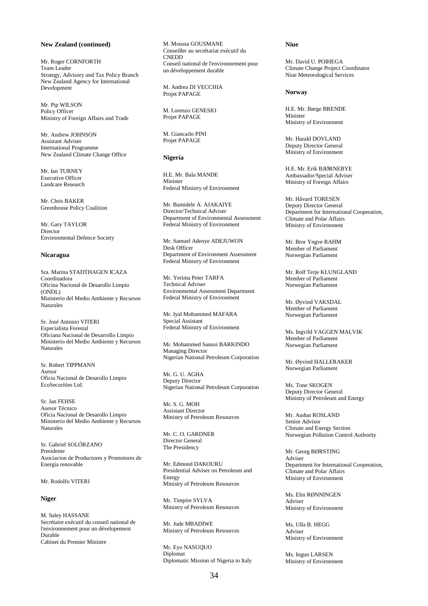### **New Zealand (continued)**

Mr. Roger CORNFORTH Team Leader Strategy, Advisory and Tax Policy Branch New Zealand Agency for International Development

Mr. Pip WILSON Policy Officer Ministry of Foreign Affairs and Trade

Mr. Andrew JOHNSON Assistant Adviser International Programme New Zealand Climate Change Office

Mr. Ian TURNEY Executive Officer Landcare Research

Mr. Chris BAKER Greenhouse Policy Coalition

Mr. Gary TAYLOR Director Environmental Defence Society

#### **Nicaragua**

Sra. Marina STADTHAGEN ICAZA Coordinadora Oficina Nacional de Desarollo Limpio (ONDL) Ministerio del Medio Ambiente y Recursos Naturales

Sr. José Antonio VITERI Especialista Forestal Oficiana Nacional de Desarrollo Limpio Ministerio del Medio Ambiente y Recursos Naturales

Sr. Robert TIPPMANN Asesor Oficia Nacional de Desarollo Limpio EcoSecurities Ltd.

Sr. Jan FEHSE Asesor Técnico Oficia Nacional de Desarollo Limpio Ministerio del Medio Ambiente y Recursos Naturales

Sr. Gabriel SOLÓRZANO Presidente Asociacion de Productores y Promotores de Energia renovable

# Mr. Rodolfo VITERI

# **Niger**

M. Saley HASSANE Secrétaire exécutif du conseil national de l'environnement pour un dévelopement Durable Cabinet du Premier Ministre

M. Moussa GOUSMANE Conseiller au secrétariat exécutif du CNEDD Conseil national de l'environnement pour un développement durable

M. Andrea DI VECCHIA Projet PAPAGE

M. Lorenzo GENESIO Projet PAPAGE

M. Giancarlo PINI Projet PAPAGE

#### **Nigeria**

H.E. Mr. Bala MANDE Minister Federal Ministry of Environment

Mr. Bamidele A. AJAKAIYE Director/Technical Adviser Department of Environmental Assessment Federal Ministry of Environment

Mr. Samuel Adeoye ADEJUWON Desk Officer Department of Environment Assessment Federal Ministry of Environment

Mr. Yerima Peter TARFA Technical Adviser Environmental Assessment Department Federal Ministry of Environment

Mr. Iyal Mohammed MAFARA Special Assistant Federal Ministry of Environment

Mr. Mohammed Sanusi BARKINDO Managing Director Nigerian National Petroleum Corporation

Mr. G. U. AGHA Deputy Director Nigerian National Petroleum Corporation

Mr. S. G. MOH Assistant Director Ministry of Petroleum Resources

Mr. C. O. GARDNER Director General The Presidency

Mr. Edmond DAKOURU Presidential Adviser on Petroleum and Energy Ministry of Petroleum Resources

Mr. Timpire SYLVA Ministry of Petroleum Resources

Mr. Jude MBADIWE Ministry of Petroleum Resources

Mr. Eyo NASUQUO Diplomat Diplomatic Mission of Nigeria to Italy

#### **Niue**

Mr. David U. POIHEGA Climate Change Project Coordinator Niue Meteorological Services

#### **Norway**

H.E. Mr. Børge BRENDE Minister Ministry of Environment

Mr. Harald DOVLAND Deputy Director General Ministry of Environment

H.E. Mr. Erik BJØRNEBYE Ambassador/Special Adviser Ministry of Foreign Affairs

Mr. Håvard TORESEN Deputy Director General Department for International Cooperation, Climate and Polar Affairs Ministry of Environment

Mr. Bror Yngve RAHM Member of Parliament Norwegian Parliament

Mr. Rolf Terje KLUNGLAND Member of Parliament Norwegian Parliament

Mr. Øyvind VAKSDAL Member of Parliament Norwegian Parliament

Ms. Ingvild VAGGEN MALVIK Member of Parliament Norwegian Parliament

Mr. Øyvind HALLERAKER Norwegian Parliament

Ms. Tone SKOGEN Deputy Director General Ministry of Petroleum and Energy

Mr. Audun ROSLAND Senior Advisor Climate and Energy Section Norwegian Pollution Control Authority

Mr. Georg BØRSTING Adviser Department for International Cooperation, Climate and Polar Affairs Ministry of Environment

Ms. Elin RØNNINGEN Adviser Ministry of Environment

Ms. Ulla B. HEGG Adviser Ministry of Environment

Ms. Ingun LARSEN Ministry of Environment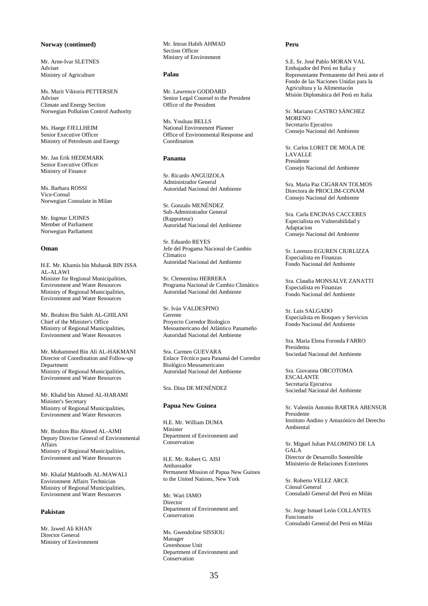# **Norway (continued)**

Mr. Arne-Ivar SLETNES Adviser Ministry of Agriculture

Ms. Marit Viktoria PETTERSEN Adviser Climate and Energy Section Norwegian Pollution Control Authority

Ms. Haege FJELLHEIM Senior Executive Officer Ministry of Petroleum and Energy

Mr. Jan Erik HEDEMARK Senior Executive Officer Ministry of Finance

Ms. Barbara ROSSI Vice-Consul Norwegian Consulate in Milan

Mr. Ingmar LJONES Member of Parliament Norwegian Parliament

### **Oman**

H.E. Mr. Khamis bin Mubarak BIN ISSA AL-ALAWI Minister for Regional Municipalities, Environment and Water Resources Ministry of Regional Municipalities, Environment and Water Resources

Mr. Ibrahim Bin Saleh AL-GHILANI Chief of the Minister's Office Ministry of Regional Municipalities, Environment and Water Resources

Mr. Mohammed Bin Ali AL-HAKMANI Director of Coordination and Follow-up Department Ministry of Regional Municipalities, Environment and Water Resources

Mr. Khalid bin Ahmed AL-HARAMI Minister's Secretary Ministry of Regional Municipalities, Environment and Water Resources

Mr. Ibrahim Bin Ahmed AL-AJMI Deputy Director General of Environmental Affairs Ministry of Regional Municipalities, Environment and Water Resources

Mr. Khalaf Mahfoodh AL-MAWALI Environment Affairs Technician Ministry of Regional Municipalities, Environment and Water Resources

### **Pakistan**

Mr. Jawed Ali KHAN Director General Ministry of Environment Mr. Imran Habib AHMAD Section Officer Ministry of Environment

#### **Palau**

Mr. Lawrence GODDARD Senior Legal Counsel to the President Office of the President

Ms. Youlsau BELLS National Environment Planner Office of Environmental Response and Coordination

#### **Panama**

Sr. Ricardo ANGUIZOLA Administrador General Autoridad Nacional del Ambiente

Sr. Gonzalo MENÉNDEZ Sub-Administrador General (Rapporteur) Autoridad Nacional del Ambiente

Sr. Eduardo REYES Jefe del Progama Nacional de Cambio Climatico Autoridad Nacional del Ambiente

Sr. Clementino HERRERA Programa Nacional de Cambio Climático Autoridad Nacional del Ambiente

Sr. Iván VALDESPINO Gerente Proyecto Corredor Biologico Mesoamericano del Atlántico Panameño Autoridad Nacional del Ambiente

Sra. Carmen GUEVARA Enlace Técnico para Panamá del Corredor Biológico Mesoamericano Autoridad Nacional del Ambiente

Sra. Dina DE MENÉNDEZ

#### **Papua New Guinea**

H.E. Mr. William DUMA Minister Department of Environment and Conservation

H.E. Mr. Robert G. AISI Ambassador Permanent Mission of Papua New Guinea to the United Nations, New York

Mr. Wari IAMO Director Department of Environment and **Conservation** 

Ms. Gwendoline SISSIOU Manager Greenhouse Unit Department of Environment and Conservation

#### **Peru**

S.E. Sr. José Pablo MORAN VAL Embajador del Perú en Italia y Representante Permanente del Perú ante el Fondo de las Naciones Unidas para la Agricultura y la Alimentacón Misión Diplomática del Perú en Italia

Sr. Mariano CASTRO SÁNCHEZ **MORENO** Secretario Ejecutivo Consejo Nacional del Ambiente

Sr. Carlos LORET DE MOLA DE LAVALLE Presidente Consejo Nacional del Ambiente

Sra. María Paz CIGARAN TOLMOS Directora de PROCLIM-CONAM Consejo Nacional del Ambiente

Sra. Carla ENCINAS CACCERES Especialista en Vulnerabilidad y Adaptacion Consejo Nacional del Ambiente

Sr. Lorenzo EGUREN CIURLIZZA Especialista en Finanzas Fondo Nacional del Ambiente

Sra. Claudia MONSALVE ZANATTI Especialista en Finanzas Fondo Nacional del Ambiente

Sr. Luis SALGADO Especialista en Bosques y Servicios Fondo Nacional del Ambiente

Sra. Maria Elena Foronda FARRO Presidenta Sociedad Nacional del Ambiente

Sra. Giovanna ORCOTOMA ESCALANTE Secretaria Ejecutiva Sociedad Nacional del Ambiente

Sr. Valentín Antonio BARTRA ABENSUR Presidente Instituto Andino y Amazónico del Derecho Ambiental

Sr. Miguel Julian PALOMINO DE LA **GALA** Director de Desarrollo Sostenible Ministerio de Relaciones Exteriores

Sr. Roberto VELEZ ARCE Cónsul General Consuladó General del Perú en Milán

Sr. Jorge Ismael León COLLANTES Funcionario Consuladó General del Perú en Milán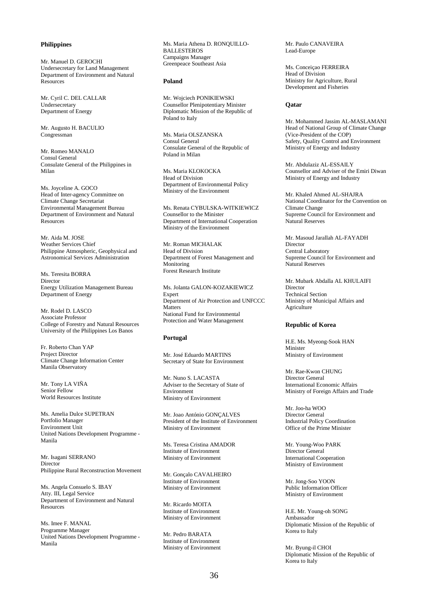# **Philippines**

Mr. Manuel D. GEROCHI Undersecretary for Land Management Department of Environment and Natural Resources

Mr. Cyril C. DEL CALLAR Undersecretary Department of Energy

Mr. Augusto H. BACULIO Congressman

Mr. Romeo MANALO Consul General Consulate General of the Philippines in Milan

Ms. Joyceline A. GOCO Head of Inter-agency Committee on Climate Change Secretariat Environmental Management Bureau Department of Environment and Natural Resources

Mr. Aida M. JOSE Weather Services Chief Philippine Atmospheric, Geophysical and Astronomical Services Administration

Ms. Teresita BORRA Director Energy Utilization Management Bureau Department of Energy

Mr. Rodel D. LASCO Associate Professor College of Forestry and Natural Resources University of the Philippines Los Banos

Fr. Roberto Chan YAP Project Director Climate Change Information Center Manila Observatory

Mr. Tony LA VIÑA Senior Fellow World Resources Institute

Ms. Amelia Dulce SUPETRAN Portfolio Manager Environment Unit United Nations Development Programme - Manila

Mr. Isagani SERRANO Director Philippine Rural Reconstruction Movement

Ms. Angela Consuelo S. IBAY Atty. III. Legal Service Department of Environment and Natural Resources

Ms. Imee F. MANAL Programme Manager United Nations Development Programme - Manila

Ms. Maria Athena D. RONQUILLO-BALLESTEROS Campaigns Manager Greenpeace Southeast Asia

#### **Poland**

Mr. Wojciech PONIKIEWSKI Counsellor Plenipotentiary Minister Diplomatic Mission of the Republic of Poland to Italy

Ms. Maria OLSZANSKA Consul General Consulate General of the Republic of Poland in Milan

Ms. Maria KLOKOCKA Head of Division Department of Environmental Policy Ministry of the Environment

Ms. Renata CYBULSKA-WITKIEWICZ Counsellor to the Minister Department of International Cooperation Ministry of the Environment

Mr. Roman MICHALAK Head of Division Department of Forest Management and Monitoring Forest Research Institute

Ms. Jolanta GALON-KOZAKIEWICZ Expert Department of Air Protection and UNFCCC **Matters** National Fund for Environmental Protection and Water Management

### **Portugal**

Mr. José Eduardo MARTINS Secretary of State for Environment

Mr. Nuno S. LACASTA Adviser to the Secretary of State of Environment Ministry of Environment

Mr. Joao António GONÇALVES President of the Institute of Environment Ministry of Environment

Ms. Teresa Cristina AMADOR Institute of Environment Ministry of Environment

Mr. Gonçalo CAVALHEIRO Institute of Environment Ministry of Environment

Mr. Ricardo MOITA Institute of Environment Ministry of Environment

Mr. Pedro BARATA Institute of Environment Ministry of Environment Mr. Paulo CANAVEIRA Lead-Europe

Ms. Conceiçao FERREIRA Head of Division Ministry for Agriculture, Rural Development and Fisheries

#### **Qatar**

Mr. Mohammed Jassim AL-MASLAMANI Head of National Group of Climate Change (Vice-President of the COP) Safety, Quality Control and Environment Ministry of Energy and Industry

Mr. Abdulaziz AL-ESSAILY Counsellor and Adviser of the Emiri Diwan Ministry of Energy and Industry

Mr. Khaled Ahmed AL-SHAJRA National Coordinator for the Convention on Climate Change Supreme Council for Environment and Natural Reserves

Mr. Masoud Jarallah AL-FAYADH Director Central Laboratory Supreme Council for Environment and Natural Reserves

Mr. Mubark Abdalla AL KHULAIFI Director Technical Section Ministry of Municipal Affairs and **Agriculture** 

#### **Republic of Korea**

H.E. Ms. Myeong-Sook HAN Minister Ministry of Environment

Mr. Rae-Kwon CHUNG Director General International Economic Affairs Ministry of Foreign Affairs and Trade

Mr. Joo-ha WOO Director General Industrial Policy Coordination Office of the Prime Minister

Mr. Young-Woo PARK Director General International Cooperation Ministry of Environment

Mr. Jong-Soo YOON Public Information Officer Ministry of Environment

H.E. Mr. Young-oh SONG Ambassador Diplomatic Mission of the Republic of Korea to Italy

Mr. Byung-il CHOI Diplomatic Mission of the Republic of Korea to Italy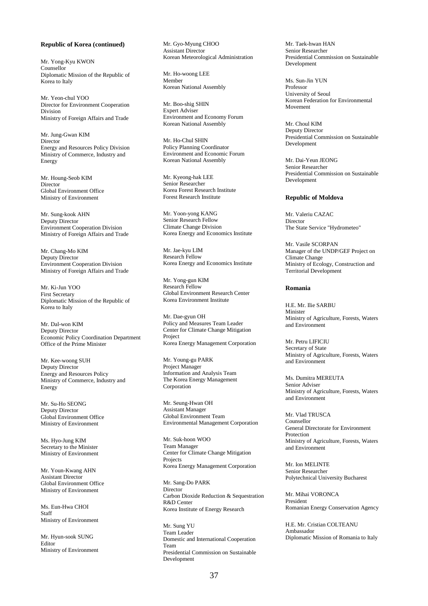#### **Republic of Korea (continued)**

Mr. Yong-Kyu KWON Counsellor Diplomatic Mission of the Republic of Korea to Italy

Mr. Yeon-chul YOO Director for Environment Cooperation Division Ministry of Foreign Affairs and Trade

Mr. Jung-Gwan KIM Director Energy and Resources Policy Division Ministry of Commerce, Industry and **Energy** 

Mr. Houng-Seob KIM Director Global Environment Office Ministry of Environment

Mr. Sung-kook AHN Deputy Director Environment Cooperation Division Ministry of Foreign Affairs and Trade

Mr. Chang-Mo KIM Deputy Director Environment Cooperation Division Ministry of Foreign Affairs and Trade

Mr. Ki-Jun YOO First Secretary Diplomatic Mission of the Republic of Korea to Italy

Mr. Dal-won KIM Deputy Director Economic Policy Coordination Department Office of the Prime Minister

Mr. Kee-woong SUH Deputy Director Energy and Resources Policy Ministry of Commerce, Industry and Energy

Mr. Su-Ho SEONG Deputy Director Global Environment Office Ministry of Environment

Ms. Hyo-Jung KIM Secretary to the Minister Ministry of Environment

Mr. Youn-Kwang AHN Assistant Director Global Environment Office Ministry of Environment

Ms. Eun-Hwa CHOI Staff Ministry of Environment

Mr. Hyun-sook SUNG Editor Ministry of Environment Mr. Gyo-Myung CHOO Assistant Director Korean Meteorological Administration

Mr. Ho-woong LEE Member Korean National Assembly

Mr. Boo-shig SHIN Expert Adviser Environment and Economy Forum Korean National Assembly

Mr. Ho-Chul SHIN Policy Planning Coordinator Environment and Economic Forum Korean National Assembly

Mr. Kyeong-hak LEE Senior Researcher Korea Forest Research Institute Forest Research Institute

Mr. Yoon-yong KANG Senior Research Fellow Climate Change Division Korea Energy and Economics Institute

Mr. Jae-kyu LIM Research Fellow Korea Energy and Economics Institute

Mr. Yong-gun KIM Research Fellow Global Environment Research Center Korea Environment Institute

Mr. Dae-gyun OH Policy and Measures Team Leader Center for Climate Change Mitigation Project Korea Energy Management Corporation

Mr. Young-gu PARK Project Manager Information and Analysis Team The Korea Energy Management Corporation

Mr. Seung-Hwan OH Assistant Manager Global Environment Team Environmental Management Corporation

Mr. Suk-hoon WOO Team Manager Center for Climate Change Mitigation Projects Korea Energy Management Corporation

Mr. Sang-Do PARK **Director** Carbon Dioxide Reduction & Sequestration R&D Center Korea Institute of Energy Research

Mr. Sung YU Team Leader Domestic and International Cooperation Team Presidential Commission on Sustainable Development

Mr. Taek-hwan HAN Senior Researcher Presidential Commission on Sustainable Development

Ms. Sun-Jin YUN Professor University of Seoul Korean Federation for Environmental Movement

Mr. Choul KIM Deputy Director Presidential Commission on Sustainable Development

Mr. Dai-Yeun JEONG Senior Researcher Presidential Commission on Sustainable Development

#### **Republic of Moldova**

Mr. Valeriu CAZAC Director The State Service "Hydrometeo"

Mr. Vasile SCORPAN Manager of the UNDP/GEF Project on Climate Change Ministry of Ecology, Construction and Territorial Development

#### **Romania**

H.E. Mr. Ilie SARBU Minister Ministry of Agriculture, Forests, Waters and Environment

Mr. Petru LIFICIU Secretary of State Ministry of Agriculture, Forests, Waters and Environment

Ms. Dumitra MEREUTA Senior Adviser Ministry of Agriculture, Forests, Waters and Environment

Mr. Vlad TRUSCA Counsellor General Directorate for Environment Protection Ministry of Agriculture, Forests, Waters and Environment

Mr. Ion MELINTE Senior Researcher Polytechnical University Bucharest

Mr. Mihai VORONCA President Romanian Energy Conservation Agency

H.E. Mr. Cristian COLTEANU Ambassador Diplomatic Mission of Romania to Italy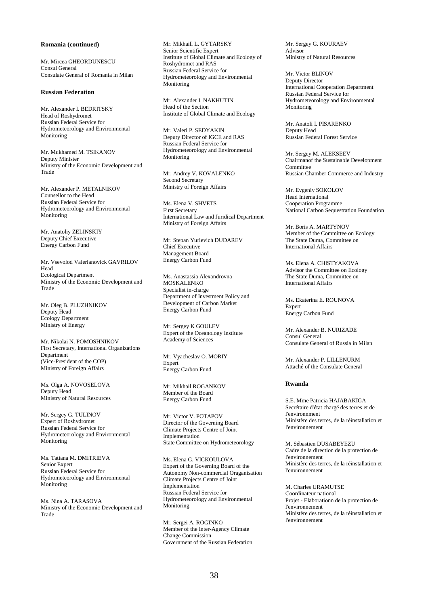#### **Romania (continued)**

Mr. Mircea GHEORDUNESCU Consul General Consulate General of Romania in Milan

#### **Russian Federation**

Mr. Alexander I. BEDRITSKY Head of Roshydromet Russian Federal Service for Hydrometeorology and Environmental Monitoring

Mr. Mukhamed M. TSIKANOV Deputy Minister Ministry of the Economic Development and Trade

Mr. Alexander P. METALNIKOV Counsellor to the Head Russian Federal Service for Hydrometeorology and Environmental **Monitoring** 

Mr. Anatoliy ZELINSKIY Deputy Chief Executive Energy Carbon Fund

Mr. Vsevolod Valerianovick GAVRILOV Head Ecological Department Ministry of the Economic Development and Trade

Mr. Oleg B. PLUZHNIKOV Deputy Head Ecology Department Ministry of Energy

Mr. Nikolai N. POMOSHNIKOV First Secretary, International Organizations Department (Vice-President of the COP) Ministry of Foreign Affairs

Ms. Olga A. NOVOSELOVA Deputy Head Ministry of Natural Resources

Mr. Sergey G. TULINOV Expert of Roshydromet Russian Federal Service for Hydrometeorology and Environmental Monitoring

Ms. Tatiana M. DMITRIEVA Senior Expert Russian Federal Service for Hydrometeorology and Environmental Monitoring

Ms. Nina A. TARASOVA Ministry of the Economic Development and Trade

Mr. Mikhaill L. GYTARSKY Senior Scientific Expert Institute of Global Climate and Ecology of Roshydromet and RAS Russian Federal Service for Hydrometeorology and Environmental Monitoring

Mr. Alexander I. NAKHUTIN Head of the Section Institute of Global Climate and Ecology

Mr. Valeri P. SEDYAKIN Deputy Director of IGCE and RAS Russian Federal Service for Hydrometeorology and Environmental Monitoring

Mr. Andrey V. KOVALENKO Second Secretary Ministry of Foreign Affairs

Ms. Elena V. SHVETS First Secretary International Law and Juridical Department Ministry of Foreign Affairs

Mr. Stepan Yurievich DUDAREV Chief Executive Management Board Energy Carbon Fund

Ms. Anastassia Alexandrovna MOSKALENKO Specialist in-charge Department of Investment Policy and Development of Carbon Market Energy Carbon Fund

Mr. Sergey K GOULEV Expert of the Oceanology Institute Academy of Sciences

Mr. Vyacheslav O. MORIY Expert Energy Carbon Fund

Mr. Mikhail ROGANKOV Member of the Board Energy Carbon Fund

Mr. Victor V. POTAPOV Director of the Governing Board Climate Projects Centre of Joint Implementation State Committee on Hydrometeorology

Ms. Elena G. VICKOULOVA Expert of the Governing Board of the Autonomy Non-commercial Oraganisation Climate Projects Centre of Joint Implementation Russian Federal Service for Hydrometeorology and Environmental **Monitoring** 

Mr. Sergei A. ROGINKO Member of the Inter-Agency Climate Change Commission Government of the Russian Federation Mr. Sergey G. KOURAEV Advisor Ministry of Natural Resources

Mr. Victor BLINOV Deputy Director International Cooperation Department Russian Federal Service for Hydrometeorology and Environmental Monitoring

Mr. Anatoli I. PISARENKO Deputy Head Russian Federal Forest Service

Mr. Sergey M. ALEKSEEV Chairmanof the Sustainable Development **Committee** Russian Chamber Commerce and Industry

Mr. Evgeniy SOKOLOV Head International Cooperation Programme National Carbon Sequestration Foundation

Mr. Boris A. MARTYNOV Member of the Committee on Ecology The State Duma, Committee on International Affairs

Ms. Elena A. CHISTYAKOVA Advisor the Committee on Ecology The State Duma, Committee on International Affairs

Ms. Ekaterina E. ROUNOVA Expert Energy Carbon Fund

Mr. Alexander B. NURIZADE Consul General Consulate General of Russia in Milan

Mr. Alexander P. LILLENURM Attaché of the Consulate General

## **Rwanda**

S.E. Mme Patricia HAJABAKIGA Secrétaire d'état chargé des terres et de l'environnment Ministère des terres, de la réinstallation et l'environnement

M. Sébastien DUSABEYEZU Cadre de la direction de la protection de l'environnement Ministère des terres, de la réinstallation et l'environnement

M. Charles URAMUTSE Coordinateur national Projet - Elaborationn de la protection de l'environnement Ministère des terres, de la réinstallation et l'environnement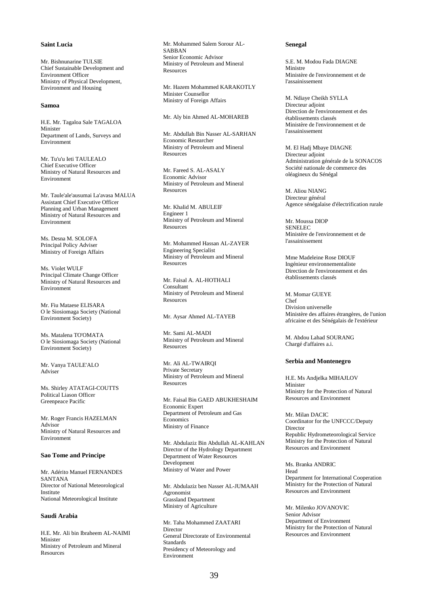# **Saint Lucia**

Mr. Bishnunarine TULSIE Chief Sustainable Development and Environment Officer Ministry of Physical Development, Environment and Housing

## **Samoa**

H.E. Mr. Tagaloa Sale TAGALOA Minister Department of Lands, Surveys and Environment

Mr. Tu'u'u Ieti TAULEALO Chief Executive Officer Ministry of Natural Resources and Environment

Mr. Taule'ale'ausumai La'avasa MALUA Assistant Chief Executive Officer Planning and Urban Management Ministry of Natural Resources and Environment

Ms. Desna M. SOLOFA Principal Policy Adviser Ministry of Foreign Affairs

Ms. Violet WULF Principal Climate Change Officer Ministry of Natural Resources and Environment

Mr. Fiu Mataese ELISARA O le Siosiomaga Society (National Environment Society)

Ms. Matalena TO'OMATA O le Siosiomaga Society (National Environment Society)

Mr. Vanya TAULE'ALO Adviser

Ms. Shirley ATATAGI-COUTTS Political Liason Officer Greenpeace Pacific

Mr. Roger Francis HAZELMAN Advisor Ministry of Natural Resources and Environment

#### **Sao Tome and Principe**

Mr. Adérito Manuel FERNANDES SANTANA Director of National Meteorological Institute National Meteorological Institute

## **Saudi Arabia**

H.E. Mr. Ali bin Ibraheem AL-NAIMI Minister Ministry of Petroleum and Mineral Resources

Mr. Mohammed Salem Sorour AL-SABBAN Senior Economic Advisor Ministry of Petroleum and Mineral Resources

Mr. Hazem Mohammed KARAKOTLY Minister Counsellor Ministry of Foreign Affairs

Mr. Aly bin Ahmed AL-MOHAREB

Mr. Abdullah Bin Nasser AL-SARHAN Economic Researcher Ministry of Petroleum and Mineral **Resources** 

Mr. Fareed S. AL-ASALY Economic Advisor Ministry of Petroleum and Mineral **Resources** 

Mr. Khalid M. ABULEIF Engineer 1 Ministry of Petroleum and Mineral Resources

Mr. Mohammed Hassan AL-ZAYER Engineering Specialist Ministry of Petroleum and Mineral **Resources** 

Mr. Faisal A. AL-HOTHALI Consultant Ministry of Petroleum and Mineral **Resources** 

Mr. Aysar Ahmed AL-TAYEB

Mr. Sami AL-MADI Ministry of Petroleum and Mineral Resources

Mr. Ali AL-TWAIRQI Private Secretary Ministry of Petroleum and Mineral **Resources** 

Mr. Faisal Bin GAED ABUKHESHAIM Economic Expert Department of Petroleum and Gas **Economics** Ministry of Finance

Mr. Abdulaziz Bin Abdullah AL-KAHLAN Director of the Hydrology Department Department of Water Resources Development Ministry of Water and Power

Mr. Abdulaziz ben Nasser AL-JUMAAH Agronomist Grassland Department Ministry of Agriculture

Mr. Taha Mohammed ZAATARI **Director** General Directorate of Environmental Standards Presidency of Meteorology and Environment

#### **Senegal**

S.E. M. Modou Fada DIAGNE Ministre Ministère de l'environnement et de l'assainissement

M. Ndiaye Cheikh SYLLA Directeur adjoint Direction de l'environnement et des établissements classés Ministère de l'environnement et de l'assainissement

M. El Hadj Mbaye DIAGNE Directeur adjoint Administration générale de la SONACOS Société nationale de commerce des oléagineux du Sénégal

M. Aliou NIANG Directeur général Agence sénégalaise d'électrification rurale

Mr. Moussa DIOP SENELEC Ministère de l'environnement et de l'assainissement

Mme Madeleine Rose DIOUF Ingénieur environnementaliste Direction de l'environnement et des établissements classés

#### M. Momar GUEYE

Chef Division universelle Ministère des affaires étrangères, de l'union africaine et des Sénégalais de l'extérieur

M. Abdou Lahad SOURANG Chargé d'affaires a.i.

#### **Serbia and Montenegro**

H.E. Ms Andjelka MIHAJLOV Minister Ministry for the Protection of Natural Resources and Environment

Mr. Milan DACIC Coordinator for the UNFCCC/Deputy Director Republic Hydrometeorological Service Ministry for the Protection of Natural Resources and Environment

Ms. Branka ANDRIC Head Department for International Cooperation Ministry for the Protection of Natural Resources and Environment

Mr. Milenko JOVANOVIC Senior Advisor Department of Environment Ministry for the Protection of Natural Resources and Environment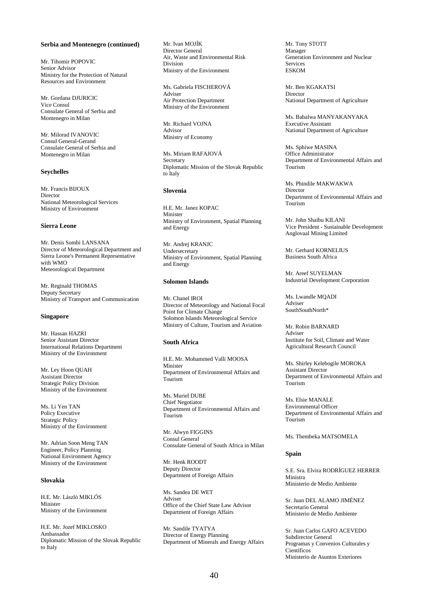#### **Serbia and Montenegro (continued)**

Mr. Tihomir POPOVIC Senior Advisor Ministry for the Protection of Natural Resources and Environment

Mr. Gordana DJURICIC Vice Consul Consulate General of Serbia and Montenegro in Milan

Mr. Milorad IVANOVIC Consul General-Gerand Consulate General of Serbia and Montenegro in Milan

## **Seychelles**

Mr. Francis BIJOUX Director National Meteorological Services Ministry of Environment

#### **Sierra Leone**

Mr. Denis Sombi LANSANA Director of Meteorological Department and Sierra Leone's Permanent Representative with WMO Meteorological Department

Mr. Reginald THOMAS Deputy Secretary Ministry of Transport and Communication

#### **Singapore**

Mr. Hassan HAZRI Senior Assistant Director International Relations Department Ministry of the Environment

Mr. Ley Hoon QUAH Assistant Director Strategic Policy Division Ministry of the Environment

Ms. Li Yen TAN Policy Executive Strategic Policy Ministry of the Environment

Mr. Adrian Soon Meng TAN Engineer, Policy Planning National Environment Agency Ministry of the Environment

#### **Slovakia**

H.E. Mr. László MIKLÓS Minister Ministry of the Environment

H.E. Mr. Jozef MIKLOSKO Ambassador Diplomatic Mission of the Slovak Republic to Italy

Mr. Ivan MOJÍK Director General Air, Waste and Environmental Risk Division Ministry of the Environment

Ms. Gabriela FISCHEROVÁ Adviser Air Protection Department Ministry of the Environment

Mr. Richard VOJNA Advisor Ministry of Economy

Ms. Miriam RAFAJOVÁ Secretary Diplomatic Mission of the Slovak Republic to Italy

#### **Slovenia**

H.E. Mr. Janez KOPAC Minister Ministry of Environment, Spatial Planning and Energy

Mr. Andrej KRANJC Undersecretary Ministry of Environment, Spatial Planning and Energy

# **Solomon Islands**

Mr. Chanel IROI Director of Meteorology and National Focal Point for Climate Change Solomon Islands Meteorological Service Ministry of Culture, Tourism and Aviation

## **South Africa**

H.E. Mr. Mohammed Valli MOOSA Minister Department of Environmental Affairs and Tourism

Ms. Muriel DUBE Chief Negotiator Department of Environmental Affairs and Tourism

Mr. Alwyn FIGGINS Consul General Consulate General of South Africa in Milan

Mr. Henk ROODT Deputy Director Department of Foreign Affairs

Ms. Sandea DE WET Adviser Office of the Chief State Law Advisor Department of Foreign Affairs

Mr. Sandile TYATYA Director of Energy Planning Department of Minerals and Energy Affairs Mr. Tony STOTT Manager Generation Environment and Nuclear Services ESKOM

Mr. Ben KGAKATSI Director National Department of Agriculture

Ms. Babalwa MANYAKANYAKA Executive Assistant National Department of Agriculture

Ms. Sphiwe MASINA Office Administrator Department of Environmental Affairs and Tourism

Ms. Phindile MAKWAKWA Director Department of Environmental Affairs and Tourism

Mr. John Shaibu KILANI Vice President - Sustainable Development Anglovaal Mining Limited

Mr. Gerhard KORNELIUS Business South Africa

Mr. Areef SUYELMAN Industrial Development Corporation

Ms. Lwandle MQADI Adviser SouthSouthNorth\*

Mr. Robin BARNARD Adviser Institute for Soil, Climate and Water Agricultural Research Council

Ms. Shirley Kelebogile MOROKA Assistant Director Department of Environmental Affairs and Tourism

Ms. Elsie MANALE Environmental Officer Department of Environmental Affairs and Tourism

Ms. Thembeka MATSOMELA

#### **Spain**

S.E. Sra. Elvira RODRÍGUEZ HERRER Ministra Ministerio de Medio Ambiente

Sr. Juan DEL ALAMO JIMÉNEZ Secretario General Ministerio de Medio Ambiente

Sr. Juan Carlos GAFO ACEVEDO Subdirector General Programas y Convenios Culturales y **Científicos** Ministerio de Asuntos Exteriores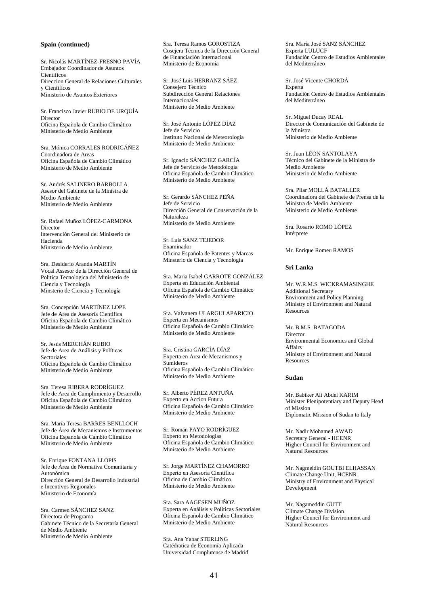#### **Spain (continued)**

Sr. Nicolás MARTÍNEZ-FRESNO PAVÍA Embajador Coordinador de Asuntos Científicos Direccion General de Relaciones Culturales y Cientificos Ministerio de Asuntos Exteriores

Sr. Francisco Javier RUBIO DE URQUÍA Director Oficina Española de Cambio Climático Ministerio de Medio Ambiente

Sra. Mónica CORRALES RODRIGÁÑEZ Coordinadora de Areas Oficina Española de Cambio Climático Ministerio de Medio Ambiente

Sr. Andrés SALINERO BARBOLLA Asesor del Gabinete de la Ministra de Medio Ambiente Ministerio de Medio Ambiente

Sr. Rafael Muñoz LÓPEZ-CARMONA Director Intervención General del Ministerio de Hacienda Ministerio de Medio Ambiente

Sra. Desiderio Aranda MARTÍN Vocal Assesor de la Dirección General de Politica Tecnologica del Ministerio de Ciencia y Tecnologia Minsterio de Ciencia y Tecnología

Sra. Concepción MARTÍNEZ LOPE Jefe de Area de Asesoría Científica Oficina Española de Cambio Climático Ministerio de Medio Ambiente

Sr. Jesús MERCHÁN RUBIO Jefe de Area de Análisis y Políticas Sectoriales Oficina Española de Cambio Climático Ministerio de Medio Ambiente

Sra. Teresa RIBERA RODRÍGUEZ Jefe de Area de Cumplimiento y Desarrollo Oficina Española de Cambio Climático Ministerio de Medio Ambiente

Sra. María Teresa BARRES BENLLOCH Jefe de Área de Mecanismos e Instrumentos Oficina Espanola de Cambio Climático Ministerio de Medio Ambiente

Sr. Enrique FONTANA LLOPIS Jefe de Área de Normativa Comunitaria y Autonómica Dirección General de Desarrollo Industrial e Incentivos Regionales Ministerio de Economía

Sra. Carmen SÁNCHEZ SANZ Directora de Programa Gabinete Técnico de la Secretaría General de Medio Ambiente Ministerio de Medio Ambiente

Sra. Teresa Ramos GOROSTIZA Cosejera Técnica de la Dirección General de Financiación Internacional Ministerio de Economía

Sr. José Luis HERRANZ SÁEZ Consejero Técnico Subdirección General Relaciones Internacionales Ministerio de Medio Ambiente

Sr. José Antonio LÓPEZ DÍAZ Jefe de Servicio Instituto Nacional de Meteorologia Ministerio de Medio Ambiente

Sr. Ignacio SÁNCHEZ GARCÍA Jefe de Servicio de Metodología Oficina Española de Cambio Climático Ministerio de Medio Ambiente

Sr. Gerardo SÁNCHEZ PEÑA Jefe de Servicio Dirección General de Conservación de la Naturaleza Ministerio de Medio Ambiente

Sr. Luis SANZ TEJEDOR Examinador Oficina Española de Patentes y Marcas Minsterio de Ciencia y Tecnología

Sra. Maria Isabel GARROTE GONZÁLEZ Experta en Educación Ambiental Oficina Española de Cambio Climático Ministerio de Medio Ambiente

Sra. Valvanera ULARGUI APARICIO Experta en Mecanismos Oficina Española de Cambio Climático Ministerio de Medio Ambiente

Sra. Cristina GARCÍA DÍAZ Experta en Area de Mecanismos y Sumideros Oficina Española de Cambio Climático Ministerio de Medio Ambiente

Sr. Alberto PÉREZ ANTUÑA Experto en Accion Futura Oficina Española de Cambio Climático Ministerio de Medio Ambiente

Sr. Román PAYO RODRÍGUEZ Experto en Metodologías Oficina Española de Cambio Climático Ministerio de Medio Ambiente

Sr. Jorge MARTÍNEZ CHAMORRO Experto en Asesoría Científica Oficina de Cambio Climático Ministerio de Medio Ambiente

Sra. Sara AAGESEN MUÑOZ Experta en Análisis y Políticas Sectoriales Oficina Española de Cambio Climático Ministerio de Medio Ambiente

Sra. Ana Yabar STERLING Catédratica de Economía Aplicada Universidad Complutense de Madrid Sra. María José SANZ SÁNCHEZ Experta LULUCF Fundación Centro de Estudios Ambientales del Mediterráneo

Sr. José Vicente CHORDÁ Experta Fundación Centro de Estudios Ambientales del Mediterráneo

Sr. Miguel Ducay REAL Director de Comunicación del Gabinete de la Ministra Ministerio de Medio Ambiente

Sr. Juan LÉON SANTOLAYA Técnico del Gabinete de la Ministra de Medio Ambiente Ministerio de Medio Ambiente

Sra. Pilar MOLLÁ BATALLER Coordinadora del Gabinete de Prensa de la Ministra de Medio Ambiente Ministerio de Medio Ambiente

Sra. Rosario ROMO LÓPEZ Intérprete

Mr. Enrique Romeu RAMOS

#### **Sri Lanka**

Mr. W.R.M.S. WICKRAMASINGHE Additional Secretary Environment and Policy Planning Ministry of Environment and Natural **Resources** 

Mr. B.M.S. BATAGODA Director Environmental Economics and Global Affairs Ministry of Environment and Natural Resources

## **Sudan**

Mr. Babiker Ali Abdel KARIM Minister Plenipotentiary and Deputy Head of Mission Diplomatic Mission of Sudan to Italy

Mr. Nadir Mohamed AWAD Secretary General - HCENR Higher Council for Environment and Natural Resources

Mr. Nagmeldin GOUTBI ELHASSAN Climate Change Unit, HCENR Ministry of Environment and Physical Development

Mr. Nagameddin GUTT Climate Change Division Higher Council for Environment and Natural Resources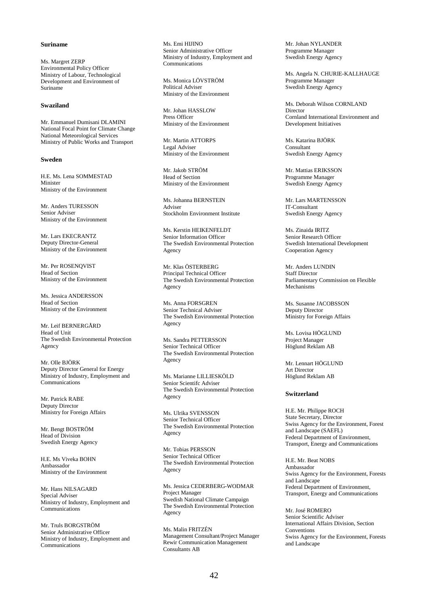#### **Suriname**

Ms. Margret ZERP Environmental Policy Officer Ministry of Labour, Technological Development and Environment of Suriname

#### **Swaziland**

Mr. Emmanuel Dumisani DLAMINI National Focal Point for Climate Change National Meteorological Services Ministry of Public Works and Transport

#### **Sweden**

H.E. Ms. Lena SOMMESTAD Minister Ministry of the Environment

Mr. Anders TURESSON Senior Adviser Ministry of the Environment

Mr. Lars EKECRANTZ Deputy Director-General Ministry of the Environment

Mr. Per ROSENQVIST Head of Section Ministry of the Environment

Ms. Jessica ANDERSSON Head of Section Ministry of the Environment

Mr. Leif BERNERGÅRD Head of Unit The Swedish Environmental Protection Agency

Mr. Olle BJÖRK Deputy Director General for Energy Ministry of Industry, Employment and **Communications** 

Mr. Patrick RABE Deputy Director Ministry for Foreign Affairs

Mr. Bengt BOSTRÖM Head of Division Swedish Energy Agency

H.E. Ms Viveka BOHN Ambassador Ministry of the Environment

Mr. Hans NILSAGARD Special Adviser Ministry of Industry, Employment and **Communications** 

Mr. Truls BORGSTRÖM Senior Administrative Officer Ministry of Industry, Employment and Communications

Ms. Emi HIJINO Senior Administrative Officer Ministry of Industry, Employment and Communications

Ms. Monica LÖVSTRÖM Political Adviser Ministry of the Environment

Mr. Johan HASSLOW Press Officer Ministry of the Environment

Mr. Martin ATTORPS Legal Adviser Ministry of the Environment

Mr. Jakob STRÖM Head of Section Ministry of the Environment

Ms. Johanna BERNSTEIN Adviser Stockholm Environment Institute

Ms. Kerstin HEIKENFELDT Senior Information Officer The Swedish Environmental Protection Agency

Mr. Klas ÖSTERBERG Principal Technical Officer The Swedish Environmental Protection Agency

Ms. Anna FORSGREN Senior Technical Adviser The Swedish Environmental Protection Agency

Ms. Sandra PETTERSSON Senior Technical Officer The Swedish Environmental Protection Agency

Ms. Marianne LILLIESKÖLD Senior Scientifc Adviser The Swedish Environmental Protection Agency

Ms. Ulrika SVENSSON Senior Technical Officer The Swedish Environmental Protection Agency

Mr. Tobias PERSSON Senior Technical Officer The Swedish Environmental Protection Agency

Ms. Jessica CEDERBERG-WODMAR Project Manager Swedish National Climate Campaign The Swedish Environmental Protection Agency

Ms. Malin FRITZÉN Management Consultant/Project Manager Rewir Communication Management Consultants AB

Mr. Johan NYLANDER Programme Manager Swedish Energy Agency

Ms. Angela N. CHURIE-KALLHAUGE Programme Manager Swedish Energy Agency

Ms. Deborah Wilson CORNLAND Director Cornland International Environment and Development Initiatives

Ms. Katarina BJÖRK Consultant Swedish Energy Agency

Mr. Mattias ERIKSSON Programme Manager Swedish Energy Agency

Mr. Lars MARTENSSON IT-Consultant Swedish Energy Agency

Ms. Zinaida IRITZ Senior Research Officer Swedish International Development Cooperation Agency

Mr. Anders LUNDIN Staff Director Parliamentary Commission on Flexible Mechanisms

Ms. Susanne JACOBSSON Deputy Director Ministry for Foreign Affairs

Ms. Lovisa HÖGLUND Project Manager Höglund Reklam AB

Mr. Lennart HÖGLUND Art Director Höglund Reklam AB

#### **Switzerland**

H.E. Mr. Philippe ROCH State Secretary, Director Swiss Agency for the Environment, Forest and Landscape (SAEFL) Federal Department of Environment, Transport, Energy and Communications

H.E. Mr. Beat NOBS Ambassador Swiss Agency for the Environment, Forests and Landscape Federal Department of Environment, Transport, Energy and Communications

Mr. José ROMERO Senior Scientific Adviser International Affairs Division, Section Conventions Swiss Agency for the Environment, Forests and Landscape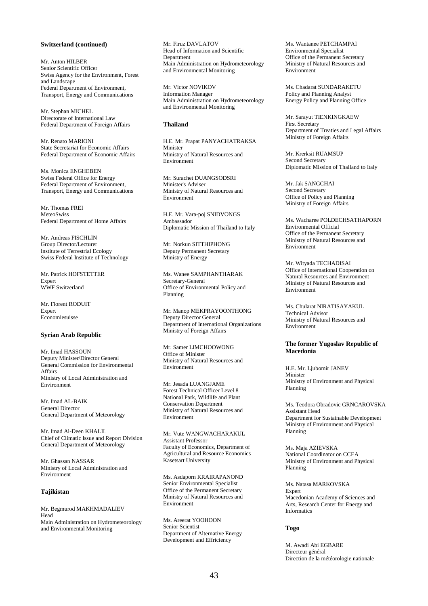#### **Switzerland (continued)**

Mr. Anton HILBER Senior Scientific Officer Swiss Agency for the Environment, Forest and Landscape Federal Department of Environment, Transport, Energy and Communications

Mr. Stephan MICHEL Directorate of International Law Federal Department of Foreign Affairs

Mr. Renato MARIONI State Secretariat for Economic Affairs Federal Department of Economic Affairs

Ms. Monica ENGHEBEN Swiss Federal Office for Energy Federal Department of Environment, Transport, Energy and Communications

Mr. Thomas FREI MeteoSwiss Federal Department of Home Affairs

Mr. Andreas FISCHLIN Group Director/Lecturer Institute of Terrestrial Ecology Swiss Federal Institute of Technology

Mr. Patrick HOFSTETTER Expert WWF Switzerland

Mr. Florent RODUIT Expert Economiesuisse

#### **Syrian Arab Republic**

Mr. Imad HASSOUN Deputy Minister/Director General General Commission for Environmental Affairs Ministry of Local Administration and Environment

Mr. Imad AL-BAIK General Director General Department of Meteorology

Mr. Imad Al-Deen KHALIL Chief of Climatic Issue and Report Division General Department of Meteorology

Mr. Ghassan NASSAR Ministry of Local Administration and Environment

#### **Tajikistan**

Mr. Begmurod MAKHMADALIEV Head Main Administration on Hydrometeorology and Environmental Monitoring

Mr. Firuz DAVLATOV Head of Information and Scientific **Department** Main Administration on Hydrometeorology and Environmental Monitoring

Mr. Victor NOVIKOV Information Manager Main Administration on Hydrometeorology and Environmental Monitoring

# **Thailand**

H.E. Mr. Prapat PANYACHATRAKSA Minister Ministry of Natural Resources and Environment

Mr. Surachet DUANGSODSRI Minister's Adviser Ministry of Natural Resources and Environment

H.E. Mr. Vara-poj SNIDVONGS Ambassador Diplomatic Mission of Thailand to Italy

Mr. Norkun SITTHIPHONG Deputy Permanent Secretary Ministry of Energy

Ms. Wanee SAMPHANTHARAK Secretary-General Office of Environmental Policy and Planning

Mr. Manop MEKPRAYOONTHONG Deputy Director General Department of International Organizations Ministry of Foreign Affairs

Mr. Samer LIMCHOOWONG Office of Minister Ministry of Natural Resources and Environment

Mr. Jesada LUANGJAME Forest Technical Officer Level 8 National Park, Wildlife and Plant Conservation Department Ministry of Natural Resources and Environment

Mr. Vute WANGWACHARAKUL Assistant Professor Faculty of Economics, Department of Agricultural and Resource Economics Kasetsart University

Ms. Asdaporn KRAIRAPANOND Senior Environmental Specialist Office of the Permanent Secretary Ministry of Natural Resources and Environment

Ms. Areerat YOOHOON Senior Scientist Department of Alternative Energy Development and Effriciency

Ms. Wantanee PETCHAMPAI Environmental Specialist Office of the Permanent Secretary Ministry of Natural Resources and Environment

Ms. Chadarat SUNDARAKETU Policy and Planning Analyst Energy Policy and Planning Office

Mr. Sarayut TIENKINGKAEW First Secretary Department of Treaties and Legal Affairs Ministry of Foreign Affairs

Mr. Krerksit RUAMSUP Second Secretary Diplomatic Mission of Thailand to Italy

Mr. Jak SANGCHAI Second Secretary Office of Policy and Planning Ministry of Foreign Affairs

Ms. Wacharee POLDECHSATHAPORN Environmental Official Office of the Permanent Secretary Ministry of Natural Resources and Environment

Mr. Wityada TECHADISAI Office of International Cooperation on Natural Resources and Environment Ministry of Natural Resources and Environment

Ms. Chularat NIRATISAYAKUL Technical Advisor Ministry of Natural Resources and Environment

#### **The former Yugoslav Republic of Macedonia**

H.E. Mr. Ljubomir JANEV Minister Ministry of Environment and Physical Planning

Ms. Teodora Obradovic GRNCAROVSKA Assistant Head Department for Sustainable Development Ministry of Environment and Physical Planning

Ms. Maja AZIEVSKA National Coordinator on CCEA Ministry of Environment and Physical Planning

Ms. Natasa MARKOVSKA Expert Macedonian Academy of Sciences and Arts, Research Center for Energy and Informatics

## **Togo**

M. Awadi Abi EGBARE Directeur général Direction de la météorologie nationale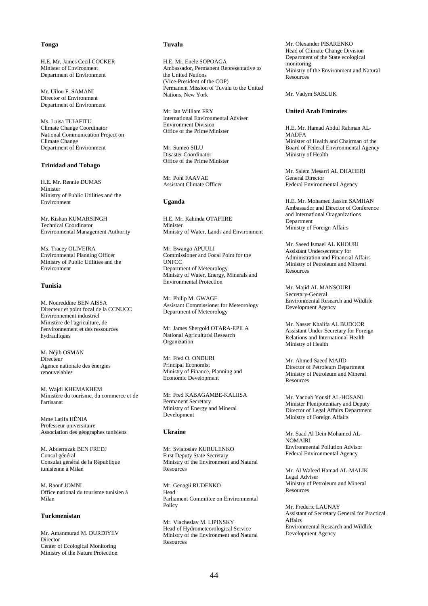## **Tonga**

H.E. Mr. James Cecil COCKER Minister of Environment Department of Environment

Mr. Uilou F. SAMANI Director of Environment Department of Environment

Ms. Luisa TUIAFITU Climate Change Coordinator National Communication Project on Climate Change Department of Environment

#### **Trinidad and Tobago**

H.E. Mr. Rennie DUMAS Minister Ministry of Public Utilities and the Environment

Mr. Kishan KUMARSINGH Technical Coordinator Environmental Management Authority

Ms. Tracey OLIVEIRA Environmental Planning Officer Ministry of Public Utilities and the Environment

#### **Tunisia**

M. Noureddine BEN AISSA Directeur et point focal de la CCNUCC Environnement industriel Ministère de l'agriculture, de l'environnement et des ressources hydrauliques

M. Néjib OSMAN Directeur Agence nationale des énergies renouvelables

M. Wajdi KHEMAKHEM Ministère du tourisme, du commerce et de l'artisanat

Mme Latifa HÉNIA Professeur universitaire Association des géographes tunisiens

M. Abderrazak BEN FREDJ Consul général Consulat général de la République tunisienne à Milan

M. Raouf JOMNI Office national du tourisme tunisien à Milan

# **Turkmenistan**

Mr. Amanmurad M. DURDIYEV Director Center of Ecological Monitoring Ministry of the Nature Protection

#### **Tuvalu**

H.E. Mr. Enele SOPOAGA Ambassador, Permanent Representative to the United Nations (Vice-President of the COP) Permanent Mission of Tuvalu to the United Nations, New York

Mr. Ian William FRY International Environmental Adviser Environment Division Office of the Prime Minister

Mr. Sumeo SILU Disaster Coordinator Office of the Prime Minister

Mr. Poni FAAVAE Assistant Climate Officer

## **Uganda**

H.E. Mr. Kahinda OTAFIIRE Minister Ministry of Water, Lands and Environment

Mr. Bwango APUULI Commissioner and Focal Point for the UNFCC Department of Meteorology Ministry of Water, Energy, Minerals and Environmental Protection

Mr. Philip M. GWAGE Assistant Commissioner for Meteorology Department of Meteorology

Mr. James Shergold OTARA-EPILA National Agricultural Research Organization

Mr. Fred O. ONDURI Principal Economist Ministry of Finance, Planning and Economic Development

Mr. Fred KABAGAMBE-KALIISA Permanent Secretary Ministry of Energy and Mineral Development

#### **Ukraine**

Mr. Sviatoslav KURULENKO First Deputy State Secretary Ministry of the Environment and Natural Resources

Mr. Genagii RUDENKO Head Parliament Committee on Environmental Policy

Mr. Viacheslav M. LIPINSKY Head of Hydrometeorological Service Ministry of the Environment and Natural Resources

Mr. Olexander PISARENKO Head of Climate Change Division Department of the State ecological monitoring Ministry of the Environment and Natural **Resources** 

Mr. Vadym SABLUK

#### **United Arab Emirates**

H.E. Mr. Hamad Abdul Rahman AL-MADFA Minister of Health and Chairman of the Board of Federal Environmental Agency Ministry of Health

Mr. Salem Mesarri AL DHAHERI General Director Federal Environmental Agency

H.E. Mr. Mohamed Jassim SAMHAN Ambassador and Director of Conference and International Oraganizations **Department** Ministry of Foreign Affairs

Mr. Saeed Ismael AL KHOURI Assistant Undersecretary for Administration and Financial Affairs Ministry of Petroleum and Mineral **Resources** 

Mr. Majid AL MANSOURI Secretary-General Environmental Research and Wildlife Development Agency

Mr. Nasser Khalifa AL BUDOOR Assistant Under-Secretary for Foreign Relations and International Health Ministry of Health

Mr. Ahmed Saeed MAJID Director of Petroleum Department Ministry of Petroleum and Mineral Resources

Mr. Yacoub Yousif AL-HOSANI Minister Plenipotentiary and Deputy Director of Legal Affairs Department Ministry of Foreign Affairs

Mr. Saad Al Dein Mohamed AL-NOMAIRI Environmental Pollution Advisor Federal Environmental Agency

Mr. Al Waleed Hamad AL-MALIK Legal Adviser Ministry of Petroleum and Mineral Resources

Mr. Frederic LAUNAY Assistant of Secretary General for Practical Affairs Environmental Research and Wildlife Development Agency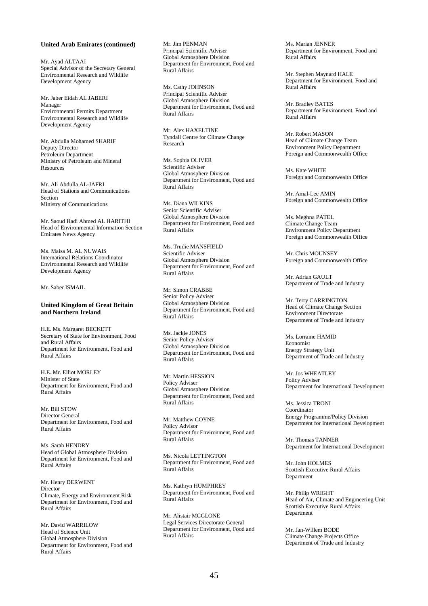#### **United Arab Emirates (continued)**

Mr. Ayad ALTAAI Special Advisor of the Secretary General Environmental Research and Wildlife Development Agency

Mr. Jaber Eidah AL JABERI Manager Environmental Permits Department Environmental Research and Wildlife Development Agency

Mr. Abdulla Mohamed SHARIF Deputy Director Petroleum Department Ministry of Petroleum and Mineral **Resources** 

Mr. Ali Abdulla AL-JAFRI Head of Stations and Communications Section Ministry of Communications

Mr. Saoud Hadi Ahmed AL HARITHI Head of Environmental Information Section Emirates News Agency

Ms. Maisa M. AL NUWAIS International Relations Coordinator Environmental Research and Wildlife Development Agency

Mr. Saber ISMAIL

#### **United Kingdom of Great Britain and Northern Ireland**

H.E. Ms. Margaret BECKETT Secretary of State for Environment, Food and Rural Affairs Department for Environment, Food and Rural Affairs

H.E. Mr. Elliot MORLEY Minister of State Department for Environment, Food and Rural Affairs

Mr. Bill STOW Director General Department for Environment, Food and Rural Affairs

Ms. Sarah HENDRY Head of Global Atmosphere Division Department for Environment, Food and Rural Affairs

Mr. Henry DERWENT Director Climate, Energy and Environment Risk Department for Environment, Food and Rural Affairs

Mr. David WARRILOW Head of Science Unit Global Atmosphere Division Department for Environment, Food and Rural Affairs

Mr. Jim PENMAN Principal Scientific Adviser Global Atmosphere Division Department for Environment, Food and Rural Affairs

Ms. Cathy JOHNSON Principal Scientific Adviser Global Atmosphere Division Department for Environment, Food and Rural Affairs

Mr. Alex HAXELTINE Tyndall Centre for Climate Change Research

Ms. Sophia OLIVER Scientific Adviser Global Atmosphere Division Department for Environment, Food and Rural Affairs

Ms. Diana WILKINS Senior Scientific Adviser Global Atmosphere Division Department for Environment, Food and Rural Affairs

Ms. Trudie MANSFIELD Scientific Adviser Global Atmosphere Division Department for Environment, Food and Rural Affairs

Mr. Simon CRABBE Senior Policy Adviser Global Atmosphere Division Department for Environment, Food and Rural Affairs

Ms. Jackie JONES Senior Policy Adviser Global Atmosphere Division Department for Environment, Food and Rural Affairs

Mr. Martin HESSION Policy Adviser Global Atmosphere Division Department for Environment, Food and Rural Affairs

Mr. Matthew COYNE Policy Advisor Department for Environment, Food and Rural Affairs

Ms. Nicola LETTINGTON Department for Environment, Food and Rural Affairs

Ms. Kathryn HUMPHREY Department for Environment, Food and Rural Affairs

Mr. Alistair MCGLONE Legal Services Directorate General Department for Environment, Food and Rural Affairs

Ms. Marian JENNER Department for Environment, Food and Rural Affairs

Mr. Stephen Maynard HALE Department for Environment, Food and Rural Affairs

Mr. Bradley BATES Department for Environment, Food and Rural Affairs

Mr. Robert MASON Head of Climate Change Team Environment Policy Department Foreign and Commonwealth Office

Ms. Kate WHITE Foreign and Commonwealth Office

Mr. Amal-Lee AMIN Foreign and Commonwealth Office

Ms. Meghna PATEL Climate Change Team Environment Policy Department Foreign and Commonwealth Office

Mr. Chris MOUNSEY Foreign and Commonwealth Office

Mr. Adrian GAULT Department of Trade and Industry

Mr. Terry CARRINGTON Head of Climate Change Section Environment Directorate Department of Trade and Industry

Ms. Lorraine HAMID Economist Energy Strategy Unit Department of Trade and Industry

Mr. Jos WHEATLEY Policy Adviser Department for International Development

Ms. Jessica TRONI Coordinator Energy Programme/Policy Division Department for International Development

Mr. Thomas TANNER Department for International Development

Mr. John HOLMES Scottish Executive Rural Affairs Department

Mr. Philip WRIGHT Head of Air, Climate and Engineering Unit Scottish Executive Rural Affairs Department

Mr. Jan-Willem BODE Climate Change Projects Office Department of Trade and Industry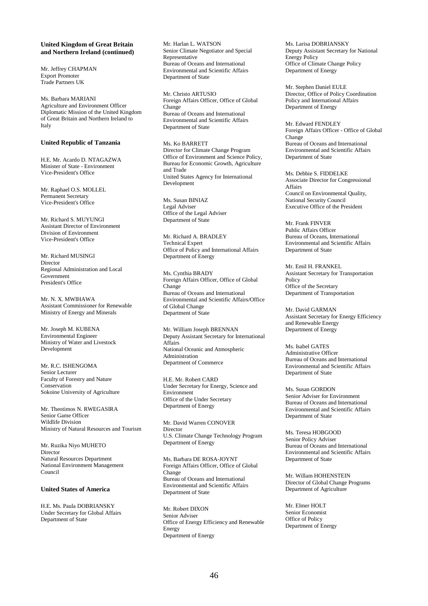## **United Kingdom of Great Britain and Northern Ireland (continued)**

Mr. Jeffrey CHAPMAN Export Promoter Trade Partners UK

Ms. Barbara MARIANI Agriculture and Environment Officer Diplomatic Mission of the United Kingdom of Great Britain and Northern Ireland to Italy

## **United Republic of Tanzania**

H.E. Mr. Acardo D. NTAGAZWA Minister of State - Environment Vice-President's Office

Mr. Raphael O.S. MOLLEL Permanent Secretary Vice-President's Office

Mr. Pichard S. MHVHNGI Assistant Director of Environment Division of Environment Vice-President's Office

Mr. Richard MUSINGI Director Regional Administration and Local Government President's Office

Mr. N. X. MWIHAWA Assistant Commissioner for Renewable Ministry of Energy and Minerals

Mr. Joseph M. KUBENA Environmental Engineer Ministry of Water and Livestock Development

Mr. R.C. ISHENGOMA Senior Lecturer Faculty of Forestry and Nature Conservation Sokoine University of Agriculture

Mr. Theotimos N. RWEGASIRA Senior Game Officer Wildlife Division Ministry of Natural Resources and Tourism

Mr. Ruzika Niyo MUHETO Director Natural Resources Department National Environment Management Council

# **United States of America**

H.E. Ms. Paula DOBRIANSKY Under Secretary for Global Affairs Department of State

Mr. Harlan L. WATSON Senior Climate Negotiator and Special Representative Bureau of Oceans and International Environmental and Scientific Affairs Department of State

Mr. Christo ARTUSIO Foreign Affairs Officer, Office of Global Change Bureau of Oceans and International Environmental and Scientific Affairs Department of State

Ms. Ko BARRETT Director for Climate Change Program Office of Environment and Science Policy, Bureau for Economic Growth, Agriculture and Trade United States Agency for International Development

Ms. Susan BINIAZ Legal Adviser Office of the Legal Adviser Department of State

Mr. Richard A. BRADLEY Technical Expert Office of Policy and International Affairs Department of Energy

Ms. Cynthia BRADY Foreign Affairs Officer, Office of Global Change Bureau of Oceans and International Environmental and Scientific Affairs/Office of Global Change Department of State

Mr. William Joseph BRENNAN Deputy Assistant Secretary for International Affairs National Oceanic and Atmospheric Administration Department of Commerce

H.E. Mr. Robert CARD Under Secretary for Energy, Science and Environment Office of the Under Secretary Department of Energy

Mr. David Warren CONOVER Director U.S. Climate Change Technology Program Department of Energy

Ms. Barbara DE ROSA-JOYNT Foreign Affairs Officer, Office of Global Change Bureau of Oceans and International Environmental and Scientific Affairs Department of State

Mr. Robert DIXON Senior Adviser Office of Energy Efficiency and Renewable **Energy** Department of Energy

Ms. Larisa DOBRIANSKY Deputy Assistant Secretary for National Energy Policy Office of Climate Change Policy Department of Energy

Mr. Stephen Daniel EULE Director, Office of Policy Coordination Policy and International Affairs Department of Energy

Mr. Edward FENDLEY Foreign Affairs Officer - Office of Global Change Bureau of Oceans and International Environmental and Scientific Affairs Department of State

Ms. Debbie S. FIDDELKE Associate Director for Congressional Affairs Council on Environmental Quality, National Security Council Executive Office of the President

Mr. Frank FINVER Public Affairs Officer Bureau of Oceans, International Environmental and Scientific Affairs Department of State

Mr. Emil H. FRANKEL Assistant Secretary for Transportation Policy Office of the Secretary Department of Transportation

Mr. David GARMAN Assistant Secretary for Energy Efficiency and Renewable Energy Department of Energy

Ms. Isabel GATES Administrative Officer Bureau of Oceans and International Environmental and Scientific Affairs Department of State

Ms. Susan GORDON Senior Adviser for Environment Bureau of Oceans and International Environmental and Scientific Affairs Department of State

Ms. Teresa HOBGOOD Senior Policy Adviser Bureau of Oceans and International Environmental and Scientific Affairs Department of State

Mr. Willam HOHENSTEIN Director of Global Change Programs Department of Agriculture

Mr. Elmer HOLT Senior Economist Office of Policy Department of Energy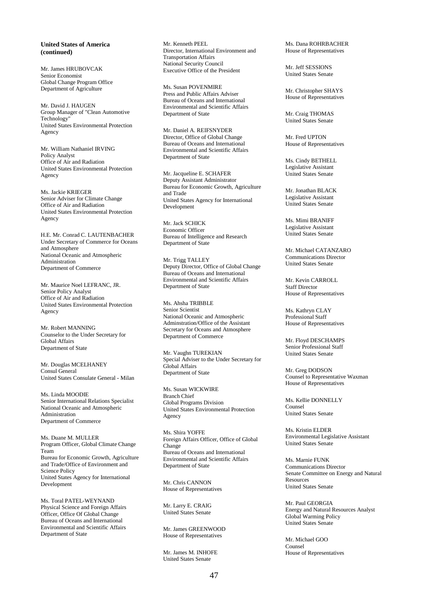# **United States of America (continued)**

Mr. James HRUBOVCAK Senior Economist Global Change Program Office Department of Agriculture

Mr. David J. HAUGEN Group Manager of "Clean Automotive Technology" United States Environmental Protection Agency

Mr. William Nathaniel IRVING Policy Analyst Office of Air and Radiation United States Environmental Protection Agency

Ms. Jackie KRIEGER Senior Adviser for Climate Change Office of Air and Radiation United States Environmental Protection Agency

H.E. Mr. Conrad C. LAUTENBACHER Under Secretary of Commerce for Oceans and Atmosphere National Oceanic and Atmospheric Administration Department of Commerce

Mr. Maurice Noel LEFRANC, JR. Senior Policy Analyst Office of Air and Radiation United States Environmental Protection Agency

Mr. Robert MANNING Counselor to the Under Secretary for Global Affairs Department of State

Mr. Douglas MCELHANEY Consul General United States Consulate General - Milan

Ms. Linda MOODIE Senior International Relations Specialist National Oceanic and Atmospheric Administration Department of Commerce

Ms. Duane M. MULLER Program Officer, Global Climate Change Team Bureau for Economic Growth, Agriculture and Trade/Office of Environment and Science Policy United States Agency for International Development

Ms. Toral PATEL-WEYNAND Physical Science and Foreign Affairs Officer, Office Of Global Change Bureau of Oceans and International Environmental and Scientific Affairs Department of State

Mr. Kenneth PEEL Director, International Environment and Transportation Affairs National Security Council Executive Office of the President

Ms. Susan POVENMIRE Press and Public Affairs Adviser Bureau of Oceans and International Environmental and Scientific Affairs Department of State

Mr. Daniel A. REIFSNYDER Director, Office of Global Change Bureau of Oceans and International Environmental and Scientific Affairs Department of State

Mr. Jacqueline E. SCHAFER Deputy Assistant Administrator Bureau for Economic Growth, Agriculture and Trade United States Agency for International Development

Mr. Jack SCHICK Economic Officer Bureau of Intelligence and Research Department of State

Mr. Trigg TALLEY Deputy Director, Office of Global Change Bureau of Oceans and International Environmental and Scientific Affairs Department of State

Ms. Ahsha TRIBBLE Senior Scientist National Oceanic and Atmospheric Adminstration/Office of the Assistant Secretary for Oceans and Atmosphere Department of Commerce

Mr. Vaughn TUREKIAN Special Adviser to the Under Secretary for Global Affairs Department of State

Ms. Susan WICKWIRE Branch Chief Global Programs Division United States Environmental Protection Agency

Ms. Shira YOFFE Foreign Affairs Officer, Office of Global Change Bureau of Oceans and International Environmental and Scientific Affairs Department of State

Mr. Chris CANNON House of Representatives

Mr. Larry E. CRAIG United States Senate

Mr. James GREENWOOD House of Representatives

Mr. James M. INHOFE United States Senate

Ms. Dana ROHRBACHER House of Representatives

Mr. Jeff SESSIONS United States Senate

Mr. Christopher SHAYS House of Representatives

Mr. Craig THOMAS United States Senate

Mr. Fred UPTON House of Representatives

Ms. Cindy BETHELL Legislative Assistant United States Senate

Mr. Jonathan BLACK Legislative Assistant United States Senate

Ms. Mimi BRANIFF Legislative Assistant United States Senate

Mr. Michael CATANZARO Communications Director United States Senate

Mr. Kevin CARROLL Staff Director House of Representatives

Ms. Kathryn CLAY Professional Staff House of Representatives

Mr. Floyd DESCHAMPS Senior Professional Staff United States Senate

Mr. Greg DODSON Counsel to Representative Waxman House of Representatives

Ms. Kellie DONNELLY Counsel United States Senate

Ms. Kristin ELDER Environmental Legislative Assistant United States Senate

Ms. Marnie FUNK Communications Director Senate Committee on Energy and Natural **Resources** United States Senate

Mr. Paul GEORGIA Energy and Natural Resources Analyst Global Warming Policy United States Senate

Mr. Michael GOO Counsel House of Representatives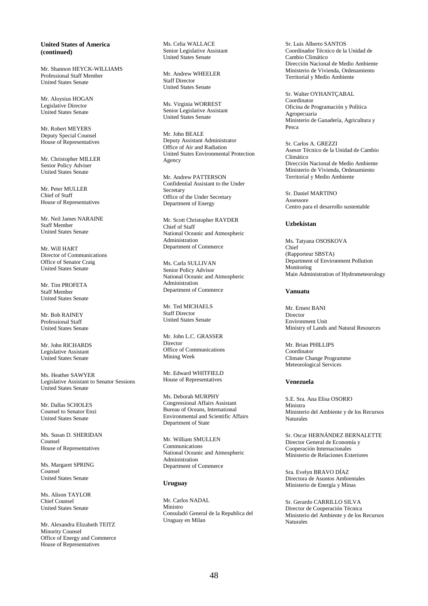## **United States of America (continued)**

Mr. Shannon HEYCK-WILLIAMS Professional Staff Member United States Senate

Mr. Aloysius HOGAN Legislative Director United States Senate

Mr. Robert MEYERS Deputy Special Counsel House of Representatives

Mr. Christopher MILLER Senior Policy Adviser United States Senate

Mr. Peter MULLER Chief of Staff House of Representatives

Mr. Neil James NARAINE Staff Member United States Senate

Mr. Will HART Director of Communications Office of Senator Craig United States Senate

Mr. Tim PROFETA Staff Member United States Senate

Mr. Bob RAINEY Professional Staff United States Senate

Mr. John RICHARDS Legislative Assistant United States Senate

Ms. Heather SAWYER Legislative Assistant to Senator Sessions United States Senate

Mr. Dallas SCHOLES Counsel to Senator Enzi United States Senate

Ms. Susan D. SHERIDAN Counsel House of Representatives

Ms. Margaret SPRING Counsel United States Senate

Ms. Alison TAYI OR Chief Counsel United States Senate

Mr. Alexandra Elizabeth TEITZ Minority Counsel Office of Energy and Commerce House of Representatives

Ms. Celia WALLACE Senior Legislative Assistant United States Senate

Mr. Andrew WHEELER Staff Director United States Senate

Ms. Virginia WORREST Senior Legislative Assistant United States Senate

Mr. John BEALE Deputy Assistant Administrator Office of Air and Radiation United States Environmental Protection Agency

Mr. Andrew PATTERSON Confidential Assistant to the Under Secretary Office of the Under Secretary Department of Energy

Mr. Scott Christopher RAYDER Chief of Staff National Oceanic and Atmospheric Administration Department of Commerce

Ms. Carla SULLIVAN Senior Policy Advisor National Oceanic and Atmospheric Administration Department of Commerce

Mr. Ted MICHAELS Staff Director United States Senate

Mr. John L.C. GRASSER Director Office of Communications Mining Week

Mr. Edward WHITFIELD House of Representatives

Ms. Deborah MURPHY Congressional Affairs Assistant Bureau of Oceans, International Environmental and Scientific Affairs Department of State

Mr. William SMULLEN Communications National Oceanic and Atmospheric Administration Department of Commerce

#### **Uruguay**

Mr. Carlos NADAL Ministro Consuladó General de la Republica del Uruguay en Milan

Sr. Luis Alberto SANTOS Coordinador Técnico de la Unidad de Cambio Climático Dirección Nacional de Medio Ambiente Ministerio de Vivienda, Ordenamiento Territorial y Medio Ambiente

Sr. Walter OYHANTÇABAL Coordinator Oficina de Programación y Política Agropecuaria Ministerio de Ganadería, Agricultura y Pesca

Sr. Carlos A. GREZZI Asesor Técnico de la Unidad de Cambio Climático Dirección Nacional de Medio Ambiente Ministerio de Vivienda, Ordenamiento Territorial y Medio Ambiente

Sr. Daniel MARTINO Assessore Centro para el desarrollo sustentable

#### **Uzbekistan**

Ms. Tatyana OSOSKOVA Chief (Rapporteur SBSTA) Department of Environment Pollution Monitoring Main Administration of Hydrometeorology

## **Vanuatu**

Mr. Ernest BANI Director Environment Unit Ministry of Lands and Natural Resources

Mr. Brian PHILLIPS Coordinator Climate Change Programme Meteorological Services

#### **Venezuela**

S.E. Sra. Ana Elisa OSORIO Ministra Ministerio del Ambiente y de los Recursos Naturales

Sr. Oscar HERNÁNDEZ BERNALETTE Director General de Economía y Cooperación Internacionales Ministerio de Relaciones Exteriores

Sra. Evelyn BRAVO DÍAZ Directora de Asuntos Ambientales Ministerio de Energía y Minas

Sr. Gerardo CARRILLO SILVA Director de Cooperación Técnica Ministerio del Ambiente y de los Recursos Naturales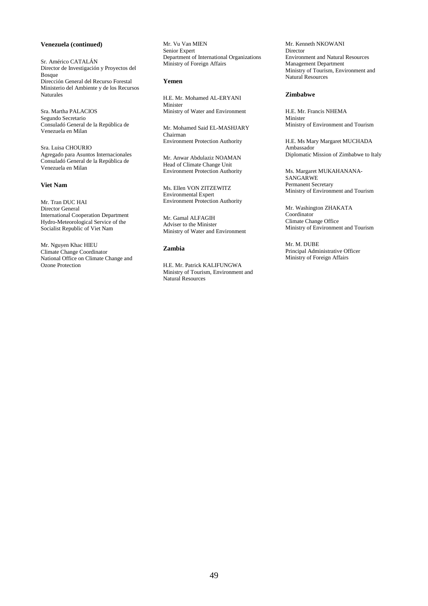# **Venezuela (continued)**

Sr. Américo CATALÁN Director de Investigación y Proyectos del Bosque Dirección General del Recurso Forestal Ministerio del Ambiente y de los Recursos Naturales

Sra. Martha PALACIOS Segundo Secretario Consuladó General de la República de Venezuela en Milan

Sra. Luisa CHOURIO Agregado para Asuntos Internacionales Consuladó General de la República de Venezuela en Milan

# **Viet Nam**

Mr. Tran DUC HAI Director General International Cooperation Department Hydro-Meteorological Service of the Socialist Republic of Viet Nam

Mr. Nguyen Khac HIEU Climate Change Coordinator National Office on Climate Change and Ozone Protection

Mr. Vu Van MIEN Senior Expert Department of International Organizations Ministry of Foreign Affairs

# **Yemen**

H.E. Mr. Mohamed AL-ERYANI Minister Ministry of Water and Environment

Mr. Mohamed Said EL-MASHJARY Chairman Environment Protection Authority

Mr. Anwar Abdulaziz NOAMAN Head of Climate Change Unit Environment Protection Authority

Ms. Ellen VON ZITZEWITZ Environmental Expert Environment Protection Authority

Mr. Gamal ALFAGIH Adviser to the Minister Ministry of Water and Environment

## **Zambia**

H.E. Mr. Patrick KALIFUNGWA Ministry of Tourism, Environment and Natural Resources

Mr. Kenneth NKOWANI Director Environment and Natural Resources Management Department Ministry of Tourism, Environment and Natural Resources

#### **Zimbabwe**

H.E. Mr. Francis NHEMA Minister Ministry of Environment and Tourism

H.E. Ms Mary Margaret MUCHADA Ambassador Diplomatic Mission of Zimbabwe to Italy

Ms. Margaret MUKAHANANA-SANGARWE Permanent Secretary Ministry of Environment and Tourism

Mr. Washington ZHAKATA **Coordinator** Climate Change Office Ministry of Environment and Tourism

Mr. M. DUBE Principal Administrative Officer Ministry of Foreign Affairs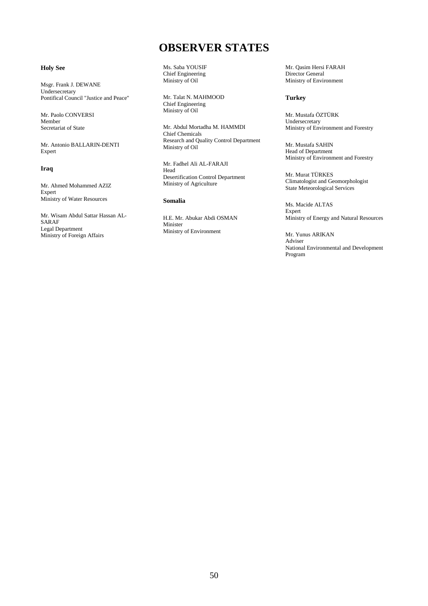# **OBSERVER STATES**

# **Holy See**

Msgr. Frank J. DEWANE Undersecretary Pontifical Council "Justice and Peace"

Mr. Paolo CONVERSI Member Secretariat of State

Mr. Antonio BALLARIN-DENTI Expert

# **Iraq**

Mr. Ahmed Mohammed AZIZ Expert Ministry of Water Resources

Mr. Wisam Abdul Sattar Hassan AL-SARAF Legal Department Ministry of Foreign Affairs

Ms. Saba YOUSIF Chief Engineering Ministry of Oil

Mr. Talat N. MAHMOOD Chief Engineering Ministry of Oil

Mr. Abdul Mortadha M. HAMMDI Chief Chemicals Research and Quality Control Department Ministry of Oil

Mr. Fadhel Ali AL-FARAJI Head Desertification Control Department Ministry of Agriculture

# **Somalia**

H.E. Mr. Abukar Abdi OSMAN Minister Ministry of Environment

Mr. Qasim Hersi FARAH Director General Ministry of Environment

## **Turkey**

Mr. Mustafa ÖZTÜRK Undersecretary Ministry of Environment and Forestry

Mr. Mustafa SAHIN Head of Department Ministry of Environment and Forestry

Mr. Murat TÜRKES Climatologist and Geomorphologist State Meteorological Services

Ms. Macide ALTAS Expert Ministry of Energy and Natural Resources

Mr. Yunus ARIKAN Adviser National Environmental and Development Program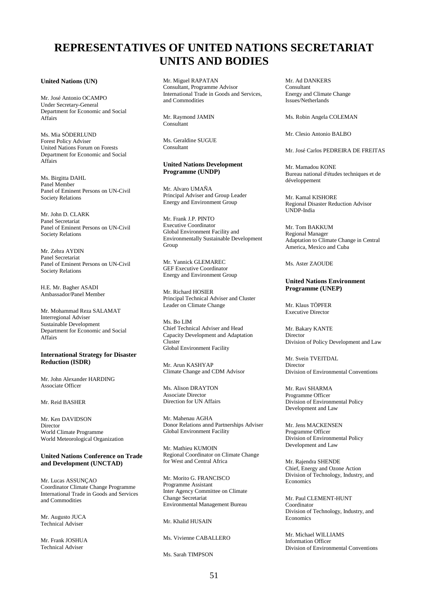# **REPRESENTATIVES OF UNITED NATIONS SECRETARIAT UNITS AND BODIES**

#### **United Nations (UN)**

Mr. José Antonio OCAMPO Under Secretary-General Department for Economic and Social Affairs

Ms. Mia SÖDERLUND Forest Policy Adviser United Nations Forum on Forests Department for Economic and Social Affairs

Ms. Birgitta DAHL Panel Member Panel of Eminent Persons on UN-Civil Society Relations

Mr. John D. CLARK Panel Secretariat Panel of Eminent Persons on UN-Civil Society Relations

Mr. Zehra AYDIN Panel Secretariat Panel of Eminent Persons on UN-Civil Society Relations

H.E. Mr. Bagher ASADI Ambassador/Panel Member

Mr. Mohammad Reza SALAMAT Interregional Adviser Sustainable Development Department for Economic and Social Affairs

### **International Strategy for Disaster Reduction (ISDR)**

Mr. John Alexander HARDING Associate Officer

Mr. Reid BASHER

Mr. Ken DAVIDSON Director World Climate Programme World Meteorological Organization

## **United Nations Conference on Trade and Development (UNCTAD)**

Mr. Lucas ASSUNÇAO Coordinator Climate Change Programme International Trade in Goods and Services and Commodities

Mr. Augusto JUCA Technical Adviser

Mr. Frank JOSHUA Technical Adviser

Mr. Miguel RAPATAN Consultant, Programme Advisor International Trade in Goods and Services, and Commodities

Mr. Raymond JAMIN Consultant

Ms. Geraldine SUGUE Consultant

#### **United Nations Development Programme (UNDP)**

Mr. Alvaro UMAÑA Principal Adviser and Group Leader Energy and Environment Group

Mr. Frank J.P. PINTO Executive Coordinator Global Environment Facility and Environmentally Sustainable Development **Group** 

Mr. Yannick GLEMAREC GEF Executive Coordinator Energy and Environment Group

Mr. Richard HOSIER Principal Technical Adviser and Cluster Leader on Climate Change

Ms. Bo LIM Chief Technical Adviser and Head Capacity Development and Adaptation Cluster Global Environment Facility

Mr. Arun KASHYAP Climate Change and CDM Advisor

Ms. Alison DRAYTON Associate Director Direction for UN Affairs

Mr. Mahenau AGHA Donor Relations annd Partnerships Adviser Global Environment Facility

Mr. Mathieu KUMOIN Regional Coordinator on Climate Change for West and Central Africa

Mr. Morito G. FRANCISCO Programme Assistant Inter Agency Committee on Climate Change Secretariat Environmental Management Bureau

Mr. Khalid HUSAIN

Ms. Vivienne CABALLERO

Ms. Sarah TIMPSON

Mr. Ad DANKERS Consultant Energy and Climate Change Issues/Netherlands

Ms. Robin Angela COLEMAN

Mr. Clesio Antonio BALBO

Mr. José Carlos PEDREIRA DE FREITAS

Mr. Mamadou KONE Bureau national d'études techniques et de développement

Mr. Kamal KISHORE Regional Disaster Reduction Advisor UNDP-India

Mr. Tom BAKKUM Regional Manager Adaptation to Climate Change in Central America, Mexico and Cuba

Ms. Aster ZAOUDE

#### **United Nations Environment Programme (UNEP)**

Mr. Klaus TÖPFER Executive Director

Mr. Bakary KANTE Director Division of Policy Development and Law

Mr. Svein TVEITDAL Director Division of Environmental Conventions

Mr. Ravi SHARMA Programme Officer Division of Environmental Policy Development and Law

Mr. Jens MACKENSEN Programme Officer Division of Environmental Policy Development and Law

Mr. Rajendra SHENDE Chief, Energy and Ozone Action Division of Technology, Industry, and Economics

Mr. Paul CLEMENT-HUNT Coordinator Division of Technology, Industry, and **Economics** 

Mr. Michael WILLIAMS Information Officer Division of Environmental Conventions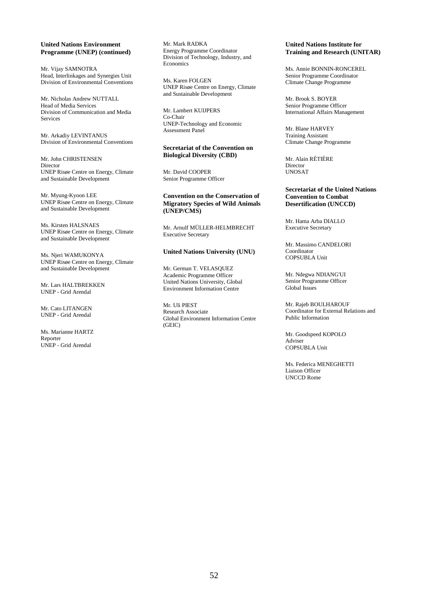## **United Nations Environment Programme (UNEP) (continued)**

Mr. Vijay SAMNOTRA Head, Interlinkages and Synergies Unit Division of Environmental Conventions

Mr. Nicholas Andrew NUTTALL Head of Media Services Division of Communication and Media Services

Mr. Arkadiy LEVINTANUS Division of Environmental Conventions

Mr. John CHRISTENSEN Director UNEP Risøe Centre on Energy, Climate and Sustainable Development

Mr. Myung-Kyoon LEE UNEP Risøe Centre on Energy, Climate and Sustainable Development

Ms. Kirsten HALSNAES UNEP Risøe Centre on Energy, Climate and Sustainable Development

Ms. Njeri WAMUKONYA UNEP Risøe Centre on Energy, Climate and Sustainable Development

Mr. Lars HALTBREKKEN UNEP - Grid Arendal

Mr. Cato LITANGEN UNEP - Grid Arendal

Ms. Marianne HARTZ Reporter UNEP - Grid Arendal

Mr. Mark RADKA Energy Programme Coordinator Division of Technology, Industry, and Economics

Ms. Karen FOLGEN UNEP Risøe Centre on Energy, Climate and Sustainable Development

Mr. Lambert KUIJPERS Co-Chair UNEP-Technology and Economic Assessment Panel

#### **Secretariat of the Convention on Biological Diversity (CBD)**

Mr. David COOPER Senior Programme Officer

## **Convention on the Conservation of Migratory Species of Wild Animals (UNEP/CMS)**

Mr. Arnulf MÜLLER-HELMBRECHT Executive Secretary

# **United Nations University (UNU)**

Mr. German T. VELASQUEZ Academic Programme Officer United Nations University, Global Environment Information Centre

Mr. Uli PIEST Research Associate Global Environment Information Centre (GEIC)

# **United Nations Institute for Training and Research (UNITAR)**

Ms. Annie BONNIN-RONCEREL Senior Programme Coordinator Climate Change Programme

Mr. Brook S. BOYER Senior Programme Officer International Affairs Management

Mr. Blane HARVEY Training Assistant Climate Change Programme

Mr. Alain RÉTIÈRE Director UNOSAT

#### **Secretariat of the United Nations Convention to Combat Desertification (UNCCD)**

Mr. Hama Arba DIALLO Executive Secretary

Mr. Massimo CANDELORI Coordinator COPSUBLA Unit

Mr. Ndegwa NDIANG'UI Senior Programme Officer Global Issues

Mr. Rajeb BOULHAROUF Coordinator for External Relations and Public Information

Mr. Goodspeed KOPOLO Adviser COPSUBLA Unit

Ms. Federica MENEGHETTI Liaison Officer UNCCD Rome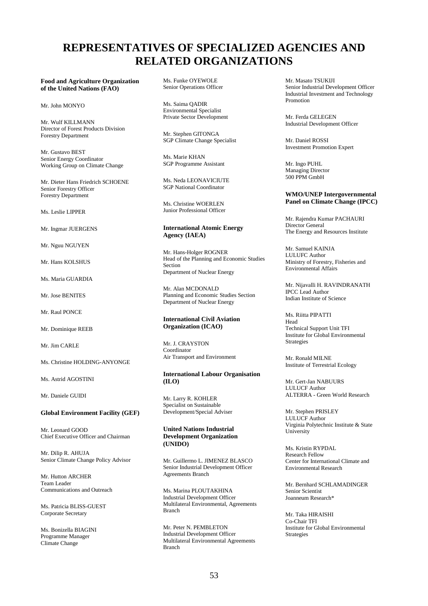# **REPRESENTATIVES OF SPECIALIZED AGENCIES AND RELATED ORGANIZATIONS**

## **Food and Agriculture Organization of the United Nations (FAO)**

Mr. John MONYO

Mr. Wulf KILLMANN Director of Forest Products Division Forestry Department

Mr. Gustavo BEST Senior Energy Coordinator Working Group on Climate Change

Mr. Dieter Hans Friedrich SCHOENE Senior Forestry Officer Forestry Department

Ms. Leslie LIPPER

Mr. Ingmar JUERGENS

Mr. Nguu NGUYEN

Mr. Hans KOLSHUS

Ms. Maria GUARDIA

Mr. Jose BENITES

Mr. Raul PONCE

Mr. Dominique REEB

Mr. Jim CARLE

Ms. Christine HOLDING-ANYONGE

Ms. Astrid AGOSTINI

Mr. Daniele GUIDI

#### **Global Environment Facility (GEF)**

Mr. Leonard GOOD Chief Executive Officer and Chairman

Mr. Dilip R. AHUJA Senior Climate Change Policy Advisor

Mr. Hutton ARCHER Team Leader Communications and Outreach

Ms. Patricia BLISS-GUEST Corporate Secretary

Ms. Bonizella BIAGINI Programme Manager Climate Change

Ms. Funke OYEWOLE Senior Operations Officer

Ms. Saima QADIR Environmental Specialist Private Sector Development

Mr. Stephen GITONGA SGP Climate Change Specialist

Ms. Marie KHAN SGP Programme Assistant

Ms. Neda LEONAVICIUTE SGP National Coordinator

Ms. Christine WOERLEN Junior Professional Officer

## **International Atomic Energy Agency (IAEA)**

Mr. Hans-Holger ROGNER Head of the Planning and Economic Studies Section Department of Nuclear Energy

Mr. Alan MCDONALD Planning and Economic Studies Section Department of Nuclear Energy

#### **International Civil Aviation Organization (ICAO)**

Mr. J. CRAYSTON Coordinator Air Transport and Environment

## **International Labour Organisation (ILO)**

Mr. Larry R. KOHLER Specialist on Sustainable Development/Special Adviser

## **United Nations Industrial Development Organization (UNIDO)**

Mr. Guillermo L. JIMENEZ BLASCO Senior Industrial Development Officer Agreements Branch

Ms. Marina PLOUTAKHINA Industrial Development Officer Multilateral Environmental, Agreements Branch

Mr. Peter N. PEMBLETON Industrial Development Officer Multilateral Environmental Agreements Branch

Mr. Masato TSUKIJI Senior Industrial Development Officer Industrial Investment and Technology Promotion

Mr. Ferda GELEGEN Industrial Development Officer

Mr. Daniel ROSSI Investment Promotion Expert

Mr. Ingo PUHL Managing Director 500 PPM GmbH

## **WMO/UNEP Intergovernmental Panel on Climate Change (IPCC)**

Mr. Rajendra Kumar PACHAURI Director General The Energy and Resources Institute

Mr. Samuel KAINJA LULUFC Author Ministry of Forestry, Fisheries and Environmental Affairs

Mr. Nijavalli H. RAVINDRANATH IPCC Lead Author Indian Institute of Science

Ms. Riitta PIPATTI Head Technical Support Unit TFI Institute for Global Environmental Strategies

Mr. Ronald MILNE Institute of Terrestrial Ecology

Mr. Gert-Jan NABUURS LULUCF Author ALTERRA - Green World Research

Mr. Stephen PRISLEY LULUCF Author Virginia Polytechnic Institute & State University

Ms. Kristin RYPDAL Research Fellow Center for International Climate and Environmental Research

Mr. Bernhard SCHLAMADINGER Senior Scientist Joanneum Research\*

Mr. Taka HIRAISHI Co-Chair TFI Institute for Global Environmental Strategies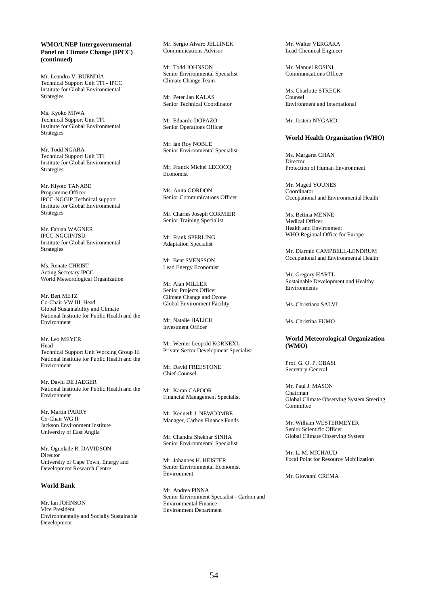## **WMO/UNEP Intergovernmental Panel on Climate Change (IPCC) (continued)**

Mr. Leandro V. BUENDIA Technical Support Unit TFI - IPCC Institute for Global Environmental Strategies

Ms. Kyoko MIWA Technical Support Unit TFI Institute for Global Environmental Strategies

Mr. Todd NGARA Technical Support Unit TFI Institute for Global Environmental Strategies

Mr. Kiyoto TANABE Programme Officer IPCC-NGGIP Technical support Institute for Global Environmental Strategies

Mr. Fabian WAGNER IPCC-NGGIP/TSU Institute for Global Environmental Strategies

Ms. Renate CHRIST Acting Secretary IPCC World Meteorological Organization

Mr. Bert METZ Co-Chair VW III, Head Global Sustainability and Climate National Institute for Public Health and the Environment

Mr. Leo MEYER Head Technical Support Unit Working Group III National Institute for Public Health and the Environment

Mr. David DE JAEGER National Institute for Public Health and the Environment

Mr. Martin PARRY Co-Chair WG II Jackson Environment Institute University of East Anglia

Mr. Ogunlade R. DAVIDSON **Director** University of Cape Town, Energy and Development Research Centre

# **World Bank**

Mr. Ian JOHNSON Vice President Environmentally and Socially Sustainable Development

Mr. Sergio Alvaro JELLINEK Communications Advisor

Mr. Todd JOHNSON Senior Environmental Specialist Climate Change Team

Mr. Peter Jan KALAS Senior Technical Coordinator

Mr. Eduardo DOPAZO Senior Operations Officer

Mr. Ian Roy NOBLE Senior Environmental Specialist

Mr. Franck Michel LECOCQ Economist

Ms. Anita GORDON Senior Communications Officer

Mr. Charles Joseph CORMIER Senior Training Specialist

Mr. Frank SPERLING Adaptation Specialist

Mr. Bent SVENSSON Lead Energy Economist

Mr. Alan MILLER Senior Projects Officer Climate Change and Ozone Global Environment Facility

Mr. Natalie HALICH Investment Officer

Mr. Werner Leopold KORNEXL Private Sector Development Specialist

Mr. David FREESTONE Chief Counsel

Mr. Karan CAPOOR Financial Management Specialist

Mr. Kenneth J. NEWCOMBE Manager, Carbon Finance Funds

Mr. Chandra Shekhar SINHA Senior Environmental Specialist

Mr. Johannes H. HEISTER Senior Environmental Economist Environment

Mr. Andrea PINNA Senior Environment Specialist - Carbon and Environmental Finance Environment Department

Mr. Walter VERGARA Lead Chemical Engineer

Mr. Manuel ROSINI Communications Officer

Ms. Charlotte STRECK Counsel Environment and International

Mr. Jostein NYGARD

## **World Health Organization (WHO)**

Ms. Margaret CHAN Director Protection of Human Environment

Mr. Maged YOUNES Coordinator Occupational and Environmental Health

Ms. Bettina MENNE Medical Officer Health and Environment WHO Regional Office for Europe

Mr. Diarmid CAMPBELL-LENDRUM Occupational and Environmental Health

Mr. Gregory HARTL Sustainable Development and Healthy Environments

Ms. Christiana SALVI

Ms. Christina FUMO

## **World Meteorological Organization (WMO)**

Prof. G. O. P. OBASI Secretary-General

Mr. Paul J. MASON Chairman Global Climate Observing System Steering Committee

Mr. William WESTERMEYER Senior Scientific Officer Global Climate Observing System

Mr. L. M. MICHAUD Focal Point for Resource Mobilization

Mr. Giovanni CREMA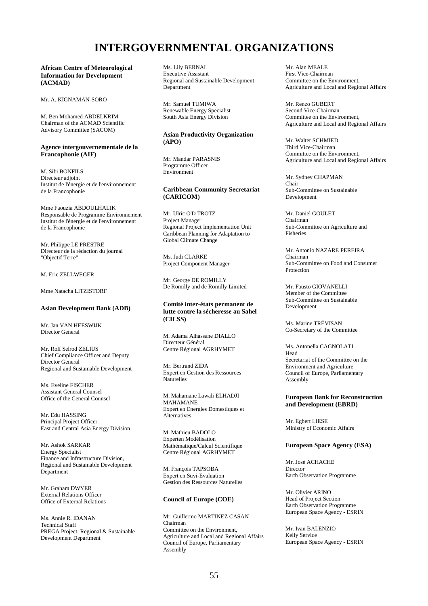# **INTERGOVERNMENTAL ORGANIZATIONS**

**African Centre of Meteorological Information for Development (ACMAD)** 

Mr. A. KIGNAMAN-SORO

M. Ben Mohamed ABDELKRIM Chairman of the ACMAD Scientific Advisory Committee (SACOM)

#### **Agence intergouvernementale de la Francophonie (AIF)**

M. Sibi BONFILS Directeur adjoint Institut de l'énergie et de l'environnement de la Francophonie

Mme Faouzia ABDOULHALIK Responsable de Programme Environnement Institut de l'énergie et de l'environnement de la Francophonie

Mr. Philippe LE PRESTRE Directeur de la rédaction du journal "Objectif Terre"

M. Eric ZELLWEGER

Mme Natacha LITZISTORF

## **Asian Development Bank (ADB)**

Mr. Jan VAN HEESWIJK Director General

Mr. Rolf Selrod ZELIUS Chief Compliance Officer and Deputy Director General Regional and Sustainable Development

Ms. Eveline FISCHER Assistant General Counsel Office of the General Counsel

Mr. Edu HASSING Principal Project Officer East and Central Asia Energy Division

Mr. Ashok SARKAR Energy Specialist Finance and Infrastructure Division, Regional and Sustainable Development Department

Mr. Graham DWYER External Relations Officer Office of External Relations

Ms. Annie R. IDANAN Technical Staff PREGA Project, Regional & Sustainable Development Department

Ms. Lily BERNAL Executive Assistant Regional and Sustainable Development Department

Mr. Samuel TUMIWA Renewable Energy Specialist South Asia Energy Division

# **Asian Productivity Organization (APO)**

Mr. Mandar PARASNIS Programme Officer Environment

# **Caribbean Community Secretariat (CARICOM)**

Mr. Ulric O'D TROTZ Project Manager Regional Project Implementation Unit Caribbean Planning for Adaptation to Global Climate Change

Ms. Judi CLARKE Project Component Manager

Mr. George DE ROMILLY De Romilly and de Romilly Limited

## **Comité inter-états permanent de lutte contre la sécheresse au Sahel (CILSS)**

M. Adama Alhassane DIALLO Directeur Général Centre Régional AGRHYMET

Mr. Bertrand ZIDA Expert en Gestion des Ressources Naturelles

M. Mahamane Lawali ELHADJI MAHAMANE Expert en Energies Domestiques et Alternatives

M. Mathieu BADOLO Experten Modélisation Mathématique/Calcul Scientifique Centre Régional AGRHYMET

M. François TAPSOBA Expert en Suvi-Evaluation Gestion des Ressources Naturelles

# **Council of Europe (COE)**

Mr. Guillermo MARTINEZ CASAN Chairman Committee on the Environment, Agriculture and Local and Regional Affairs Council of Europe, Parliamentary Assembly

Mr. Alan MEALE First Vice-Chairman Committee on the Environment, Agriculture and Local and Regional Affairs

Mr. Renzo GUBERT Second Vice-Chairman Committee on the Environment, Agriculture and Local and Regional Affairs

Mr. Walter SCHMIED Third Vice-Chairman Committee on the Environment, Agriculture and Local and Regional Affairs

Mr. Sydney CHAPMAN Chair Sub-Committee on Sustainable Development

Mr. Daniel GOULET Chairman Sub-Committee on Agriculture and Fisheries

Mr. Antonio NAZARE PEREIRA Chairman Sub-Committee on Food and Consumer Protection

Mr. Fausto GIOVANELLI Member of the Committee Sub-Committee on Sustainable Development

Ms. Marine TRÉVISAN Co-Secretary of the Committee

Ms. Antonella CAGNOLATI Head Secretariat of the Committee on the Environment and Agriculture Council of Europe, Parliamentary Assembly

#### **European Bank for Reconstruction and Development (EBRD)**

Mr. Egbert LIESE Ministry of Economic Affairs

## **European Space Agency (ESA)**

Mr. José ACHACHE Director Earth Observation Programme

Mr. Olivier ARINO Head of Project Section Earth Observation Programme European Space Agency - ESRIN

Mr. Ivan BALENZIO Kelly Service European Space Agency - ESRIN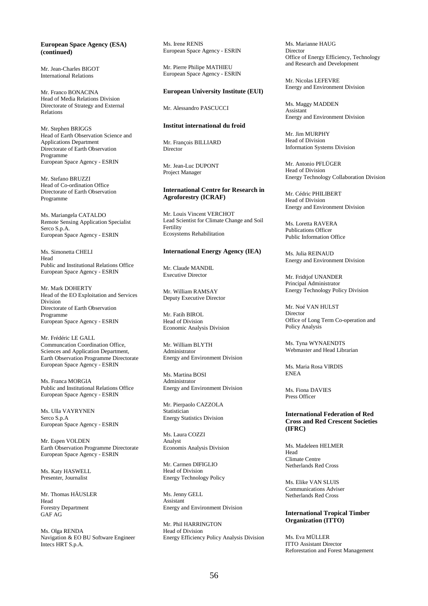## **European Space Agency (ESA) (continued)**

Mr. Jean-Charles BIGOT International Relations

Mr. Franco BONACINA Head of Media Relations Division Directorate of Strategy and External Relations

Mr. Stephen BRIGGS Head of Earth Observation Science and Applications Department Directorate of Earth Observation Programme European Space Agency - ESRIN

Mr. Stefano BRUZZI Head of Co-ordination Office Directorate of Earth Observation Programme

Ms. Mariangela CATALDO Remote Sensing Application Specialist Serco S.p.A. European Space Agency - ESRIN

Ms. Simonetta CHELI Head Public and Institutional Relations Office European Space Agency - ESRIN

Mr. Mark DOHERTY Head of the EO Exploitation and Services Division Directorate of Earth Observation Programme European Space Agency - ESRIN

Mr. Frédéric LE GALL Communcation Coordination Office, Sciences and Application Department, Earth Observation Programme Directorate European Space Agency - ESRIN

Ms. Franca MORGIA Public and Institutional Relations Office European Space Agency - ESRIN

Ms. Ulla VAYRYNEN Serco S.p.A European Space Agency - ESRIN

Mr. Espen VOLDEN Earth Observation Programme Directorate European Space Agency - ESRIN

Ms. Katy HASWELL Presenter, Journalist

Mr. Thomas HÄUSLER Head Forestry Department GAF AG

Ms. Olga RENDA Navigation & EO BU Software Engineer Intecs HRT S.p.A.

Ms. Irene RENIS European Space Agency - ESRIN

Mr. Pierre Philipe MATHIEU European Space Agency - ESRIN

# **European University Institute (EUI)**

Mr. Alessandro PASCUCCI

# **Institut international du froid**

Mr. François BILLIARD Director

Mr. Jean-Luc DUPONT Project Manager

#### **International Centre for Research in Agroforestry (ICRAF)**

Mr. Louis Vincent VERCHOT Lead Scientist for Climate Change and Soil Fertility Ecosystems Rehabilitation

#### **International Energy Agency (IEA)**

Mr. Claude MANDIL Executive Director

Mr. William RAMSAY Deputy Executive Director

Mr. Fatih BIROL Head of Division Economic Analysis Division

Mr. William BLYTH Administrator Energy and Environment Division

Ms. Martina BOSI Administrator Energy and Environment Division

Mr. Pierpaolo CAZZOLA Statistician Energy Statistics Division

Ms. Laura COZZI Analyst Economis Analysis Division

Mr. Carmen DIFIGLIO Head of Division Energy Technology Policy

Ms. Jenny GELL Assistant Energy and Environment Division

Mr. Phil HARRINGTON Head of Division Energy Efficiency Policy Analysis Division Ms. Marianne HAUG Director Office of Energy Efficiency, Technology and Research and Development

Mr. Nicolas LEFEVRE Energy and Environment Division

Ms. Maggy MADDEN Assistant Energy and Environment Division

Mr. Jim MURPHY Head of Division Information Systems Division

Mr. Antonio PFLÜGER Head of Division Energy Technology Collaboration Division

Mr. Cédric PHILIBERT Head of Division Energy and Environment Division

Ms. Loretta RAVERA Publications Officer Public Information Office

Ms. Julia REINAUD Energy and Environment Division

Mr. Fridtjof UNANDER Principal Administrator Energy Technology Policy Division

Mr. Noé VAN HULST Director Office of Long Term Co-operation and Policy Analysis

Ms. Tyna WYNAENDTS Webmaster and Head Librarian

Ms. Maria Rosa VIRDIS ENEA

Ms. Fiona DAVIES Press Officer

**International Federation of Red Cross and Red Crescent Societies (IFRC)** 

Ms. Madeleen HELMER Head Climate Centre Netherlands Red Cross

Ms. Elike VAN SLUIS Communications Adviser Netherlands Red Cross

#### **International Tropical Timber Organization (ITTO)**

Ms. Eva MÜLLER ITTO Assistant Director Reforestation and Forest Management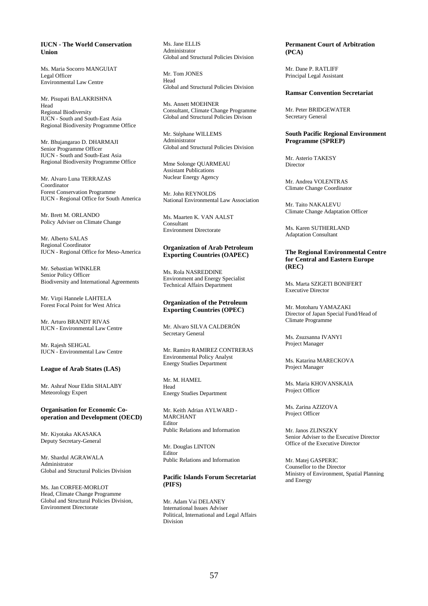## **IUCN - The World Conservation Union**

Ms. Maria Socorro MANGUIAT Legal Officer Environmental Law Centre

#### Mr. Pisupati BALAKRISHNA Head Regional Biodiversity IUCN - South and South-East Asia Regional Biodiversity Programme Office

Mr. Bhujangarao D. DHARMAJI Senior Programme Officer IUCN - South and South-East Asia Regional Biodiversity Programme Office

Mr. Alvaro Luna TERRAZAS Coordinator Forest Conservation Programme IUCN - Regional Office for South America

Mr. Brett M. ORLANDO Policy Adviser on Climate Change

Mr. Alberto SALAS Regional Coordinator IUCN - Regional Office for Meso-America

Mr. Sebastian WINKLER Senior Policy Officer Biodiversity and International Agreements

Mr. Virpi Hannele LAHTELA Forest Focal Point for West Africa

Mr. Arturo BRANDT RIVAS IUCN - Environmental Law Centre

Mr. Rajesh SEHGAL IUCN - Environmental Law Centre

#### **League of Arab States (LAS)**

Mr. Ashraf Nour Eldin SHALABY Meteorology Expert

#### **Organisation for Economic Cooperation and Development (OECD)**

Mr. Kiyotaka AKASAKA Deputy Secretary-General

Mr. Shardul AGRAWALA Administrator Global and Structural Policies Division

Ms. Jan CORFEE-MORLOT Head, Climate Change Programme Global and Structural Policies Division, Environment Directorate

Ms. Jane ELLIS Administrator Global and Structural Policies Division

Mr. Tom JONES Head Global and Structural Policies Division

Ms. Annett MOEHNER Consultant, Climate Change Programme Global and Structural Policies Divison

Mr. Stéphane WILLEMS Administrator Global and Structural Policies Division

Mme Solonge QUARMEAU Assistant Publications Nuclear Energy Agency

Mr. John REYNOLDS National Environmental Law Association

Ms. Maarten K. VAN AALST Consultant Environment Directorate

### **Organization of Arab Petroleum Exporting Countries (OAPEC)**

Ms. Rola NASREDDINE Environment and Energy Specialist Technical Affairs Department

#### **Organization of the Petroleum Exporting Countries (OPEC)**

Mr. Alvaro SILVA CALDERÓN Secretary General

Mr. Ramiro RAMIREZ CONTRERAS Environmental Policy Analyst Energy Studies Department

Mr. M. HAMEL Head Energy Studies Department

Mr. Keith Adrian AYLWARD - MARCHANT Editor Public Relations and Information

Mr. Douglas LINTON Editor Public Relations and Information

# **Pacific Islands Forum Secretariat (PIFS)**

Mr. Adam Vai DELANEY International Issues Adviser Political, International and Legal Affairs Division

## **Permanent Court of Arbitration (PCA)**

Mr. Dane P. RATLIFF Principal Legal Assistant

#### **Ramsar Convention Secretariat**

Mr. Peter BRIDGEWATER Secretary General

#### **South Pacific Regional Environment Programme (SPREP)**

Mr. Asterio TAKESY Director

Mr. Andrea VOLENTRAS Climate Change Coordinator

Mr. Taito NAKALEVU Climate Change Adaptation Officer

Ms. Karen SUTHERLAND Adaptation Consultant

## **The Regional Environmental Centre for Central and Eastern Europe (REC)**

Ms. Marta SZIGETI BONIFERT Executive Director

Mr. Motoharu YAMAZAKI Director of Japan Special Fund/Head of Climate Programme

Ms. Zsuzsanna IVANYI Project Manager

Ms. Katarina MARECKOVA Project Manager

Ms. Maria KHOVANSKAIA Project Officer

Ms. Zarina AZIZOVA Project Officer

Mr. Janos ZLINSZKY Senior Adviser to the Executive Director Office of the Executive Director

Mr. Matej GASPERIC Counsellor to the Director Ministry of Environment, Spatial Planning and Energy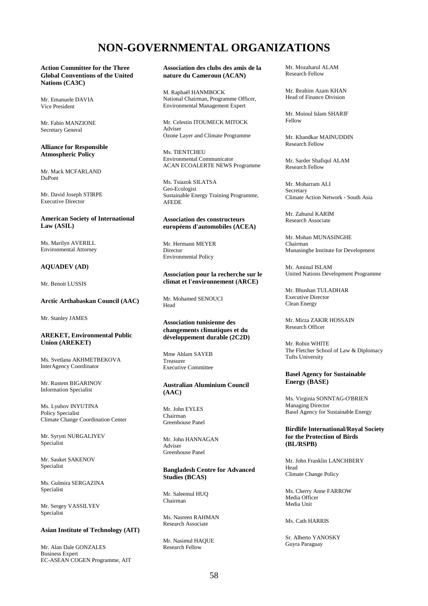# **NON-GOVERNMENTAL ORGANIZATIONS**

**Action Committee for the Three Global Conventions of the United Nations (CA3C)** 

Mr. Emanuele DAVIA Vice President

Mr. Fabio MANZIONE Secretary General

#### **Alliance for Responsible Atmospheric Policy**

Mr. Mack MCFARLAND DuPont

Mr. David Joseph STIRPE Executive Director

## **American Society of International Law (ASIL)**

Ms. Marilyn AVERILL Environmental Attorney

# **AQUADEV (AD)**

Mr. Benoit LUSSIS

# **Arctic Arthabaskan Council (AAC)**

Mr. Stanley JAMES

#### **AREKET, Environmental Public Union (AREKET)**

Ms. Svetlana AKHMETBEKOVA InterAgency Coordinator

Mr. Rustem BIGARINOV Information Specialist

Ms. Lyubov INYUTINA Policy Specialist Climate Change Coordination Center

Mr. Syrym NURGALIYEV Specialist

Mr. Sauket SAKENOV Specialist

Ms. Gulmira SERGAZINA Specialist

Mr. Sergey VASSILYEV Specialist

#### **Asian Institute of Technology (AIT)**

Mr. Alan Dale GONZALES Business Expert EC-ASEAN COGEN Programme, AIT **Association des clubs des amis de la nature du Cameroun (ACAN)** 

M. Raphaël HANMBOCK National Chairman, Programme Officer, Environmental Management Expert

Mr. Celestin ITOUMECK MITOCK Adviser Ozone Layer and Climate Programme

Ms. TIENTCHEU Environmental Communicator ACAN ECOALERTE NEWS Programme

Ms. Tsiazok SILATSA Geo-Ecologist Sustainable Energy Training Programme, AFEDE

#### **Association des constructeurs européens d'automobiles (ACEA)**

Mr. Hermann MEYER Director Environmental Policy

#### **Association pour la recherche sur le climat et l'environnement (ARCE)**

Mr. Mohamed SENOUCI Head

#### **Association tunisienne des changements climatiques et du développement durable (2C2D)**

Mme Ahlam SAYEB Treasurer Executive Committee

## **Australian Aluminium Council (AAC)**

Mr. John EYLES Chairman Greenhouse Panel

Mr. John HANNAGAN Adviser Greenhouse Panel

#### **Bangladesh Centre for Advanced Studies (BCAS)**

Mr. Saleemul HUQ Chairman

Ms. Nasreen RAHMAN Research Associate

Mr. Nasimul HAQUE Research Fellow

Mr. Mozaharul ALAM Research Fellow

Mr. Ibrahim Azam KHAN Head of Finance Division

Mr. Moinul Islam SHARIF Fellow

Mr. Khandkar MAINUDDIN Research Fellow

Mr. Sarder Shafiqul ALAM Research Fellow

Mr. Moharram ALI Secretary Climate Action Network - South Asia

Mr. Zahurul KARIM Research Associate

Mr. Mohan MUNASINGHE Chairman Munasinghe Institute for Development

Mr. Aminul ISLAM United Nations Development Programme

Mr. Bhushan TULADHAR Executive Director Clean Energy

Mr. Mirza ZAKIR HOSSAIN Research Officer

Mr. Robin WHITE The Fletcher School of Law & Diplomacy Tufts University

#### **Basel Agency for Sustainable Energy (BASE)**

Ms. Virginia SONNTAG-O'BRIEN Managing Director Basel Agency for Sustainable Energy

## **Birdlife International/Royal Society for the Protection of Birds (BL/RSPB)**

Mr. John Franklin LANCHBERY Head Climate Change Policy

Ms. Cherry Anne FARROW Media Officer Media Unit

#### Ms. Cath HARRIS

Sr. Alberto YANOSKY Guyra Paraguay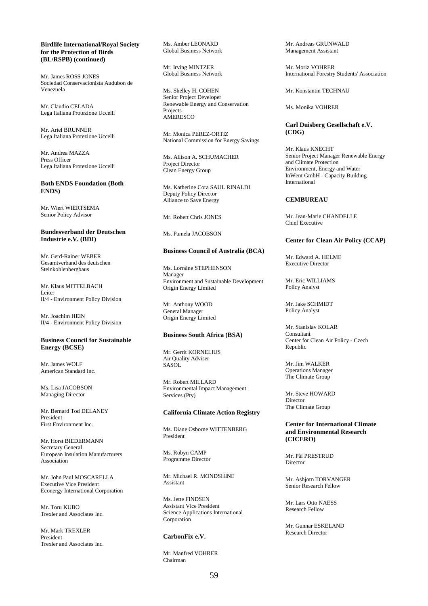## **Birdlife International/Royal Society for the Protection of Birds (BL/RSPB) (continued)**

Mr. James ROSS JONES Sociedad Conservacionista Audubon de Venezuela

Mr. Claudio CELADA Lega Italiana Protezione Uccelli

Mr. Ariel BRUNNER Lega Italiana Protezione Uccelli

Mr. Andrea MAZZA Press Officer Lega Italiana Protezione Uccelli

#### **Both ENDS Foundation (Both ENDS)**

Mr. Wiert WIERTSEMA Senior Policy Advisor

### **Bundesverband der Deutschen Industrie e.V. (BDI)**

Mr. Gerd-Rainer WEBER Gesamtverband des deutschen Steinkohlenbergbaus

Mr. Klaus MITTELBACH Leiter II/4 - Environment Policy Division

Mr. Joachim HEIN II/4 - Environment Policy Division

## **Business Council for Sustainable Energy (BCSE)**

Mr. James WOLF American Standard Inc.

Ms. Lisa JACOBSON Managing Director

Mr. Bernard Tod DELANEY President First Environment Inc.

Mr. Horst BIEDERMANN Secretary General European Insulation Manufacturers Association

Mr. John Paul MOSCARELLA Executive Vice President Econergy International Corporation

Mr. Toru KUBO Trexler and Associates Inc.

Mr. Mark TREXLER President Trexler and Associates Inc. Ms. Amber LEONARD Global Business Network

Mr. Irving MINTZER Global Business Network

Ms. Shelley H. COHEN Senior Project Developer Renewable Energy and Conservation Projects **AMERESCO** 

Mr. Monica PEREZ-ORTIZ National Commission for Energy Savings

Ms. Allison A. SCHUMACHER Project Director Clean Energy Group

Ms. Katherine Cora SAUL RINALDI Deputy Policy Director Alliance to Save Energy

# Mr. Robert Chris JONES

Ms. Pamela JACOBSON

### **Business Council of Australia (BCA)**

Ms. Lorraine STEPHENSON Manager Environment and Sustainable Development Origin Energy Limited

Mr. Anthony WOOD General Manager Origin Energy Limited

## **Business South Africa (BSA)**

Mr. Gerrit KORNELIUS Air Quality Adviser **SASOL** 

Mr. Robert MILLARD Environmental Impact Management Services (Pty)

#### **California Climate Action Registry**

Ms. Diane Osborne WITTENBERG President

Ms. Robyn CAMP Programme Director

Mr. Michael R. MONDSHINE Assistant

Ms. Jette FINDSEN Assistant Vice President Science Applications International **Corporation** 

## **CarbonFix e.V.**

Mr. Manfred VOHRER Chairman

Mr. Andreas GRUNWALD Management Assistant

Mr. Moriz VOHRER International Forestry Students' Association

Mr. Konstantin TECHNAU

Ms. Monika VOHRER

## **Carl Duisberg Gesellschaft e.V. (CDG)**

Mr. Klaus KNECHT Senior Project Manager Renewable Energy and Climate Protection Environment, Energy and Water InWent GmbH - Capacity Building International

## **CEMBUREAU**

Mr. Jean-Marie CHANDELLE Chief Executive

#### **Center for Clean Air Policy (CCAP)**

Mr. Edward A. HELME Executive Director

Mr. Eric WILLIAMS Policy Analyst

Mr. Jake SCHMIDT Policy Analyst

Mr. Stanislav KOLAR Consultant Center for Clean Air Policy - Czech Republic

Mr. Jim WALKER Operations Manager The Climate Group

Mr. Steve HOWARD Director The Climate Group

## **Center for International Climate and Environmental Research (CICERO)**

Mr. Pål PRESTRUD **Director** 

Mr. Asbjorn TORVANGER Senior Research Fellow

Mr. Lars Otto NAESS Research Fellow

Mr. Gunnar ESKELAND Research Director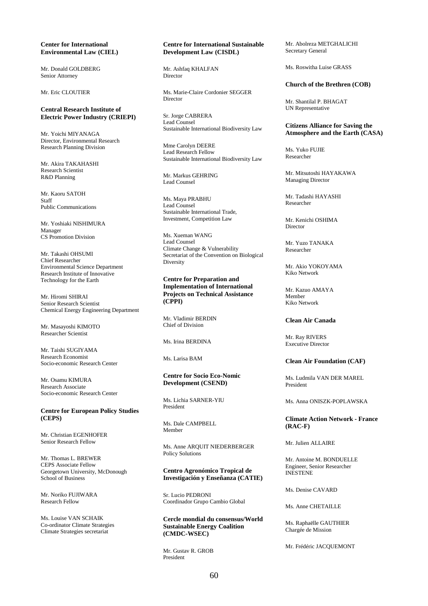### **Center for International Environmental Law (CIEL)**

Mr. Donald GOLDBERG Senior Attorney

Mr. Eric CLOUTIER

# **Central Research Institute of Electric Power Industry (CRIEPI)**

Mr. Yoichi MIYANAGA Director, Environmental Research Research Planning Division

Mr. Akira TAKAHASHI Research Scientist R&D Planning

Mr. Kaoru SATOH Staff Public Communications

Mr. Yoshiaki NISHIMURA Manager CS Promotion Division

Mr. Takashi OHSUMI Chief Researcher Environmental Science Department Research Institute of Innovative Technology for the Earth

Mr. Hiromi SHIRAI Senior Research Scientist Chemical Energy Engineering Department

Mr. Masayoshi KIMOTO Researcher Scientist

Mr. Taishi SUGIYAMA Research Economist Socio-economic Research Center

Mr. Osamu KIMURA Research Associate Socio-economic Research Center

## **Centre for European Policy Studies (CEPS)**

Mr. Christian EGENHOFER Senior Research Fellow

Mr. Thomas L. BREWER CEPS Associate Fellow Georgetown University, McDonough School of Business

Mr. Noriko FUJIWARA Research Fellow

Ms. Louise VAN SCHAIK Co-ordinator Climate Strategies Climate Strategies secretariat

## **Centre for International Sustainable Development Law (CISDL)**

Mr. Ashfaq KHALFAN Director

Ms. Marie-Claire Cordonier SEGGER Director

Sr. Jorge CABRERA Lead Counsel Sustainable International Biodiversity Law

Mme Carolyn DEERE Lead Research Fellow Sustainable International Biodiversity Law

Mr. Markus GEHRING Lead Counsel

Ms. Maya PRABHU Lead Counsel Sustainable International Trade, Investment, Competition Law

Ms. Xueman WANG Lead Counsel Climate Change & Vulnerability Secretariat of the Convention on Biological **Diversity** 

**Centre for Preparation and Implementation of International Projects on Technical Assistance (CPPI)** 

Mr. Vladimir BERDIN Chief of Division

Ms. Irina BERDINA

Ms. Larisa BAM

## **Centre for Socio Eco-Nomic Development (CSEND)**

Ms. Lichia SARNER-YIU President

Ms. Dale CAMPBELL Member

Ms. Anne ARQUIT NIEDERBERGER Policy Solutions

### **Centro Agronómico Tropical de Investigación y Enseñanza (CATIE)**

Sr. Lucio PEDRONI Coordinador Grupo Cambio Global

**Cercle mondial du consensus/World Sustainable Energy Coalition (CMDC-WSEC)** 

Mr. Gustav R. GROB President

Mr. Abolreza METGHALICHI Secretary General

Ms. Roswitha Luise GRASS

#### **Church of the Brethren (COB)**

Mr. Shantilal P. BHAGAT UN Representative

#### **Citizens Alliance for Saving the Atmosphere and the Earth (CASA)**

Ms. Yuko FUJIE Researcher

Mr. Mitsutoshi HAYAKAWA Managing Director

Mr. Tadashi HAYASHI Researcher

Mr. Kenichi OSHIMA Director

Mr. Yuzo TANAKA Researcher

Mr. Akio YOKOYAMA Kiko Network

Mr. Kazuo AMAYA Member Kiko Network

#### **Clean Air Canada**

Mr. Ray RIVERS Executive Director

#### **Clean Air Foundation (CAF)**

Ms. Ludmila VAN DER MAREL President

Ms. Anna ONISZK-POPLAWSKA

## **Climate Action Network - France (RAC-F)**

Mr. Julien ALLAIRE

Mr. Antoine M. BONDUELLE Engineer, Senior Researcher INESTENE

Ms. Denise CAVARD

Ms. Anne CHETAILLE

Ms. Raphaëlle GAUTHIER Chargée de Mission

Mr. Frédéric JACQUEMONT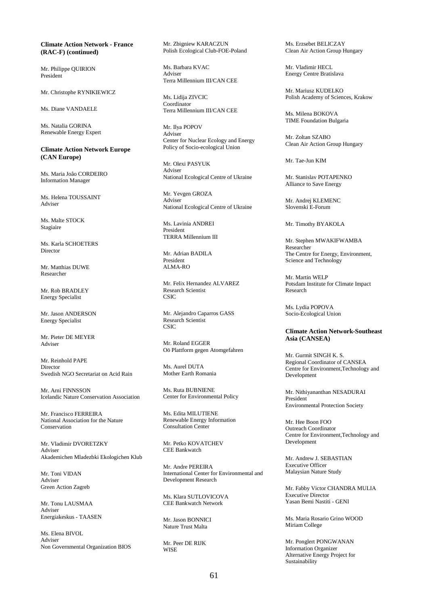#### **Climate Action Network - France (RAC-F) (continued)**

Mr. Philippe QUIRION President

Mr. Christophe RYNIKIEWICZ

Ms. Diane VANDAELE

Ms. Natalia GORINA Renewable Energy Expert

## **Climate Action Network Europe (CAN Europe)**

Ms. Maria Joâo CORDEIRO Information Manager

Ms. Helena TOUSSAINT Adviser

Ms. Malte STOCK Stagiaire

Ms. Karla SCHOETERS Director

Mr. Matthias DUWE Researcher

Mr. Rob BRADLEY Energy Specialist

Mr. Jason ANDERSON Energy Specialist

Mr. Pieter DE MEYER Adviser

Mr. Reinhold PAPE Director Swedish NGO Secretariat on Acid Rain

Mr. Arni FINNSSON Icelandic Nature Conservation Association

Mr. Francisco FERREIRA National Association for the Nature Conservation

Mr. Vladimir DVORETZKY Adviser Akademichen Mladezbki Ekologichen Klub

Mr. Toni VIDAN Adviser Green Action Zagreb

Mr. Tonu LAUSMAA Adviser Energiakeskus - TAASEN

Ms. Elena BIVOL Adviser Non Governmental Organization BIOS Mr. Zbigniew KARACZUN Polish Ecological Club-FOE-Poland

Ms. Barbara KVAC Adviser Terra Millennium III/CAN CEE

Ms. Lidija ZIVCIC Coordinator Terra Millennium III/CAN CEE

Mr. Ilya POPOV Adviser Center for Nuclear Ecology and Energy Policy of Socio-ecological Union

Mr. Olexi PASYUK Adviser National Ecological Centre of Ukraine

Mr. Yevgen GROZA Adviser National Ecological Centre of Ukraine

Ms. Lavinia ANDREI President TERRA Millennium III

Mr. Adrian BADILA President ALMA-RO

Mr. Felix Hernandez ALVAREZ Research Scientist **CSIC** 

Mr. Alejandro Caparros GASS Research Scientist **CSIC** 

Mr. Roland EGGER Oö Plattform gegen Atomgefahren

Ms. Aurel DUTA Mother Earth Romania

Ms. Ruta BUBNIENE Center for Environmental Policy

Ms. Edita MILUTIENE Renewable Energy Information Consultation Center

Mr. Petko KOVATCHEV CEE Bankwatch

Mr. Andre PEREIRA International Center for Environmental and Development Research

Ms. Klara SUTLOVICOVA CEE Bankwatch Network

Mr. Jason BONNICI Nature Trust Malta

Mr. Peer DE RIJK **WISE** 

Ms. Erzsebet BELICZAY Clean Air Action Group Hungary

Mr. Vladimir HECL Energy Centre Bratislava

Mr. Mariusz KUDELKO Polish Academy of Sciences, Krakow

Ms. Milena BOKOVA TIME Foundation Bulgaria

Mr. Zoltan SZABO Clean Air Action Group Hungary

Mr. Tae-Jun KIM

Mr. Stanislav POTAPENKO Alliance to Save Energy

Mr. Andrej KLEMENC Slovenski E-Forum

Mr. Timothy BYAKOLA

Mr. Stephen MWAKIFWAMBA Researcher The Centre for Energy, Environment, Science and Technology

Mr. Martin WELP Potsdam Institute for Climate Impact Research

Ms. Lydia POPOVA Socio-Ecological Union

#### **Climate Action Network-Southeast Asia (CANSEA)**

Mr. Gurmit SINGH K. S. Regional Coordinator of CANSEA Centre for Environment,Technology and Development

Mr. Nithiyananthan NESADURAI President<sup>1</sup> Environmental Protection Society

Mr. Hee Boon FOO Outreach Coordinator Centre for Environment,Technology and Development

Mr. Andrew J. SEBASTIAN Executive Officer Malaysian Nature Study

Mr. Fabby Victor CHANDRA MULIA Executive Director Yasan Bemi Nastiti - GENI

Ms. Maria Rosario Grino WOOD Miriam College

Mr. Ponglert PONGWANAN Information Organizer Alternative Energy Project for Sustainability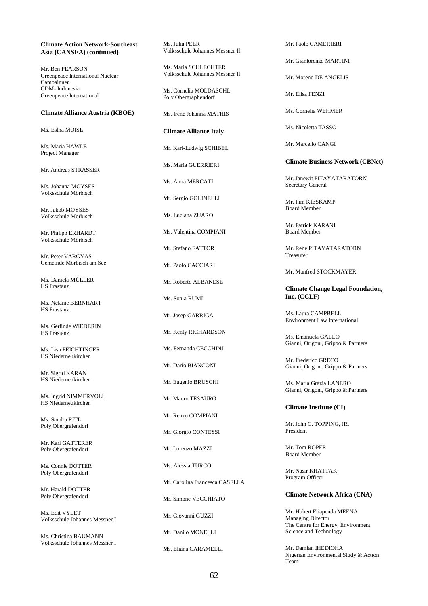#### **Climate Action Network-Southeast Asia (CANSEA) (continued)**

Mr. Ben PEARSON Greenpeace International Nuclear Campaigner CDM- Indonesia Greenpeace International

#### **Climate Alliance Austria (KBOE)**

Ms. Estha MOISL

Ms. Maria HAWLE Project Manager

Mr. Andreas STRASSER

Ms. Johanna MOYSES Volksschule Mörbisch

Mr. Jakob MOYSES Volksschule Mörbisch

Mr. Philipp ERHARDT Volksschule Mörbisch

Mr. Peter VARGYAS Gemeinde Mörbisch am See

Ms. Daniela MÜLLER HS Frastanz

Ms. Nelanie BERNHART HS Frastanz

Ms. Gerlinde WIEDERIN HS Frastanz

Ms. Lisa FEICHTINGER HS Niederneukirchen

Mr. Sigrid KARAN HS Niederneukirchen

Ms. Ingrid NIMMERVOLL HS Niederneukirchen

Ms. Sandra RITL Poly Obergrafendorf

Mr. Karl GATTERER Poly Obergrafendorf

Ms. Connie DOTTER Poly Obergrafendorf

Mr. Harald DOTTER Poly Obergrafendorf

Ms. Edit VYLET Volksschule Johannes Messner I

Ms. Christina BAUMANN Volksschule Johannes Messner I Ms. Julia PEER Volksschule Johannes Messner II

Ms. Maria SCHLECHTER Volksschule Johannes Messner II

Ms. Cornelia MOLDASCHL Poly Obergraphendorf

Ms. Irene Johanna MATHIS

**Climate Alliance Italy** 

Mr. Karl-Ludwig SCHIBEL

Ms. Maria GUERRIERI

Ms. Anna MERCATI

Mr. Sergio GOLINELLI

Ms. Luciana ZUARO

Ms. Valentina COMPIANI

Mr. Stefano FATTOR

Mr. Paolo CACCIARI

Mr. Roberto ALBANESE

Ms. Sonia RUMI

Mr. Josep GARRIGA

Mr. Kenty RICHARDSON

Ms. Fernanda CECCHINI

Mr. Dario BIANCONI

Mr. Eugenio BRUSCHI

Mr. Mauro TESAURO

Mr. Renzo COMPIANI

Mr. Giorgio CONTESSI

Mr. Lorenzo MAZZI

Ms. Alessia TURCO

Mr. Carolina Francesca CASELLA

Mr. Simone VECCHIATO

Mr. Giovanni GUZZI

Mr. Danilo MONELLI

Ms. Eliana CARAMELLI

Mr. Paolo CAMERIERI

Mr. Gianlorenzo MARTINI

Mr. Moreno DE ANGELIS

Mr. Elisa FENZI

Ms. Cornelia WEHMER

Ms. Nicoletta TASSO

Mr. Marcello CANGI

**Climate Business Network (CBNet)** 

Mr. Janewit PITAYATARATORN Secretary General

Mr. Pim KIESKAMP Board Member

Mr. Patrick KARANI Board Member

Mr. René PITAYATARATORN Treasurer

Mr. Manfred STOCKMAYER

**Climate Change Legal Foundation, Inc. (CCLF)** 

Ms. Laura CAMPBELL Environment Law International

Ms. Emanuela GALLO Gianni, Origoni, Grippo & Partners

Mr. Frederico GRECO Gianni, Origoni, Grippo & Partners

Ms. Maria Grazia LANERO Gianni, Origoni, Grippo & Partners

#### **Climate Institute (CI)**

Mr. John C. TOPPING, JR. President

Mr. Tom ROPER Board Member

Mr. Nasir KHATTAK Program Officer

# **Climate Network Africa (CNA)**

Mr. Hubert Eliapenda MEENA Managing Director The Centre for Energy, Environment, Science and Technology

Mr. Damian IHEDIOHA Nigerian Environmental Study & Action Team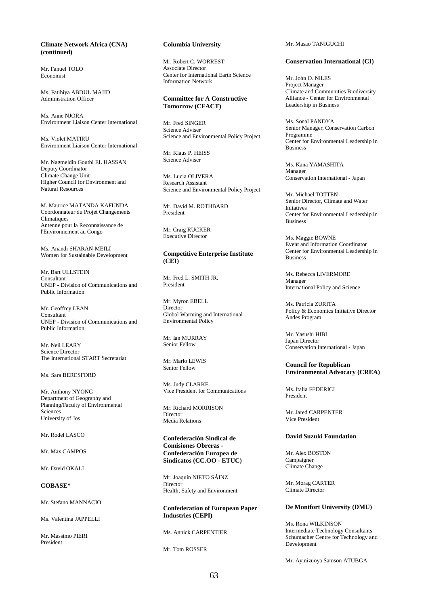# **Climate Network Africa (CNA) (continued)**

Mr. Fanuel TOLO Economist

Ms. Fatihiya ABDUL MAJID Administration Officer

Ms. Anne NJORA Environment Liaison Center International

Ms. Violet MATIRU Environment Liaison Center International

Mr. Nagmeldin Goutbi EL HASSAN Deputy Coordinator Climate Change Unit Higher Council for Environment and Natural Resources

M. Maurice MATANDA KAFUNDA Coordonnateur du Projet Changements **Climatiques** Antenne pour la Reconnaissance de l'Environnement au Congo

Ms. Anandi SHARAN-MEILI Women for Sustainable Development

Mr. Bart ULLSTEIN Consultant UNEP - Division of Communications and Public Information

Mr. Geoffrey LEAN Consultant UNEP - Division of Communications and Public Information

Mr. Neil LEARY Science Director The International START Secretariat

Ms. Sara BERESFORD

Mr. Anthony NYONG Department of Geography and Planning/Faculty of Environmental Sciences University of Jos

#### Mr. Rodel LASCO

Mr. Max CAMPOS

Mr. David OKALI

# **COBASE\***

Mr. Stefano MANNACIO

Ms. Valentina JAPPELLI

Mr. Massimo PIERI President

#### **Columbia University**

Mr. Robert C. WORREST Associate Director Center for International Earth Science Information Network

## **Committee for A Constructive Tomorrow (CFACT)**

Mr. Fred SINGER Science Adviser Science and Environmental Policy Project

Mr. Klaus P. HEISS Science Adviser

Ms. Lucia OLIVERA Research Assistant Science and Environmental Policy Project

Mr. David M. ROTHBARD President

Mr. Craig RUCKER Executive Director

## **Competitive Enterprise Institute (CEI)**

Mr. Fred L. SMITH JR. President

Mr. Myron EBELL Director Global Warming and International Environmental Policy

Mr. Ian MURRAY Senior Fellow

Mr. Marlo LEWIS Senior Fellow

Ms. Judy CLARKE Vice President for Communications

Mr. Richard MORRISON Director Media Relations

**Confederación Sindical de Comisiones Obreras - Confederación Europea de Sindicatos (CC.OO - ETUC)** 

Mr. Joaquín NIETO SÁINZ Director Health, Safety and Environment

**Confederation of European Paper Industries (CEPI)** 

Ms. Annick CARPENTIER

Mr. Tom ROSSER

Mr. Masao TANIGUCHI

#### **Conservation International (CI)**

Mr. John O. NILES Project Manager Climate and Communities Biodiversity Alliance - Center for Environmental Leadership in Business

Ms. Sonal PANDYA Senior Manager, Conservation Carbon Programme Center for Environmental Leadership in Business

Ms. Kana YAMASHITA Manager Conservation International - Japan

Mr. Michael TOTTEN Senior Director, Climate and Water Initatives Center for Environmental Leadership in Business

Ms. Maggie BOWNE Event and Information Coordinator Center for Environmental Leadership in Business

Ms. Rebecca LIVERMORE Manager International Policy and Science

Ms. Patricia ZURITA Policy & Economics Initiative Director Andes Program

Mr. Yasushi HIBI Japan Director Conservation International - Japan

# **Council for Republican Environmental Advocacy (CREA)**

Ms. Italia FEDERICI President

Mr. Jared CARPENTER Vice President

# **David Suzuki Foundation**

Mr. Alex BOSTON Campaigner Climate Change

Mr. Morag CARTER Climate Director

# **De Montfort University (DMU)**

Ms. Rona WILKINSON Intermediate Technology Consultants Schumacher Centre for Technology and Development

Mr. Ayinizuoya Samson ATUBGA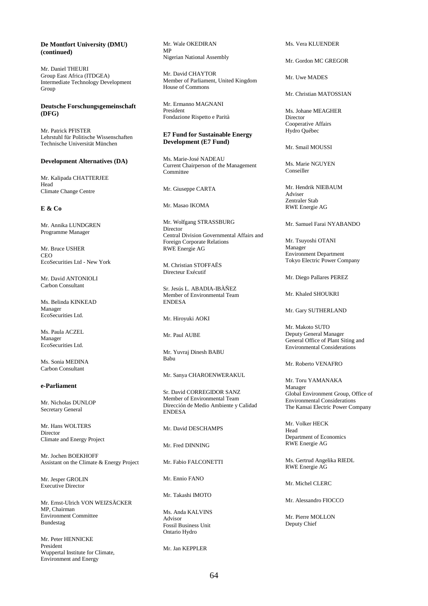# **De Montfort University (DMU) (continued)**

Mr. Daniel THEURI Group East Africa (ITDGEA) Intermediate Technology Development Group

## **Deutsche Forschungsgemeinschaft (DFG)**

Mr. Patrick PFISTER Lehrstuhl für Politische Wissenschaften Technische Universität München

#### **Development Alternatives (DA)**

Mr. Kalipada CHATTERJEE Head Climate Change Centre

## **E & Co**

Mr. Annika LUNDGREN Programme Manager

Mr. Bruce USHER **CEO** EcoSecurities Ltd - New York

Mr. David ANTONIOLI Carbon Consultant

Ms. Belinda KINKEAD Manager EcoSecurities Ltd.

Ms. Paula ACZEL Manager EcoSecurities Ltd.

Ms. Sonia MEDINA Carbon Consultant

## **e-Parliament**

Mr. Nicholas DUNLOP Secretary General

Mr. Hans WOLTERS Director Climate and Energy Project

Mr. Jochen BOEKHOFF Assistant on the Climate & Energy Project

Mr. Jesper GROLIN Executive Director

Mr. Ernst-Ulrich VON WEIZSÄCKER MP, Chairman Environment Committee Bundestag

Mr. Peter HENNICKE President Wuppertal Institute for Climate, Environment and Energy

Mr. Wale OKEDIRAN MP Nigerian National Assembly

Mr. David CHAYTOR Member of Parliament, United Kingdom House of Commons

Mr. Ermanno MAGNANI President Fondazione Rispetto e Parità

#### **E7 Fund for Sustainable Energy Development (E7 Fund)**

Ms. Marie-José NADEAU Current Chairperson of the Management **Committee** 

Mr. Giuseppe CARTA

Mr. Masao IKOMA

Mr. Wolfgang STRASSBURG Director Central Division Governmental Affairs and Foreign Corporate Relations RWE Energie AG

M. Christian STOFFAËS Directeur Exécutif

Sr. Jesús L. ABADIA-IBÀÑEZ Member of Environmental Team ENDESA

Mr. Hiroyuki AOKI

Mr. Paul AUBE

Mr. Yuvraj Dinesh BABU Babu

Mr. Sanya CHAROENWERAKUL

Sr. David CORREGIDOR SANZ Member of Environmental Team Dirección de Medio Ambiente y Calidad ENDESA

Mr. David DESCHAMPS

Mr. Fred DINNING

Mr. Fabio FALCONETTI

Mr. Ennio FANO

Mr. Takashi IMOTO

Ms. Anda KALVINS Advisor Fossil Business Unit Ontario Hydro

Mr. Jan KEPPLER

Ms. Vera KLUENDER

Mr. Gordon MC GREGOR

Mr. Uwe MADES

#### Mr. Christian MATOSSIAN

Ms. Johane MEAGHER Director Cooperative Affairs Hydro Québec

Mr. Smail MOUSSI

Ms. Marie NGUYEN Conseiller

Mr. Hendrik NIEBAUM Adviser Zentraler Stab RWE Energie AG

Mr. Samuel Farai NYABANDO

Mr. Tsuyoshi OTANI Manager Environment Department Tokyo Electric Power Company

Mr. Diego Pallares PEREZ

Mr. Khaled SHOUKRI

Mr. Gary SUTHERLAND

Mr. Makoto SUTO Deputy General Manager General Office of Plant Siting and Environmental Considerations

Mr. Roberto VENAFRO

Mr. Toru YAMANAKA Manager Global Environment Group, Office of Environmental Considerations The Kansai Electric Power Company

Mr. Volker HECK Head Department of Economics RWE Energie AG

Ms. Gertrud Angelika RIEDL RWE Energie AG

Mr. Michel CLERC

Mr. Alessandro FIOCCO

Mr. Pierre MOLLON Deputy Chief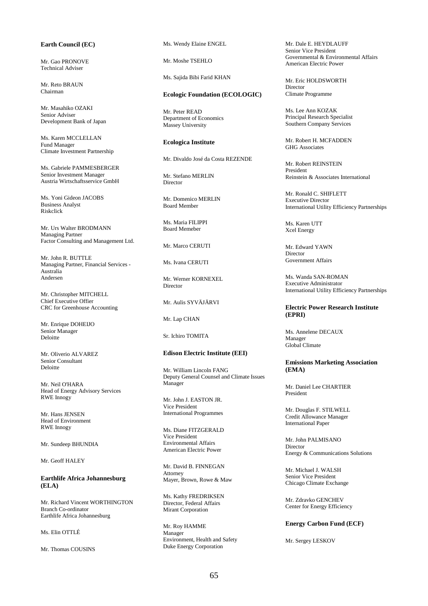# **Earth Council (EC)**

Mr. Gao PRONOVE Technical Adviser

Mr. Reto BRAUN Chairman

Mr. Masahiko OZAKI Senior Adviser Development Bank of Japan

Ms. Karen MCCLELLAN Fund Manager Climate Investment Partnership

Ms. Gabriele PAMMESBERGER Senior Investment Manager Austria Wirtschaftsservice GmbH

Ms. Yoni Gideon JACOBS Business Analyst Riskclick

Mr. Urs Walter BRODMANN Managing Partner Factor Consulting and Management Ltd.

Mr. John R. BUTTLE Managing Partner, Financial Services - Australia Andersen

Mr. Christopher MITCHELL Chief Executive Offier CRC for Greenhouse Accounting

Mr. Enrique DOHEIJO Senior Manager Deloitte

Mr. Oliverio ALVAREZ Senior Consultant Deloitte

Mr. Neil O'HARA Head of Energy Advisory Services RWE Innogy

Mr. Hans JENSEN Head of Environment RWE Innogy

Mr. Sundeep BHUNDIA

Mr. Geoff HALEY

**Earthlife Africa Johannesburg (ELA)** 

Mr. Richard Vincent WORTHINGTON Branch Co-ordinator Earthlife Africa Johannesburg

Ms. Elin OTTLÉ

Mr. Thomas COUSINS

Ms. Wendy Elaine ENGEL

Mr. Moshe TSEHLO

Ms. Sajida Bibi Farid KHAN

#### **Ecologic Foundation (ECOLOGIC)**

Mr. Peter READ Department of Economics Massey University

#### **Ecologica Institute**

Mr. Divaldo José da Costa REZENDE

Mr. Stefano MERLIN Director

Mr. Domenico MERLIN Board Member

Ms. Maria FILIPPI Board Memeber

Mr. Marco CERUTI

Ms. Ivana CERUTI

Mr. Werner KORNEXEL Director

Mr. Aulis SYVÄJÄRVI

Mr. Lap CHAN

Sr. Ichiro TOMITA

#### **Edison Electric Institute (EEI)**

Mr. William Lincoln FANG Deputy General Counsel and Climate Issues Manager

Mr. John J. EASTON JR. Vice President International Programmes

Ms. Diane FITZGERALD Vice President Environmental Affairs American Electric Power

Mr. David B. FINNEGAN Attorney Mayer, Brown, Rowe & Maw

Ms. Kathy FREDRIKSEN Director, Federal Affairs Mirant Corporation

Mr. Roy HAMME Manager Environment, Health and Safety Duke Energy Corporation

Mr. Dale E. HEYDLAUFF Senior Vice President Governmental & Environmental Affairs American Electric Power

Mr. Eric HOLDSWORTH Director Climate Programme

Ms. Lee Ann KOZAK Principal Research Specialist Southern Company Services

Mr. Robert H. MCFADDEN GHG Associates

Mr. Robert REINSTEIN President Reinstein & Associates International

Mr. Ronald C. SHIFLETT Executive Director International Utility Efficiency Partnerships

Ms. Karen UTT Xcel Energy

Mr. Edward YAWN Director Government Affairs

Ms. Wanda SAN-ROMAN Executive Administrator International Utility Efficiency Partnerships

## **Electric Power Research Institute (EPRI)**

Ms. Annelene DECAUX Manager Global Climate

#### **Emissions Marketing Association (EMA)**

Mr. Daniel Lee CHARTIER President

Mr. Douglas F. STILWELL Credit Allowance Manager International Paper

Mr. John PALMISANO Director Energy & Communications Solutions

Mr. Michael J. WALSH Senior Vice President Chicago Climate Exchange

Mr. Zdravko GENCHEV Center for Energy Efficiency

#### **Energy Carbon Fund (ECF)**

Mr. Sergey LESKOV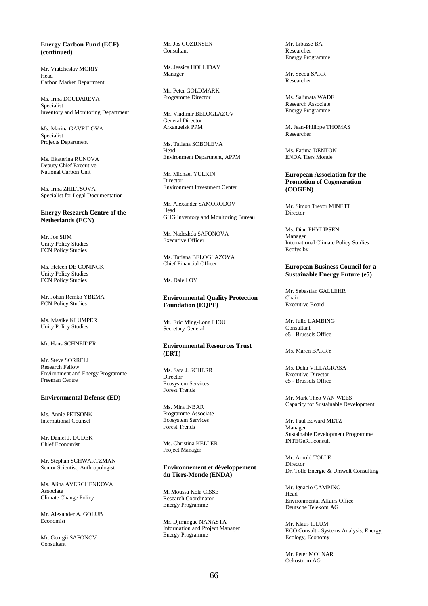## **Energy Carbon Fund (ECF) (continued)**

Mr. Viatcheslav MORIY Head Carbon Market Department

Ms. Irina DOUDAREVA Specialist Inventory and Monitoring Department

Ms. Marina GAVRILOVA Specialist Projects Department

Ms. Ekaterina RUNOVA Deputy Chief Executive National Carbon Unit

Ms. Irina ZHILTSOVA Specialist for Legal Documentation

## **Energy Research Centre of the Netherlands (ECN)**

Mr. Jos SIJM Unity Policy Studies ECN Policy Studies

Ms. Heleen DE CONINCK Unity Policy Studies ECN Policy Studies

Mr. Johan Remko YBEMA ECN Policy Studies

Ms. Maaike KLUMPER Unity Policy Studies

# Mr. Hans SCHNEIDER

Mr. Steve SORRELL Research Fellow Environment and Energy Programme Freeman Centre

#### **Environmental Defense (ED)**

Ms. Annie PETSONK International Counsel

Mr. Daniel J. DUDEK Chief Economist

Mr. Stephan SCHWARTZMAN Senior Scientist, Anthropologist

Ms. Alina AVERCHENKOVA Associate Climate Change Policy

Mr. Alexander A. GOLUB Economist

Mr. Georgii SAFONOV Consultant

Mr. Jos COZIJNSEN Consultant

Ms. Jessica HOLLIDAY Manager

Mr. Peter GOLDMARK Programme Director

Mr. Vladimir BELOGLAZOV General Director Arkangelsk PPM

Ms. Tatiana SOBOLEVA Head Environment Department, APPM

Mr. Michael YULKIN Director Environment Investment Center

Mr. Alexander SAMORODOV Head GHG Inventory and Monitoring Bureau

Mr. Nadezhda SAFONOVA Executive Officer

Ms. Tatiana BELOGLAZOVA Chief Financial Officer

Ms. Dale LOY

**Environmental Quality Protection Foundation (EQPF)** 

Mr. Eric Ming-Long LIOU Secretary General

# **Environmental Resources Trust (ERT)**

Ms. Sara J. SCHERR **Director** Ecosystem Services Forest Trends

Ms. Mira INBAR Programme Associate Ecosystem Services Forest Trends

Ms. Christina KELLER Project Manager

## **Environnement et développement du Tiers-Monde (ENDA)**

M. Moussa Kola CISSE Research Coordinator Energy Programme

Mr. Djimingue NANASTA Information and Project Manager Energy Programme

Mr. Libasse BA Researcher Energy Programme

Mr. Sécou SARR Researcher

Ms. Salimata WADE Research Associate Energy Programme

M. Jean-Philippe THOMAS Researcher

Ms. Fatima DENTON ENDA Tiers Monde

#### **European Association for the Promotion of Cogeneration (COGEN)**

Mr. Simon Trevor MINETT Director

Ms. Dian PHYLIPSEN Manager International Climate Policy Studies Ecofys bv

## **European Business Council for a Sustainable Energy Future (e5)**

Mr. Sebastian GALLEHR Chair Executive Board

Mr. Julio LAMBING Consultant e5 - Brussels Office

Ms. Maren BARRY

Ms. Delia VILLAGRASA Executive Director e5 - Brussels Office

Mr. Mark Theo VAN WEES Capacity for Sustainable Development

Mr. Paul Edward METZ Manager Sustainable Development Programme INTEGeR...consult

Mr. Arnold TOLLE Director Dr. Tolle Energie & Umwelt Consulting

Mr. Ignacio CAMPINO Head Environmental Affairs Office Deutsche Telekom AG

Mr. Klaus ILLUM ECO Consult - Systems Analysis, Energy, Ecology, Economy

Mr. Peter MOLNAR Oekostrom AG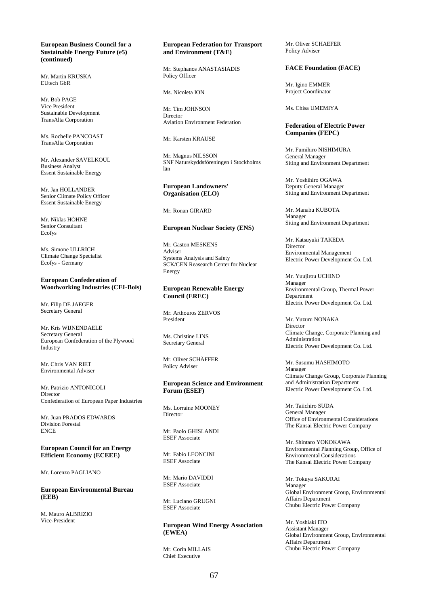#### **European Business Council for a Sustainable Energy Future (e5) (continued)**

Mr. Martin KRUSKA EUtech GbR

Mr. Bob PAGE Vice President Sustainable Development TransAlta Corporation

Ms. Rochelle PANCOAST TransAlta Corporation

Mr. Alexander SAVELKOUL Business Analyst Essent Sustainable Energy

Mr. Jan HOLLANDER Senior Climate Policy Officer Essent Sustainable Energy

Mr. Niklas HÖHNE Senior Consultant Ecofys

Ms. Simone ULLRICH Climate Change Specialist Ecofys - Germany

## **European Confederation of Woodworking Industries (CEI-Bois)**

Mr. Filip DE JAEGER Secretary General

Mr. Kris WIJNENDAELE Secretary General European Confederation of the Plywood Industry

Mr. Chris VAN RIET Environmental Adviser

Mr. Patrizio ANTONICOLI Director Confederation of European Paper Industries

Mr. Juan PRADOS EDWARDS Division Forestal **ENCE** 

**European Council for an Energy Efficient Economy (ECEEE)** 

Mr. Lorenzo PAGLIANO

**European Environmental Bureau (EEB)** 

M. Mauro ALBRIZIO Vice-President

#### **European Federation for Transport and Environment (T&E)**

Mr. Stephanos ANASTASIADIS Policy Officer

Ms. Nicoleta ION

Mr. Tim JOHNSON Director Aviation Environment Federation

Mr. Karsten KRAUSE

Mr. Magnus NILSSON SNF Naturskyddsföreningen i Stockholms län

## **European Landowners' Organisation (ELO)**

Mr. Ronan GIRARD

#### **European Nuclear Society (ENS)**

Mr. Gaston MESKENS Adviser Systems Analysis and Safety SCK/CEN Reasearch Center for Nuclear Energy

### **European Renewable Energy Council (EREC)**

Mr. Arthouros ZERVOS President

Ms. Christine LINS Secretary General

Mr. Oliver SCHÄFFER Policy Adviser

#### **European Science and Environment Forum (ESEF)**

Ms. Lorraine MOONEY Director

Mr. Paolo GHISLANDI ESEF Associate

Mr. Fabio LEONCINI ESEF Associate

Mr. Mario DAVIDDI ESEF Associate

Mr. Luciano GRUGNI ESEF Associate

# **European Wind Energy Association (EWEA)**

Mr. Corin MILLAIS Chief Executive

Mr. Oliver SCHAEFER Policy Adviser

# **FACE Foundation (FACE)**

Mr. Igino EMMER Project Coordinator

Ms. Chisa UMEMIYA

## **Federation of Electric Power Companies (FEPC)**

Mr. Fumihiro NISHIMURA General Manager Siting and Environment Department

Mr. Yoshihiro OGAWA Deputy General Manager Siting and Environment Department

Mr. Manabu KUBOTA Manager Siting and Environment Department

Mr. Katsuyuki TAKEDA Director Environmental Management Electric Power Development Co. Ltd.

Mr. Yuujirou UCHINO Manager Environmental Group, Thermal Power Department Electric Power Development Co. Ltd.

Mr. Yuzuru NONAKA Director Climate Change, Corporate Planning and Administration Electric Power Development Co. Ltd.

Mr. Susumu HASHIMOTO Manager Climate Change Group, Corporate Planning and Administration Department Electric Power Development Co. Ltd.

Mr. Taiichiro SUDA General Manager Office of Environmental Considerations The Kansai Electric Power Company

Mr. Shintaro YOKOKAWA Environmental Planning Group, Office of Environmental Considerations The Kansai Electric Power Company

Mr. Tokuya SAKURAI Manager Global Environment Group, Environmental Affairs Department Chubu Electric Power Company

Mr. Yoshiaki ITO Assistant Manager Global Environment Group, Environmental Affairs Department Chubu Electric Power Company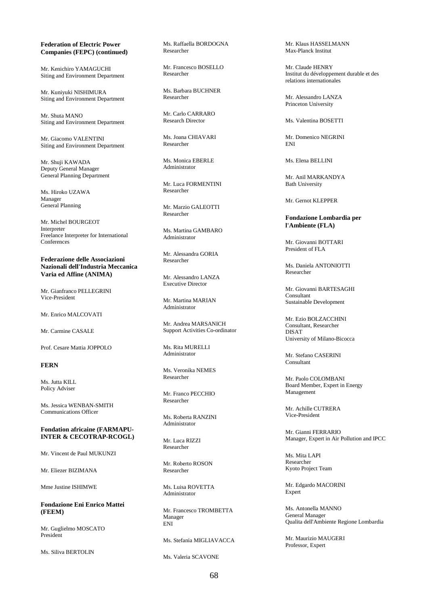#### **Federation of Electric Power Companies (FEPC) (continued)**

Mr. Kenichiro YAMAGUCHI Siting and Environment Department

Mr. Kuniyuki NISHIMURA Siting and Environment Department

Mr. Shuta MANO Siting and Environment Department

Mr. Giacomo VALENTINI Siting and Environment Department

Mr. Shuji KAWADA Deputy General Manager General Planning Department

Ms. Hiroko UZAWA Manager General Planning

Mr. Michel BOURGEOT **Interpreter** Freelance Interpreter for International **Conferences** 

**Federazione delle Associazioni Nazionali dell'Industria Meccanica Varia ed Affine (ANIMA)** 

Mr. Gianfranco PELLEGRINI Vice-President

Mr. Enrico MAI COVATI

Mr. Carmine CASALE

Prof. Cesare Mattia JOPPOLO

# **FERN**

Ms. Jutta KILL Policy Adviser

Ms. Jessica WENBAN-SMITH Communications Officer

## **Fondation africaine (FARMAPU-INTER & CECOTRAP-RCOGL)**

Mr. Vincent de Paul MUKUNZI

Mr. Eliezer BIZIMANA

Mme Justine ISHIMWE

**Fondazione Eni Enrico Mattei (FEEM)** 

Mr. Guglielmo MOSCATO President

Ms. Siliva BERTOLIN

Ms. Raffaella BORDOGNA Researcher

Mr. Francesco BOSELLO Researcher

Ms. Barbara BUCHNER Researcher

Mr. Carlo CARRARO Research Director

Ms. Joana CHIAVARI Researcher

Ms. Monica EBERLE Administrator

Mr. Luca FORMENTINI Researcher

Mr. Marzio GALEOTTI Researcher

Ms. Martina GAMBARO Administrator

Mr. Alessandra GORIA Researcher

Mr. Alessandro LANZA Executive Director

Mr. Martina MARIAN Administrator

Mr. Andrea MARSANICH Support Activities Co-ordinator

Ms. Rita MURELLI Administrator

Ms. Veronika NEMES Researcher

Mr. Franco PECCHIO Researcher

Ms. Roberta RANZINI Administrator

Mr. Luca RIZZI Researcher

Mr. Roberto ROSON Researcher

Ms. Luisa ROVETTA Administrator

Mr. Francesco TROMBETTA Manager ENI

Ms. Stefania MIGLIAVACCA

Ms. Valeria SCAVONE

Mr. Klaus HASSELMANN Max-Planck Institut

Mr. Claude HENRY Institut du développement durable et des relations internationales

Mr. Alessandro LANZA Princeton University

Ms. Valentina BOSETTI

Mr. Domenico NEGRINI ENI

Ms. Elena BELLINI

Mr. Anil MARKANDYA Bath University

Mr. Gernot KLEPPER

#### **Fondazione Lombardia per l'Ambiente (FLA)**

Mr. Giovanni BOTTARI President of FLA

Ms. Daniela ANTONIOTTI Researcher

Mr. Giovanni BARTESAGHI Consultant Sustainable Development

Mr. Ezio BOLZACCHINI Consultant, Researcher DISAT University of Milano-Bicocca

Mr. Stefano CASERINI Consultant

Mr. Paolo COLOMBANI Board Member, Expert in Energy Management

Mr. Achille CUTRERA Vice-President

Mr. Gianni FERRARIO Manager, Expert in Air Pollution and IPCC

Ms. Mita LAPI Researcher Kyoto Project Team

Mr. Edgardo MACORINI Expert

Ms. Antonella MANNO General Manager Qualita dell'Ambiente Regione Lombardia

Mr. Maurizio MAUGERI Professor, Expert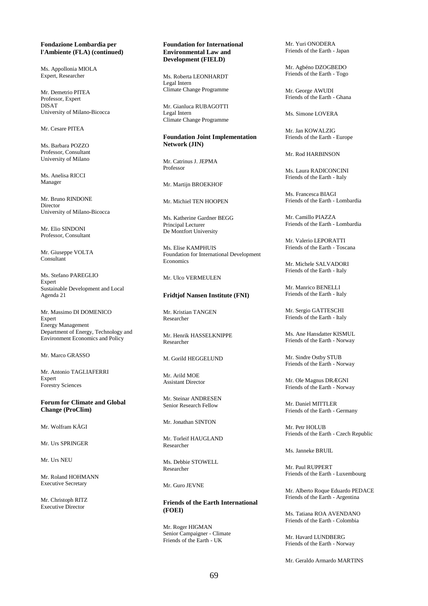#### **Fondazione Lombardia per l'Ambiente (FLA) (continued)**

Ms. Appollonia MIOLA Expert, Researcher

Mr. Demetrio PITEA Professor, Expert DISAT University of Milano-Bicocca

Mr. Cesare PITEA

Ms. Barbara POZZO Professor, Consultant University of Milano

Ms. Anelisa RICCI Manager

Mr. Bruno RINDONE Director University of Milano-Bicocca

Mr. Elio SINDONI Professor, Consultant

Mr. Giuseppe VOLTA Consultant

Ms. Stefano PAREGLIO **Expert** Sustainable Development and Local Agenda 21

Mr. Massimo DI DOMENICO Expert Energy Management Department of Energy, Technology and Environment Economics and Policy

Mr. Marco GRASSO

Mr. Antonio TAGLIAFERRI Expert Forestry Sciences

**Forum for Climate and Global Change (ProClim)** 

Mr. Wolfram KÄGI

Mr. Urs SPRINGER

Mr. Urs NEU

Mr. Roland HOHMANN Executive Secretary

Mr. Christoph RITZ Executive Director

## **Foundation for International Environmental Law and Development (FIELD)**

Ms. Roberta LEONHARDT Legal Intern Climate Change Programme

Mr. Gianluca RUBAGOTTI Legal Intern Climate Change Programme

#### **Foundation Joint Implementation Network (JIN)**

Mr. Catrinus J. JEPMA Professor

Mr. Martijn BROEKHOF

Mr. Michiel TEN HOOPEN

Ms. Katherine Gardner BEGG Principal Lecturer De Montfort University

Ms. Elise KAMPHUIS Foundation for International Development **Economics** 

Mr. Hlco VERMEHLEN

## **Fridtjof Nansen Institute (FNI)**

Mr. Kristian TANGEN Researcher

Mr. Henrik HASSELKNIPPE Researcher

M. Gorild HEGGELUND

Mr. Arild MOE Assistant Director

Mr. Steinar ANDRESEN Senior Research Fellow

Mr. Jonathan SINTON

Mr. Torleif HAUGLAND Researcher

Ms. Debbie STOWELL Researcher

Mr. Guro JEVNE

**Friends of the Earth International (FOEI)** 

Mr. Roger HIGMAN Senior Campaigner - Climate Friends of the Earth - UK

Mr. Yuri ONODERA Friends of the Earth - Japan

Mr. Agbéno DZOGBEDO Friends of the Earth - Togo

Mr. George AWUDI Friends of the Earth - Ghana

Ms. Simone LOVERA

Mr. Jan KOWALZIG Friends of the Earth - Europe

Mr. Rod HARBINSON

Ms. Laura RADICONCINI Friends of the Earth - Italy

Ms. Francesca BIAGI Friends of the Earth - Lombardia

Mr. Camillo PIAZZA Friends of the Earth - Lombardia

Mr. Valerio LEPORATTI Friends of the Earth - Toscana

Mr. Michele SALVADORI Friends of the Earth - Italy

Mr. Manrico BENELLI Friends of the Earth - Italy

Mr. Sergio GATTESCHI Friends of the Earth - Italy

Ms. Ane Hansdatter KISMUL Friends of the Earth - Norway

Mr. Sindre Ostby STUB Friends of the Earth - Norway

Mr. Ole Magnus DRÆGNI Friends of the Earth - Norway

Mr. Daniel MITTLER Friends of the Earth - Germany

Mr. Petr HOLUB Friends of the Earth - Czech Republic

Ms. Janneke BRUIL

Mr. Paul RUPPERT Friends of the Earth - Luxembourg

Mr. Alberto Roque Eduardo PEDACE Friends of the Earth - Argentina

Ms. Tatiana ROA AVENDANO Friends of the Earth - Colombia

Mr. Havard LUNDBERG Friends of the Earth - Norway

Mr. Geraldo Armardo MARTINS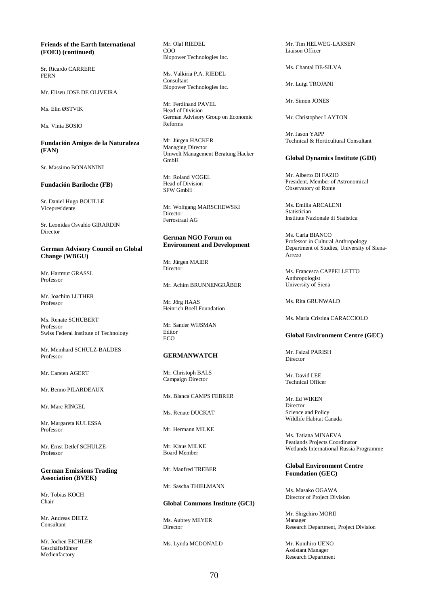## **Friends of the Earth International (FOEI) (continued)**

Sr. Ricardo CARRERE FERN

Mr. Eliseu JOSE DE OLIVEIRA

Ms. Elin ØSTVIK

Ms. Vinia BOSIO

**Fundación Amigos de la Naturaleza (FAN)** 

Sr. Massimo BONANNINI

# **Fundación Bariloche (FB)**

Sr. Daniel Hugo BOUILLE Vicepresidente

Sr. Leonidas Osvaldo GIRARDIN Director

## **German Advisory Council on Global Change (WBGU)**

Mr. Hartmut GRASSL Professor

Mr. Joachim LUTHER Professor

Ms. Renate SCHUBERT Professor Swiss Federal Institute of Technology

Mr. Meinhard SCHULZ-BALDES Professor

Mr. Carsten AGERT

Mr. Benno PILARDEAUX

Mr. Marc RINGEL

Mr. Margareta KULESSA Professor

Mr. Ernst Detlef SCHULZE Professor

**German Emissions Trading Association (BVEK)** 

Mr. Tobias KOCH Chair

Mr. Andreas DIETZ Consultant

Mr. Jochen EICHLER Geschäftsführer Medienfactory

Mr. Olaf RIEDEL COO Biopower Technologies Inc.

Ms. Valkiria P.A. RIEDEL Consultant Biopower Technologies Inc.

Mr. Ferdinand PAVEL Head of Division German Advisory Group on Economic Reforms

Mr. Jürgen HACKER Managing Director Umwelt Management Beratung Hacker GmbH

Mr. Roland VOGEL Head of Division SFW GmbH

Mr. Wolfgang MARSCHEWSKI Director Ferrostraal AG

## **German NGO Forum on Environment and Development**

Mr. Jürgen MAIER **Director** 

Mr. Achim BRUNNENGRÄBER

Mr. Jörg HAAS Heinrich Boell Foundation

Mr. Sander WIJSMAN Editor ECO

#### **GERMANWATCH**

Mr. Christoph BALS Campaign Director

Ms. Blanca CAMPS FEBRER

Ms. Renate DUCKAT

Mr. Hermann MILKE

Mr. Klaus MILKE Board Member

Mr. Manfred TREBER

Mr. Sascha THIELMANN

#### **Global Commons Institute (GCI)**

Ms. Aubrey MEYER Director

Ms. Lynda MCDONALD

Mr. Tim HELWEG-LARSEN Liaison Officer

Ms. Chantal DE-SILVA

Mr. Luigi TROJANI

Mr. Simon JONES

Mr. Christopher LAYTON

Mr. Jason YAPP Technical & Horticultural Consultant

#### **Global Dynamics Institute (GDI)**

Mr. Alberto DI FAZIO President, Member of Astronomical Observatory of Rome

Ms. Emilia ARCALENI Statistician Institute Nazionale di Statistica

Ms. Carla BIANCO Professor in Cultural Anthropology Department of Studies, University of Siena-Arrezo

Ms. Francesca CAPPELLETTO Anthropologist University of Siena

Ms. Rita GRUNWALD

Ms. Maria Cristina CARACCIOLO

#### **Global Environment Centre (GEC)**

Mr. Faizal PARISH Director

Mr. David LEE Technical Officer

Mr. Ed WIKEN Director Science and Policy Wildlife Habitat Canada

Ms. Tatiana MINAEVA Peatlands Projects Coordinator Wetlands International Russia Programme

## **Global Environment Centre Foundation (GEC)**

Ms. Masako OGAWA Director of Project Division

Mr. Shigehiro MORII Manager Research Department, Project Division

Mr. Kunihiro UENO Assistant Manager Research Department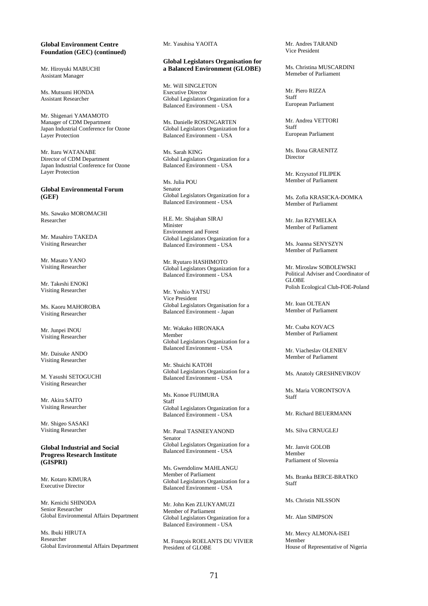#### **Global Environment Centre Foundation (GEC) (continued)**

Mr. Hiroyuki MABUCHI Assistant Manager

Ms. Mutsumi HONDA Assistant Researcher

Mr. Shigenari YAMAMOTO Manager of CDM Department Japan Industrial Conference for Ozone Layer Protection

Mr. Itaru WATANABE Director of CDM Department Japan Industrial Conference for Ozone Layer Protection

#### **Global Environmental Forum (GEF)**

Ms. Sawako MOROMACHI Researcher

Mr. Masahiro TAKEDA Visiting Researcher

Mr. Masato YANO Visiting Researcher

Mr. Takeshi ENOKI Visiting Researcher

Ms. Kaoru MAHOROBA Visiting Researcher

Mr. Junpei INOU Visiting Researcher

Mr. Daisuke ANDO Visiting Researcher

M. Yasushi SETOGUCHI Visiting Researcher

Mr. Akira SAITO Visiting Researcher

Mr. Shigeo SASAKI Visiting Researcher

**Global Industrial and Social Progress Research Institute (GISPRI)** 

Mr. Kotaro KIMURA Executive Director

Mr. Kenichi SHINODA Senior Researcher Global Environmental Affairs Department

Ms. Ibuki HIRUTA Researcher Global Environmental Affairs Department Mr. Yasuhisa YAOITA

#### **Global Legislators Organisation for a Balanced Environment (GLOBE)**

Mr. Will SINGLETON Executive Director Global Legislators Organization for a Balanced Environment - USA

Ms. Danielle ROSENGARTEN Global Legislators Organization for a Balanced Environment - USA

Ms. Sarah KING Global Legislators Organization for a Balanced Environment - USA

Ms. Julia POU Senator Global Legislators Organization for a Balanced Environment - USA

H.E. Mr. Shajahan SIRAJ Minister Environment and Forest Global Legislators Organization for a Balanced Environment - USA

Mr. Ryutaro HASHIMOTO Global Legislators Organization for a Balanced Environment - USA

Mr. Yoshio YATSU Vice President Global Legislators Organisation for a Balanced Environment - Japan

Mr. Wakako HIRONAKA Member Global Legislators Organization for a Balanced Environment - USA

Mr. Shuichi KATOH Global Legislators Organization for a Balanced Environment - USA

Ms. Konoe FUJIMURA Staff Global Legislators Organization for a Balanced Environment - USA

Mr. Panal TASNEEYANOND Senator Global Legislators Organization for a Balanced Environment - USA

Ms. Gwendolinw MAHLANGU Member of Parliament Global Legislators Organization for a Balanced Environment - USA

Mr. John Ken ZLUKYAMUZI Member of Parliament Global Legislators Organization for a Balanced Environment - USA

M. François ROELANTS DU VIVIER President of GLOBE

Mr. Andres TARAND Vice President

Ms. Christina MUSCARDINI Memeber of Parliament

Mr. Piero RIZZA Staff European Parliament

Mr. Andrea VETTORI Staff European Parliament

Ms. Ilona GRAENITZ **Director** 

Mr. Krzysztof FILIPEK Member of Parliament

Ms. Zofia KRASICKA-DOMKA Member of Parliament

Mr. Jan RZYMELKA Member of Parliament

Ms. Joanna SENYSZYN Member of Parliament

Mr. Miroslaw SOBOLEWSKI Political Adviser and Coordinator of GLOBE Polish Ecological Club-FOE-Poland

Mr. Ioan OLTEAN Member of Parliament

Mr. Csaba KOVACS Member of Parliament

Mr. Viacheslav OLENIEV Member of Parliament

Ms. Anatoly GRESHNEVIKOV

Ms. Maria VORONTSOVA Staff

Mr. Richard BEUERMANN

Ms. Silva CRNUGLEJ

Mr. Janvit GOLOB Member Parliament of Slovenia

Ms. Branka BERCE-BRATKO Staff

Ms. Christin NILSSON

Mr. Alan SIMPSON

Mr. Mercy ALMONA-ISEI Member House of Representative of Nigeria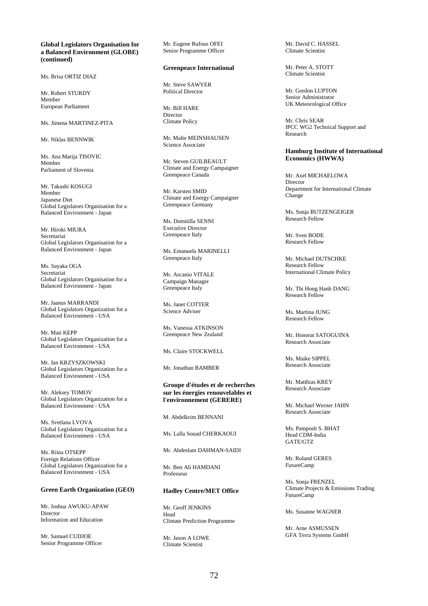## **Global Legislators Organisation for a Balanced Environment (GLOBE) (continued)**

Ms. Brisa ORTIZ DIAZ

Mr. Robert STURDY Member European Parliament

Ms. Jimena MARTINEZ-PITA

Mr. Niklas BENNWIK

Ms. Ana Marija TISOVIC Member Parliament of Slovenia

Mr. Takashi KOSUGI Member Japanese Diet Global Legislators Organisation for a Balanced Environment - Japan

Mr. Hiroki MIURA Secretariat Global Legislators Organisation for a Balanced Environment - Japan

Ms. Sayaka OGA Secretariat Global Legislators Organisation for a Balanced Environment - Japan

Mr. Jaanus MARRANDI Global Legislators Organization for a Balanced Environment - USA

Mr. Mati KEPP Global Legislators Organization for a Balanced Environment - USA

Mr. Jan KRZYSZKOWSKI Global Legislators Organization for a Balanced Environment - USA

Mr. Aleksey TOMOV Global Legislators Organization for a Balanced Environment - USA

Ms. Svetlana LVOVA Global Legislators Organization for a Balanced Environment - USA

Ms. Riina OTSEPP Foreign Relations Officer Global Legislators Organization for a Balanced Environment - USA

# **Green Earth Organization (GEO)**

Mr. Joshua AWUKU-APAW Director Information and Education

Mr. Samuel CUDJOE Senior Programme Officer Mr. Eugene Rufous OFEI Senior Programme Officer

#### **Greenpeace International**

Mr. Steve SAWYER Political Director

Mr. Bill HARE Director Climate Policy

Mr. Malte MEINSHAUSEN Science Associate

Mr. Steven GUILBEAULT Climate and Energy Campaigner Greenpeace Canada

Mr. Karsten SMID Climate and Energy Campaigner Greenpeace Germany

Ms. Domitilla SENNI Executive Director Greenpeace Italy

Ms. Emanuela MARINELLI Greenpeace Italy

Mr. Ascanio VITALE Campaign Manager Greenpeace Italy

Ms. Janet COTTER Science Adviser

Ms. Vanessa ATKINSON Greenpeace New Zealand

Ms. Claire STOCKWELL

Mr. Jonathan BAMBER

#### **Groupe d'études et de recherches sur les énergies renouvelables et l'environnement (GERERE)**

M. Abdelkrim BENNANI

Ms. Lalla Souad CHERKAOUI

Mr. Abdeslam DAHMAN-SAIDI

Mr. Ben Ali HAMDANI Professeur

## **Hadley Centre/MET Office**

Mr. Geoff JENKINS Head Climate Prediction Programme

Mr. Jason A LOWE Climate Scientist

Mr. David C. HASSEL Climate Scientist

Mr. Peter A. STOTT Climate Scientist

Mr. Gordon LUPTON Senior Administrator UK Meteorological Office

Mr. Chris SEAR IPCC WG2 Technical Support and Research

#### **Hamburg Institute of International Economics (HWWA)**

Mr. Axel MICHAELOWA Director Department for International Climate Change

Ms. Sonja BUTZENGEIGER Research Fellow

Mr. Sven BODE Research Fellow

Mr. Michael DUTSCHKE Research Fellow International Climate Policy

Mr. Thi Hong Hanh DANG Research Fellow

Ms. Martina II ING. Research Fellow

Mr. Honorat SATOGUINA Research Associate

Ms. Maike SIPPEL Research Associate

Mr. Matthias KREY Research Associate

Mr. Michael Werner JAHN Research Associate

Ms. Pamposh S. BHAT Head CDM-India GATE/GTZ

Mr. Roland GERES FutureCamp

Ms. Sonja FRENZEL Climate Projects & Emissions Trading FutureCamp

Ms. Susanne WAGNER

Mr. Arne ASMUSSEN GFA Terra Systems GmbH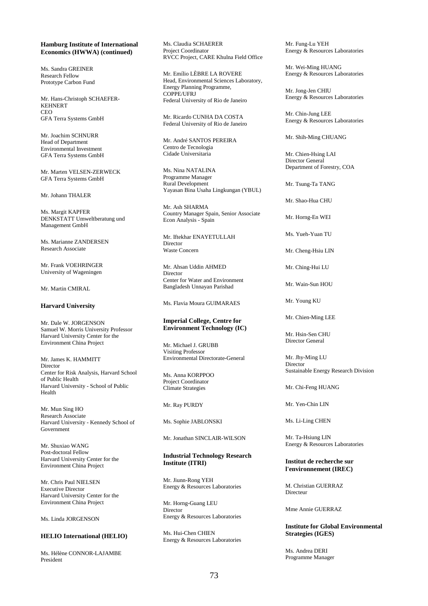### **Hamburg Institute of International Economics (HWWA) (continued)**

Ms. Sandra GREINER Research Fellow Prototype Carbon Fund

Mr. Hans-Christoph SCHAEFER-KEHNERT CEO GFA Terra Systems GmbH

Mr. Joachim SCHNURR Head of Department Environmental Investment GFA Terra Systems GmbH

Mr. Marten VELSEN-ZERWECK GFA Terra Systems GmbH

Mr. Johann THALER

Ms. Margit KAPFER DENKSTATT Umweltberatung und Management GmbH

Ms. Marianne ZANDERSEN Research Associate

Mr. Frank VOEHRINGER University of Wageningen

Mr. Martin CMIRAL

## **Harvard University**

Mr. Dale W. JORGENSON Samuel W. Morris University Professor Harvard University Center for the Environment China Project

Mr. James K. HAMMITT Director Center for Risk Analysis, Harvard School of Public Health Harvard University - School of Public Health

Mr. Mun Sing HO Research Associate Harvard University - Kennedy School of Government

Mr. Shuxiao WANG Post-doctoral Fellow Harvard University Center for the Environment China Project

Mr. Chris Paul NIELSEN Executive Director Harvard University Center for the Environment China Project

Ms. Linda JORGENSON

#### **HELIO International (HELIO)**

Ms. Hélène CONNOR-LAJAMBE President

Ms. Claudia SCHAERER Project Coordinator RVCC Project, CARE Khulna Field Office

Mr. Emílio LÈBRE LA ROVERE Head, Environmental Sciences Laboratory, Energy Planning Programme, COPPE/UFRJ Federal University of Rio de Janeiro

Mr. Ricardo CUNHA DA COSTA Federal University of Rio de Janeiro

Mr. André SANTOS PEREIRA Centro de Tecnologia Cidade Universitaria

Ms. Nina NATALINA Programme Manager Rural Development Yayasan Bina Usaha Lingkungan (YBUL)

Mr. Ash SHARMA Country Manager Spain, Senior Associate Econ Analysis - Spain

Mr. Iftekhar ENAYETULLAH Director Waste Concern

Mr. Ahsan Uddin AHMED Director Center for Water and Environment Bangladesh Unnayan Parishad

Ms. Flavia Moura GUIMARAES

### **Imperial College, Centre for Environment Technology (IC)**

Mr. Michael J. GRUBB Visiting Professor Environmental Directorate-General

Ms. Anna KORPPOO Project Coordinator Climate Strategies

Mr. Ray PURDY

Ms. Sophie JABLONSKI

Mr. Jonathan SINCLAIR-WILSON

## **Industrial Technology Research Institute (ITRI)**

Mr. Jiunn-Rong YEH Energy & Resources Laboratories

Mr. Horng-Guang LEU Director Energy & Resources Laboratories

Ms. Hui-Chen CHIEN Energy & Resources Laboratories Mr. Fung-Lu YEH Energy & Resources Laboratories

Mr. Wei-Ming HUANG Energy & Resources Laboratories

Mr. Jong-Jen CHIU Energy & Resources Laboratories

Mr. Chin-Jung LEE Energy & Resources Laboratories

Mr. Shih-Ming CHUANG

Mr. Chien-Hsing LAI Director General Department of Forestry, COA

Mr. Tsung-Ta TANG

Mr. Shao-Hua CHU

Mr. Horng-En WEI

Ms. Yueh-Yuan TU

Mr. Cheng-Hsiu LIN

Mr. Ching-Hui LU

Mr. Wain-Sun HOU

Mr. Young KU

Mr. Chien-Ming LEE

Mr. Hsin-Sen CHU Director General

Mr. Jhy-Ming LU **Director** Sustainable Energy Research Division

Mr. Chi-Feng HUANG

Mr. Yen-Chin LIN

Ms. Li-Ling CHEN

Mr. Ta-Hsiung LIN Energy & Resources Laboratories

# **Institut de recherche sur l'environnement (IREC)**

M. Christian GUERRAZ **Directeur** 

Mme Annie GUERRAZ

#### **Institute for Global Environmental Strategies (IGES)**

Ms. Andrea DERI Programme Manager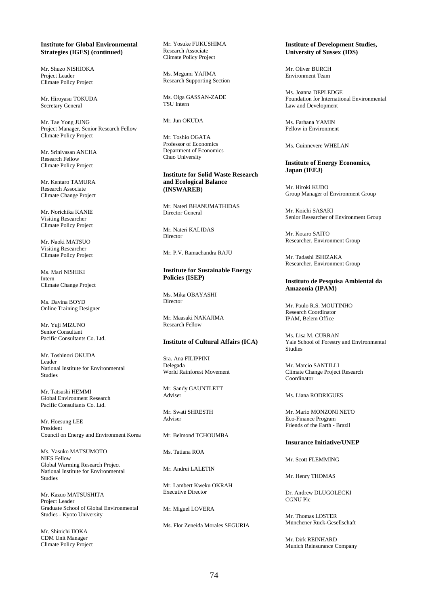# **Institute for Global Environmental Strategies (IGES) (continued)**

Mr. Shuzo NISHIOKA Project Leader Climate Policy Project

Mr. Hiroyasu TOKUDA Secretary General

Mr. Tae Yong JUNG Project Manager, Senior Research Fellow Climate Policy Project

Mr. Srinivasan ANCHA Research Fellow Climate Policy Project

Mr. Kentaro TAMURA Research Associate Climate Change Project

Mr. Norichika KANIE Visiting Researcher Climate Policy Project

Mr. Naoki MATSUO Visiting Researcher Climate Policy Project

Ms. Mari NISHIKI Intern Climate Change Project

Ms. Davina BOYD Online Training Designer

Mr. Yuji MIZUNO Senior Consultant Pacific Consultants Co. Ltd.

Mr. Toshinori OKUDA Leader National Institute for Environmental Studies

Mr. Tatsushi HEMMI Global Environment Research Pacific Consultants Co. Ltd.

Mr. Hoesung LEE President Council on Energy and Environment Korea

Ms. Yasuko MATSUMOTO NIES Fellow Global Warming Research Project National Institute for Environmental Studies

Mr. Kazuo MATSUSHITA Project Leader Graduate School of Global Environmental Studies - Kyoto University

Mr. Shinichi IIOKA CDM Unit Manager Climate Policy Project

Mr. Yosuke FUKUSHIMA Research Associate Climate Policy Project

Ms. Megumi YAJIMA Research Supporting Section

Ms. Olga GASSAN-ZADE TSU Intern

Mr. Jun OKUDA

Mr. Toshio OGATA Professor of Economics Department of Economics Chuo University

### **Institute for Solid Waste Research and Ecological Balance (INSWAREB)**

Mr. Nateri BHANUMATHIDAS Director General

Mr. Nateri KALIDAS Director

Mr. P.V. Ramachandra RAJU

# **Institute for Sustainable Energy Policies (ISEP)**

Ms. Mika OBAYASHI Director

Mr. Maasaki NAKAJIMA Research Fellow

# **Institute of Cultural Affairs (ICA)**

Sra. Ana FILIPPINI Delegada World Rainforest Movement

Mr. Sandy GAUNTLETT Adviser

Mr. Swati SHRESTH Adviser

Mr. Belmond TCHOUMBA

Ms. Tatiana ROA

Mr. Andrei LALETIN

Mr. Lambert Kweku OKRAH Executive Director

Mr. Miguel LOVERA

Ms. Flor Zeneida Morales SEGURIA

# **Institute of Development Studies, University of Sussex (IDS)**

Mr. Oliver BURCH Environment Team

Ms. Joanna DEPLEDGE Foundation for International Environmental Law and Development

Ms. Farhana YAMIN Fellow in Environment

Ms. Guinnevere WHELAN

# **Institute of Energy Economics, Japan (IEEJ)**

Mr. Hiroki KUDO Group Manager of Environment Group

Mr. Koichi SASAKI Senior Researcher of Environment Group

Mr. Kotaro SAITO Researcher, Environment Group

Mr. Tadashi ISHIZAKA Researcher, Environment Group

# **Instituto de Pesquisa Ambiental da Amazonia (IPAM)**

Mr. Paulo R.S. MOUTINHO Research Coordinator IPAM, Belem Office

Ms. Lisa M. CURRAN Yale School of Forestry and Environmental Studies

Mr. Marcio SANTILLI Climate Change Project Research Coordinator

Ms. Liana RODRIGUES

Mr. Mario MONZONI NETO Eco-Finance Program Friends of the Earth - Brazil

#### **Insurance Initiative/UNEP**

Mr. Scott FLEMMING

Mr. Henry THOMAS

Dr. Andrew DLUGOLECKI CGNU Plc

Mr. Thomas LOSTER Münchener Rück-Gesellschaft

Mr. Dirk REINHARD Munich Reinsurance Company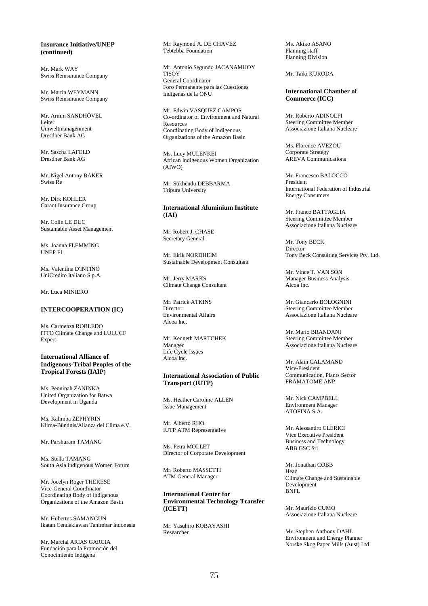# **Insurance Initiative/UNEP (continued)**

Mr. Mark WAY Swiss Reinsurance Company

Mr. Martin WEYMANN Swiss Reinsurance Company

Mr. Armin SANDHÖVEL Leiter Umweltmanagenment Dresdner Bank AG

Mr. Sascha LAFELD Dresdner Bank AG

Mr. Nigel Antony BAKER Swiss Re

Mr. Dirk KOHLER Garant Insurance Group

Mr. Colin LE DUC Sustainable Asset Management

Ms. Joanna FLEMMING UNEP FI

Ms. Valentina D'INTINO UniCredito Italiano S.p.A.

Mr. Luca MINIERO

#### **INTERCOOPERATION (IC)**

Ms. Carmenza ROBLEDO ITTO Climate Change and LULUCF Expert

# **International Alliance of Indigenous-Tribal Peoples of the Tropical Forests (IAIP)**

Ms. Penninah ZANINKA United Organization for Batwa Development in Uganda

Ms. Kalimba ZEPHYRIN Klima-Bündnis/Alianza del Clima e.V.

Mr. Parshuram TAMANG

Ms. Stella TAMANG South Asia Indigenous Women Forum

Mr. Jocelyn Roger THERESE Vice-General Coordinator Coordinating Body of Indigenous Organizations of the Amazon Basin

Mr. Hubertus SAMANGUN Ikatan Cendekiawan Tanimbar Indonesia

Mr. Marcial ARIAS GARCIA Fundación para la Promoción del Conocimiento Indígena

Mr. Raymond A. DE CHAVEZ Tebtebba Foundation

Mr. Antonio Segundo JACANAMIJOY **TISOY** General Coordinator Foro Permanente para las Cuestiones Indigenas de la ONU

Mr. Edwin VÁSQUEZ CAMPOS Co-ordinator of Environment and Natural Resources Coordinating Body of Indigenous Organizations of the Amazon Basin

Ms. Lucy MULENKEI African Indigenous Women Organization (AIWO)

Mr. Sukhendu DEBBARMA Tripura University

# **International Aluminium Institute (IAI)**

Mr. Robert J. CHASE Secretary General

Mr. Eirik NORDHEIM Sustainable Development Consultant

Mr. Jerry MARKS Climate Change Consultant

Mr. Patrick ATKINS Director Environmental Affairs Alcoa Inc.

Mr. Kenneth MARTCHEK Manager Life Cycle Issues Alcoa Inc.

# **International Association of Public Transport (IUTP)**

Ms. Heather Caroline ALLEN Issue Management

Mr. Alberto RHO IUTP ATM Representative

Ms. Petra MOLLET Director of Corporate Development

Mr. Roberto MASSETTI ATM General Manager

**International Center for Environmental Technology Transfer (ICETT)** 

Mr. Yasuhiro KOBAYASHI Researcher

Ms. Akiko ASANO Planning staff Planning Division

Mr. Taiki KURODA

**International Chamber of Commerce (ICC)** 

Mr. Roberto ADINOLFI Steering Committee Member Associazione Italiana Nucleare

Ms. Florence AVEZOU Corporate Strategy AREVA Communications

Mr. Francesco BALOCCO President International Federation of Industrial Energy Consumers

Mr. Franco BATTAGLIA Steering Committee Member Associazione Italiana Nucleare

Mr. Tony BECK Director<sup>1</sup> Tony Beck Consulting Services Pty. Ltd.

Mr. Vince T. VAN SON Manager Business Analysis Alcoa Inc.

Mr. Giancarlo BOLOGNINI Steering Committee Member Associazione Italiana Nucleare

Mr. Mario BRANDANI Steering Committee Member Associazione Italiana Nucleare

Mr. Alain CALAMAND Vice-President Communication, Plants Sector FRAMATOME ANP

Mr. Nick CAMPBELL Environment Manager ATOFINA S.A.

Mr. Alessandro CLERICI Vice Executive President Business and Technology ABB GSC Srl

Mr. Jonathan COBB Head Climate Change and Sustainable Development **BNFL** 

Mr. Maurizio CUMO Associazione Italiana Nucleare

Mr. Stephen Anthony DAHL Environment and Energy Planner Norske Skog Paper Mills (Aust) Ltd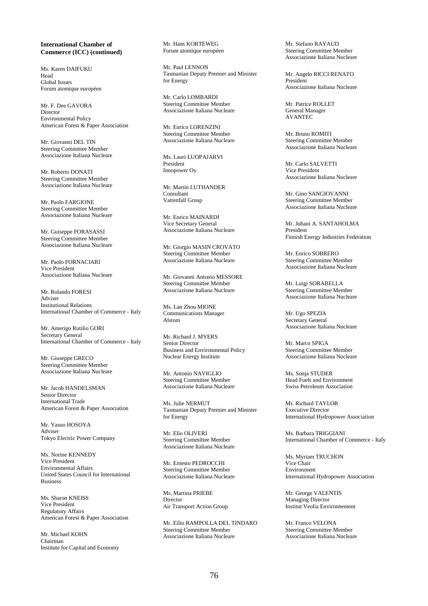## **International Chamber of Commerce (ICC) (continued)**

Ms. Karen DAIFUKU Head Global Issues Forum atomique européen

Mr. F. Dee GAVORA Director Environmental Policy American Forest & Paper Association

Mr. Giovanni DEL TIN Steering Committee Member Associazione Italiana Nucleare

Mr. Roberto DONATI Steering Committee Member Associazione Italiana Nucleare

Mr. Paolo FARGIONE Steering Committee Member Associazione Italiana Nucleare

Mr. Guiseppe FORASASSI Steering Committee Member Associazione Italiana Nucleare

Mr. Paolo FORNACIARI Vice President Associazione Italiana Nucleare

Mr. Rolando FORESI Adviser Institutional Relations International Chamber of Commerce - Italy

Mr. Amerigo Rutilio GORI Secretary General International Chamber of Commerce - Italy

Mr. Giuseppe GRECO Steering Committee Member Associazione Italiana Nucleare

Mr. Jacob HANDELSMAN Senior Director International Trade American Forest & Paper Association

Mr. Yasuo HOSOYA Adviser Tokyo Electric Power Company

Ms. Norine KENNEDY Vice President Environmental Affairs United States Council for International Business

Ms. Sharon KNEISS Vice President Regulatory Affairs American Forest & Paper Association

Mr. Michael KOHN Chairman Institute for Capital and Economy

Mr. Hans KORTEWEG Forum atomique européen

Mr. Paul LENNON Tasmanian Deputy Premier and Minister for Energy

Mr. Carlo LOMBARDI Steering Committee Member Associazione Italiana Nucleare

Mr. Enrico LORENZINI Steering Committee Member Associazione Italiana Nucleare

Ms. Lauri LUOPAJARVI President Innopower Oy

Mr. Martin LUTHANDER Consultant Vattenfall Group

Mr. Enrico MAINARDI Vice Secretary General Associazione Italiana Nucleare

Mr. Giorgio MASIN CROVATO Steering Committee Member Associazione Italiana Nucleare

Mr. Giovanni Antonio MESSORE Steering Committee Member Associazione Italiana Nucleare

Ms. Lan Zhou MIONE Communications Manager Alstom

Mr. Richard J. MYERS Senior Director Business and Environmental Policy Nuclear Energy Institute

Mr. Antonio NAVIGLIO Steering Committee Member Associazione Italiana Nucleare

Ms. Julie NERMUT Tasmanian Deputy Premier and Minister for Energy

Mr. Elio OLIVERI Steering Committee Member Associazione Italiana Nucleare

Mr. Ernesto PEDROCCHI Steering Committee Member Associazione Italiana Nucleare

Ms. Martina PRIEBE Director Air Transport Action Group

Mr. Eilio RAMPOLLA DEL TINDARO Steering Committee Member Associazione Italiana Nucleare

Mr. Stefano RAYAUD Steering Committee Member Associazione Italiana Nucleare

Mr. Angelo RICCI RENATO President Associazione Italiana Nucleare

Mr. Patrice ROLLET General Manager AVANTEC

Mr. Bruno ROMITI Steering Committee Member Associazione Italiana Nucleare

Mr. Carlo SALVETTI Vice President Associazione Italiana Nucleare

Mr. Gino SANGIOVANNI Steering Committee Member Associazione Italiana Nucleare

Mr. Juhani A. SANTAHOLMA President Finnish Energy Industries Federation

Mr. Enrico SOBRERO Steering Committee Member Associazione Italiana Nucleare

Mr. Luigi SORABELLA Steering Committee Member Associazione Italiana Nucleare

Mr. Ugo SPEZIA Secretary General Associazione Italiana Nucleare

Mr. Marco SPIGA Steering Committee Member Associazione Italiana Nucleare

Ms. Sonja STUDER Head Fuels and Environment Swiss Petroleum Association

Mr. Richard TAYLOR Executive Director International Hydropower Association

Ms. Barbara TRIGGIANI International Chamber of Commerce - Italy

Ms. Myriam TRUCHON Vice Chair Environment International Hydropower Association

Mr. George VALENTIS Managing Director Institut Veolia Environnement

Mr. Franco VELONA Steering Committee Member Associazione Italiana Nucleare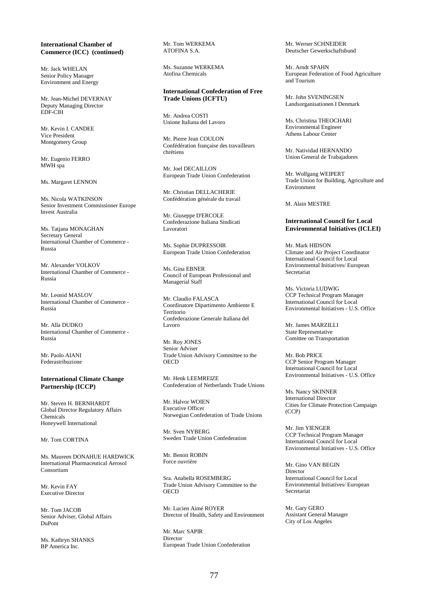#### **International Chamber of Commerce (ICC) (continued)**

Mr. Jack WHELAN Senior Policy Manager Environment and Energy

Mr. Jean-Michel DEVERNAY Deputy Managing Director EDF-CIH

Mr. Kevin I. CANDEE Vice President Montgomery Group

Mr. Eugenio FERRO MWH spa

Ms. Margaret LENNON

Ms. Nicola WATKINSON Senior Investment Commissioner Europe Invest Australia

Ms. Tatjana MONAGHAN Secretary General International Chamber of Commerce - Russia

Mr. Alexander VOLKOV International Chamber of Commerce - Russia

Mr. Leonid MASLOV International Chamber of Commerce - Russia

Mr. Alla DUDKO International Chamber of Commerce - Russia

Mr. Paolo AIANI Federastribuzione

### **International Climate Change Partnership (ICCP)**

Mr. Steven H. BERNHARDT Global Director Regulatory Affairs Chemicals Honeywell International

Mr. Tom CORTINA

Ms. Maureen DONAHUE HARDWICK International Pharmaceutical Aerosol Consortium

Mr. Kevin FAY Executive Director

Mr. Tom JACOB Senior Adviser, Global Affairs DuPont

Ms. Kathryn SHANKS BP America Inc.

Mr. Tom WERKEMA ATOFINA S.A.

Ms. Suzanne WERKEMA Atofina Chemicals

# **International Confederation of Free Trade Unions (ICFTU)**

Mr. Andrea COSTI Unione Italiana del Lavoro

Mr. Pierre Jean COULON Confédération française des travailleurs chrétiens

Mr. Joel DECAILLON European Trade Union Confederation

Mr. Christian DELLACHERIE Confédération générale du travail

Mr. Giuseppe D'ERCOLE Confederazione Italiana Sindicati Lavoratori

Ms. Sophie DUPRESSOIR European Trade Union Confederation

Ms. Gina EBNER Council of European Professional and Managerial Staff

Mr. Claudio FALASCA Coordinatore Dipartimento Ambiente E Territorio Confederazione Generale Italiana del Lavoro

Mr. Roy JONES Senior Adviser Trade Union Advisory Committee to the **OECD** 

Mr. Henk LEEMREIZE Confederation of Netherlands Trade Unions

Mr. Halvor WOIEN Executive Officer Norwegian Confederation of Trade Unions

Mr. Sven NYBERG Sweden Trade Union Confederation

Mr. Benoit ROBIN Force ouvrière

Sra. Anabella ROSEMBERG Trade Union Advisory Committee to the **OECD** 

Mr. Lucien Aimé ROYER Director of Health, Safety and Environment

Mr. Marc SAPIR Director European Trade Union Confederation Mr. Werner SCHNEIDER Deutscher Gewerkschaftsbund

Mr. Arndt SPAHN European Federation of Food Agriculture and Tourism

Mr. John SVENINGSEN Landsorganisationen I Denmark

Ms. Christina THEOCHARI Environmental Engineer Athens Labour Center

Mr. Natividad HERNANDO Union General de Trabajadores

Mr. Wolfgang WEIPERT Trade Union for Building, Agriculture and Environment

M. Alain MESTRE

# **International Council for Local Environmental Initiatives (ICLEI)**

Mr. Mark HIDSON Climate and Air Project Coordinator International Council for Local Environmental Initiatives/ European Secretariat

Ms. Victoria LUDWIG CCP Technical Program Manager International Council for Local Environmental Initiatives - U.S. Office

Mr. James MARZILLI State Representative Comittee on Transportation

Mr. Bob PRICE CCP Senior Program Manager International Council for Local Environmental Initiatives - U.S. Office

Ms. Nancy SKINNER International Director Cities for Climate Protection Campaign (CCP)

Mr. Jim YIENGER CCP Technical Program Manager International Council for Local Environmental Initiatives - U.S. Office

Mr. Gino VAN BEGIN Director International Council for Local Environmental Initiatives/ European Secretariat

Mr. Gary GERO Assistant General Manager City of Los Angeles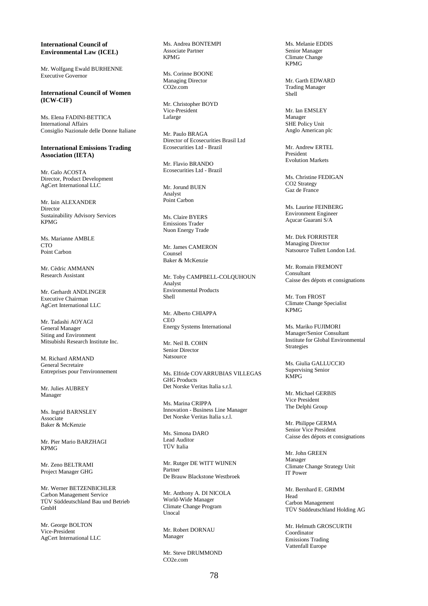# **International Council of Environmental Law (ICEL)**

Mr. Wolfgang Ewald BURHENNE Executive Governor

**International Council of Women (ICW-CIF)** 

Ms. Elena FADINI-BETTICA International Affairs Consiglio Nazionale delle Donne Italiane

## **International Emissions Trading Association (IETA)**

Mr. Galo ACOSTA Director, Product Development AgCert International LLC

Mr. Iain ALEXANDER Director Sustainability Advisory Services KPMG

Ms. Marianne AMBLE  $CTO$ Point Carbon

Mr. Cèdric AMMANN Research Assistant

Mr. Gerhardt ANDLINGER Executive Chairman AgCert International LLC

Mr. Tadashi AOYAGI General Manager Siting and Environment Mitsubishi Research Institute Inc.

M. Richard ARMAND General Secretaire Entreprises pour l'environnement

Mr. Julies AUBREY Manager

Ms. Ingrid BARNSLEY Associate Baker & McKenzie

Mr. Pier Mario BARZHAGI KPMG

Mr. Zeno BELTRAMI Project Manager GHG

Mr. Werner BETZENBICHLER Carbon Management Service TÜV Süddeutschland Bau und Betrieb GmbH

Mr. George BOLTON Vice-President AgCert International LLC Ms. Andrea BONTEMPI Associate Partner KPMG

Ms. Corinne BOONE Managing Director CO2e.com

Mr. Christopher BOYD Vice-President Lafarge

Mr. Paulo BRAGA Director of Ecosecurities Brasil Ltd Ecosecurities Ltd - Brazil

Mr. Flavio BRANDO Ecosecurities Ltd - Brazil

Mr. Jorund BUEN Analyst Point Carbon

Ms. Claire BYERS Emissions Trader Nuon Energy Trade

Mr. James CAMERON Counsel Baker & McKenzie

Mr. Toby CAMPBELL-COLQUHOUN Analyst Environmental Products Shell

Mr. Alberto CHIAPPA **CEO** Energy Systems International

Mr. Neil B. COHN Senior Director Natsource

Ms. Elfride COVARRUBIAS VILLEGAS GHG Products Det Norske Veritas Italia s.r.l.

Ms. Marina CRIPPA Innovation - Business Line Manager Det Norske Veritas Italia s.r.l.

Ms. Simona DARO Lead Auditor TÜV Italia

Mr. Rutger DE WITT WIJNEN Partner De Brauw Blackstone Westbroek

Mr. Anthony A. DI NICOLA World-Wide Manager Climate Change Program Unocal

Mr. Robert DORNAU Manager

Mr. Steve DRUMMOND CO2e.com

Ms. Melanie EDDIS Senior Manager Climate Change KPMG

Mr. Garth EDWARD Trading Manager Shell

Mr. Ian EMSLEY Manager SHE Policy Unit Anglo American plc

Mr. Andrew ERTEL President Evolution Markets

Ms. Christine FEDIGAN CO2 Strategy Gaz de France

Ms. Laurine FEINBERG Environment Engineer Açucar Guarani S/A

Mr. Dirk FORRISTER Managing Director Natsource Tullett London Ltd.

Mr. Romain FREMONT Consultant Caisse des dépots et consignations

Mr. Tom FROST Climate Change Specialist KPMG

Ms. Mariko FUJIMORI Manager/Senior Consultant Institute for Global Environmental **Strategies** 

Ms. Giulia GALLUCCIO Supervising Senior KMPG

Mr. Michael GERBIS Vice President The Delphi Group

Mr. Philippe GERMA Senior Vice President Caisse des dépots et consignations

Mr. John GREEN Manager Climate Change Strategy Unit IT Power

Mr. Bernhard E. GRIMM Head Carbon Management TÜV Süddeutschland Holding AG

Mr. Helmuth GROSCURTH Coordinator Emissions Trading Vattenfall Europe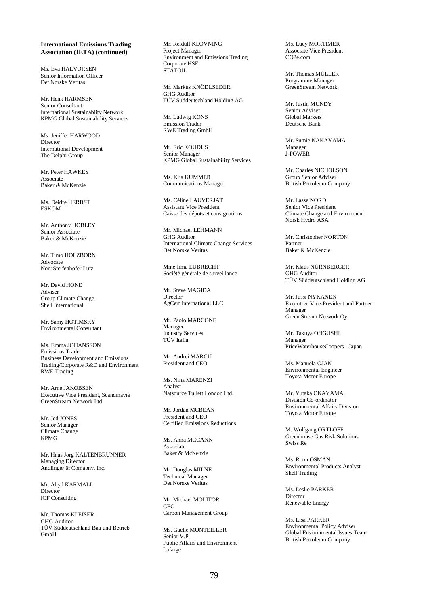Ms. Eva HALVORSEN Senior Information Officer Det Norske Veritas

Mr. Henk HARMSEN Senior Consultant International Sustainablity Network KPMG Global Sustainability Services

Ms. Jeniffer HARWOOD **Director** International Development The Delphi Group

Mr. Peter HAWKES Associate Baker & McKenzie

Ms. Deidre HERBST ESKOM

Mr. Anthony HOBLEY Senior Associate Baker & McKenzie

Mr. Timo HOLZBORN Advocate Nörr Steifenhofer Lutz

Mr. David HONE Adviser Group Climate Change Shell International

Mr. Samy HOTIMSKY Environmental Consultant

Ms. Emma JOHANSSON Emissions Trader Business Development and Emissions Trading/Corporate R&D and Environment RWE Trading

Mr. Arne JAKOBSEN Executive Vice President, Scandinavia GreenStream Network Ltd

Mr. Jed JONES Senior Manager Climate Change KPMG

Mr. Hnas Jörg KALTENBRUNNER Managing Director Andlinger & Comapny, Inc.

Mr. Abyd KARMALI **Director** ICF Consulting

Mr. Thomas KLEISER GHG Auditor TÜV Süddeutschland Bau und Betrieb GmbH

Mr. Reidulf KLOVNING Project Manager Environment and Emissions Trading Corporate HSE **STATOIL** 

Mr. Markus KNÖDLSEDER GHG Auditor TÜV Süddeutschland Holding AG

Mr. Ludwig KONS Emission Trader RWE Trading GmbH

Mr. Eric KOUDIJS Senior Manager KPMG Global Sustainability Services

Ms. Kija KUMMER Communications Manager

Ms. Céline LAUVERJAT Assistant Vice President Caisse des dépots et consignations

Mr. Michael LEHMANN GHG Auditor International Climate Change Services Det Norske Veritas

Mme Irma LUBRECHT Société générale de surveillance

Mr. Steve MAGIDA Director AgCert International LLC

Mr. Paolo MARCONE Manager Industry Services TÜV Italia

Mr. Andrei MARCU President and CEO

Ms. Nina MARENZI Analyst Natsource Tullett London Ltd.

Mr. Jordan MCBEAN President and CEO Certified Emissions Reductions

Ms. Anna MCCANN Associate Baker & McKenzie

Mr. Douglas MILNE Technical Manager Det Norske Veritas

Mr. Michael MOLITOR CEO Carbon Management Group

Ms. Gaelle MONTEILLER Senior V.P. Public Affairs and Environment Lafarge

Ms. Lucy MORTIMER Associate Vice President CO2e.com

Mr. Thomas MÜLLER Programme Manager GreenStream Network

Mr. Justin MUNDY Senior Adviser Global Markets Deutsche Bank

Mr. Sumie NAKAYAMA Manager J-POWER

Mr. Charles NICHOLSON Group Senior Adviser British Petroleum Company

Mr. Lasse NORD Senior Vice President Climate Change and Environment Norsk Hydro ASA

Mr. Christopher NORTON Partner Baker & McKenzie

Mr. Klaus NÜRNBERGER GHG Auditor TÜV Süddeutschland Holding AG

Mr. Jussi NYKANEN Executive Vice-President and Partner Manager Green Stream Network Oy

Mr. Takuya OHGUSHI Manager PriceWaterhouseCoopers - Japan

Ms. Manuela OJAN Environmental Engineer Toyota Motor Europe

Mr. Yutaka OKAYAMA Division Co-ordinator Environmental Affairs Division Toyota Motor Europe

M. Wolfgang ORTLOFF Greenhouse Gas Risk Solutions Swiss Re

Ms. Roon OSMAN Environmental Products Analyst Shell Trading

Ms. Leslie PARKER **Director** Renewable Energy

Ms. Lisa PARKER Environmental Policy Adviser Global Environmental Issues Team British Petroleum Company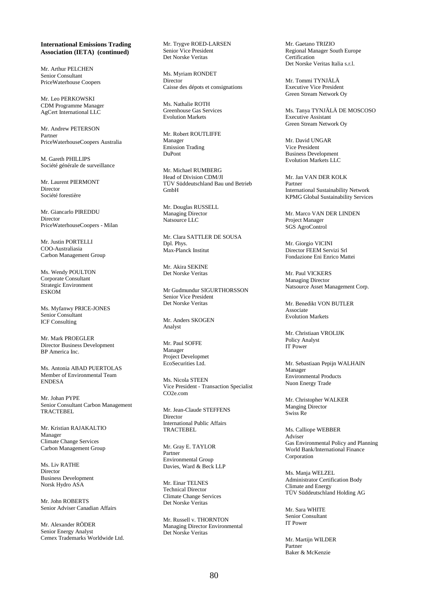Mr. Arthur PELCHEN Senior Consultant PriceWaterhouse Coopers

Mr. Leo PERKOWSKI CDM Programme Manager AgCert International LLC

Mr. Andrew PETERSON Partner PriceWaterhouseCoopers Australia

M. Gareth PHILLIPS Société générale de surveillance

Mr. Laurent PIERMONT Director Société forestière

Mr. Giancarlo PIREDDU Director PriceWaterhouseCoopers - Milan

Mr. Justin PORTELLI COO-Australiasia Carbon Management Group

Ms. Wendy POULTON Corporate Consultant Strategic Environment ESKOM

Ms. Myfanwy PRICE-JONES Senior Consultant ICF Consulting

Mr. Mark PROEGLER Director Business Development BP America Inc.

Ms. Antonia ABAD PUERTOLAS Member of Environmental Team ENDESA

Mr. Johan PYPE Senior Consultant Carbon Management TRACTEBEL

Mr. Kristian RAJAKALTIO Manager Climate Change Services Carbon Management Group

Ms. Liv RATHE Director Business Development Norsk Hydro ASA

Mr. John ROBERTS Senior Adviser Canadian Affairs

Mr. Alexander RÖDER Senior Energy Analyst Cemex Trademarks Worldwide Ltd. Mr. Trygve ROED-LARSEN Senior Vice President Det Norske Veritas

Ms. Myriam RONDET Director Caisse des dépots et consignations

Ms. Nathalie ROTH Greenhouse Gas Services Evolution Markets

Mr. Robert ROUTLIFFE Manager Emission Trading DuPont

Mr. Michael RUMBERG Head of Division CDM/JI TÜV Süddeutschland Bau und Betrieb GmbH

Mr. Douglas RUSSELL Managing Director Natsource LLC

Mr. Clara SATTLER DE SOUSA Dpl. Phys. Max-Planck Institut

Mr. Akira SEKINE Det Norske Veritas

Mr Gudmundur SIGUPTHOPSSON Senior Vice President Det Norske Veritas

Mr. Anders SKOGEN Analyst

Mr. Paul SOFFE Manager Project Developmet EcoSecurities Ltd.

Ms. Nicola STEEN Vice President - Transaction Specialist CO2e.com

Mr. Jean-Claude STEFFENS **Director** International Public Affairs TRACTEBEL

Mr. Gray E. TAYLOR Partner Environmental Group Davies, Ward & Beck LLP

Mr. Einar TELNES Technical Director Climate Change Services Det Norske Veritas

Mr. Russell v. THORNTON Managing Director Environmental Det Norske Veritas

Mr. Gaetano TRIZIO Regional Manager South Europe **Certification** Det Norske Veritas Italia s.r.l.

Mr. Tommi TYNJÄLÄ Executive Vice President Green Stream Network Oy

Ms. Tanya TYNJÄLÄ DE MOSCOSO Executive Assistant Green Stream Network Oy

Mr. David UNGAR Vice President Business Development Evolution Markets LLC

Mr. Jan VAN DER KOLK Partner International Sustainability Network KPMG Global Sustainability Services

Mr. Marco VAN DER LINDEN Project Manager SGS AgroControl

Mr. Giorgio VICINI Director FEEM Servizi Srl Fondazione Eni Enrico Mattei

Mr. Paul VICKERS Managing Director Natsource Asset Management Corp.

Mr. Benedikt VON BUTLER Associate Evolution Markets

Mr. Christiaan VROLIJK Policy Analyst IT Power

Mr. Sebastiaan Pepijn WALHAIN Manager Environmental Products Nuon Energy Trade

Mr. Christopher WALKER Manging Director Swiss Re

Ms. Calliope WEBBER Adviser Gas Environmental Policy and Planning World Bank/International Finance Corporation

Ms. Manja WELZEL Administrator Certification Body Climate and Energy TÜV Süddeutschland Holding AG

Mr. Sara WHITE Senior Consultant IT Power

Mr. Martijn WILDER Partner Baker & McKenzie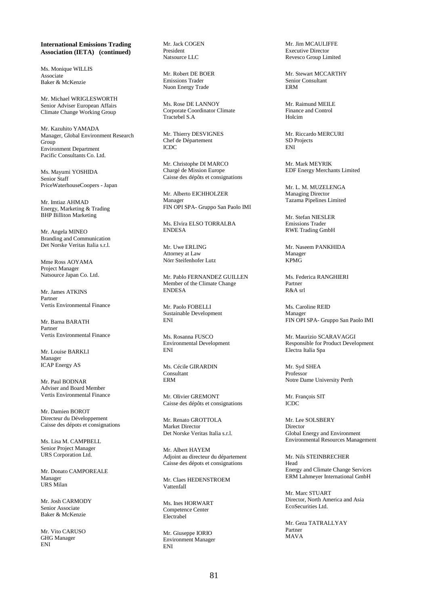Ms. Monique WILLIS Associate Baker & McKenzie

Mr. Michael WRIGLESWORTH Senior Adviser European Affairs Climate Change Working Group

Mr. Kazuhito YAMADA Manager, Global Environment Research Group Environment Department Pacific Consultants Co. Ltd.

Ms. Mayumi YOSHIDA Senior Staff PriceWaterhouseCoopers - Japan

Mr. Imtiaz AHMAD Energy, Marketing & Trading BHP Billiton Marketing

Mr. Angela MINEO Branding and Communication Det Norske Veritas Italia s.r.l.

Mme Ross AOYAMA Project Manager Natsource Japan Co. Ltd.

Mr. James ATKINS Partner Vertis Environmental Finance

Mr. Barna BARATH Partner Vertis Environmental Finance

Mr. Louise BARKLI Manager ICAP Energy AS

Mr. Paul BODNAR Adviser and Board Member Vertis Environmental Finance

Mr. Damien BOROT Directeur du Développement Caisse des dépots et consignations

Ms. Lisa M. CAMPBELL Senior Project Manager URS Corporation Ltd.

Mr. Donato CAMPOREALE Manager URS Milan

Mr. Josh CARMODY Senior Associate Baker & McKenzie

Mr. Vito CARUSO GHG Manager ENI

Mr. Jack COGEN President Natsource LLC

Mr. Robert DE BOER Emissions Trader Nuon Energy Trade

Ms. Rose DE LANNOY Corporate Coordinator Climate Tractebel S.A

Mr. Thierry DESVIGNES Chef de Département ICDC

Mr. Christophe DI MARCO Chargé de Mission Europe Caisse des dépôts et consignations

Mr. Alberto EICHHOLZER Manager FIN OPI SPA- Gruppo San Paolo IMI

Ms. Elvira ELSO TORRALBA ENDESA

Mr. Uwe ERLING Attorney at Law Nörr Steifenhofer Lutz

Mr. Pablo FERNANDEZ GUILLEN Member of the Climate Change ENDESA

Mr. Paolo FOBELLI Sustainable Development ENI

Ms. Rosanna FUSCO Environmental Development ENI

Ms. Cécile GIRARDIN Consultant ERM

Mr. Olivier GREMONT Caisse des dépôts et consignations

Mr. Renato GROTTOLA Market Director Det Norske Veritas Italia s.r.l.

Mr. Albert HAYEM Adjoint au directeur du département Caisse des dépots et consignations

Mr. Claes HEDENSTROEM Vattenfall

Ms. Ines HORWART Competence Center Electrabel

Mr. Giuseppe IORIO Environment Manager ENI

Mr. Jim MCAULIFFE Executive Director Revesco Group Limited

Mr. Stewart MCCARTHY Senior Consultant ERM

Mr. Raimund MEILE Finance and Control Holcim

Mr. Riccardo MERCURI SD Projects ENI

Mr. Mark MEYRIK EDF Energy Merchants Limited

Mr. L. M. MUZELENGA Managing Director Tazama Pipelines Limited

Mr. Stefan NIESLER Emissions Trader RWE Trading GmbH

Mr. Naseem PANKHIDA Manager KPMG

Ms. Federica RANGHIERI Partner  $\mathbf{D}$   $\mathbf{R}$   $\mathbf{A}$  or  $\mathbf{R}$ 

Ms. Caroline REID Manager FIN OPI SPA- Gruppo San Paolo IMI

Mr. Maurizio SCARAVAGGI Responsible for Product Development Electra Italia Spa

Mr. Syd SHEA Professor Notre Dame University Perth

Mr. François SIT ICDC

Mr. Lee SOLSBERY Director Global Energy and Environment Environmental Resources Management

Mr. Nils STEINBRECHER Head Energy and Climate Change Services ERM Lahmeyer International GmbH

Mr. Marc STUART Director, North America and Asia EcoSecurities Ltd.

Mr. Geza TATRALLYAY Partner MAVA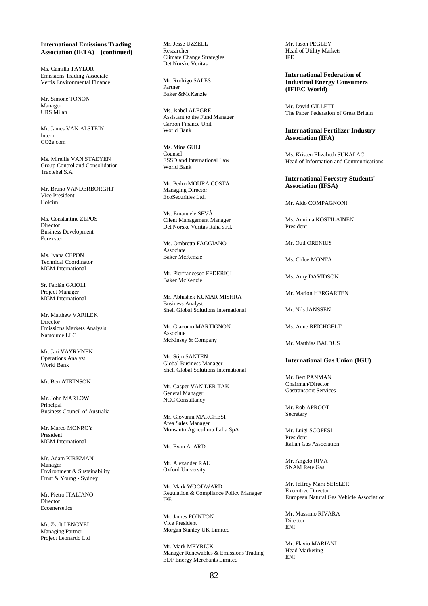Ms. Camilla TAYLOR Emissions Trading Associate Vertis Environmental Finance

Mr. Simone TONON Manager URS Milan

Mr. James VAN ALSTEIN Intern CO2e.com

Ms. Mireille VAN STAEYEN Group Control and Consolidation Tractebel S.A

Mr. Bruno VANDERBORGHT Vice President Holcim

Ms. Constantine ZEPOS Director Business Development Forexster

Ms. Ivana CEPON Technical Coordinator MGM International

Sr. Fabián GAIOLI Project Manager MGM International

Mr. Matthew VARILEK Director Emissions Markets Analysis Natsource LLC

Mr. Jari VÄYRYNEN Operations Analyst World Bank

Mr. Ben ATKINSON

Mr. John MARLOW Principal Business Council of Australia

Mr. Marco MONROY President MGM International

Mr. Adam KIRKMAN Manager Environment & Sustainability Ernst & Young - Sydney

Mr. Pietro ITALIANO Director Ecoenersetics

Mr. Zsolt LENGYEL Managing Partner Project Leonardo Ltd

Mr. Jesse UZZELL Researcher Climate Change Strategies Det Norske Veritas

Mr. Rodrigo SALES Partner Baker &McKenzie

Ms. Isabel ALEGRE Assistant to the Fund Manager Carbon Finance Unit World Bank

Ms. Mina GULI Counsel ESSD and International Law World Bank

Mr. Pedro MOURA COSTA Managing Director EcoSecurities Ltd.

Ms. Emanuele SEVÀ Client Management Manager Det Norske Veritas Italia s.r.l.

Ms. Ombretta FAGGIANO Associate Baker McKenzie

Mr. Pierfrancesco FEDERICI Baker McKenzie

Mr. Abhishek KUMAR MISHRA Business Analyst Shell Global Solutions International

Mr. Giacomo MARTIGNON Associate McKinsey & Company

Mr. Stijn SANTEN Global Business Manager Shell Global Solutions International

Mr. Casper VAN DER TAK General Manager NCC Consultancy

Mr. Giovanni MARCHESI Area Sales Manager Monsanto Agricultura Italia SpA

Mr. Evan A. ARD

Mr. Alexander RAU Oxford University

Mr. Mark WOODWARD Regulation & Compliance Policy Manager IPE

Mr. James POINTON Vice President Morgan Stanley UK Limited

Mr. Mark MEYRICK Manager Renewables & Emissions Trading EDF Energy Merchants Limited

Mr. Jason PEGLEY Head of Utility Markets IPE

**International Federation of Industrial Energy Consumers (IFIEC World)** 

Mr. David GILLETT The Paper Federation of Great Britain

#### **International Fertilizer Industry Association (IFA)**

Ms. Kristen Elizabeth SUKALAC Head of Information and Communications

# **International Forestry Students' Association (IFSA)**

Mr. Aldo COMPAGNONI

Ms. Anniina KOSTILAINEN President

Mr. Outi ORENIUS

Ms. Chloe MONTA

Ms. Amy DAVIDSON

Mr. Marion HERGARTEN

Mr. Nils JANSSEN

Ms. Anne REICHGELT

Mr. Matthias BALDUS

# **International Gas Union (IGU)**

Mr. Bert PANMAN Chairman/Director Gastransport Services

Mr. Rob APROOT **Secretary** 

Mr. Luigi SCOPESI President Italian Gas Association

Mr. Angelo RIVA SNAM Rete Gas

Mr. Jeffrey Mark SEISLER Executive Director European Natural Gas Vehicle Association

Mr. Massimo RIVARA Director ENI

Mr. Flavio MARIANI Head Marketing ENI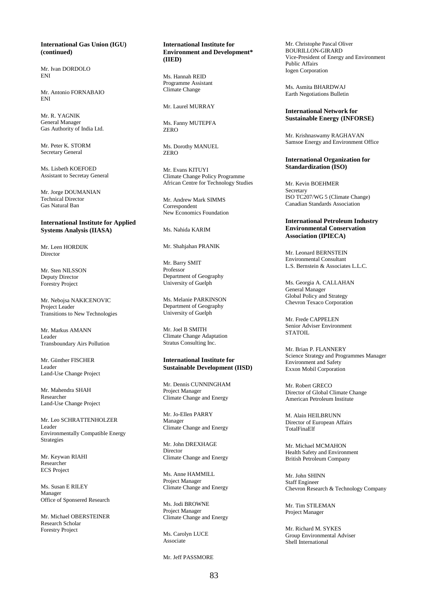# **International Gas Union (IGU) (continued)**

Mr. Ivan DORDOLO ENI

Mr. Antonio FORNABAIO ENI

Mr. R. YAGNIK General Manager Gas Authority of India Ltd.

Mr. Peter K. STORM Secretary General

Ms. Lisbeth KOEFOED Assistant to Secretay General

Mr. Jorge DOUMANIAN Technical Director Gas Natural Ban

### **International Institute for Applied Systems Analysis (IIASA)**

Mr. Leen HORDIJK Director

Mr. Sten NILSSON Deputy Director Forestry Project

Mr. Nebojsa NAKICENOVIC Project Leader Transitions to New Technologies

Mr. Markus AMANN Leader Transboundary Airs Pollution

Mr. Günther FISCHER Leader Land-Use Change Project

Mr. Mahendra SHAH Researcher Land-Use Change Project

Mr. Leo SCHRATTENHOLZER Leader Environmentally Compatible Energy Strategies

Mr. Keywan RIAHI Researcher ECS Project

Ms. Susan E RILEY Manager Office of Sponsered Research

Mr. Michael OBERSTEINER Research Scholar Forestry Project

# **International Institute for Environment and Development\* (IIED)**

Ms. Hannah REID Programme Assistant Climate Change

Mr. Laurel MURRAY

Ms. Fanny MUTEPFA ZERO

Ms. Dorothy MANUEL ZERO

Mr. Evans KITUYI Climate Change Policy Programme African Centre for Technology Studies

Mr. Andrew Mark SIMMS Correspondent New Economics Foundation

Ms. Nahida KARIM

Mr. Shahjahan PRANIK

Mr. Barry SMIT Professor Department of Geography University of Guelph

Ms. Melanie PARKINSON Department of Geography University of Guelph

Mr. Joel B SMITH Climate Change Adaptation Stratus Consulting Inc.

### **International Institute for Sustainable Development (IISD)**

Mr. Dennis CUNNINGHAM Project Manager Climate Change and Energy

Mr. Jo-Ellen PARRY Manager Climate Change and Energy

Mr. John DREXHAGE Director Climate Change and Energy

Ms. Anne HAMMILL Project Manager Climate Change and Energy

Ms. Jodi BROWNE Project Manager Climate Change and Energy

Ms. Carolyn LUCE Associate

Mr. Jeff PASSMORE

Mr. Christophe Pascal Oliver BOURILLON-GIRARD Vice-President of Energy and Environment Public Affairs Iogen Corporation

Ms. Asmita BHARDWAJ Earth Negotiations Bulletin

# **International Network for Sustainable Energy (INFORSE)**

Mr. Krishnaswamy RAGHAVAN Samsoe Energy and Environment Office

#### **International Organization for Standardization (ISO)**

Mr. Kevin BOEHMER Secretary ISO TC207/WG 5 (Climate Change) Canadian Standards Association

# **International Petroleum Industry Environmental Conservation Association (IPIECA)**

Mr. Leonard BERNSTEIN Environmental Consultant L.S. Bernstein & Associates L.L.C.

Ms. Georgia A. CALLAHAN General Manager Global Policy and Strategy Chevron Texaco Corporation

Mr. Frede CAPPELEN Senior Adviser Environment STATOIL.

Mr. Brian P. FLANNERY Science Strategy and Programmes Manager Environment and Safety Exxon Mobil Corporation

Mr. Robert GRECO Director of Global Climate Change American Petroleum Institute

M. Alain HEILBRUNN Director of European Affairs TotalFinaElf

Mr. Michael MCMAHON Health Safety and Environment British Petroleum Company

Mr. John SHINN Staff Engineer Chevron Research & Technology Company

Mr. Tim STILEMAN Project Manager

Mr. Richard M. SYKES Group Environmental Adviser Shell International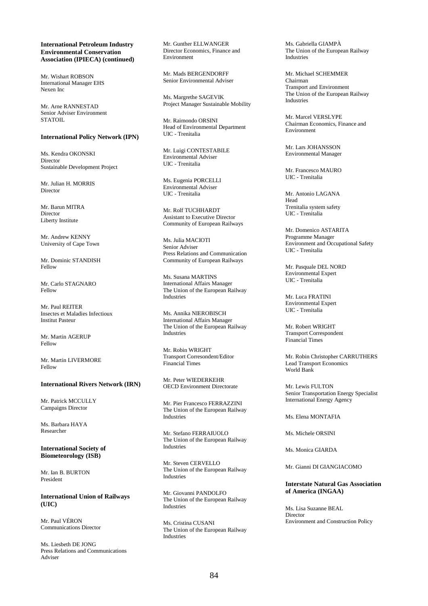# **International Petroleum Industry Environmental Conservation Association (IPIECA) (continued)**

Mr. Wishart ROBSON International Manager EHS Nexen Inc

Mr. Arne RANNESTAD Senior Adviser Environment **STATOIL** 

### **International Policy Network (IPN)**

Ms. Kendra OKONSKI Director Sustainable Development Project

Mr. Julian H. MORRIS Director

Mr. Barun MITRA Director Liberty Institute

Mr. Andrew KENNY University of Cape Town

Mr. Dominic STANDISH Fellow

Mr. Carlo STAGNARO Fellow

Mr. Paul REITER Insectes et Maladies Infectioux Institut Pasteur

Mr. Martin AGERUP Fellow

Mr. Martin LIVERMORE Fellow

# **International Rivers Network (IRN)**

Mr. Patrick MCCULLY Campaigns Director

Ms. Barbara HAYA Researcher

**International Society of Biometeorology (ISB)** 

Mr. Ian B. BURTON President

**International Union of Railways (UIC)** 

Mr. Paul VÉRON Communications Director

Ms. Liesbeth DE JONG Press Relations and Communications Adviser

Mr. Gunther ELLWANGER Director Economics, Finance and Environment

Mr. Mads BERGENDORFF Senior Environmental Adviser

Ms. Margrethe SAGEVIK Project Manager Sustainable Mobility

Mr. Raimondo ORSINI Head of Environmental Department UIC - Trenitalia

Mr. Luigi CONTESTABILE Environmental Adviser UIC - Trenitalia

Ms. Eugenia PORCELLI Environmental Adviser UIC - Trenitalia

Mr. Rolf TUCHHARDT Assistant to Executive Director Community of European Railways

Ms. Julia MACIOTI Senior Adviser Press Relations and Communication Community of European Railways

Ms. Susana MARTINS International Affairs Manager The Union of the European Railway Industries

Ms. Annika NIEROBISCH International Affairs Manager The Union of the European Railway Industries

Mr. Robin WRIGHT Transport Corresondent/Editor Financial Times

Mr. Peter WIEDERKEHR OECD Environment Directorate

Mr. Pier Francesco FERRAZZINI The Union of the European Railway Industries

Mr. Stefano FERRAIUOLO The Union of the European Railway Industries

Mr. Steven CERVELLO The Union of the European Railway Industries

Mr. Giovanni PANDOLFO The Union of the European Railway Industries

Ms. Cristina CUSANI The Union of the European Railway Industries

Ms. Gabriella GIAMPÀ The Union of the European Railway Industries

Mr. Michael SCHEMMER Chairman Transport and Environment The Union of the European Railway Industries

Mr. Marcel VERSLYPE Chairman Economics, Finance and Environment

Mr. Lars JOHANSSON Environmental Manager

Mr. Francesco MAURO UIC - Trenitalia

Mr. Antonio LAGANA Head Trenitalia system safety UIC - Trenitalia

Mr. Domenico ASTARITA Programme Manager Environment and Occupational Safety UIC - Trenitalia

Mr. Pasquale DEL NORD Environmental Expert UIC - Trenitalia

Mr. Luca FRATINI Environmental Expert UIC - Trenitalia

Mr. Robert WRIGHT Transport Correspondent Financial Times

Mr. Robin Christopher CARRUTHERS Lead Transport Economics World Bank

Mr. Lewis FULTON Senior Transportation Energy Specialist International Energy Agency

Ms. Elena MONTAFIA

Ms. Michele ORSINI

Ms. Monica GIARDA

Mr. Gianni DI GIANGIACOMO

# **Interstate Natural Gas Association of America (INGAA)**

Ms. Lisa Suzanne BEAL Director Environment and Construction Policy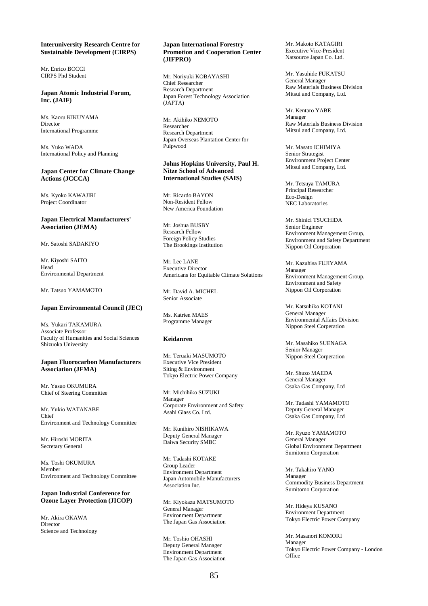# **Interuniversity Research Centre for Sustainable Development (CIRPS)**

Mr. Enrico BOCCI CIRPS Phd Student

# **Japan Atomic Industrial Forum, Inc. (JAIF)**

Ms. Kaoru KIKUYAMA Director International Programme

Ms. Yuko WADA International Policy and Planning

### **Japan Center for Climate Change Actions (JCCCA)**

Ms. Kyoko KAWAJIRI Project Coordinator

#### **Japan Electrical Manufacturers' Association (JEMA)**

Mr. Satoshi SADAKIYO

Mr. Kiyoshi SAITO Head Environmental Department

Mr. Tatsuo YAMAMOTO

# **Japan Environmental Council (JEC)**

Ms. Yukari TAKAMURA Associate Professor Faculty of Humanities and Social Sciences Shizuoka University

#### **Japan Fluorocarbon Manufacturers Association (JFMA)**

Mr. Yasuo OKUMURA Chief of Steering Committee

Mr. Yukio WATANABE Chief Environment and Technology Committee

Mr. Hiroshi MORITA Secretary General

Ms. Toshi OKUMURA Member Environment and Technology Committee

# **Japan Industrial Conference for Ozone Layer Protection (JICOP)**

Mr. Akira OKAWA Director Science and Technology

#### **Japan International Forestry Promotion and Cooperation Center (JIFPRO)**

Mr. Noriyuki KOBAYASHI Chief Researcher Research Department Japan Forest Technology Association (JAFTA)

Mr. Akihiko NEMOTO Researcher Research Department Japan Overseas Plantation Center for Pulpwood

## **Johns Hopkins University, Paul H. Nitze School of Advanced International Studies (SAIS)**

Mr. Ricardo BAYON Non-Resident Fellow New America Foundation

Mr. Joshua BUSBY Research Fellow Foreign Policy Studies The Brookings Institution

Mr. Lee LANE Executive Director Americans for Equitable Climate Solutions

Mr. David A. MICHEL Senior Associate

Ms. Katrien MAES Programme Manager

#### **Keidanren**

Mr. Teruaki MASUMOTO Executive Vice President Siting & Environment Tokyo Electric Power Company

Mr. Michihiko SUZUKI Manager Corporate Environment and Safety Asahi Glass Co. Ltd.

Mr. Kunihiro NISHIKAWA Deputy General Manager Daiwa Security SMBC

Mr. Tadashi KOTAKE Group Leader Environment Department Japan Automobile Manufacturers Association Inc.

Mr. Kiyokazu MATSUMOTO General Manager Environment Department The Japan Gas Association

Mr. Toshio OHASHI Deputy General Manager Environment Department The Japan Gas Association Mr. Makoto KATAGIRI Executive Vice-President Natsource Japan Co. Ltd.

Mr. Yasuhide FUKATSU General Manager Raw Materials Business Division Mitsui and Company, Ltd.

Mr. Kentaro YABE Manager Raw Materials Business Division Mitsui and Company, Ltd.

Mr. Masato ICHIMIYA Senior Strategist Environment Project Center Mitsui and Company, Ltd.

Mr. Tetsuya TAMURA Principal Researcher Eco-Design NEC Laboratories

Mr. Shinici TSUCHIDA Senior Engineer Environment Management Group, Environment and Safety Department Nippon Oil Corporation

Mr. Kazuhisa FUJIYAMA Manager Environment Management Group, Environment and Safety Nippon Oil Corporation

Mr. Katsuhiko KOTANI General Manager Environmental Affairs Division Nippon Steel Corperation

Mr. Masahiko SUENAGA Senior Manager Nippon Steel Corperation

Mr. Shuzo MAEDA General Manager Osaka Gas Company, Ltd

Mr. Tadashi YAMAMOTO Deputy General Manager Osaka Gas Company, Ltd

Mr. Ryuzo YAMAMOTO General Manager Global Environment Department Sumitomo Corporation

Mr. Takahiro YANO Manager Commodity Business Department Sumitomo Corporation

Mr. Hideya KUSANO Environment Department Tokyo Electric Power Company

Mr. Masanori KOMORI Manager Tokyo Electric Power Company - London **Office**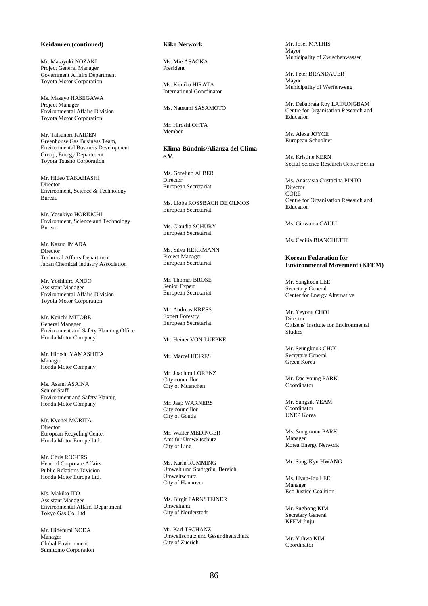# **Keidanren (continued)**

Mr. Masayuki NOZAKI Project General Manager Government Affairs Department Toyota Motor Corporation

Ms. Masayo HASEGAWA Project Manager Environmental Affairs Division Toyota Motor Corporation

Mr. Tatsunori KAIDEN Greenhouse Gas Business Team, Environmental Business Development Group, Energy Department Toyota Tsusho Corporation

Mr. Hideo TAKAHASHI Director Environment, Science & Technology Bureau

Mr. Yasukiyo HORIUCHI Environment, Science and Technology Bureau

Mr. Kazuo IMADA Director Technical Affairs Department Japan Chemical Industry Association

Mr. Yoshihiro ANDO Assistant Manager Environmental Affairs Division Toyota Motor Corporation

Mr. Keiichi MITOBE General Manager Environment and Safety Planning Office Honda Motor Company

Mr. Hiroshi YAMASHITA Manager Honda Motor Company

Ms. Asami ASAINA Senior Staff Environment and Safety Plannig Honda Motor Company

Mr. Kyohei MORITA Director European Recycling Center Honda Motor Europe Ltd.

Mr. Chris ROGERS Head of Corporate Affairs Public Relations Division Honda Motor Europe Ltd.

Ms. Makiko ITO Assistant Manager Environmental Affairs Department Tokyo Gas Co. Ltd.

Mr. Hidefumi NODA Manager Global Environment Sumitomo Corporation

# **Kiko Network**

Ms. Mie ASAOKA President

Ms. Kimiko HIRATA International Coordinator

Ms. Natsumi SASAMOTO

Mr. Hiroshi OHTA Member

**Klima-Bündnis/Alianza del Clima e.V.** 

Ms. Gotelind ALBER Director European Secretariat

Ms. Lioba ROSSBACH DE OLMOS European Secretariat

Ms. Claudia SCHURY European Secretariat

Ms. Silva HERRMANN Project Manager European Secretariat

Mr. Thomas BROSE Senior Expert European Secretariat

Mr. Andreas KRESS Expert Forestry European Secretariat

Mr. Heiner VON LUEPKE

Mr. Marcel HEIRES

Mr. Joachim LORENZ City councillor City of Muenchen

Mr. Jaap WARNERS City councillor City of Gouda

Mr. Walter MEDINGER Amt für Umweltschutz City of Linz

Ms. Karin RUMMING Umwelt und Stadtgrün, Bereich Umweltschutz City of Hannover

Ms. Birgit FARNSTEINER Umweltamt City of Norderstedt

Mr. Karl TSCHANZ Umweltschutz und Gesundheitschutz City of Zuerich

Mr. Josef MATHIS Mayor Municipality of Zwischenwasser

Mr. Peter BRANDAUER Mayor Municipality of Werfenweng

Mr. Debabrata Roy LAIFUNGBAM Centre for Organisation Research and Education

Ms. Alexa JOYCE European Schoolnet

Ms. Kristine KERN Social Science Research Center Berlin

Ms. Anastasia Cristacina PINTO Director **CORE** Centre for Organisation Research and Education

Ms. Giovanna CAULI

Ms. Cecilia BIANCHETTI

### **Korean Federation for Environmental Movement (KFEM)**

Mr. Sanghoon LEE Secretary General Center for Energy Alternative

Mr. Yeyong CHOI **Director** Citizens' Institute for Environmental Studies

Mr. Seungkook CHOI Secretary General Green Korea

Mr. Dae-young PARK Coordinator

Mr. Sungsik YEAM Coordinator UNEP Korea

Ms. Sungmoon PARK Manager Korea Energy Network

Mr. Sang-Kyu HWANG

Ms. Hyun-Joo LEE Manager Eco Justice Coalition

Mr. Sugbong KIM Secretary General KFEM Jinju

Mr. Yuhwa KIM Coordinator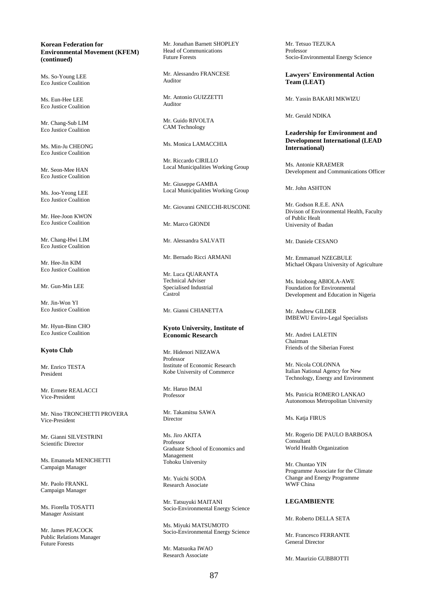# **Korean Federation for Environmental Movement (KFEM) (continued)**

Ms. So-Young LEE Eco Justice Coalition

Ms. Eun-Hee LEE Eco Justice Coalition

Mr. Chang-Sub LIM Eco Justice Coalition

Ms. Min-Ju CHEONG Eco Justice Coalition

Mr. Seon-Mee HAN Eco Justice Coalition

Ms. Joo-Yeong LEE Eco Justice Coalition

Mr. Hee-Joon KWON Eco Justice Coalition

Mr. Chang-Hwi LIM Eco Justice Coalition

Mr. Hee-Jin KIM Eco Justice Coalition

Mr. Gun-Min LEE

Mr. Jin-Won YI Eco Justice Coalition

Mr. Hyun-Binn CHO Eco Justice Coalition

**Kyoto Club** 

Mr. Enrico TESTA President

Mr. Ermete REALACCI Vice-President

Mr. Nino TRONCHETTI PROVERA Vice-President

Mr. Gianni SILVESTRINI Scientific Director

Ms. Emanuela MENICHETTI Campaign Manager

Mr. Paolo FRANKL Campaign Manager

Ms. Fiorella TOSATTI Manager Assistant

Mr. James PEACOCK Public Relations Manager Future Forests

Mr. Jonathan Barnett SHOPLEY Head of Communications Future Forests

Mr. Alessandro FRANCESE Auditor

Mr. Antonio GUIZZETTI Auditor

Mr. Guido RIVOLTA CAM Technology

Ms. Monica LAMACCHIA

Mr. Riccardo CIRILLO Local Municipalities Working Group

Mr. Giuseppe GAMBA Local Municipalities Working Group

Mr. Giovanni GNECCHI-RUSCONE

Mr. Marco GIONDI

Mr. Alessandra SALVATI

Mr. Bernado Ricci ARMANI

Mr. Luca QUARANTA Technical Adviser Specialised Industrial Castrol

Mr. Gianni CHIANETTA

# **Kyoto University, Institute of Economic Research**

Mr. Hidenori NIIZAWA Professor Institute of Economic Research Kobe University of Commerce

Mr. Haruo IMAI Professor

Mr. Takamitsu SAWA **Director** 

Ms. Jiro AKITA Professor Graduate School of Economics and Management Tohoku University

Mr. Yuichi SODA Research Associate

Mr. Tatsuyuki MAITANI Socio-Environmental Energy Science

Ms. Miyuki MATSUMOTO Socio-Environmental Energy Science

Mr. Matsuoka IWAO Research Associate

Mr. Tetsuo TEZUKA Professor Socio-Environmental Energy Science

**Lawyers' Environmental Action Team (LEAT)** 

Mr. Yassin BAKARI MKWIZU

Mr. Gerald NDIKA

# **Leadership for Environment and Development International (LEAD International)**

Ms. Antonie KRAEMER Development and Communications Officer

Mr. John ASHTON

Mr. Godson R.E.E. ANA Divison of Environmental Health, Faculty of Public Healt University of Ibadan

Mr. Daniele CESANO

Mr. Emmanuel NZEGBULE Michael Okpara University of Agriculture

Ms. Iniobong ABIOLA-AWE Foundation for Environmental Development and Education in Nigeria

Mr. Andrew GILDER IMBEWU Enviro-Legal Specialists

Mr. Andrei LALETIN Chairman Friends of the Siberian Forest

Mr. Nicola COLONNA Italian National Agency for New Technology, Energy and Environment

Ms. Patricia ROMERO LANKAO Autonomous Metropolitan University

Ms. Katja FIRUS

Mr. Rogerio DE PAULO BARBOSA Consultant World Health Organization

Mr. Chuntao YIN Programme Associate for the Climate Change and Energy Programme WWF China

# **LEGAMBIENTE**

Mr. Roberto DELLA SETA

Mr. Francesco FERRANTE General Director

Mr. Maurizio GUBBIOTTI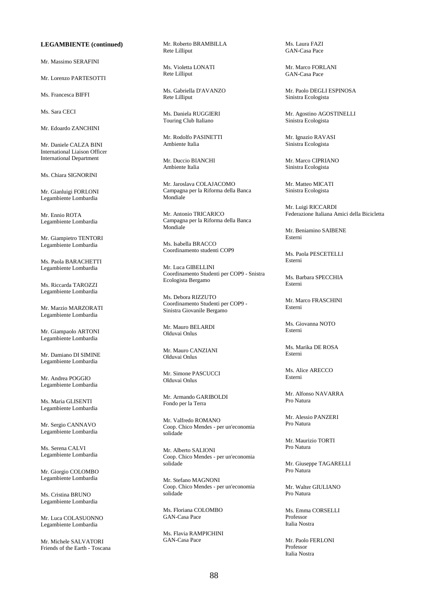# **LEGAMBIENTE (continued)**

Mr. Massimo SERAFINI

Mr. Lorenzo PARTESOTTI

Ms. Francesca BIFFI

Ms. Sara CECI

Mr. Edoardo ZANCHINI

Mr. Daniele CALZA BINI International Liaison Officer International Department

Ms. Chiara SIGNORINI

Mr. Gianluigi FORLONI Legambiente Lombardia

Mr. Ennio ROTA Legambiente Lombardia

Mr. Giampietro TENTORI Legambiente Lombardia

Ms. Paola BARACHETTI Legambiente Lombardia

Ms. Riccarda TAROZZI Legambiente Lombardia

Mr. Marzio MARZORATI Legambiente Lombardia

Mr. Giampaolo ARTONI Legambiente Lombardia

Mr. Damiano DI SIMINE Legambiente Lombardia

Mr. Andrea POGGIO Legambiente Lombardia

Ms. Maria GLISENTI Legambiente Lombardia

Mr. Sergio CANNAVO Legambiente Lombardia

Ms. Serena CALVI Legambiente Lombardia

Mr. Giorgio COLOMBO Legambiente Lombardia

Ms. Cristina BRUNO Legambiente Lombardia

Mr. Luca COLASUONNO Legambiente Lombardia

Mr. Michele SALVATORI Friends of the Earth - Toscana Mr. Roberto BRAMBILLA Rete Lilliput

Ms. Violetta LONATI Rete Lilliput

Ms. Gabriella D'AVANZO Rete Lilliput

Ms. Daniela RUGGIERI Touring Club Italiano

Mr. Rodolfo PASINETTI Ambiente Italia

Mr. Duccio BIANCHI Ambiente Italia

Mr. Jaroslava COLAJACOMO Campagna per la Riforma della Banca Mondiale

Mr. Antonio TRICARICO Campagna per la Riforma della Banca Mondiale

Ms. Isabella BRACCO Coordinamento studenti COP9

Mr. Luca GIBELLINI Coordinamento Studenti per COP9 - Snistra Ecologista Bergamo

Ms. Debora RIZZUTO Coordinamento Studenti per COP9 - Sinistra Giovanile Bergamo

Mr. Mauro BELARDI Olduvai Onlus

Mr. Mauro CANZIANI Olduvai Onlus

Mr. Simone PASCUCCI Olduvai Onlus

Mr. Armando GARIBOLDI Fondo per la Terra

Mr. Valfredo ROMANO Coop. Chico Mendes - per un'economia solidade

Mr. Alberto SALIONI Coop. Chico Mendes - per un'economia solidade

Mr. Stefano MAGNONI Coop. Chico Mendes - per un'economia solidade

Ms. Floriana COLOMBO GAN-Casa Pace

Ms. Flavia RAMPICHINI GAN-Casa Pace

Ms. Laura FAZI GAN-Casa Pace

Mr. Marco FORLANI GAN-Casa Pace

Mr. Paolo DEGLI ESPINOSA Sinistra Ecologista

Mr. Agostino AGOSTINELLI Sinistra Ecologista

Mr. Ignazio RAVASI Sinistra Ecologista

Mr. Marco CIPRIANO Sinistra Ecologista

Mr. Matteo MICATI Sinistra Ecologista

Mr. Luigi RICCARDI Federazione Italiana Amici della Bicicletta

Mr. Beniamino SAIBENE Esterni

Ms. Paola PESCETELLI Esterni

Ms. Barbara SPECCHIA Esterni

Mr. Marco FRASCHINI Esterni

Ms. Giovanna NOTO Esterni

Ms. Marika DE ROSA Esterni

Ms. Alice ARECCO Esterni

Mr. Alfonso NAVARRA Pro Natura

Mr. Alessio PANZERI Pro Natura

Mr. Maurizio TORTI Pro Natura

Mr. Giuseppe TAGARELLI Pro Natura

Mr. Walter GIULIANO Pro Natura

Ms. Emma CORSELLI Professor Italia Nostra

Mr. Paolo FERLONI Professor Italia Nostra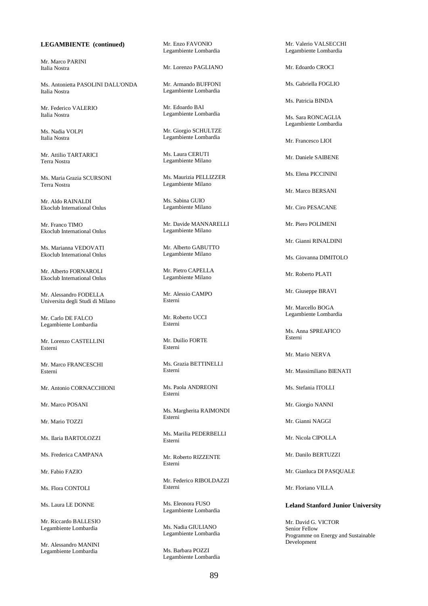# **LEGAMBIENTE (continued)**

Mr. Marco PARINI Italia Nostra

Ms. Antonietta PASOLINI DALL'ONDA Italia Nostra

Mr. Federico VALERIO Italia Nostra

Ms. Nadia VOLPI Italia Nostra

Mr. Attilio TARTARICI Terra Nostra

Ms. Maria Grazia SCURSONI Terra Nostra

Mr. Aldo RAINALDI Ekoclub International Onlus

Mr. Franco TIMO Ekoclub International Onlus

Ms. Marianna VEDOVATI Ekoclub International Onlus

Mr. Alberto FORNAROLI Ekoclub International Onlus

Mr. Alessandro FODELLA Universita degli Studi di Milano

Mr. Carlo DE FALCO Legambiente Lombardia

Mr. Lorenzo CASTELLINI Esterni

Mr. Marco FRANCESCHI Esterni

Mr. Antonio CORNACCHIONI

Mr. Marco POSANI

Mr. Mario TOZZI

Ms. Ilaria BARTOLOZZI

Ms. Frederica CAMPANA

Mr. Fabio FAZIO

Ms. Flora CONTOLI

Ms. Laura LE DONNE

Mr. Riccardo BALLESIO Legambiente Lombardia

Mr. Alessandro MANINI Legambiente Lombardia

Mr. Enzo FAVONIO Legambiente Lombardia

Mr. Lorenzo PAGLIANO

Mr. Armando BUFFONI Legambiente Lombardia

Mr. Edoardo BAI Legambiente Lombardia

Mr. Giorgio SCHULTZE Legambiente Lombardia

Ms. Laura CERUTI Legambiente Milano

Ms. Maurizia PELLIZZER Legambiente Milano

Ms. Sabina GUIO Legambiente Milano

Mr. Davide MANNARELLI Legambiente Milano

Mr. Alberto GABUTTO Legambiente Milano

Mr. Pietro CAPELLA Legambiente Milano

Mr. Alessio CAMPO Esterni

Mr. Roberto UCCI Esterni

Mr. Duilio FORTE Esterni

Ms. Grazia BETTINELLI Esterni

Ms. Paola ANDREONI Esterni

Ms. Margherita RAIMONDI Esterni

Ms. Marilia PEDERBELLI Esterni

Mr. Roberto RIZZENTE Esterni

Mr. Federico RIBOLDAZZI Esterni

Ms. Eleonora FUSO Legambiente Lombardia

Ms. Nadia GIULIANO Legambiente Lombardia

Ms. Barbara POZZI Legambiente Lombardia Mr. Valerio VALSECCHI Legambiente Lombardia

Mr. Edoardo CROCI

Ms. Gabriella FOGLIO

Ms. Patricia BINDA

Ms. Sara RONCAGLIA Legambiente Lombardia

Mr. Francesco LIOI

Mr. Daniele SAIBENE

Ms. Elena PICCININI

Mr. Marco BERSANI

Mr. Ciro PESACANE

Mr. Piero POLIMENI

Mr. Gianni RINALDINI

Ms. Giovanna DIMITOLO

Mr. Roberto PLATI

Mr. Giuseppe BRAVI

Mr. Marcello BOGA Legambiente Lombardia

Ms. Anna SPREAFICO Esterni

Mr. Mario NERVA

Mr. Massimiliano BIENATI

Ms. Stefania ITOLLI

Mr. Giorgio NANNI

Mr. Gianni NAGGI

Mr. Nicola CIPOLLA

Mr. Danilo BERTUZZI

Mr. Gianluca DI PASQUALE

Mr. Floriano VILLA

#### **Leland Stanford Junior University**

Mr. David G. VICTOR Senior Fellow Programme on Energy and Sustainable Development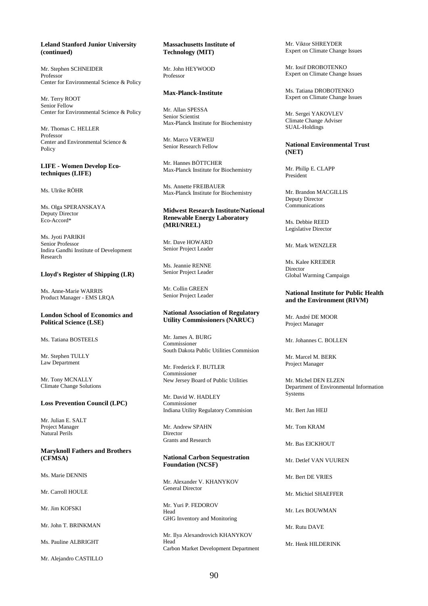### **Leland Stanford Junior University (continued)**

Mr. Stephen SCHNEIDER Professor Center for Environmental Science & Policy

Mr. Terry ROOT Senior Fellow Center for Environmental Science & Policy

Mr. Thomas C. HELLER Professor Center and Environmental Science & Policy

#### **LIFE - Women Develop Ecotechniques (LIFE)**

Ms. Ulrike RÖHR

Ms. Olga SPERANSKAYA Deputy Director Eco-Accord\*

Ms. Jyoti PARIKH Senior Professor Indira Gandhi Institute of Development Research

#### **Lloyd's Register of Shipping (LR)**

Ms. Anne-Marie WARRIS Product Manager - EMS LRQA

## **London School of Economics and Political Science (LSE)**

Ms. Tatiana BOSTEELS

Mr. Stephen TULLY Law Department

Mr. Tony MCNALLY Climate Change Solutions

#### **Loss Prevention Council (LPC)**

Mr. Julian E. SALT Project Manager Natural Perils

## **Maryknoll Fathers and Brothers (CFMSA)**

Ms. Marie DENNIS

Mr. Carroll HOULE

Mr. Jim KOESKI

Mr. John T. BRINKMAN

Ms. Pauline ALBRIGHT

Mr. Alejandro CASTILLO

# **Massachusetts Institute of Technology (MIT)**

Mr. John HEYWOOD Professor

# **Max-Planck-Institute**

Mr. Allan SPESSA Senior Scientist Max-Planck Institute for Biochemistry

Mr. Marco VERWEIJ Senior Research Fellow

Mr. Hannes BÖTTCHER Max-Planck Institute for Biochemistry

Ms. Annette FREIBAUER Max-Planck Institute for Biochemistry

# **Midwest Research Institute/National Renewable Energy Laboratory (MRI/NREL)**

Mr. Dave HOWARD Senior Project Leader

Ms. Jeannie RENNE Senior Project Leader

Mr. Collin GREEN Senior Project Leader

#### **National Association of Regulatory Utility Commissioners (NARUC)**

Mr. James A. BURG Commissioner South Dakota Public Utilities Commision

Mr. Frederick F. BUTLER Commissioner New Jersey Board of Public Utilities

Mr. David W. HADLEY Commissioner Indiana Utility Regulatory Commision

Mr. Andrew SPAHN Director Grants and Research

#### **National Carbon Sequestration Foundation (NCSF)**

Mr. Alexander V. KHANYKOV General Director

Mr. Yuri P. FEDOROV Head GHG Inventory and Monitoring

Mr. Ilya Alexandrovich KHANYKOV Head Carbon Market Development Department Mr. Viktor SHREYDER Expert on Climate Change Issues

Mr. Iosif DROBOTENKO Expert on Climate Change Issues

Ms. Tatiana DROBOTENKO Expert on Climate Change Issues

Mr. Sergei YAKOVLEV Climate Change Adviser SUAL-Holdings

### **National Environmental Trust (NET)**

Mr. Philip E. CLAPP President

Mr. Brandon MACGILLIS Deputy Director Communications

Ms. Debbie REED Legislative Director

Mr. Mark WENZLER

Ms. Kalee KREIDER Director Global Warming Campaign

#### **National Institute for Public Health and the Environment (RIVM)**

Mr. André DE MOOR Project Manager

Mr. Johannes C. BOLLEN

Mr. Marcel M. BERK Project Manager

Mr. Michel DEN ELZEN Department of Environmental Information **Systems** 

Mr. Bert Jan HEIJ

Mr. Tom KRAM

Mr. Bas EICKHOUT

Mr. Detlef VAN VUUREN

Mr. Bert DE VRIES

Mr. Michiel SHAEFFER

Mr. Lex BOUWMAN

Mr. Rutu DAVE

Mr. Henk HILDERINK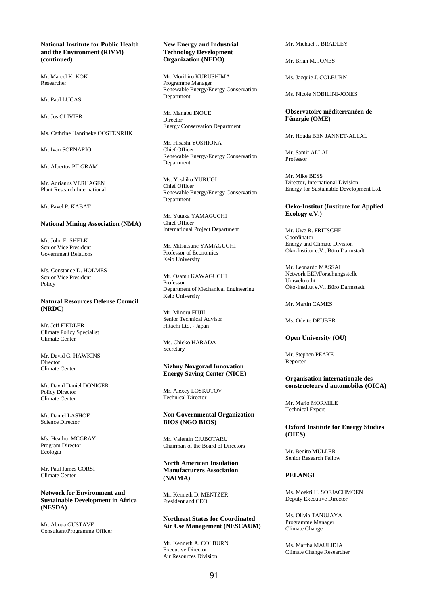### **National Institute for Public Health and the Environment (RIVM) (continued)**

Mr. Marcel K. KOK Researcher

Mr. Paul LUCAS

Mr. Jos OLIVIER

Ms. Cathrine Hanrineke OOSTENRIJK

Mr. Ivan SOENARIO

Mr. Albertus PILGRAM

Mr. Adrianus VERHAGEN Plant Research International

Mr. Pavel P. KABAT

#### **National Mining Association (NMA)**

Mr. John E. SHELK Senior Vice President Government Relations

Ms. Constance D. HOLMES Senior Vice President Policy

#### **Natural Resources Defense Council (NRDC)**

Mr. Jeff FIEDLER Climate Policy Specialist Climate Center

Mr. David G. HAWKINS Director Climate Center

Mr. David Daniel DONIGER Policy Director Climate Center

Mr. Daniel LASHOF Science Director

Ms. Heather MCGRAY Program Director Ecologia

Mr. Paul James CORSI Climate Center

# **Network for Environment and Sustainable Development in Africa (NESDA)**

Mr. Aboua GUSTAVE Consultant/Programme Officer

# **New Energy and Industrial Technology Development Organization (NEDO)**

Mr. Morihiro KURUSHIMA Programme Manager Renewable Energy/Energy Conservation Department

Mr. Manabu INOUE Director Energy Conservation Department

Mr. Hisashi YOSHIOKA Chief Officer Renewable Energy/Energy Conservation Department

Ms. Yoshiko YURUGI Chief Officer Renewable Energy/Energy Conservation Department

Mr. Yutaka YAMAGUCHI Chief Officer International Project Department

Mr. Mitsutsune YAMAGUCHI Professor of Economics Keio University

Mr. Osamu KAWAGUCHI Professor Department of Mechanical Engineering Keio University

Mr. Minoru FUJII Senior Technical Advisor Hitachi Ltd. - Japan

Ms. Chieko HARADA Secretary

# **Nizhny Novgorad Innovation Energy Saving Center (NICE)**

Mr. Alexey LOSKUTOV Technical Director

### **Non Governmental Organization BIOS (NGO BIOS)**

Mr. Valentin CIUBOTARU Chairman of the Board of Directors

**North American Insulation Manufacturers Association (NAIMA)** 

Mr. Kenneth D. MENTZER President and CEO

**Northeast States for Coordinated Air Use Management (NESCAUM)** 

Mr. Kenneth A. COLBURN Executive Director Air Resources Division

Mr. Michael J. BRADLEY

Mr. Brian M. JONES

Ms. Jacquie J. COLBURN

Ms. Nicole NOBILINI-JONES

**Observatoire méditerranéen de l'énergie (OME)** 

Mr. Houda BEN JANNET-ALLAL

Mr. Samir ALLAL Professor

Mr. Mike BESS Director, International Division Energy for Sustainable Development Ltd.

# **Oeko-Institut (Institute for Applied Ecology e.V.)**

Mr. Uwe R. FRITSCHE Coordinator Energy and Climate Division Öko-Institut e.V., Büro Darmstadt

Mr. Leonardo MASSAI Network EEP/Forschungsstelle Umweltrecht Öko-Institut e.V., Büro Darmstadt

Mr. Martin CAMES

Ms. Odette DEUBER

# **Open University (OU)**

Mr. Stephen PEAKE Reporter

## **Organisation internationale des constructeurs d'automobiles (OICA)**

Mr. Mario MORMILE Technical Expert

## **Oxford Institute for Energy Studies (OIES)**

Mr. Benito MÜLLER Senior Research Fellow

# **PELANGI**

Ms. Moekti H. SOEJACHMOEN Deputy Executive Director

Ms. Olivia TANUJAYA Programme Manager Climate Change

Ms. Martha MAULIDIA Climate Change Researcher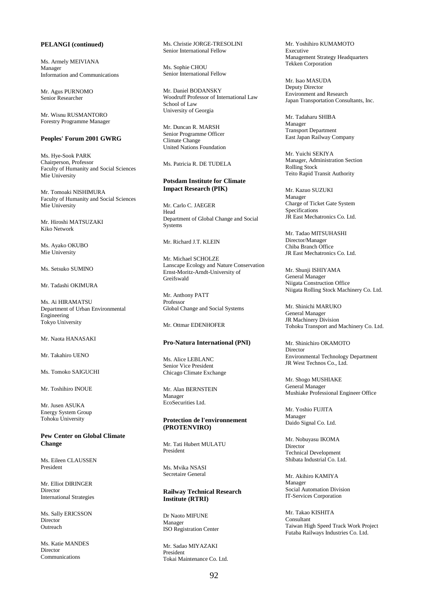# **PELANGI (continued)**

Ms. Armely MEIVIANA Manager Information and Communications

Mr. Agus PURNOMO Senior Researcher

Mr. Wisnu RUSMANTORO Forestry Programme Manager

# **Peoples' Forum 2001 GWRG**

Ms. Hye-Sook PARK Chairperson, Professor Faculty of Humanity and Social Sciences Mie University

Mr. Tomoaki NISHIMURA Faculty of Humanity and Social Sciences Mie University

Mr. Hiroshi MATSUZAKI Kiko Network

Ms. Ayako OKUBO Mie University

Ms. Setsuko SUMINO

Mr. Tadashi OKIMURA

Ms. Ai HIRAMATSU Department of Urban Environmental Engineering Tokyo University

Mr. Naota HANASAKI

Mr. Takahiro UENO

Ms. Tomoko SAIGUCHI

Mr. Toshihiro INOUE

Mr. Jusen ASUKA Energy System Group Tohoku University

**Pew Center on Global Climate Change** 

Ms. Eileen CLAUSSEN President

Mr. Elliot DIRINGER Director International Strategies

Ms. Sally ERICSSON Director Outreach

Ms. Katie MANDES Director Communications

Ms. Christie JORGE-TRESOLINI Senior International Fellow

Ms. Sophie CHOU Senior International Fellow

Mr. Daniel BODANSKY Woodruff Professor of International Law School of Law University of Georgia

Mr. Duncan R. MARSH Senior Programme Officer Climate Change United Nations Foundation

Ms. Patricia R. DE TUDELA

#### **Potsdam Institute for Climate Impact Research (PIK)**

Mr. Carlo C. JAEGER Head Department of Global Change and Social **Systems** 

Mr. Richard J.T. KLEIN

Mr. Michael SCHOLZE Lanscape Ecology and Nature Conservation Ernst-Moritz-Arndt-University of Greifswald

Mr. Anthony PATT Professor Global Change and Social Systems

Mr. Ottmar EDENHOFER

#### **Pro-Natura International (PNI)**

Ms. Alice LEBLANC Senior Vice President Chicago Climate Exchange

Mr. Alan BERNSTEIN Manager EcoSecurities Ltd.

### **Protection de l'environnement (PROTENVIRO)**

Mr. Tati Hubert MULATU President

Ms. Mvika NSASI Secretaire General

# **Railway Technical Research Institute (RTRI)**

Dr Naoto MIFUNE Manager ISO Registration Center

Mr. Sadao MIYAZAKI President Tokai Maintenance Co. Ltd. Mr. Yoshihiro KUMAMOTO Executive Management Strategy Headquarters Tekken Corporation

Mr. Isao MASUDA Deputy Director Environment and Research Japan Transportation Consultants, Inc.

Mr. Tadaharu SHIBA Manager Transport Department East Japan Railway Company

Mr. Yuichi SEKIYA Manager, Administration Section Rolling Stock Teito Rapid Transit Authority

Mr. Kazuo SUZUKI Manager Charge of Ticket Gate System Specifications JR East Mechatronics Co. Ltd.

Mr. Tadao MITSUHASHI Director/Manager Chiba Branch Office JR East Mechatronics Co. Ltd.

Mr. Shunji ISHIYAMA General Manager Niigata Construction Office Niigata Rolling Stock Machinery Co. Ltd.

Mr. Shinichi MARUKO General Manager JR Machinery Division Tohoku Transport and Machinery Co. Ltd.

Mr. Shinichiro OKAMOTO Director Environmental Technology Department JR West Technos Co., Ltd.

Mr. Shogo MUSHIAKE General Manager Mushiake Professional Engineer Office

Mr. Yoshio FUJITA Manager Daido Signal Co. Ltd.

Mr. Nobuyasu IKOMA Director Technical Development Shibata Industrial Co. Ltd.

Mr. Akihiro KAMIYA Manager Social Automation Division IT-Services Corporation

Mr. Takao KISHITA Consultant Taiwan High Speed Track Work Project Futaba Railways Industries Co. Ltd.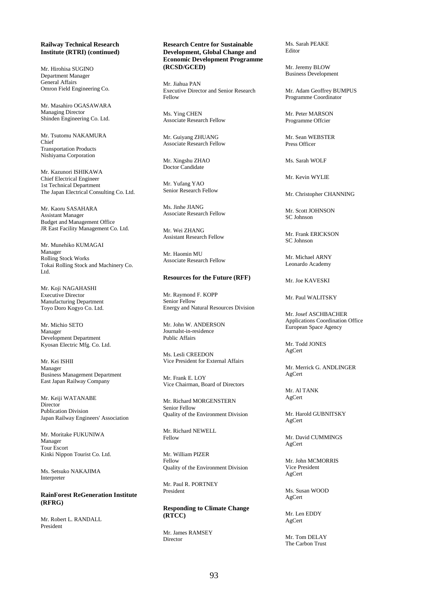# **Railway Technical Research Institute (RTRI) (continued)**

Mr. Hirohisa SUGINO Department Manager General Affairs Omron Field Engineering Co.

Mr. Masahiro OGASAWARA Managing Director Shinden Engineering Co. Ltd.

Mr. Tsutomu NAKAMURA Chief Transportation Products Nishiyama Corporation

Mr. Kazunori ISHIKAWA Chief Electrical Engineer 1st Technical Department The Japan Electrical Consulting Co. Ltd.

Mr. Kaoru SASAHARA Assistant Manager Budget and Management Office JR East Facility Management Co. Ltd.

Mr. Munehiko KUMAGAI Manager Rolling Stock Works Tokai Rolling Stock and Machinery Co. Ltd.

Mr. Koji NAGAHASHI Executive Director Manufacturing Department Toyo Doro Kogyo Co. Ltd.

Mr. Michio SETO Manager Development Department Kyosan Electric Mfg. Co. Ltd.

Mr. Kei ISHII Manager Business Management Department East Japan Railway Company

Mr. Keiji WATANABE Director Publication Division Japan Railway Engineers' Association

Mr. Moritake FUKUNIWA Manager Tour Escort Kinki Nippon Tourist Co. Ltd.

Ms. Setsuko NAKAJIMA **Interpreter** 

**RainForest ReGeneration Institute (RFRG)** 

Mr. Robert L. RANDALL President

## **Research Centre for Sustainable Development, Global Change and Economic Development Programme (RCSD/GCED)**

Mr. Jiahua PAN Executive Director and Senior Research Fellow

Ms. Ying CHEN Associate Research Fellow

Mr. Guiyang ZHUANG Associate Research Fellow

Mr. Xingshu ZHAO Doctor Candidate

Mr. Yufang YAO Senior Research Fellow

Ms. Jinhe JIANG Associate Research Fellow

Mr. Wei ZHANG Assistant Research Fellow

Mr. Haomin MU Associate Research Fellow

#### **Resources for the Future (RFF)**

Mr. Raymond F. KOPP Senior Fellow Energy and Natural Resources Division

Mr. John W. ANDERSON Journalst-in-residence Public Affairs

Ms. Lesli CREEDON Vice President for External Affairs

Mr. Frank E. LOY Vice Chairman, Board of Directors

Mr. Richard MORGENSTERN Senior Fellow Quality of the Environment Division

Mr. Richard NEWELL Fellow

Mr. William PIZER Fellow Quality of the Environment Division

Mr. Paul R. PORTNEY President

**Responding to Climate Change (RTCC)** 

Mr. James RAMSEY Director

Ms. Sarah PEAKE Editor

Mr. Jeremy BLOW Business Development

Mr. Adam Geoffrey BUMPUS Programme Coordinator

Mr. Peter MARSON Programme Offcier

Mr. Sean WEBSTER Press Officer

Ms. Sarah WOLF

Mr. Kevin WYLIE

Mr. Christopher CHANNING

Mr. Scott JOHNSON SC Johnson

Mr. Frank ERICKSON SC Johnson

Mr. Michael ARNY Leonardo Academy

Mr. Joe KAVESKI

Mr. Paul WALITSKY

Mr. Josef ASCHBACHER Applications Coordination Office European Space Agency

Mr. Todd JONES AgCert

Mr. Merrick G. ANDLINGER AgCert

Mr. Al TANK AgCert

Mr. Harold GUBNITSKY AgCert

Mr. David CUMMINGS AgCert

Mr. John MCMORRIS Vice President AgCert

Ms. Susan WOOD AgCert

Mr. Len EDDY AgCert

Mr. Tom DELAY The Carbon Trust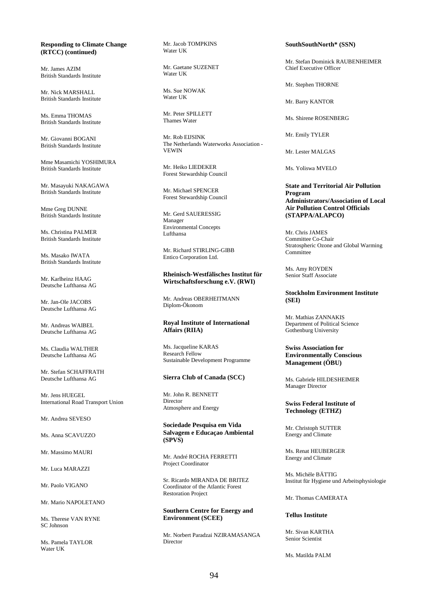# **Responding to Climate Change (RTCC) (continued)**

Mr. James AZIM British Standards Institute

Mr. Nick MARSHALL British Standards Institute

Ms. Emma THOMAS British Standards Institute

Mr. Giovanni BOGANI British Standards Institute

Mme Masamichi YOSHIMURA British Standards Institute

Mr. Masayuki NAKAGAWA British Standards Institute

Mme Greg DUNNE British Standards Institute

Ms. Christina PALMER British Standards Institute

Ms. Masako IWATA British Standards Institute

Mr. Karlheinz HAAG Deutsche Lufthansa AG

Mr. Jan-Ole JACOBS Deutsche Lufthansa AG

Mr. Andreas WAIBEL Deutsche Lufthansa AG

Ms. Claudia WALTHER Deutsche Lufthansa AG

Mr. Stefan SCHAFFRATH Deutsche Lufthansa AG

Mr. Jens HUEGEL International Road Transport Union

Mr. Andrea SEVESO

Ms. Anna SCAVUZZO

Mr. Massimo MAURI

Mr. Luca MARAZZI

Mr. Paolo VIGANO

Mr. Mario NAPOLETANO

Ms. Therese VAN RYNE SC Johnson

Ms. Pamela TAYLOR Water **HK** 

Mr. Jacob TOMPKINS Water UK

Mr. Gaetane SUZENET Water UK

Ms. Sue NOWAK Water UK

Mr. Peter SPILLETT Thames Water

Mr. Rob EIJSINK The Netherlands Waterworks Association - VEWIN

Mr. Heiko LIEDEKER Forest Stewardship Council

Mr. Michael SPENCER Forest Stewardship Council

Mr. Gerd SAUERESSIG Manager Environmental Concepts Lufthansa

Mr. Richard STIRLING-GIBB Entico Corporation Ltd.

### **Rheinisch-Westfälisches Institut für Wirtschaftsforschung e.V. (RWI)**

Mr. Andreas OBERHEITMANN Diplom-Ökonom

# **Royal Institute of International Affairs (RIIA)**

Ms. Jacqueline KARAS Research Fellow Sustainable Development Programme

### **Sierra Club of Canada (SCC)**

Mr. John R. BENNETT Director Atmosphere and Energy

**Sociedade Pesquisa em Vida Salvagem e Educaçao Ambiental (SPVS)** 

Mr. André ROCHA FERRETTI Project Coordinator

Sr. Ricardo MIRANDA DE BRITEZ Coordinator of the Atlantic Forest Restoration Project

# **Southern Centre for Energy and Environment (SCEE)**

Mr. Norbert Paradzai NZIRAMASANGA Director

**SouthSouthNorth\* (SSN)** 

Mr. Stefan Dominick RAUBENHEIMER Chief Executive Officer

Mr. Stephen THORNE

Mr. Barry KANTOR

Ms. Shirene ROSENBERG

Mr. Emily TYLER

Mr. Lester MALGAS

Ms. Yoliswa MVELO

**State and Territorial Air Pollution Program Administrators/Association of Local Air Pollution Control Officials (STAPPA/ALAPCO)** 

Mr. Chris JAMES Committee Co-Chair Stratospheric Ozone and Global Warming **Committee** 

Ms. Amy ROYDEN Senior Staff Associate

# **Stockholm Environment Institute (SEI)**

Mr. Mathias ZANNAKIS Department of Political Science Gothenburg University

# **Swiss Association for Environmentally Conscious Management (ÖBU)**

Ms. Gabriele HILDESHEIMER Manager Director

# **Swiss Federal Institute of Technology (ETHZ)**

Mr. Christoph SUTTER Energy and Climate

Ms. Renat HEUBERGER Energy and Climate

Ms. Michèle BÄTTIG Institut für Hygiene und Arbeitsphysiologie

Mr. Thomas CAMERATA

#### **Tellus Institute**

Mr. Sivan KARTHA Senior Scientist

Ms. Matilda PALM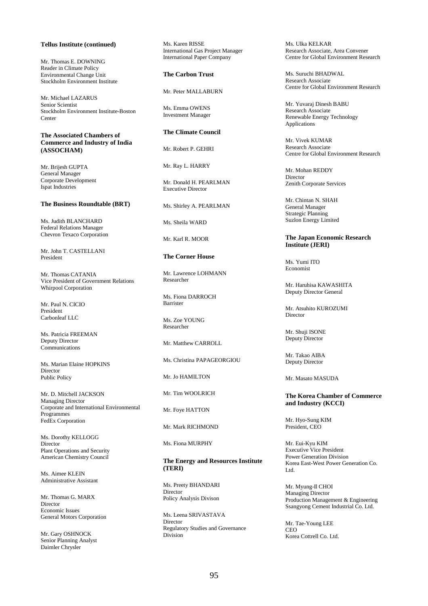# **Tellus Institute (continued)**

Mr. Thomas E. DOWNING Reader in Climate Policy Environmental Change Unit Stockholm Environment Institute

Mr. Michael LAZARUS Senior Scientist Stockholm Environment Institute-Boston Center

# **The Associated Chambers of Commerce and Industry of India (ASSOCHAM)**

Mr. Brijesh GUPTA General Manager Corporate Development Ispat Industries

# **The Business Roundtable (BRT)**

Ms. Judith BLANCHARD Federal Relations Manager Chevron Texaco Corporation

Mr. John T. CASTELLANI President

Mr. Thomas CATANIA Vice President of Government Relations Whirpool Corporation

Mr. Paul N. CICIO President Carbonleaf LLC

Ms. Patricia FREEMAN Deputy Director Communications

Ms. Marian Elaine HOPKINS Director Public Policy

Mr. D. Mitchell JACKSON Managing Director Corporate and International Environmental Programmes FedEx Corporation

Ms. Dorothy KELLOGG Director Plant Operations and Security American Chemistry Council

Ms. Aimee KLEIN Administrative Assistant

Mr. Thomas G. MARX Director Economic Issues General Motors Corporation

Mr. Gary OSHNOCK Senior Planning Analyst Daimler Chrysler

Ms. Karen RISSE International Gas Project Manager International Paper Company

## **The Carbon Trust**

Mr. Peter MALLABURN

Ms. Emma OWENS Investment Manager

# **The Climate Council**

Mr. Robert P. GEHRI

Mr. Ray L. HARRY

Mr. Donald H. PEARLMAN Executive Director

Ms. Shirley A. PEARLMAN

Ms. Sheila WARD

Mr. Karl R. MOOR

# **The Corner House**

Mr. Lawrence LOHMANN Researcher

Ms. Fiona DARROCH Barrister

Ms. Zoe YOUNG Researcher

Mr. Matthew CARROLL

Ms. Christina PAPAGEORGIOU

Mr. Jo HAMILTON

Mr. Tim WOOLRICH

Mr. Foye HATTON

Mr. Mark RICHMOND

Ms. Fiona MURPHY

## **The Energy and Resources Institute (TERI)**

Ms. Preety BHANDARI Director Policy Analysis Divison

Ms. Leena SRIVASTAVA **Director** Regulatory Studies and Governance Division

Ms. Ulka KELKAR Research Associate, Area Convener Centre for Global Environment Research

Ms. Suruchi BHADWAL Research Associate Centre for Global Environment Research

Mr. Yuvaraj Dinesh BABU Research Associate Renewable Energy Technology Applications

Mr. Vivek KUMAR Research Associate Centre for Global Environment Research

Mr. Mohan REDDY Director Zenith Corporate Services

Mr. Chintan N. SHAH General Manager Strategic Planning Suzlon Energy Limited

# **The Japan Economic Research Institute (JERI)**

Ms. Yumi ITO Economist

Mr. Haruhisa KAWASHITA Deputy Director General

Mr. Atsubito KUROZUMI **Director** 

Mr. Shuji ISONE Deputy Director

Mr. Takao AIBA Deputy Director

Mr. Masato MASUDA

#### **The Korea Chamber of Commerce and Industry (KCCI)**

Mr. Hyo-Sung KIM President, CEO

Mr. Eui-Kyu KIM Executive Vice President Power Generation Division Korea East-West Power Generation Co. Ltd.

Mr. Myung-Il CHOI Managing Director Production Management & Engineering Ssangyong Cement Industrial Co. Ltd.

Mr. Tae-Young LEE **CEO** Korea Cottrell Co. Ltd.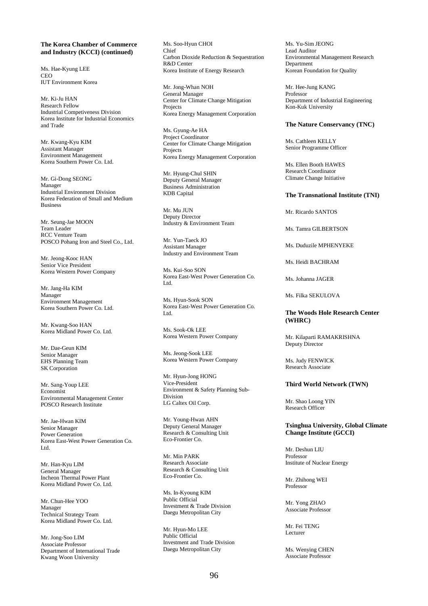# **The Korea Chamber of Commerce and Industry (KCCI) (continued)**

Ms. Hae-Kyung LEE **CEO** IUT Environment Korea

Mr. Ki-Ju HAN Research Fellow Industrial Competiveness Division Korea Institute for Industrial Economics and Trade

Mr. Kwang-Kyu KIM Assistant Manager Environment Management Korea Southern Power Co. Ltd.

Mr. Gi-Dong SEONG Manager Industrial Environment Division Korea Federation of Small and Medium Business

Mr. Seung-Jae MOON Team Leader RCC Venture Team POSCO Pohang Iron and Steel Co., Ltd.

Mr. Jeong-Kooc HAN Senior Vice President Korea Western Power Company

Mr. Jang-Ha KIM Manager Environment Management Korea Southern Power Co. Ltd.

Mr. Kwang-Soo HAN Korea Midland Power Co. Ltd.

Mr. Dae-Geun KIM Senior Manager EHS Planning Team SK Corporation

Mr. Sang-Youp LEE Economist Environmental Management Center POSCO Research Institute

Mr. Jae-Hwan KIM Senior Manager Power Generation Korea East-West Power Generation Co. Ltd.

Mr. Han-Kyu LIM General Manager Incheon Thermal Power Plant Korea Midland Power Co. Ltd.

Mr. Chun-Hee YOO Manager Technical Strategy Team Korea Midland Power Co. Ltd.

Mr. Jong-Soo LIM Associate Professor Department of International Trade Kwang Woon University

Ms. Soo-Hyun CHOI Chief Carbon Dioxide Reduction & Sequestration R&D Center Korea Institute of Energy Research

Mr. Jong-Whan NOH General Manager Center for Climate Change Mitigation **Projects** Korea Energy Management Corporation

Ms. Gyung-Ae HA Project Coordinator Center for Climate Change Mitigation **Projects** Korea Energy Management Corporation

Mr. Hyung-Chul SHIN Deputy General Manager Business Administration KDB Capital

Mr. Mu JUN Deputy Director Industry & Environment Team

Mr. Yun-Taeck JO Assistant Manager Industry and Environment Team

Ms. Kui-Soo SON Korea East-West Power Generation Co. Ltd.

Ms. Hyun-Sook SON Korea East-West Power Generation Co. Ltd.

Ms. Sook-Ok LEE Korea Western Power Company

Ms. Jeong-Sook LEE Korea Western Power Company

Mr. Hyun-Jong HONG Vice-President Environment & Safety Planning Sub-Division LG Caltex Oil Corp.

Mr. Young-Hwan AHN Deputy General Manager Research & Consulting Unit Eco-Frontier Co.

Mr. Min PARK Research Associate Research & Consulting Unit Eco-Frontier Co.

Ms. In-Kyoung KIM Public Official Investment & Trade Division Daegu Metropolitan City

Mr. Hyun-Mo LEE Public Official Investment and Trade Division Daegu Metropolitan City

Ms. Yu-Sim JEONG Lead Auditor Environmental Management Research Department Korean Foundation for Quality

Mr. Hee-Jung KANG Professor Department of Industrial Engineering Kon-Kuk University

#### **The Nature Conservancy (TNC)**

Ms. Cathleen KELLY Senior Programme Officer

Ms. Ellen Booth HAWES Research Coordinator Climate Change Initiative

#### **The Transnational Institute (TNI)**

Mr. Ricardo SANTOS

Ms. Tamra GILBERTSON

Ms. Duduzile MPHENYEKE

Ms. Heidi BACHRAM

Ms. Johanna JAGER

Ms. Filka SEKULOVA

# **The Woods Hole Research Center (WHRC)**

Mr. Kilaparti RAMAKRISHNA Deputy Director

Ms. Judy FENWICK Research Associate

# **Third World Network (TWN)**

Mr. Shao Loong YIN Research Officer

# **Tsinghua University, Global Climate Change Institute (GCCI)**

Mr. Deshun LIU Professor Institute of Nuclear Energy

Mr. Zhihong WEI Professor

Mr. Yong ZHAO Associate Professor

Mr. Fei TENG Lecturer

Ms. Wenying CHEN Associate Professor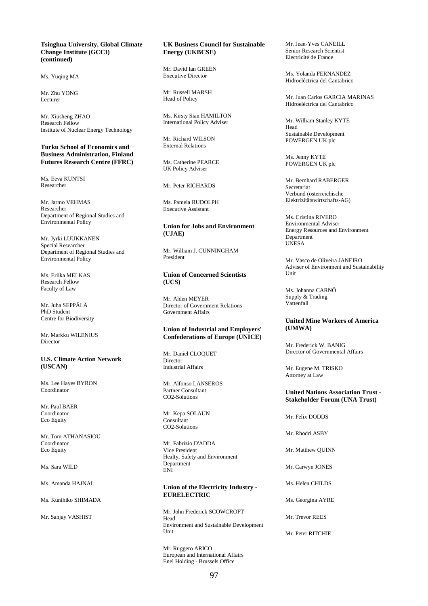### **Tsinghua University, Global Climate Change Institute (GCCI) (continued)**

Ms. Yuqing MA

Mr. Zhu YONG Lecturer

Mr. Xiusheng ZHAO Research Fellow Institute of Nuclear Energy Technology

## **Turku School of Economics and Business Administration, Finland Futures Research Centre (FFRC)**

Ms. Eeva KUNTSI Researcher

Mr. Jarmo VEHMAS Researcher Department of Regional Studies and Environmental Policy

Mr. Jyrki LUUKKANEN Special Researcher Department of Regional Studies and Environmental Policy

Ms. Eriika MELKAS Research Fellow Faculty of Law

Mr. Juha SEPPÄLÄ PhD Student Centre for Biodiversity

Mr. Markku WILENIUS Director

#### **U.S. Climate Action Network (USCAN)**

Ms. Lee Hayes BYRON **Coordinator** 

Mr. Paul BAER Coordinator Eco Equity

Mr. Tom ATHANASIOU Coordinator Eco Equity

Ms. Sara WILD

Ms. Amanda HAJNAL

Ms. Kunihiko SHIMADA

Mr. Sanjay VASHIST

# **UK Business Council for Sustainable Energy (UKBCSE)**

Mr. David Ian GREEN Executive Director

Mr. Russell MARSH Head of Policy

Ms. Kirsty Sian HAMILTON International Policy Adviser

Mr. Richard WILSON External Relations

Ms. Catherine PEARCE UK Policy Adviser

Mr. Peter RICHARDS

Ms. Pamela RUDOLPH Executive Assistant

# **Union for Jobs and Environment (UJAE)**

Mr. William J. CUNNINGHAM President

# **Union of Concerned Scientists (UCS)**

Mr. Alden MEYER Director of Government Relations Government Affairs

# **Union of Industrial and Employers' Confederations of Europe (UNICE)**

Mr. Daniel CLOQUET Director Industrial Affairs

Mr. Alfonso LANSEROS Partner Consultant CO2-Solutions

Mr. Kepa SOLAUN Consultant CO2-Solutions

Mr. Fabrizio D'ADDA Vice President Healty, Safety and Environment Department ENI

# **Union of the Electricity Industry - EURELECTRIC**

Mr. John Frederick SCOWCROFT Head Environment and Sustainable Development Unit

Mr. Ruggero ARICO European and International Affairs Enel Holding - Brussels Office

Mr. Jean-Yves CANEILL Senior Research Scientist Electricité de France

Ms. Yolanda FERNANDEZ Hidroeléctrica del Cantabrico

Mr. Juan Carlos GARCIA MARINAS Hidroeléctrica del Cantabrico

Mr. William Stanley KYTE Head Sustainable Development POWERGEN UK plc

Ms. Jenny KYTE POWERGEN UK plc

Mr. Bernhard RABERGER Secretariat Verbund (österreichische Elektrizitätswirtschafts-AG)

Ms. Cristina RIVERO Environmental Adviser Energy Resources and Environment **Department** UNESA

Mr. Vasco de Oliveira JANEIRO Adviser of Environment and Sustainability Unit

Ms. Johanna CARNÖ Supply & Trading Vattenfall

## **United Mine Workers of America (UMWA)**

Mr. Frederick W. BANIG Director of Governmental Affairs

Mr. Eugene M. TRISKO Attorney at Law

# **United Nations Association Trust - Stakeholder Forum (UNA Trust)**

Mr. Felix DODDS

Mr. Rhodri ASBY

Mr. Matthew QUINN

Mr. Carwyn JONES

Ms. Helen CHILDS

Ms. Georgina AYRE

Mr. Trevor REES

Mr. Peter RITCHIE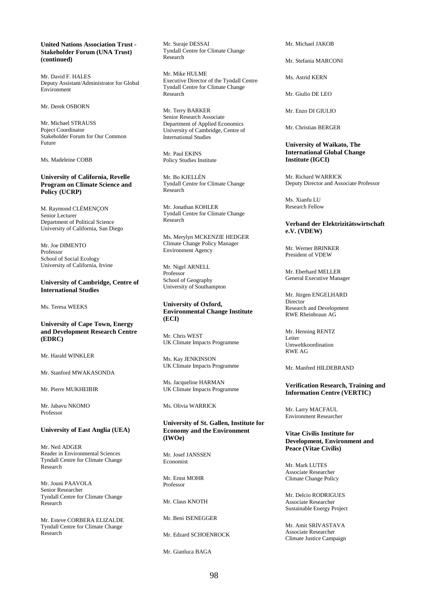# **United Nations Association Trust - Stakeholder Forum (UNA Trust) (continued)**

Mr. David F. HALES Deputy Assistant/Administrator for Global Environment

Mr. Derek OSBORN

Mr. Michael STRAUSS Poject Coordinator Stakeholder Forum for Our Common Future

Ms. Madeleine COBB

# **University of California, Revelle Program on Climate Science and Policy (UCRP)**

M. Raymond CLÉMENÇON Senior Lecturer Department of Political Science University of California, San Diego

Mr. Joe DIMENTO Professor School of Social Ecology University of California, Irvine

#### **University of Cambridge, Centre of International Studies**

Ms. Teresa WEEKS

# **University of Cape Town, Energy and Development Research Centre (EDRC)**

Mr. Harald WINKLER

Mr. Stanford MWAKASONDA

Mr. Pierre MUKHEIBIR

Mr. Jabavu NKOMO Professor

# **University of East Anglia (UEA)**

Mr. Neil ADGER Reader in Environmental Sciences Tyndall Centre for Climate Change Research

Mr. Jouni PAAVOLA Senior Researcher Tyndall Centre for Climate Change Research

Mr. Esteve CORBERA ELIZALDE Tyndall Centre for Climate Change Research

Mr. Suraje DESSAI Tyndall Centre for Climate Change **Research** 

Mr. Mike HULME Executive Director of the Tyndall Centre Tyndall Centre for Climate Change Research

Mr. Terry BARKER Senior Research Associate Department of Applied Economics University of Cambridge, Centre of International Studies

Mr. Paul EKINS Policy Studies Institute

Mr. Bo KJELLÉN Tyndall Centre for Climate Change Research

Mr. Jonathan KOHLER Tyndall Centre for Climate Change Research

Ms. Merylyn MCKENZIE HEDGER Climate Change Policy Manager Environment Agency

Mr. Nigel ARNELL Professor School of Geography University of Southampton

# **University of Oxford, Environmental Change Institute (ECI)**

Mr. Chris WEST UK Climate Impacts Programme

Ms. Kay JENKINSON UK Climate Impacts Programme

Ms. Jacqueline HARMAN UK Climate Impacts Programme

Ms. Olivia WARRICK

# **University of St. Gallen, Institute for Economy and the Environment (IWOe)**

Mr. Josef JANSSEN Economist

Mr. Ernst MOHR Professor

Mr. Claus KNOTH

Mr. Beni ISENEGGER

Mr. Edzard SCHOENROCK

Mr. Gianluca BAGA

Mr. Michael JAKOB

Mr. Stefania MARCONI

Ms. Astrid KERN

Mr. Giulio DE LEO

Mr. Enzo DI GIULIO

Mr. Christian BERGER

# **University of Waikato, The International Global Change Institute (IGCI)**

Mr. Richard WARRICK Deputy Director and Associate Professor

Ms. Xianfu LU Research Fellow

# **Verband der Elektrizitätswirtschaft e.V. (VDEW)**

Mr. Werner BRINKER President of VDEW

Mr. Eberhard MELLER General Executive Manager

Mr. Jürgen ENGELHARD **Director** Research and Development RWE Rheinbraun AG

Mr. Henning RENTZ Leiter Umweltkoordination RWE AG

Mr. Manfred HILDEBRAND

## **Verification Research, Training and Information Centre (VERTIC)**

Mr. Larry MACFAUL Environment Researcher

#### **Vitae Civilis Institute for Development, Environment and Peace (Vitae Civilis)**

Mr. Mark LUTES Associate Researcher Climate Change Policy

Mr. Delcio RODRIGUES Associate Researcher Sustainable Energy Project

Mr. Amit SRIVASTAVA Associate Researcher Climate Justice Campaign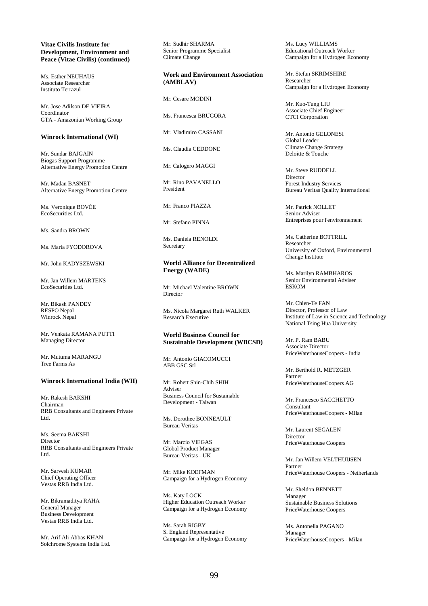# **Vitae Civilis Institute for Development, Environment and Peace (Vitae Civilis) (continued)**

Ms. Esther NEUHAUS Associate Researcher Instituto Terrazul

Mr. Jose Adilson DE VIEIRA Coordinator GTA - Amazonian Working Group

#### **Winrock International (WI)**

Mr. Sundar BAJGAIN Biogas Support Programme Alternative Energy Promotion Centre

Mr. Madan BASNET Alternative Energy Promotion Centre

Ms. Veronique BOVÉE EcoSecurities Ltd.

Ms. Sandra BROWN

Ms. Maria FYODOROVA

Mr. John KADYSZEWSKI

Mr. Jan Willem MARTENS EcoSecurities Ltd.

Mr. Bikash PANDEY RESPO Nepal Winrock Nepal

Mr. Venkata RAMANA PUTTI Managing Director

Mr. Mutuma MARANGU Tree Farms As

### **Winrock International India (WII)**

Mr. Rakesh BAKSHI Chairman RRB Consultants and Engineers Private Ltd.

Ms. Seema BAKSHI Director RRB Consultants and Engineers Private Ltd.

Mr. Sarvesh KUMAR Chief Operating Officer Vestas RRB India Ltd.

Mr. Bikramaditya RAHA General Manager Business Development Vestas RRB India Ltd.

Mr. Arif Ali Abbas KHAN Solchrome Systems India Ltd. Mr. Sudhir SHARMA Senior Programme Specialist Climate Change

**Work and Environment Association (AMBLAV)** 

Mr. Cesare MODINI

Ms. Francesca BRUGORA

Mr. Vladimiro CASSANI

Ms. Claudia CEDDONE

Mr. Calogero MAGGI

Mr. Rino PAVANELLO President

Mr. Franco PIAZZA

Mr. Stefano PINNA

Ms. Daniela RENOLDI Secretary

**World Alliance for Decentralized Energy (WADE)** 

Mr. Michael Valentine BROWN Director

Ms. Nicola Margaret Ruth WALKER Research Executive

## **World Business Council for Sustainable Development (WBCSD)**

Mr. Antonio GIACOMUCCI ABB GSC Srl

Mr. Robert Shin-Chih SHIH Adviser Business Council for Sustainable Development - Taiwan

Ms. Dorothee BONNEAULT Bureau Veritas

Mr. Marcio VIEGAS Global Product Manager Bureau Veritas - UK

Mr. Mike KOEFMAN Campaign for a Hydrogen Economy

Ms. Katy LOCK Higher Education Outreach Worker Campaign for a Hydrogen Economy

Ms. Sarah RIGBY S. England Representative Campaign for a Hydrogen Economy Ms. Lucy WILLIAMS Educational Outreach Worker Campaign for a Hydrogen Economy

Mr. Stefan SKRIMSHIRE Researcher Campaign for a Hydrogen Economy

Mr. Kuo-Tung LIU Associate Chief Engineer CTCI Corporation

Mr. Antonio GELONESI Global Leader Climate Change Strategy Deloitte & Touche

Mr. Steve RUDDELL Director Forest Industry Services Bureau Veritas Quality International

Mr. Patrick NOLLET Senior Adviser Entreprises pour l'environnement

Ms. Catherine BOTTRILL Researcher University of Oxford, Environmental Change Institute

Ms. Marilyn RAMBHAROS Senior Environmental Adviser ESKOM

Mr. Chien-Te FAN Director, Professor of Law Institute of Law in Science and Technology National Tsing Hua University

Mr. P. Ram BABU Associate Director PriceWaterhouseCoopers - India

Mr. Berthold R. METZGER Partner PriceWaterhouseCoopers AG

Mr. Francesco SACCHETTO Consultant PriceWaterhouseCoopers - Milan

Mr. Laurent SEGALEN Director PriceWaterhouse Coopers

Mr. Jan Willem VELTHUIJSEN Partner PriceWaterhouse Coopers - Netherlands

Mr. Sheldon BENNETT Manager Sustainable Business Solutions PriceWaterhouse Coopers

Ms. Antonella PAGANO Manager PriceWaterhouseCoopers - Milan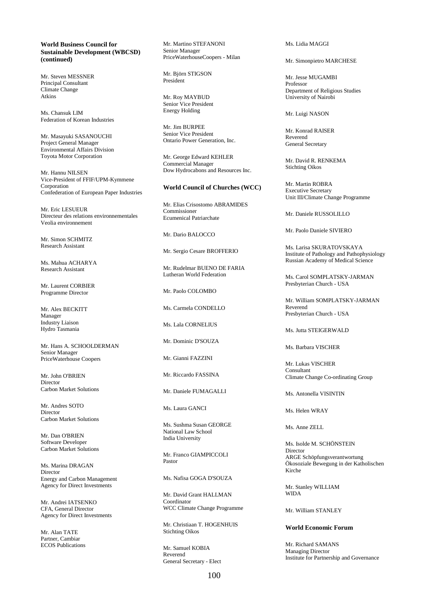# **World Business Council for Sustainable Development (WBCSD) (continued)**

Mr. Steven MESSNER Principal Consultant Climate Change Atkins

Ms. Chansuk LIM Federation of Korean Industries

Mr. Masayuki SASANOUCHI Project General Manager Environmental Affairs Division Toyota Motor Corporation

Mr. Hannu NILSEN Vice-President of FFIF/UPM-Kymmene Corporation Confederation of European Paper Industries

Mr. Eric LESUEUR Directeur des relations environnementales Veolia environnement

Mr. Simon SCHMITZ Research Assistant

Ms. Mahua ACHARYA Research Assistant

Mr. Laurent CORBIER Programme Director

Mr. Alex BECKITT Manager Industry Liaison Hydro Tasmania

Mr. Hans A. SCHOOLDERMAN Senior Manager PriceWaterhouse Coopers

Mr. John O'BRIEN Director Carbon Market Solutions

Mr. Andres SOTO Director Carbon Market Solutions

Mr. Dan O'BRIEN Software Developer Carbon Market Solutions

Ms. Marina DRAGAN Director Energy and Carbon Management Agency for Direct Investments

Mr. Andrei IATSENKO CFA, General Director Agency for Direct Investments

Mr. Alan TATE Partner, Cambiar ECOS Publications Mr. Martino STEFANONI Senior Manager PriceWaterhouseCoopers - Milan

Mr. Björn STIGSON President

Mr. Roy MAYBUD Senior Vice President Energy Holding

Mr. Jim BURPEE Senior Vice President Ontario Power Generation, Inc.

Mr. George Edward KEHLER Commercial Manager Dow Hydrocabons and Resources Inc.

# **World Council of Churches (WCC)**

Mr. Elias Crisostomo ABRAMIDES Commissioner Ecumenical Patriarchate

Mr. Dario BALOCCO

Mr. Sergio Cesare BROFFERIO

Mr. Rudelmar BUENO DE FARIA Lutheran World Federation

Mr. Paolo COLOMBO

Ms. Carmela CONDELLO

Ms. Lala CORNELIUS

Mr. Dominic D'SOUZA

Mr. Gianni FAZZINI

Mr. Riccardo FASSINA

Mr. Daniele FUMAGALLI

Ms. Laura GANCI

Ms. Sushma Susan GEORGE National Law School India University

Mr. Franco GIAMPICCOLI Pastor

Ms. Nafisa GOGA D'SOUZA

Mr. David Grant HALLMAN Coordinator WCC Climate Change Programme

Mr. Christiaan T. HOGENHUIS Stichting Oikos

Mr. Samuel KOBIA Reverend General Secretary - Elect Ms. Lidia MAGGI

#### Mr. Simonpietro MARCHESE

Mr. Jesse MUGAMBI Professor Department of Religious Studies University of Nairobi

Mr. Luigi NASON

Mr. Konrad RAISER Reverend General Secretary

Mr. David R. RENKEMA Stichting Oikos

Mr. Martin ROBRA Executive Secretary Unit III/Climate Change Programme

Mr. Daniele RUSSOLILLO

Mr. Paolo Daniele SIVIERO

Ms. Larisa SKURATOVSKAYA Institute of Pathology and Pathophysiology Russian Academy of Medical Science

Ms. Carol SOMPLATSKY-JARMAN Presbyterian Church - USA

Mr. William SOMPLATSKY-JARMAN Reverend Presbyterian Church - USA

Ms. Jutta STEIGERWALD

Ms. Barbara VISCHER

Mr. Lukas VISCHER Consultant Climate Change Co-ordinating Group

Ms. Antonella VISINTIN

Ms. Helen WRAY

Ms. Anne ZELL

Ms. Isolde M. SCHÖNSTEIN Director ARGE Schöpfungsverantwortung Ökosoziale Bewegung in der Katholischen Kirche

Mr. Stanley WILLIAM WIDA

Mr. William STANLEY

### **World Economic Forum**

Mr. Richard SAMANS Managing Director Institute for Partnership and Governance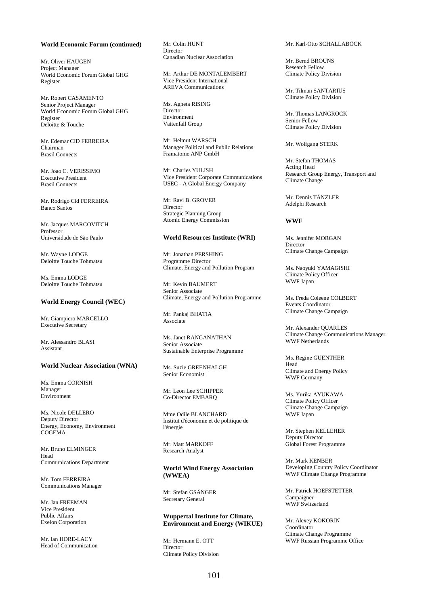#### **World Economic Forum (continued)**

Mr. Oliver HAUGEN Project Manager World Economic Forum Global GHG Register

Mr. Robert CASAMENTO Senior Project Manager World Economic Forum Global GHG Register Deloitte & Touche

Mr. Edemar CID FERREIRA Chairman Brasil Connects

Mr. Joao C. VERISSIMO Executive President Brasil Connects

Mr. Rodrigo Cid FERREIRA Banco Santos

Mr. Jacques MARCOVITCH Professor Universidade de São Paulo

Mr. Wayne LODGE Deloitte Touche Tohmatsu

Ms. Emma LODGE Deloitte Touche Tohmatsu

# **World Energy Council (WEC)**

Mr. Giampiero MARCELLO Executive Secretary

Mr. Alessandro BLASI Assistant

# **World Nuclear Association (WNA)**

Ms. Emma CORNISH Manager Environment

Ms. Nicole DELLERO Deputy Director Energy, Economy, Environment COGEMA

Mr. Bruno ELMINGER Head Communications Department

Mr. Tom FERREIRA Communications Manager

Mr. Jan FREEMAN Vice President Public Affairs Exelon Corporation

Mr. Ian HORE-LACY Head of Communication Mr. Colin HUNT Director Canadian Nuclear Association

Mr. Arthur DE MONTALEMBERT Vice President International AREVA Communications

Ms. Agneta RISING **Director** Environment Vattenfall Group

Mr. Helmut WARSCH Manager Political and Public Relations Framatome ANP GmbH

Mr. Charles YULISH Vice President Corporate Communications USEC - A Global Energy Company

Mr. Ravi B. GROVER Director Strategic Planning Group Atomic Energy Commission

#### **World Resources Institute (WRI)**

Mr. Jonathan PERSHING Programme Director Climate, Energy and Pollution Program

Mr. Kevin BAUMERT Senior Associate Climate, Energy and Pollution Programme

Mr. Pankaj BHATIA Associate

Ms. Janet RANGANATHAN Senior Associate Sustainable Enterprise Programme

Ms. Suzie GREENHALGH Senior Economist

Mr. Leon Lee SCHIPPER Co-Director EMBARQ

Mme Odile BLANCHARD Institut d'économie et de politique de l'énergie

Mr. Matt MARKOFF Research Analyst

# **World Wind Energy Association (WWEA)**

Mr. Stefan GSÄNGER Secretary General

# **Wuppertal Institute for Climate, Environment and Energy (WIKUE)**

Mr. Hermann E. OTT Director Climate Policy Division Mr. Karl-Otto SCHALLABÖCK

Mr. Bernd BROUNS Research Fellow Climate Policy Division

Mr. Tilman SANTARIUS Climate Policy Division

Mr. Thomas LANGROCK Senior Fellow Climate Policy Division

Mr. Wolfgang STERK

Mr. Stefan THOMAS Acting Head Research Group Energy, Transport and Climate Change

Mr. Dennis TÄNZLER Adelphi Research

# **WWF**

Ms. Jennifer MORGAN Director Climate Change Campaign

Ms. Naoyuki YAMAGISHI Climate Policy Officer WWF Japan

Ms. Freda Coleene COLBERT Events Coordinator Climate Change Campaign

Mr. Alexander QUARLES Climate Change Communications Manager WWF Netherlands

Ms. Regine GUENTHER Head Climate and Energy Policy WWF Germany

Ms. Yurika AYUKAWA Climate Policy Officer Climate Change Campaign WWF Japan

Mr. Stephen KELLEHER Deputy Director Global Forest Programme

Mr. Mark KENBER Developing Country Policy Coordinator WWF Climate Change Programme

Mr. Patrick HOEFSTETTER Campaigner WWF Switzerland

Mr. Alexey KOKORIN Coordinator Climate Change Programme WWF Russian Programme Office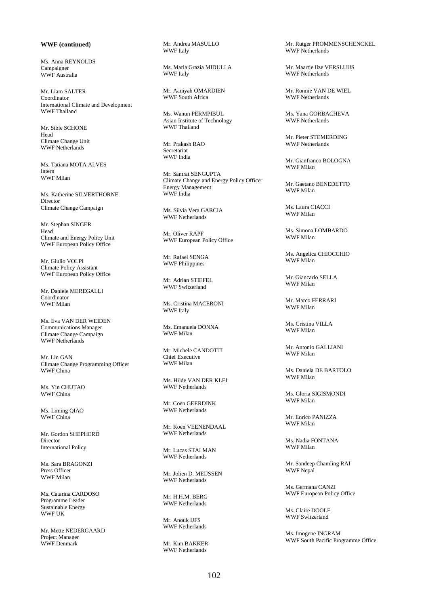# **WWF (continued)**

Ms. Anna REYNOLDS Campaigner WWF Australia

Mr. Liam SALTER Coordinator International Climate and Development WWF Thailand

Mr. Sible SCHONE Head Climate Change Unit WWF Netherlands

Ms. Tatiana MOTA ALVES Intern WWF Milan

Ms. Katherine SILVERTHORNE Director Climate Change Campaign

Mr. Stephan SINGER Head Climate and Energy Policy Unit WWF European Policy Office

Mr. Giulio VOLPI Climate Policy Assistant WWF European Policy Office

Mr. Daniele MEREGALLI Coordinator WWF Milan

Ms. Eva VAN DER WEIDEN Communications Manager Climate Change Campaign WWF Netherlands

Mr. Lin GAN Climate Change Programming Officer WWF China

Ms. Yin CHUTAO WWF China

Ms. Liming QIAO WWF China

Mr. Gordon SHEPHERD Director International Policy

Ms. Sara BRAGONZI Press Officer WWF Milan

Ms. Catarina CARDOSO Programme Leader Sustainable Energy WWF UK

Mr. Mette NEDERGAARD Project Manager WWF Denmark

Mr. Andrea MASULLO WWF Italy

Ms. Maria Grazia MIDULLA WWF Italy

Mr. Aaniyah OMARDIEN WWF South Africa

Ms. Wanun PERMPIBUL Asian Institute of Technology WWF Thailand

Mr. Prakash RAO Secretariat WWF India

Mr. Samrat SENGUPTA Climate Change and Energy Policy Officer Energy Management WWF India

Ms. Silvia Vera GARCIA WWF Netherlands

Mr. Oliver RAPF WWF European Policy Office

Mr. Rafael SENGA WWF Philippines

Mr. Adrian STIEFEL WWF Switzerland

Ms. Cristina MACERONI WWF Italy

Ms. Emanuela DONNA WWF Milan

Mr. Michele CANDOTTI Chief Executive WWF Milan

Ms. Hilde VAN DER KLEI WWF Netherlands

Mr. Coen GEERDINK WWF Netherlands

Mr. Koen VEENENDAAL WWF Netherlands

Mr. Lucas STALMAN WWF Netherlands

Mr. Jolien D. MEIJSSEN WWF Netherlands

Mr. H.H.M. BERG WWF Netherlands

Mr. Anouk IJFS WWF Netherlands

Mr. Kim BAKKER WWF Netherlands

Mr. Rutger PROMMENSCHENCKEL WWF Netherlands

Mr. Maartje Ilze VERSLUIJS WWF Netherlands

Mr. Ronnie VAN DE WIEL WWF Netherlands

Ms. Yana GORBACHEVA WWF Netherlands

Mr. Pieter STEMERDING WWF Netherlands

Mr. Gianfranco BOLOGNA WWF Milan

Mr. Gaetano BENEDETTO WWF Milan

Ms. Laura CIACCI WWF Milan

Ms. Simona LOMBARDO WWF Milan

Ms. Angelica CHIOCCHIO WWF Milan

Mr. Giancarlo SELLA WWF Milan

Mr. Marco FERRARI WWF Milan

Ms. Cristina VILLA WWF Milan

Mr. Antonio GALLIANI WWF Milan

Ms. Daniela DE BARTOLO WWF Milan

Ms. Gloria SIGISMONDI WWF Milan

Mr. Enrico PANIZZA WWF Milan

Ms. Nadia FONTANA WWF Milan

Mr. Sandeep Chamling RAI WWF Nepal

Ms. Germana CANZI WWF European Policy Office

Ms. Claire DOOLE WWF Switzerland

Ms. Imogene INGRAM WWF South Pacific Programme Office